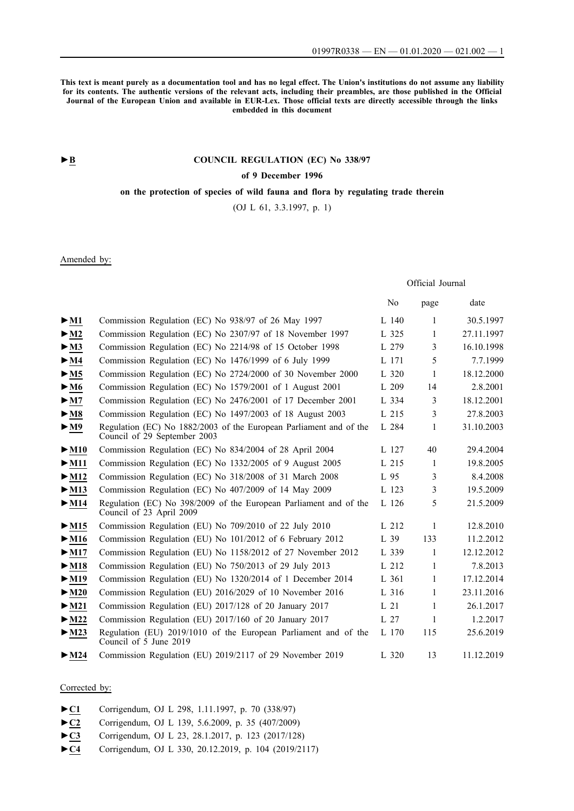**This text is meant purely as a documentation tool and has no legal effect. The Union's institutions do not assume any liability for its contents. The authentic versions of the relevant acts, including their preambles, are those published in the Official Journal of the European Union and available in EUR-Lex. Those official texts are directly accessible through the links embedded in this document**

# **►B [COUNCIL REGULATION \(EC\) No 338/97](http://data.europa.eu/eli/reg/1997/338/oj/eng)**

## **[of 9 December 1996](http://data.europa.eu/eli/reg/1997/338/oj/eng)**

### **[on the protection of species of wild fauna and flora by regulating trade therein](http://data.europa.eu/eli/reg/1997/338/oj/eng)**

[\(OJ L 61, 3.3.1997, p. 1\)](http://data.europa.eu/eli/reg/1997/338/oj/eng)

### Amended by:

### Official Journal

|                           |                                                                                                    | N <sub>0</sub>  | page         | date       |
|---------------------------|----------------------------------------------------------------------------------------------------|-----------------|--------------|------------|
| $>$ M1                    | Commission Regulation (EC) No 938/97 of 26 May 1997                                                | L 140           | 1            | 30.5.1997  |
| $\blacktriangleright$ M2  | Commission Regulation (EC) No 2307/97 of 18 November 1997                                          | L 325           | 1            | 27.11.1997 |
| $>$ M3                    | Commission Regulation (EC) No 2214/98 of 15 October 1998                                           | L 279           | 3            | 16.10.1998 |
| $\blacktriangleright$ M4  | Commission Regulation (EC) No 1476/1999 of 6 July 1999                                             | L 171           | 5            | 7.7.1999   |
| > M5                      | Commission Regulation (EC) No 2724/2000 of 30 November 2000                                        | L 320           | 1            | 18.12.2000 |
| $\blacktriangleright$ M6  | Commission Regulation (EC) No 1579/2001 of 1 August 2001                                           | L 209           | 14           | 2.8.2001   |
| > M7                      | Commission Regulation (EC) No 2476/2001 of 17 December 2001                                        | L 334           | 3            | 18.12.2001 |
| $\blacktriangleright$ M8  | Commission Regulation (EC) No 1497/2003 of 18 August 2003                                          | L 215           | 3            | 27.8.2003  |
| $>$ M9                    | Regulation (EC) No 1882/2003 of the European Parliament and of the<br>Council of 29 September 2003 | L 284           | 1            | 31.10.2003 |
| $\blacktriangleright$ M10 | Commission Regulation (EC) No 834/2004 of 28 April 2004                                            | L 127           | 40           | 29.4.2004  |
| $\blacktriangleright$ M11 | Commission Regulation (EC) No 1332/2005 of 9 August 2005                                           | L 215           | 1            | 19.8.2005  |
| $\blacktriangleright$ M12 | Commission Regulation (EC) No 318/2008 of 31 March 2008                                            | L 95            | 3            | 8.4.2008   |
| $\blacktriangleright$ M13 | Commission Regulation (EC) No 407/2009 of 14 May 2009                                              | L 123           | 3            | 19.5.2009  |
| $\blacktriangleright$ M14 | Regulation (EC) No 398/2009 of the European Parliament and of the<br>Council of 23 April 2009      | L 126           | 5            | 21.5.2009  |
| $\blacktriangleright$ M15 | Commission Regulation (EU) No 709/2010 of 22 July 2010                                             | L 212           | $\mathbf{1}$ | 12.8.2010  |
| $\blacktriangleright$ M16 | Commission Regulation (EU) No 101/2012 of 6 February 2012                                          | L 39            | 133          | 11.2.2012  |
| $\blacktriangleright$ M17 | Commission Regulation (EU) No 1158/2012 of 27 November 2012                                        | L 339           | $\mathbf{1}$ | 12.12.2012 |
| $\blacktriangleright$ M18 | Commission Regulation (EU) No 750/2013 of 29 July 2013                                             | L 212           | 1            | 7.8.2013   |
| $\blacktriangleright$ M19 | Commission Regulation (EU) No 1320/2014 of 1 December 2014                                         | L 361           | 1            | 17.12.2014 |
| $\blacktriangleright$ M20 | Commission Regulation (EU) 2016/2029 of 10 November 2016                                           | L 316           | 1            | 23.11.2016 |
| $>$ M21                   | Commission Regulation (EU) 2017/128 of 20 January 2017                                             | L <sub>21</sub> | $\mathbf{1}$ | 26.1.2017  |
| $\blacktriangleright$ M22 | Commission Regulation (EU) 2017/160 of 20 January 2017                                             | L <sub>27</sub> | 1            | 1.2.2017   |
| $>$ M23                   | Regulation (EU) 2019/1010 of the European Parliament and of the<br>Council of $\hat{5}$ June 2019  | L 170           | 115          | 25.6.2019  |
| $\blacktriangleright$ M24 | Commission Regulation (EU) 2019/2117 of 29 November 2019                                           | L 320           | 13           | 11.12.2019 |

# Corrected by:

[►](http://data.europa.eu/eli/reg/1997/338/corrigendum/1997-11-01/oj/eng)**[C1](http://data.europa.eu/eli/reg/1997/338/corrigendum/1997-11-01/oj/eng)** [Corrigendum, OJ L 298, 1.11.1997, p. 70 \(338/97\)](http://data.europa.eu/eli/reg/1997/338/corrigendum/1997-11-01/oj/eng)

[►](http://data.europa.eu/eli/reg/2009/407/corrigendum/2009-06-05/1/oj/eng)**[C2](http://data.europa.eu/eli/reg/2009/407/corrigendum/2009-06-05/1/oj/eng)** [Corrigendum, OJ L 139, 5.6.2009, p. 35 \(407/2009\)](http://data.europa.eu/eli/reg/2009/407/corrigendum/2009-06-05/1/oj/eng)

[►](http://data.europa.eu/eli/reg/2017/128/corrigendum/2017-01-28/oj/eng)**[C3](http://data.europa.eu/eli/reg/2017/128/corrigendum/2017-01-28/oj/eng)** [Corrigendum, OJ L 23, 28.1.2017, p. 123 \(2017/128\)](http://data.europa.eu/eli/reg/2017/128/corrigendum/2017-01-28/oj/eng)

[►](http://data.europa.eu/eli/reg/2019/2117/corrigendum/2019-12-20/oj/eng)**[C4](http://data.europa.eu/eli/reg/2019/2117/corrigendum/2019-12-20/oj/eng)** [Corrigendum, OJ L 330, 20.12.2019, p. 104 \(2019/2117\)](http://data.europa.eu/eli/reg/2019/2117/corrigendum/2019-12-20/oj/eng)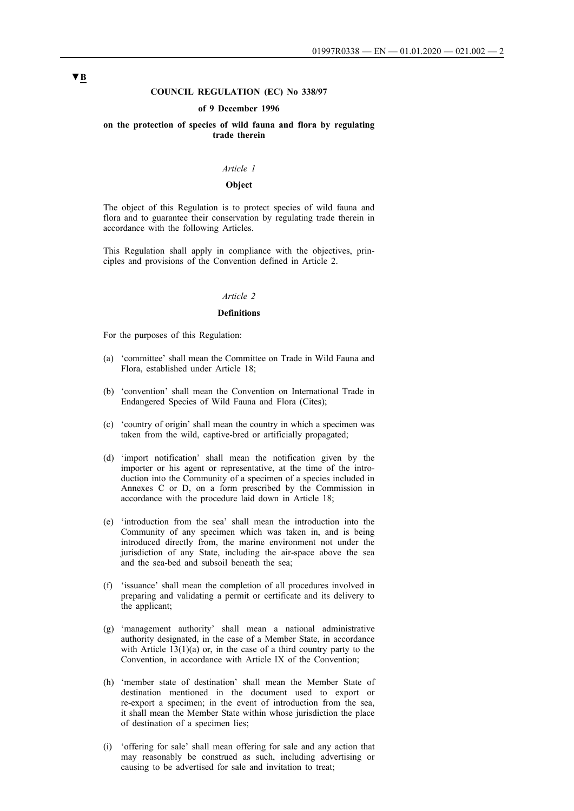### **COUNCIL REGULATION (EC) No 338/97**

#### **of 9 December 1996**

#### **on the protection of species of wild fauna and flora by regulating trade therein**

### *Article 1*

## **Object**

The object of this Regulation is to protect species of wild fauna and flora and to guarantee their conservation by regulating trade therein in accordance with the following Articles.

This Regulation shall apply in compliance with the objectives, principles and provisions of the Convention defined in Article 2.

#### *Article 2*

### **Definitions**

For the purposes of this Regulation:

- (a) 'committee' shall mean the Committee on Trade in Wild Fauna and Flora, established under Article 18;
- (b) 'convention' shall mean the Convention on International Trade in Endangered Species of Wild Fauna and Flora (Cites);
- (c) 'country of origin' shall mean the country in which a specimen was taken from the wild, captive-bred or artificially propagated;
- (d) 'import notification' shall mean the notification given by the importer or his agent or representative, at the time of the introduction into the Community of a specimen of a species included in Annexes C or D, on a form prescribed by the Commission in accordance with the procedure laid down in Article 18;
- (e) 'introduction from the sea' shall mean the introduction into the Community of any specimen which was taken in, and is being introduced directly from, the marine environment not under the jurisdiction of any State, including the air-space above the sea and the sea-bed and subsoil beneath the sea;
- (f) 'issuance' shall mean the completion of all procedures involved in preparing and validating a permit or certificate and its delivery to the applicant;
- (g) 'management authority' shall mean a national administrative authority designated, in the case of a Member State, in accordance with Article  $13(1)(a)$  or, in the case of a third country party to the Convention, in accordance with Article IX of the Convention;
- (h) 'member state of destination' shall mean the Member State of destination mentioned in the document used to export or re-export a specimen; in the event of introduction from the sea, it shall mean the Member State within whose jurisdiction the place of destination of a specimen lies;
- (i) 'offering for sale' shall mean offering for sale and any action that may reasonably be construed as such, including advertising or causing to be advertised for sale and invitation to treat;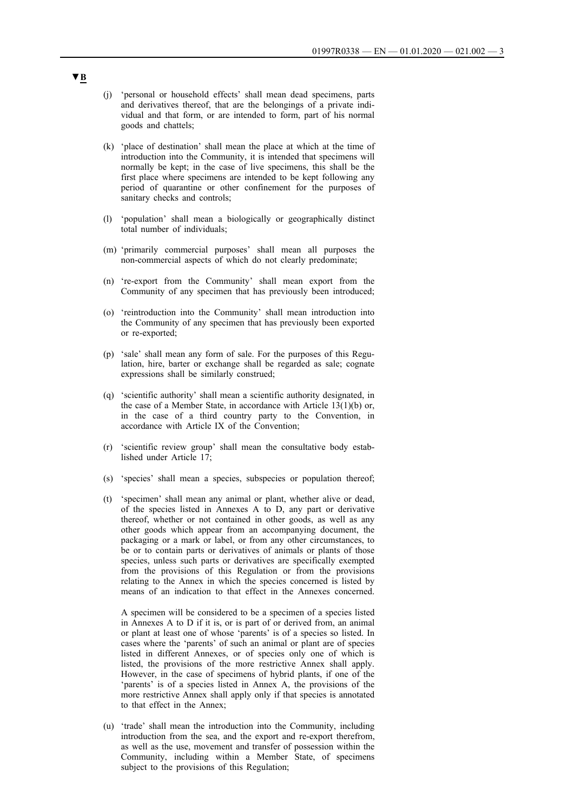- (j) 'personal or household effects' shall mean dead specimens, parts and derivatives thereof, that are the belongings of a private individual and that form, or are intended to form, part of his normal goods and chattels;
- (k) 'place of destination' shall mean the place at which at the time of introduction into the Community, it is intended that specimens will normally be kept; in the case of live specimens, this shall be the first place where specimens are intended to be kept following any period of quarantine or other confinement for the purposes of sanitary checks and controls;
- (l) 'population' shall mean a biologically or geographically distinct total number of individuals;
- (m) 'primarily commercial purposes' shall mean all purposes the non-commercial aspects of which do not clearly predominate;
- (n) 're-export from the Community' shall mean export from the Community of any specimen that has previously been introduced;
- (o) 'reintroduction into the Community' shall mean introduction into the Community of any specimen that has previously been exported or re-exported;
- (p) 'sale' shall mean any form of sale. For the purposes of this Regulation, hire, barter or exchange shall be regarded as sale; cognate expressions shall be similarly construed;
- (q) 'scientific authority' shall mean a scientific authority designated, in the case of a Member State, in accordance with Article 13(1)(b) or, in the case of a third country party to the Convention, in accordance with Article IX of the Convention;
- (r) 'scientific review group' shall mean the consultative body established under Article 17;
- (s) 'species' shall mean a species, subspecies or population thereof;
- (t) 'specimen' shall mean any animal or plant, whether alive or dead, of the species listed in Annexes A to D, any part or derivative thereof, whether or not contained in other goods, as well as any other goods which appear from an accompanying document, the packaging or a mark or label, or from any other circumstances, to be or to contain parts or derivatives of animals or plants of those species, unless such parts or derivatives are specifically exempted from the provisions of this Regulation or from the provisions relating to the Annex in which the species concerned is listed by means of an indication to that effect in the Annexes concerned.

A specimen will be considered to be a specimen of a species listed in Annexes A to D if it is, or is part of or derived from, an animal or plant at least one of whose 'parents' is of a species so listed. In cases where the 'parents' of such an animal or plant are of species listed in different Annexes, or of species only one of which is listed, the provisions of the more restrictive Annex shall apply. However, in the case of specimens of hybrid plants, if one of the 'parents' is of a species listed in Annex A, the provisions of the more restrictive Annex shall apply only if that species is annotated to that effect in the Annex;

(u) 'trade' shall mean the introduction into the Community, including introduction from the sea, and the export and re-export therefrom, as well as the use, movement and transfer of possession within the Community, including within a Member State, of specimens subject to the provisions of this Regulation;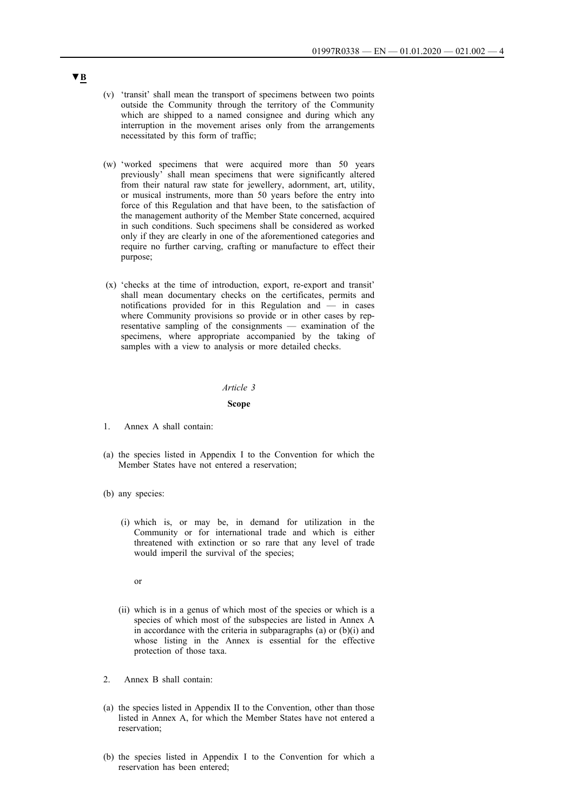- (v) 'transit' shall mean the transport of specimens between two points outside the Community through the territory of the Community which are shipped to a named consignee and during which any interruption in the movement arises only from the arrangements necessitated by this form of traffic;
- (w) 'worked specimens that were acquired more than 50 years previously' shall mean specimens that were significantly altered from their natural raw state for jewellery, adornment, art, utility, or musical instruments, more than 50 years before the entry into force of this Regulation and that have been, to the satisfaction of the management authority of the Member State concerned, acquired in such conditions. Such specimens shall be considered as worked only if they are clearly in one of the aforementioned categories and require no further carving, crafting or manufacture to effect their purpose;
- (x) 'checks at the time of introduction, export, re-export and transit' shall mean documentary checks on the certificates, permits and notifications provided for in this Regulation and — in cases where Community provisions so provide or in other cases by representative sampling of the consignments — examination of the specimens, where appropriate accompanied by the taking of samples with a view to analysis or more detailed checks.

### *Article 3*

#### **Scope**

- 1. Annex A shall contain:
- (a) the species listed in Appendix I to the Convention for which the Member States have not entered a reservation;
- (b) any species:
	- (i) which is, or may be, in demand for utilization in the Community or for international trade and which is either threatened with extinction or so rare that any level of trade would imperil the survival of the species;

or

- (ii) which is in a genus of which most of the species or which is a species of which most of the subspecies are listed in Annex A in accordance with the criteria in subparagraphs (a) or  $(b)(i)$  and whose listing in the Annex is essential for the effective protection of those taxa.
- 2. Annex B shall contain:
- (a) the species listed in Appendix II to the Convention, other than those listed in Annex A, for which the Member States have not entered a reservation;
- (b) the species listed in Appendix I to the Convention for which a reservation has been entered;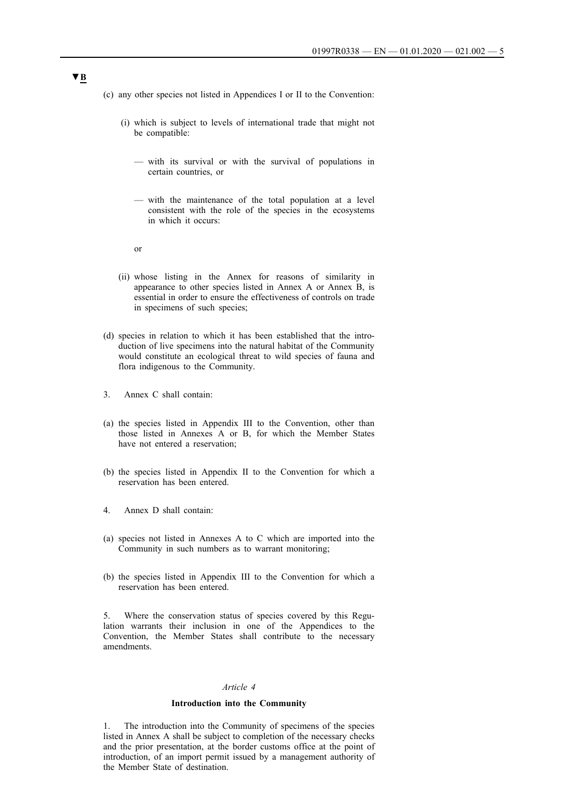- (c) any other species not listed in Appendices I or II to the Convention:
	- (i) which is subject to levels of international trade that might not be compatible:
		- with its survival or with the survival of populations in certain countries, or
		- with the maintenance of the total population at a level consistent with the role of the species in the ecosystems in which it occurs:
		- or
	- (ii) whose listing in the Annex for reasons of similarity in appearance to other species listed in Annex A or Annex B, is essential in order to ensure the effectiveness of controls on trade in specimens of such species;
- (d) species in relation to which it has been established that the introduction of live specimens into the natural habitat of the Community would constitute an ecological threat to wild species of fauna and flora indigenous to the Community.
- 3. Annex C shall contain:
- (a) the species listed in Appendix III to the Convention, other than those listed in Annexes A or B, for which the Member States have not entered a reservation;
- (b) the species listed in Appendix II to the Convention for which a reservation has been entered.
- 4. Annex D shall contain:
- (a) species not listed in Annexes A to C which are imported into the Community in such numbers as to warrant monitoring;
- (b) the species listed in Appendix III to the Convention for which a reservation has been entered.

5. Where the conservation status of species covered by this Regulation warrants their inclusion in one of the Appendices to the Convention, the Member States shall contribute to the necessary amendments.

#### *Article 4*

### **Introduction into the Community**

1. The introduction into the Community of specimens of the species listed in Annex A shall be subject to completion of the necessary checks and the prior presentation, at the border customs office at the point of introduction, of an import permit issued by a management authority of the Member State of destination.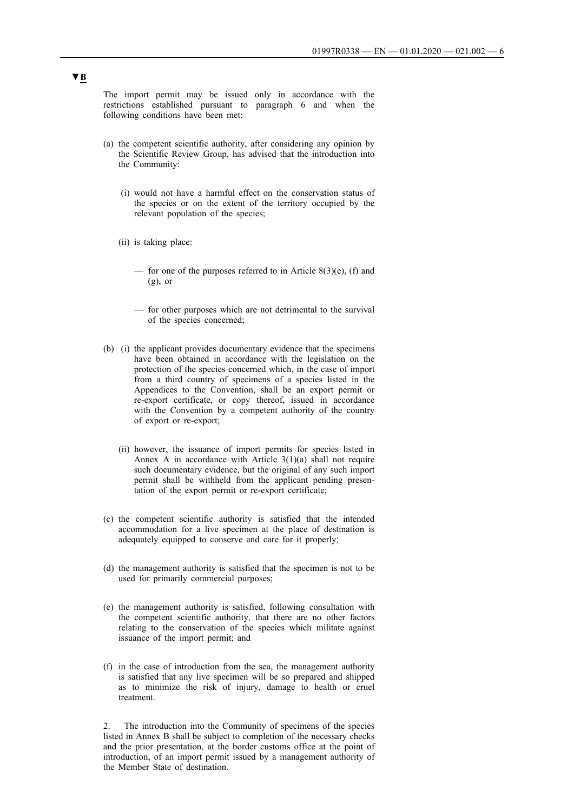The import permit may be issued only in accordance with the restrictions established pursuant to paragraph 6 and when the following conditions have been met:

- (a) the competent scientific authority, after considering any opinion by the Scientific Review Group, has advised that the introduction into the Community:
	- (i) would not have a harmful effect on the conservation status of the species or on the extent of the territory occupied by the relevant population of the species;
	- (ii) is taking place:
		- for one of the purposes referred to in Article  $8(3)(e)$ , (f) and (g), or
		- for other purposes which are not detrimental to the survival of the species concerned;
- (b) (i) the applicant provides documentary evidence that the specimens have been obtained in accordance with the legislation on the protection of the species concerned which, in the case of import from a third country of specimens of a species listed in the Appendices to the Convention, shall be an export permit or re-export certificate, or copy thereof, issued in accordance with the Convention by a competent authority of the country of export or re-export;
	- (ii) however, the issuance of import permits for species listed in Annex A in accordance with Article  $3(1)(a)$  shall not require such documentary evidence, but the original of any such import permit shall be withheld from the applicant pending presentation of the export permit or re-export certificate;
- (c) the competent scientific authority is satisfied that the intended accommodation for a live specimen at the place of destination is adequately equipped to conserve and care for it properly;
- (d) the management authority is satisfied that the specimen is not to be used for primarily commercial purposes;
- (e) the management authority is satisfied, following consultation with the competent scientific authority, that there are no other factors relating to the conservation of the species which militate against issuance of the import permit; and
- (f) in the case of introduction from the sea, the management authority is satisfied that any live specimen will be so prepared and shipped as to minimize the risk of injury, damage to health or cruel treatment.

2. The introduction into the Community of specimens of the species listed in Annex B shall be subject to completion of the necessary checks and the prior presentation, at the border customs office at the point of introduction, of an import permit issued by a management authority of the Member State of destination.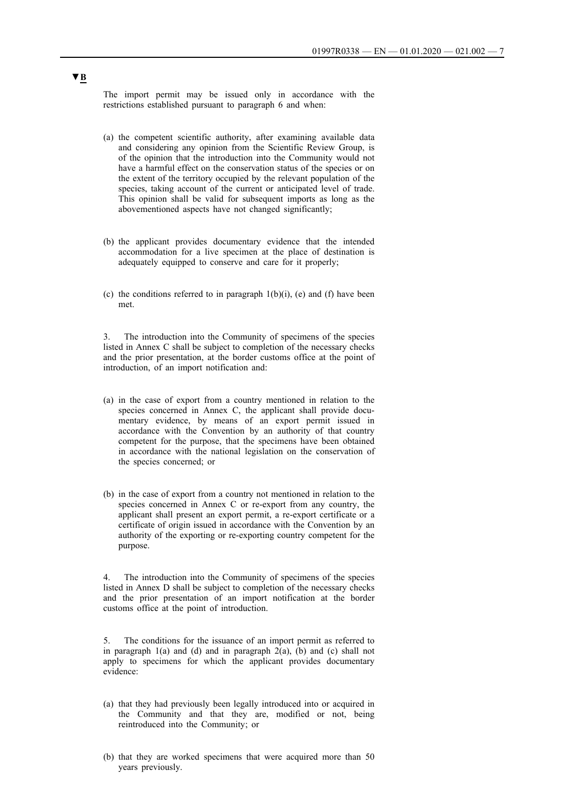The import permit may be issued only in accordance with the restrictions established pursuant to paragraph 6 and when:

- (a) the competent scientific authority, after examining available data and considering any opinion from the Scientific Review Group, is of the opinion that the introduction into the Community would not have a harmful effect on the conservation status of the species or on the extent of the territory occupied by the relevant population of the species, taking account of the current or anticipated level of trade. This opinion shall be valid for subsequent imports as long as the abovementioned aspects have not changed significantly;
- (b) the applicant provides documentary evidence that the intended accommodation for a live specimen at the place of destination is adequately equipped to conserve and care for it properly;
- (c) the conditions referred to in paragraph  $1(b)(i)$ , (e) and (f) have been met.

3. The introduction into the Community of specimens of the species listed in Annex C shall be subject to completion of the necessary checks and the prior presentation, at the border customs office at the point of introduction, of an import notification and:

- (a) in the case of export from a country mentioned in relation to the species concerned in Annex C, the applicant shall provide documentary evidence, by means of an export permit issued in accordance with the Convention by an authority of that country competent for the purpose, that the specimens have been obtained in accordance with the national legislation on the conservation of the species concerned; or
- (b) in the case of export from a country not mentioned in relation to the species concerned in Annex C or re-export from any country, the applicant shall present an export permit, a re-export certificate or a certificate of origin issued in accordance with the Convention by an authority of the exporting or re-exporting country competent for the purpose.

The introduction into the Community of specimens of the species listed in Annex D shall be subject to completion of the necessary checks and the prior presentation of an import notification at the border customs office at the point of introduction.

5. The conditions for the issuance of an import permit as referred to in paragraph  $1(a)$  and  $(d)$  and in paragraph  $2(a)$ ,  $(b)$  and  $(c)$  shall not apply to specimens for which the applicant provides documentary evidence:

- (a) that they had previously been legally introduced into or acquired in the Community and that they are, modified or not, being reintroduced into the Community; or
- (b) that they are worked specimens that were acquired more than 50 years previously.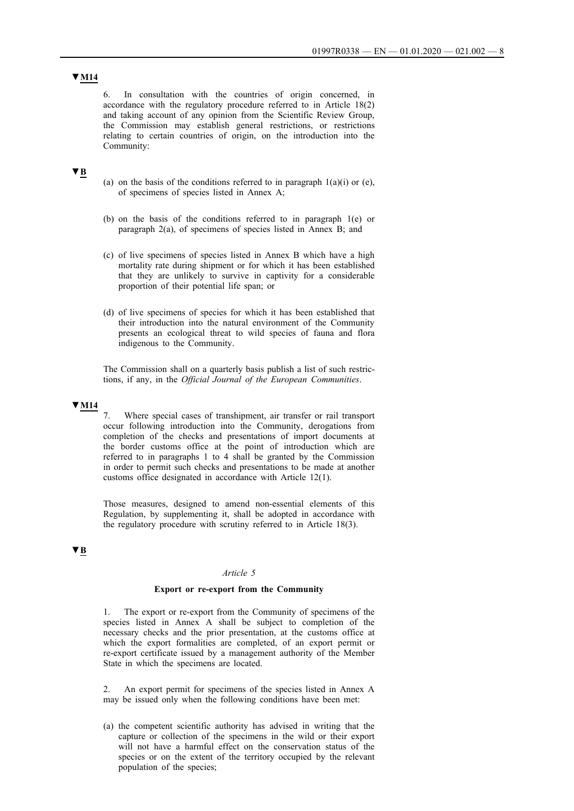6. In consultation with the countries of origin concerned, in accordance with the regulatory procedure referred to in Article 18(2) and taking account of any opinion from the Scientific Review Group, the Commission may establish general restrictions, or restrictions relating to certain countries of origin, on the introduction into the Community:

#### **▼B**

- (a) on the basis of the conditions referred to in paragraph  $1(a)(i)$  or (e), of specimens of species listed in Annex A;
- (b) on the basis of the conditions referred to in paragraph 1(e) or paragraph 2(a), of specimens of species listed in Annex B; and
- (c) of live specimens of species listed in Annex B which have a high mortality rate during shipment or for which it has been established that they are unlikely to survive in captivity for a considerable proportion of their potential life span; or
- (d) of live specimens of species for which it has been established that their introduction into the natural environment of the Community presents an ecological threat to wild species of fauna and flora indigenous to the Community.

The Commission shall on a quarterly basis publish a list of such restrictions, if any, in the *Official Journal of the European Communities*.

## **▼M14**

7. Where special cases of transhipment, air transfer or rail transport occur following introduction into the Community, derogations from completion of the checks and presentations of import documents at the border customs office at the point of introduction which are referred to in paragraphs 1 to 4 shall be granted by the Commission in order to permit such checks and presentations to be made at another customs office designated in accordance with Article 12(1).

Those measures, designed to amend non-essential elements of this Regulation, by supplementing it, shall be adopted in accordance with the regulatory procedure with scrutiny referred to in Article 18(3).

## **▼B**

#### *Article 5*

### **Export or re-export from the Community**

1. The export or re-export from the Community of specimens of the species listed in Annex A shall be subject to completion of the necessary checks and the prior presentation, at the customs office at which the export formalities are completed, of an export permit or re-export certificate issued by a management authority of the Member State in which the specimens are located.

2. An export permit for specimens of the species listed in Annex A may be issued only when the following conditions have been met:

(a) the competent scientific authority has advised in writing that the capture or collection of the specimens in the wild or their export will not have a harmful effect on the conservation status of the species or on the extent of the territory occupied by the relevant population of the species;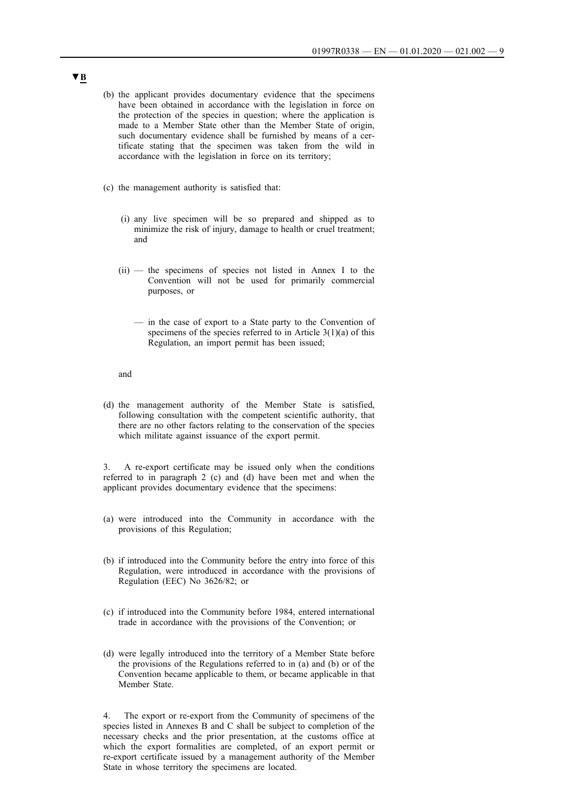- (b) the applicant provides documentary evidence that the specimens have been obtained in accordance with the legislation in force on the protection of the species in question; where the application is made to a Member State other than the Member State of origin, such documentary evidence shall be furnished by means of a certificate stating that the specimen was taken from the wild in accordance with the legislation in force on its territory;
- (c) the management authority is satisfied that:
	- (i) any live specimen will be so prepared and shipped as to minimize the risk of injury, damage to health or cruel treatment; and
	- (ii) the specimens of species not listed in Annex I to the Convention will not be used for primarily commercial purposes, or
		- in the case of export to a State party to the Convention of specimens of the species referred to in Article  $3(1)(a)$  of this Regulation, an import permit has been issued;

and

(d) the management authority of the Member State is satisfied, following consultation with the competent scientific authority, that there are no other factors relating to the conservation of the species which militate against issuance of the export permit.

3. A re-export certificate may be issued only when the conditions referred to in paragraph 2 (c) and (d) have been met and when the applicant provides documentary evidence that the specimens:

- (a) were introduced into the Community in accordance with the provisions of this Regulation;
- (b) if introduced into the Community before the entry into force of this Regulation, were introduced in accordance with the provisions of Regulation (EEC) No 3626/82; or
- (c) if introduced into the Community before 1984, entered international trade in accordance with the provisions of the Convention; or
- (d) were legally introduced into the territory of a Member State before the provisions of the Regulations referred to in (a) and (b) or of the Convention became applicable to them, or became applicable in that Member State.

4. The export or re-export from the Community of specimens of the species listed in Annexes B and C shall be subject to completion of the necessary checks and the prior presentation, at the customs office at which the export formalities are completed, of an export permit or re-export certificate issued by a management authority of the Member State in whose territory the specimens are located.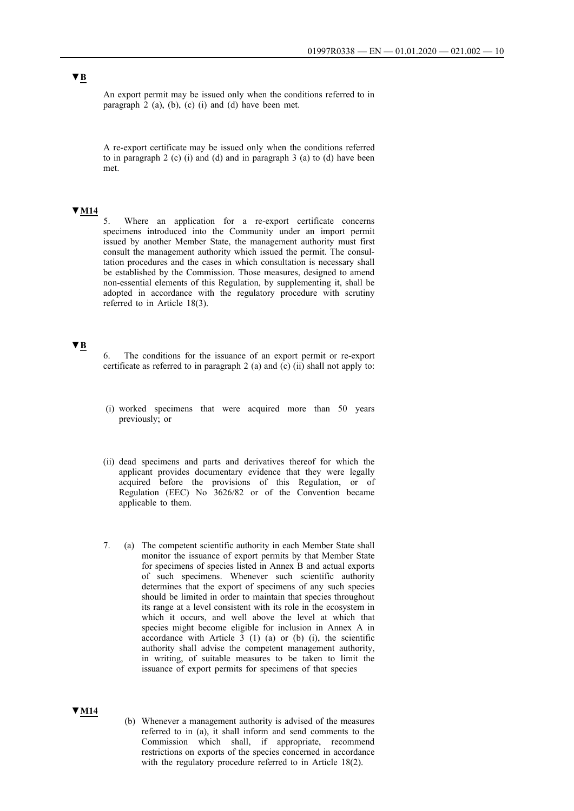An export permit may be issued only when the conditions referred to in paragraph  $2$  (a), (b), (c) (i) and (d) have been met.

A re-export certificate may be issued only when the conditions referred to in paragraph 2 (c) (i) and (d) and in paragraph 3 (a) to (d) have been met.

# **▼M14**

5. Where an application for a re-export certificate concerns specimens introduced into the Community under an import permit issued by another Member State, the management authority must first consult the management authority which issued the permit. The consultation procedures and the cases in which consultation is necessary shall be established by the Commission. Those measures, designed to amend non-essential elements of this Regulation, by supplementing it, shall be adopted in accordance with the regulatory procedure with scrutiny referred to in Article 18(3).

## **▼B**

- 6. The conditions for the issuance of an export permit or re-export certificate as referred to in paragraph 2 (a) and  $(c)$  (ii) shall not apply to:
- (i) worked specimens that were acquired more than 50 years previously; or
- (ii) dead specimens and parts and derivatives thereof for which the applicant provides documentary evidence that they were legally acquired before the provisions of this Regulation, or of Regulation (EEC) No 3626/82 or of the Convention became applicable to them.
- 7. (a) The competent scientific authority in each Member State shall monitor the issuance of export permits by that Member State for specimens of species listed in Annex B and actual exports of such specimens. Whenever such scientific authority determines that the export of specimens of any such species should be limited in order to maintain that species throughout its range at a level consistent with its role in the ecosystem in which it occurs, and well above the level at which that species might become eligible for inclusion in Annex A in accordance with Article 3 (1) (a) or (b) (i), the scientific authority shall advise the competent management authority, in writing, of suitable measures to be taken to limit the issuance of export permits for specimens of that species

### **▼M14**

(b) Whenever a management authority is advised of the measures referred to in (a), it shall inform and send comments to the Commission which shall, if appropriate, recommend restrictions on exports of the species concerned in accordance with the regulatory procedure referred to in Article 18(2).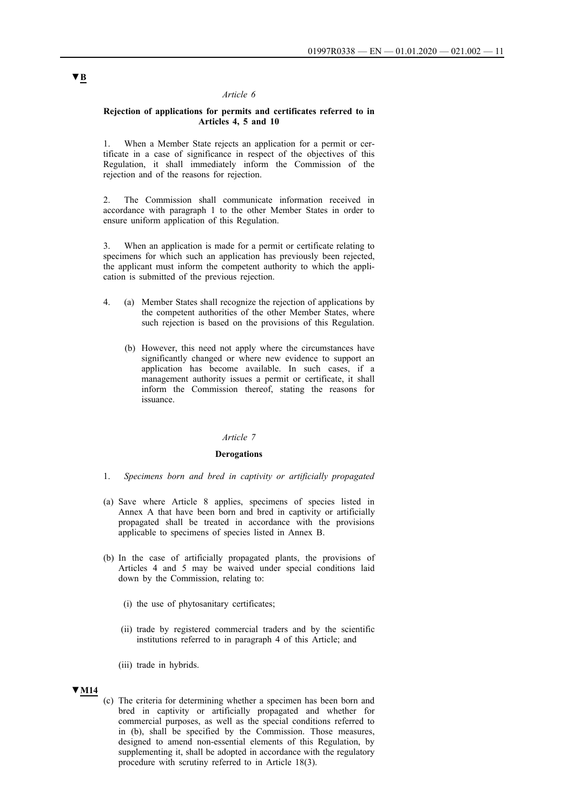#### *Article 6*

#### **Rejection of applications for permits and certificates referred to in Articles 4, 5 and 10**

1. When a Member State rejects an application for a permit or certificate in a case of significance in respect of the objectives of this Regulation, it shall immediately inform the Commission of the rejection and of the reasons for rejection.

2. The Commission shall communicate information received in accordance with paragraph 1 to the other Member States in order to ensure uniform application of this Regulation.

3. When an application is made for a permit or certificate relating to specimens for which such an application has previously been rejected, the applicant must inform the competent authority to which the application is submitted of the previous rejection.

- 4. (a) Member States shall recognize the rejection of applications by the competent authorities of the other Member States, where such rejection is based on the provisions of this Regulation.
	- (b) However, this need not apply where the circumstances have significantly changed or where new evidence to support an application has become available. In such cases, if a management authority issues a permit or certificate, it shall inform the Commission thereof, stating the reasons for issuance.

#### *Article 7*

#### **Derogations**

- 1. *Specimens born and bred in captivity or artificially propagated*
- (a) Save where Article 8 applies, specimens of species listed in Annex A that have been born and bred in captivity or artificially propagated shall be treated in accordance with the provisions applicable to specimens of species listed in Annex B.
- (b) In the case of artificially propagated plants, the provisions of Articles 4 and 5 may be waived under special conditions laid down by the Commission, relating to:
	- (i) the use of phytosanitary certificates;
	- (ii) trade by registered commercial traders and by the scientific institutions referred to in paragraph 4 of this Article; and
	- (iii) trade in hybrids.

#### **▼M14**

(c) The criteria for determining whether a specimen has been born and bred in captivity or artificially propagated and whether for commercial purposes, as well as the special conditions referred to in (b), shall be specified by the Commission. Those measures, designed to amend non-essential elements of this Regulation, by supplementing it, shall be adopted in accordance with the regulatory procedure with scrutiny referred to in Article 18(3).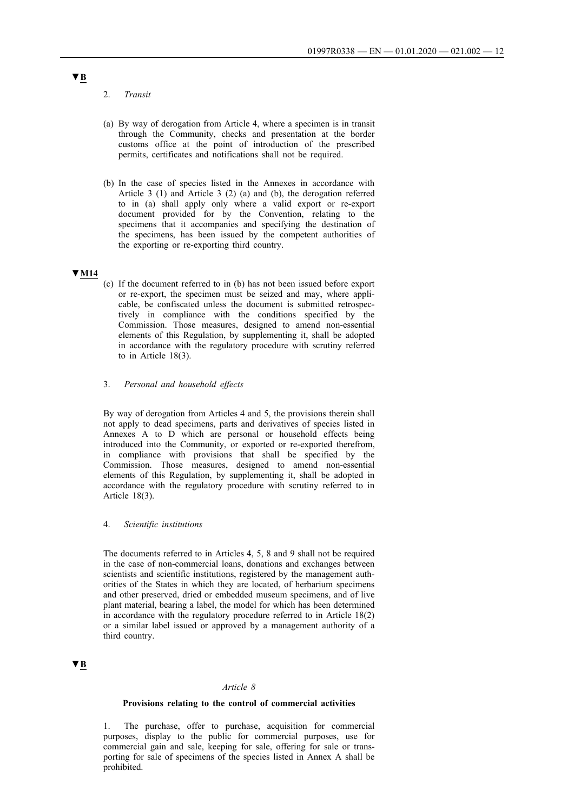#### 2. *Transit*

- (a) By way of derogation from Article 4, where a specimen is in transit through the Community, checks and presentation at the border customs office at the point of introduction of the prescribed permits, certificates and notifications shall not be required.
- (b) In the case of species listed in the Annexes in accordance with Article 3 (1) and Article 3 (2) (a) and (b), the derogation referred to in (a) shall apply only where a valid export or re-export document provided for by the Convention, relating to the specimens that it accompanies and specifying the destination of the specimens, has been issued by the competent authorities of the exporting or re-exporting third country.

# **▼M14**

(c) If the document referred to in (b) has not been issued before export or re-export, the specimen must be seized and may, where applicable, be confiscated unless the document is submitted retrospectively in compliance with the conditions specified by the Commission. Those measures, designed to amend non-essential elements of this Regulation, by supplementing it, shall be adopted in accordance with the regulatory procedure with scrutiny referred to in Article 18(3).

#### 3. *Personal and household effects*

By way of derogation from Articles 4 and 5, the provisions therein shall not apply to dead specimens, parts and derivatives of species listed in Annexes A to D which are personal or household effects being introduced into the Community, or exported or re-exported therefrom, in compliance with provisions that shall be specified by the Commission. Those measures, designed to amend non-essential elements of this Regulation, by supplementing it, shall be adopted in accordance with the regulatory procedure with scrutiny referred to in Article 18(3).

#### 4. *Scientific institutions*

The documents referred to in Articles 4, 5, 8 and 9 shall not be required in the case of non-commercial loans, donations and exchanges between scientists and scientific institutions, registered by the management authorities of the States in which they are located, of herbarium specimens and other preserved, dried or embedded museum specimens, and of live plant material, bearing a label, the model for which has been determined in accordance with the regulatory procedure referred to in Article 18(2) or a similar label issued or approved by a management authority of a third country.

# **▼B**

#### *Article 8*

#### **Provisions relating to the control of commercial activities**

1. The purchase, offer to purchase, acquisition for commercial purposes, display to the public for commercial purposes, use for commercial gain and sale, keeping for sale, offering for sale or transporting for sale of specimens of the species listed in Annex A shall be prohibited.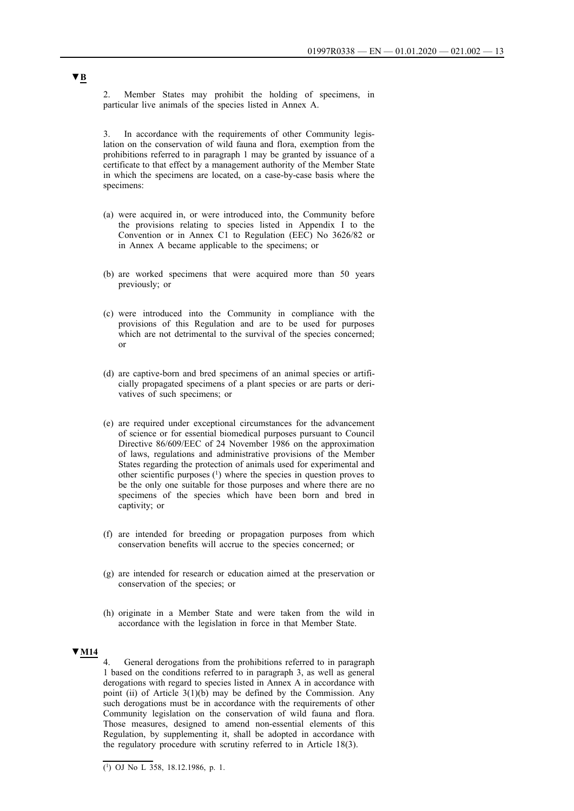Member States may prohibit the holding of specimens, in particular live animals of the species listed in Annex A.

In accordance with the requirements of other Community legislation on the conservation of wild fauna and flora, exemption from the prohibitions referred to in paragraph 1 may be granted by issuance of a certificate to that effect by a management authority of the Member State in which the specimens are located, on a case-by-case basis where the specimens:

- (a) were acquired in, or were introduced into, the Community before the provisions relating to species listed in Appendix I to the Convention or in Annex C1 to Regulation (EEC) No 3626/82 or in Annex A became applicable to the specimens; or
- (b) are worked specimens that were acquired more than 50 years previously; or
- (c) were introduced into the Community in compliance with the provisions of this Regulation and are to be used for purposes which are not detrimental to the survival of the species concerned; or
- (d) are captive-born and bred specimens of an animal species or artificially propagated specimens of a plant species or are parts or derivatives of such specimens; or
- (e) are required under exceptional circumstances for the advancement of science or for essential biomedical purposes pursuant to Council Directive 86/609/EEC of 24 November 1986 on the approximation of laws, regulations and administrative provisions of the Member States regarding the protection of animals used for experimental and other scientific purposes  $(1)$  where the species in question proves to be the only one suitable for those purposes and where there are no specimens of the species which have been born and bred in captivity; or
- (f) are intended for breeding or propagation purposes from which conservation benefits will accrue to the species concerned; or
- (g) are intended for research or education aimed at the preservation or conservation of the species; or
- (h) originate in a Member State and were taken from the wild in accordance with the legislation in force in that Member State.

# **▼M14**

General derogations from the prohibitions referred to in paragraph 1 based on the conditions referred to in paragraph 3, as well as general derogations with regard to species listed in Annex A in accordance with point (ii) of Article  $3(1)(b)$  may be defined by the Commission. Any such derogations must be in accordance with the requirements of other Community legislation on the conservation of wild fauna and flora. Those measures, designed to amend non-essential elements of this Regulation, by supplementing it, shall be adopted in accordance with the regulatory procedure with scrutiny referred to in Article 18(3).

 $\overline{(^1)}$  OJ No L 358, 18.12.1986, p. 1.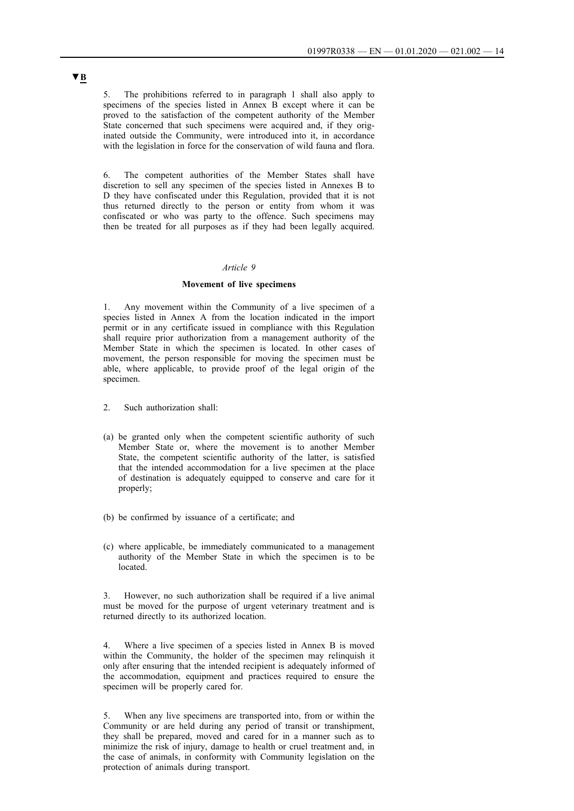5. The prohibitions referred to in paragraph 1 shall also apply to specimens of the species listed in Annex B except where it can be proved to the satisfaction of the competent authority of the Member State concerned that such specimens were acquired and, if they originated outside the Community, were introduced into it, in accordance with the legislation in force for the conservation of wild fauna and flora.

6. The competent authorities of the Member States shall have discretion to sell any specimen of the species listed in Annexes B to D they have confiscated under this Regulation, provided that it is not thus returned directly to the person or entity from whom it was confiscated or who was party to the offence. Such specimens may then be treated for all purposes as if they had been legally acquired.

#### *Article 9*

#### **Movement of live specimens**

1. Any movement within the Community of a live specimen of a species listed in Annex A from the location indicated in the import permit or in any certificate issued in compliance with this Regulation shall require prior authorization from a management authority of the Member State in which the specimen is located. In other cases of movement, the person responsible for moving the specimen must be able, where applicable, to provide proof of the legal origin of the specimen.

- 2. Such authorization shall:
- (a) be granted only when the competent scientific authority of such Member State or, where the movement is to another Member State, the competent scientific authority of the latter, is satisfied that the intended accommodation for a live specimen at the place of destination is adequately equipped to conserve and care for it properly;
- (b) be confirmed by issuance of a certificate; and
- (c) where applicable, be immediately communicated to a management authority of the Member State in which the specimen is to be located.

3. However, no such authorization shall be required if a live animal must be moved for the purpose of urgent veterinary treatment and is returned directly to its authorized location.

4. Where a live specimen of a species listed in Annex B is moved within the Community, the holder of the specimen may relinquish it only after ensuring that the intended recipient is adequately informed of the accommodation, equipment and practices required to ensure the specimen will be properly cared for.

5. When any live specimens are transported into, from or within the Community or are held during any period of transit or transhipment, they shall be prepared, moved and cared for in a manner such as to minimize the risk of injury, damage to health or cruel treatment and, in the case of animals, in conformity with Community legislation on the protection of animals during transport.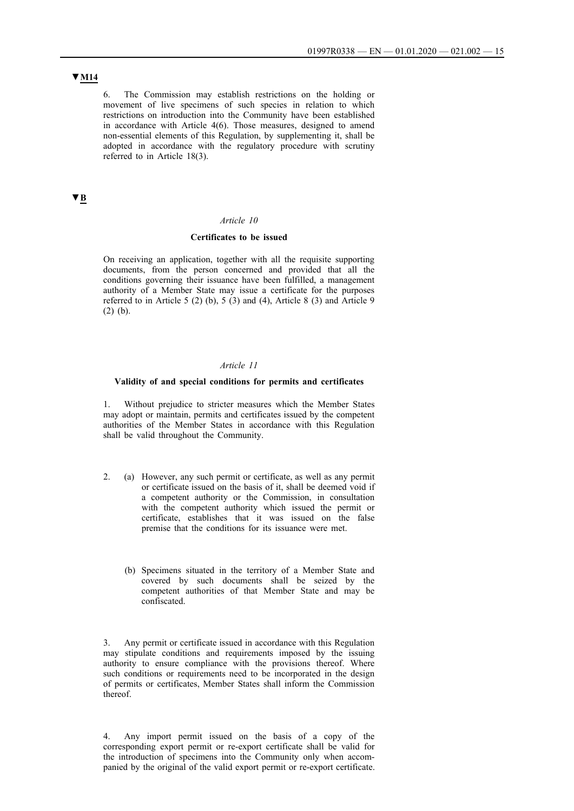6. The Commission may establish restrictions on the holding or movement of live specimens of such species in relation to which restrictions on introduction into the Community have been established in accordance with Article 4(6). Those measures, designed to amend non-essential elements of this Regulation, by supplementing it, shall be adopted in accordance with the regulatory procedure with scrutiny referred to in Article 18(3).

### **▼B**

#### *Article 10*

#### **Certificates to be issued**

On receiving an application, together with all the requisite supporting documents, from the person concerned and provided that all the conditions governing their issuance have been fulfilled, a management authority of a Member State may issue a certificate for the purposes referred to in Article 5 (2) (b), 5 (3) and (4), Article 8 (3) and Article 9 (2) (b).

#### *Article 11*

#### **Validity of and special conditions for permits and certificates**

1. Without prejudice to stricter measures which the Member States may adopt or maintain, permits and certificates issued by the competent authorities of the Member States in accordance with this Regulation shall be valid throughout the Community.

- 2. (a) However, any such permit or certificate, as well as any permit or certificate issued on the basis of it, shall be deemed void if a competent authority or the Commission, in consultation with the competent authority which issued the permit or certificate, establishes that it was issued on the false premise that the conditions for its issuance were met.
	- (b) Specimens situated in the territory of a Member State and covered by such documents shall be seized by the competent authorities of that Member State and may be confiscated.

3. Any permit or certificate issued in accordance with this Regulation may stipulate conditions and requirements imposed by the issuing authority to ensure compliance with the provisions thereof. Where such conditions or requirements need to be incorporated in the design of permits or certificates, Member States shall inform the Commission thereof.

4. Any import permit issued on the basis of a copy of the corresponding export permit or re-export certificate shall be valid for the introduction of specimens into the Community only when accompanied by the original of the valid export permit or re-export certificate.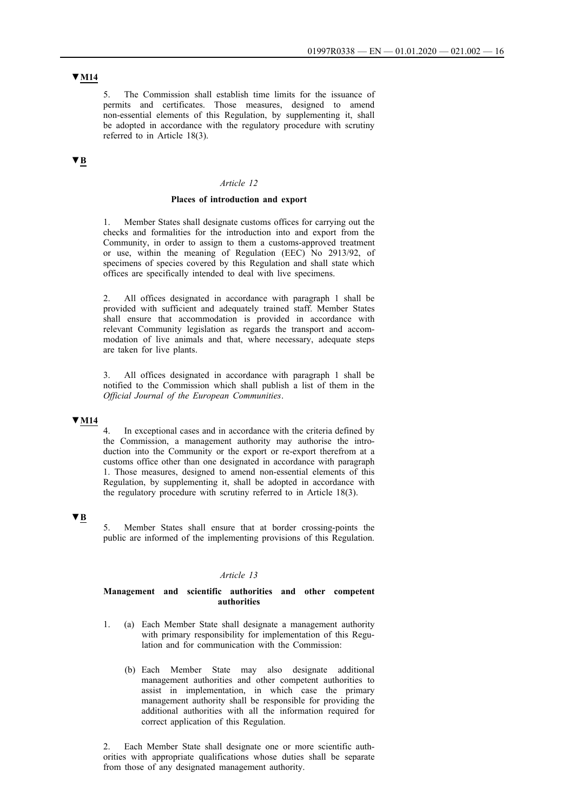5. The Commission shall establish time limits for the issuance of permits and certificates. Those measures, designed to amend non-essential elements of this Regulation, by supplementing it, shall be adopted in accordance with the regulatory procedure with scrutiny referred to in Article 18(3).

# **▼B**

#### *Article 12*

#### **Places of introduction and export**

1. Member States shall designate customs offices for carrying out the checks and formalities for the introduction into and export from the Community, in order to assign to them a customs-approved treatment or use, within the meaning of Regulation (EEC) No 2913/92, of specimens of species covered by this Regulation and shall state which offices are specifically intended to deal with live specimens.

2. All offices designated in accordance with paragraph 1 shall be provided with sufficient and adequately trained staff. Member States shall ensure that accommodation is provided in accordance with relevant Community legislation as regards the transport and accommodation of live animals and that, where necessary, adequate steps are taken for live plants.

3. All offices designated in accordance with paragraph 1 shall be notified to the Commission which shall publish a list of them in the *Official Journal of the European Communities*.

# **▼M14**

4. In exceptional cases and in accordance with the criteria defined by the Commission, a management authority may authorise the introduction into the Community or the export or re-export therefrom at a customs office other than one designated in accordance with paragraph 1. Those measures, designed to amend non-essential elements of this Regulation, by supplementing it, shall be adopted in accordance with the regulatory procedure with scrutiny referred to in Article 18(3).

### **▼B**

5. Member States shall ensure that at border crossing-points the public are informed of the implementing provisions of this Regulation.

#### *Article 13*

#### **Management and scientific authorities and other competent authorities**

- 1. (a) Each Member State shall designate a management authority with primary responsibility for implementation of this Regulation and for communication with the Commission:
	- (b) Each Member State may also designate additional management authorities and other competent authorities to assist in implementation, in which case the primary management authority shall be responsible for providing the additional authorities with all the information required for correct application of this Regulation.

2. Each Member State shall designate one or more scientific authorities with appropriate qualifications whose duties shall be separate from those of any designated management authority.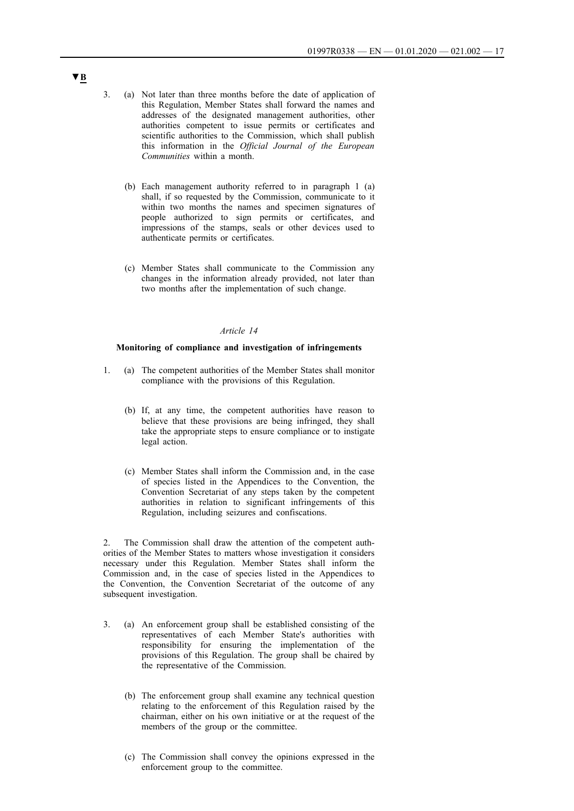- 3. (a) Not later than three months before the date of application of this Regulation, Member States shall forward the names and addresses of the designated management authorities, other authorities competent to issue permits or certificates and scientific authorities to the Commission, which shall publish this information in the *Official Journal of the European Communities* within a month.
	- (b) Each management authority referred to in paragraph 1 (a) shall, if so requested by the Commission, communicate to it within two months the names and specimen signatures of people authorized to sign permits or certificates, and impressions of the stamps, seals or other devices used to authenticate permits or certificates.
	- (c) Member States shall communicate to the Commission any changes in the information already provided, not later than two months after the implementation of such change.

### *Article 14*

### **Monitoring of compliance and investigation of infringements**

- 1. (a) The competent authorities of the Member States shall monitor compliance with the provisions of this Regulation.
	- (b) If, at any time, the competent authorities have reason to believe that these provisions are being infringed, they shall take the appropriate steps to ensure compliance or to instigate legal action.
	- (c) Member States shall inform the Commission and, in the case of species listed in the Appendices to the Convention, the Convention Secretariat of any steps taken by the competent authorities in relation to significant infringements of this Regulation, including seizures and confiscations.

2. The Commission shall draw the attention of the competent authorities of the Member States to matters whose investigation it considers necessary under this Regulation. Member States shall inform the Commission and, in the case of species listed in the Appendices to the Convention, the Convention Secretariat of the outcome of any subsequent investigation.

- 3. (a) An enforcement group shall be established consisting of the representatives of each Member State's authorities with responsibility for ensuring the implementation of the provisions of this Regulation. The group shall be chaired by the representative of the Commission.
	- (b) The enforcement group shall examine any technical question relating to the enforcement of this Regulation raised by the chairman, either on his own initiative or at the request of the members of the group or the committee.
	- (c) The Commission shall convey the opinions expressed in the enforcement group to the committee.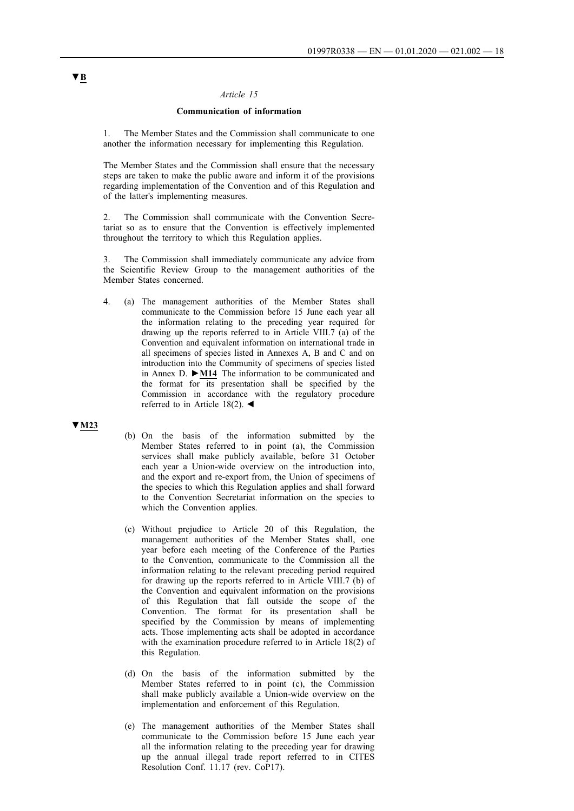### *Article 15*

### **Communication of information**

The Member States and the Commission shall communicate to one another the information necessary for implementing this Regulation.

The Member States and the Commission shall ensure that the necessary steps are taken to make the public aware and inform it of the provisions regarding implementation of the Convention and of this Regulation and of the latter's implementing measures.

2. The Commission shall communicate with the Convention Secretariat so as to ensure that the Convention is effectively implemented throughout the territory to which this Regulation applies.

3. The Commission shall immediately communicate any advice from the Scientific Review Group to the management authorities of the Member States concerned.

4. (a) The management authorities of the Member States shall communicate to the Commission before 15 June each year all the information relating to the preceding year required for drawing up the reports referred to in Article VIII.7 (a) of the Convention and equivalent information on international trade in all specimens of species listed in Annexes A, B and C and on introduction into the Community of specimens of species listed in Annex D. **►M14** The information to be communicated and the format for its presentation shall be specified by the Commission in accordance with the regulatory procedure referred to in Article 18(2).  $\blacktriangleleft$ 

### **▼M23**

- (b) On the basis of the information submitted by the Member States referred to in point (a), the Commission services shall make publicly available, before 31 October each year a Union-wide overview on the introduction into, and the export and re-export from, the Union of specimens of the species to which this Regulation applies and shall forward to the Convention Secretariat information on the species to which the Convention applies.
- (c) Without prejudice to Article 20 of this Regulation, the management authorities of the Member States shall, one year before each meeting of the Conference of the Parties to the Convention, communicate to the Commission all the information relating to the relevant preceding period required for drawing up the reports referred to in Article VIII.7 (b) of the Convention and equivalent information on the provisions of this Regulation that fall outside the scope of the Convention. The format for its presentation shall be specified by the Commission by means of implementing acts. Those implementing acts shall be adopted in accordance with the examination procedure referred to in Article 18(2) of this Regulation.
- (d) On the basis of the information submitted by the Member States referred to in point (c), the Commission shall make publicly available a Union-wide overview on the implementation and enforcement of this Regulation.
- (e) The management authorities of the Member States shall communicate to the Commission before 15 June each year all the information relating to the preceding year for drawing up the annual illegal trade report referred to in CITES Resolution Conf. 11.17 (rev. CoP17).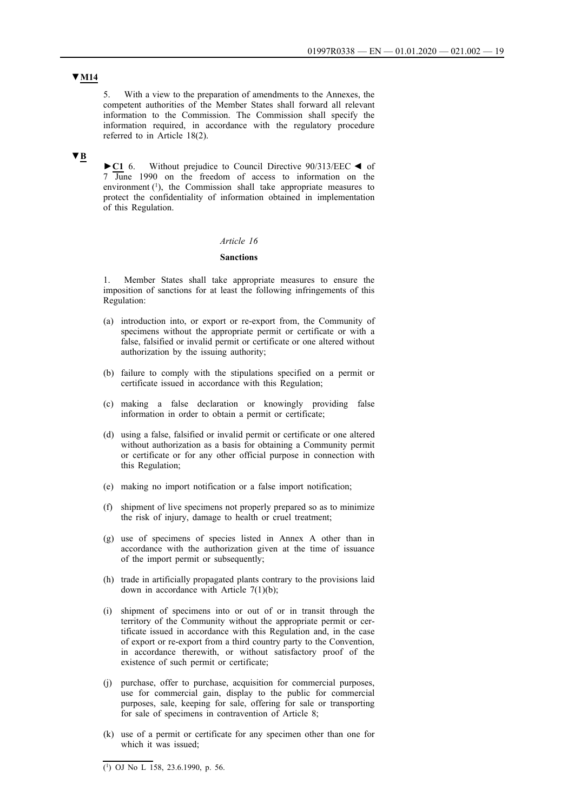5. With a view to the preparation of amendments to the Annexes, the competent authorities of the Member States shall forward all relevant information to the Commission. The Commission shall specify the information required, in accordance with the regulatory procedure referred to in Article 18(2).

### **▼B**

**►C1** 6. Without prejudice to Council Directive 90/313/EEC ◄ of 7 June 1990 on the freedom of access to information on the environment  $(1)$ , the Commission shall take appropriate measures to protect the confidentiality of information obtained in implementation of this Regulation.

#### *Article 16*

#### **Sanctions**

1. Member States shall take appropriate measures to ensure the imposition of sanctions for at least the following infringements of this Regulation:

- (a) introduction into, or export or re-export from, the Community of specimens without the appropriate permit or certificate or with a false, falsified or invalid permit or certificate or one altered without authorization by the issuing authority;
- (b) failure to comply with the stipulations specified on a permit or certificate issued in accordance with this Regulation;
- (c) making a false declaration or knowingly providing false information in order to obtain a permit or certificate;
- (d) using a false, falsified or invalid permit or certificate or one altered without authorization as a basis for obtaining a Community permit or certificate or for any other official purpose in connection with this Regulation;
- (e) making no import notification or a false import notification;
- (f) shipment of live specimens not properly prepared so as to minimize the risk of injury, damage to health or cruel treatment;
- (g) use of specimens of species listed in Annex A other than in accordance with the authorization given at the time of issuance of the import permit or subsequently;
- (h) trade in artificially propagated plants contrary to the provisions laid down in accordance with Article 7(1)(b);
- (i) shipment of specimens into or out of or in transit through the territory of the Community without the appropriate permit or certificate issued in accordance with this Regulation and, in the case of export or re-export from a third country party to the Convention, in accordance therewith, or without satisfactory proof of the existence of such permit or certificate;
- (j) purchase, offer to purchase, acquisition for commercial purposes, use for commercial gain, display to the public for commercial purposes, sale, keeping for sale, offering for sale or transporting for sale of specimens in contravention of Article 8;
- (k) use of a permit or certificate for any specimen other than one for which it was issued;

 $\overline{(\text{1})}$  OJ No L 158, 23.6.1990, p. 56.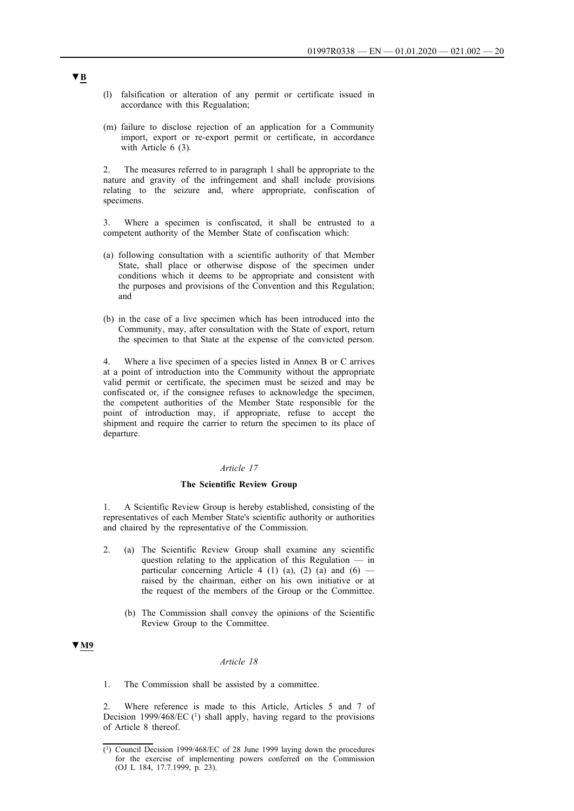- (l) falsification or alteration of any permit or certificate issued in accordance with this Regualation;
- (m) failure to disclose rejection of an application for a Community import, export or re-export permit or certificate, in accordance with Article 6 (3).

2. The measures referred to in paragraph 1 shall be appropriate to the nature and gravity of the infringement and shall include provisions relating to the seizure and, where appropriate, confiscation of specimens.

3. Where a specimen is confiscated, it shall be entrusted to a competent authority of the Member State of confiscation which:

- (a) following consultation with a scientific authority of that Member State, shall place or otherwise dispose of the specimen under conditions which it deems to be appropriate and consistent with the purposes and provisions of the Convention and this Regulation; and
- (b) in the case of a live specimen which has been introduced into the Community, may, after consultation with the State of export, return the specimen to that State at the expense of the convicted person.

4. Where a live specimen of a species listed in Annex B or C arrives at a point of introduction into the Community without the appropriate valid permit or certificate, the specimen must be seized and may be confiscated or, if the consignee refuses to acknowledge the specimen, the competent authorities of the Member State responsible for the point of introduction may, if appropriate, refuse to accept the shipment and require the carrier to return the specimen to its place of departure.

### *Article 17*

#### **The Scientific Review Group**

1. A Scientific Review Group is hereby established, consisting of the representatives of each Member State's scientific authority or authorities and chaired by the representative of the Commission.

- 2. (a) The Scientific Review Group shall examine any scientific question relating to the application of this Regulation — in particular concerning Article 4 (1) (a), (2) (a) and (6) raised by the chairman, either on his own initiative or at the request of the members of the Group or the Committee.
	- (b) The Commission shall convey the opinions of the Scientific Review Group to the Committee.

### **▼M9**

#### *Article 18*

1. The Commission shall be assisted by a committee.

Where reference is made to this Article, Articles 5 and 7 of Decision 1999/468/EC (1) shall apply, having regard to the provisions of Article 8 thereof.

<sup>(1)</sup> Council Decision 1999/468/EC of 28 June 1999 laying down the procedures for the exercise of implementing powers conferred on the Commission (OJ L 184, 17.7.1999, p. 23).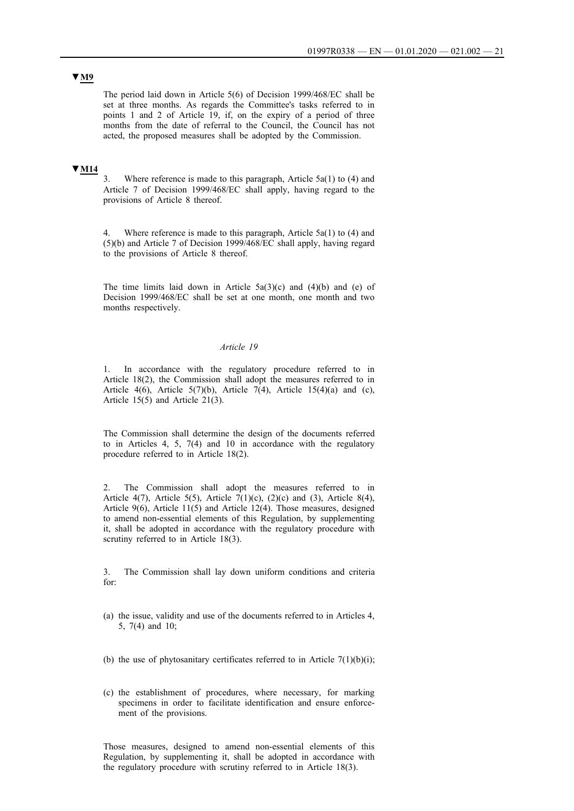The period laid down in Article 5(6) of Decision 1999/468/EC shall be set at three months. As regards the Committee's tasks referred to in points 1 and 2 of Article 19, if, on the expiry of a period of three months from the date of referral to the Council, the Council has not acted, the proposed measures shall be adopted by the Commission.

## **▼M14**

3. Where reference is made to this paragraph, Article 5a(1) to (4) and Article 7 of Decision 1999/468/EC shall apply, having regard to the provisions of Article 8 thereof.

4. Where reference is made to this paragraph, Article 5a(1) to (4) and (5)(b) and Article 7 of Decision 1999/468/EC shall apply, having regard to the provisions of Article 8 thereof.

The time limits laid down in Article  $5a(3)(c)$  and  $(4)(b)$  and  $(e)$  of Decision 1999/468/EC shall be set at one month, one month and two months respectively.

### *Article 19*

1. In accordance with the regulatory procedure referred to in Article 18(2), the Commission shall adopt the measures referred to in Article 4(6), Article 5(7)(b), Article 7(4), Article 15(4)(a) and (c), Article 15(5) and Article 21(3).

The Commission shall determine the design of the documents referred to in Articles 4, 5, 7(4) and 10 in accordance with the regulatory procedure referred to in Article 18(2).

2. The Commission shall adopt the measures referred to in Article 4(7), Article 5(5), Article 7(1)(c), (2)(c) and (3), Article 8(4), Article 9(6), Article 11(5) and Article 12(4). Those measures, designed to amend non-essential elements of this Regulation, by supplementing it, shall be adopted in accordance with the regulatory procedure with scrutiny referred to in Article 18(3).

3. The Commission shall lay down uniform conditions and criteria for:

- (a) the issue, validity and use of the documents referred to in Articles 4, 5, 7(4) and 10;
- (b) the use of phytosanitary certificates referred to in Article  $7(1)(b)(i)$ ;
- (c) the establishment of procedures, where necessary, for marking specimens in order to facilitate identification and ensure enforcement of the provisions.

Those measures, designed to amend non-essential elements of this Regulation, by supplementing it, shall be adopted in accordance with the regulatory procedure with scrutiny referred to in Article 18(3).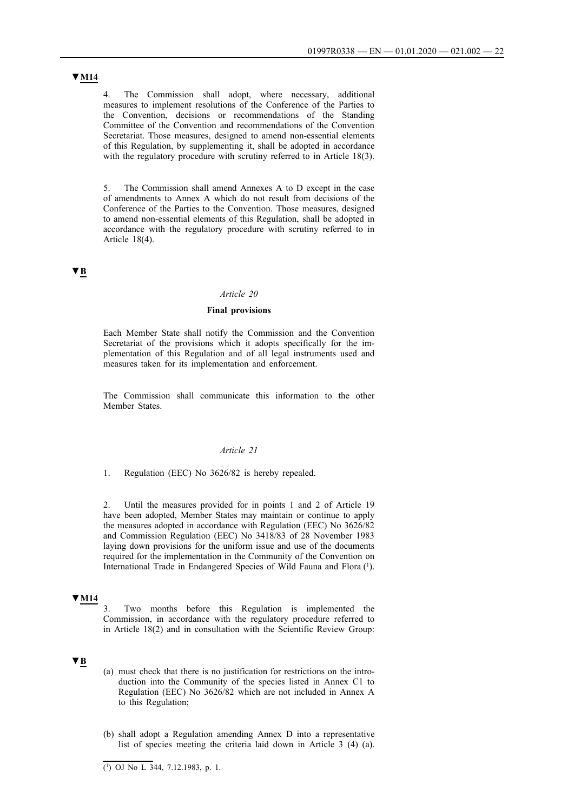4. The Commission shall adopt, where necessary, additional measures to implement resolutions of the Conference of the Parties to the Convention, decisions or recommendations of the Standing Committee of the Convention and recommendations of the Convention Secretariat. Those measures, designed to amend non-essential elements of this Regulation, by supplementing it, shall be adopted in accordance with the regulatory procedure with scrutiny referred to in Article 18(3).

5. The Commission shall amend Annexes A to D except in the case of amendments to Annex A which do not result from decisions of the Conference of the Parties to the Convention. Those measures, designed to amend non-essential elements of this Regulation, shall be adopted in accordance with the regulatory procedure with scrutiny referred to in Article 18(4).

## **▼B**

#### *Article 20*

### **Final provisions**

Each Member State shall notify the Commission and the Convention Secretariat of the provisions which it adopts specifically for the implementation of this Regulation and of all legal instruments used and measures taken for its implementation and enforcement.

The Commission shall communicate this information to the other Member States.

#### *Article 21*

1. Regulation (EEC) No 3626/82 is hereby repealed.

2. Until the measures provided for in points 1 and 2 of Article 19 have been adopted, Member States may maintain or continue to apply the measures adopted in accordance with Regulation (EEC) No 3626/82 and Commission Regulation (EEC) No 3418/83 of 28 November 1983 laying down provisions for the uniform issue and use of the documents required for the implementation in the Community of the Convention on International Trade in Endangered Species of Wild Fauna and Flora (1).

## **▼M14**

Two months before this Regulation is implemented the Commission, in accordance with the regulatory procedure referred to in Article 18(2) and in consultation with the Scientific Review Group:

## **▼B**

- (a) must check that there is no justification for restrictions on the introduction into the Community of the species listed in Annex C1 to Regulation (EEC) No 3626/82 which are not included in Annex A to this Regulation;
- (b) shall adopt a Regulation amending Annex D into a representative list of species meeting the criteria laid down in Article 3 (4) (a).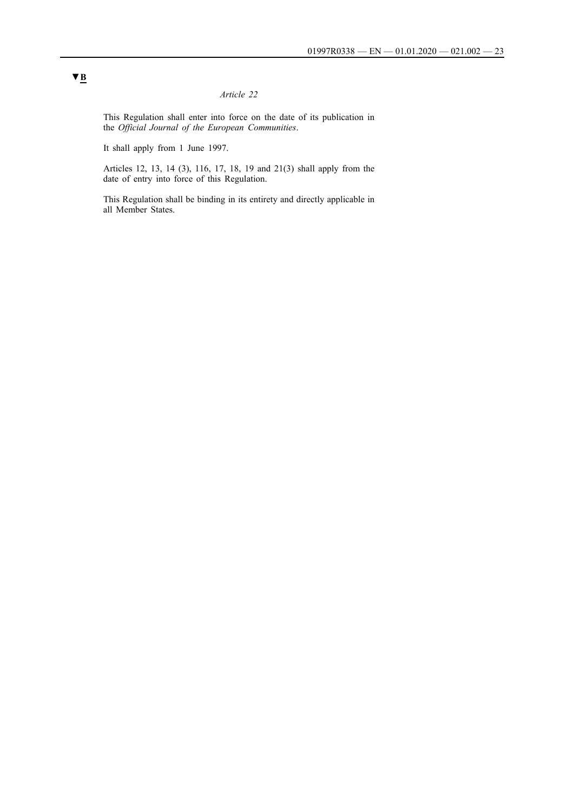# *Article 22*

This Regulation shall enter into force on the date of its publication in the *Official Journal of the European Communities*.

It shall apply from 1 June 1997.

Articles 12, 13, 14 (3), 116, 17, 18, 19 and 21(3) shall apply from the date of entry into force of this Regulation.

This Regulation shall be binding in its entirety and directly applicable in all Member States.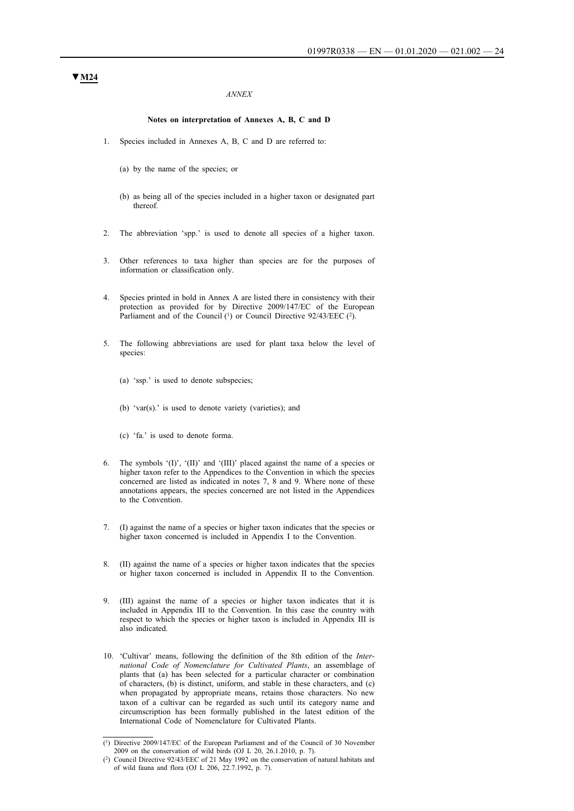#### *ANNEX*

#### **Notes on interpretation of Annexes A, B, C and D**

- 1. Species included in Annexes A, B, C and D are referred to:
	- (a) by the name of the species; or
	- (b) as being all of the species included in a higher taxon or designated part thereof.
- 2. The abbreviation 'spp.' is used to denote all species of a higher taxon.
- 3. Other references to taxa higher than species are for the purposes of information or classification only.
- 4. Species printed in bold in Annex A are listed there in consistency with their protection as provided for by Directive 2009/147/EC of the European Parliament and of the Council (1) or Council Directive 92/43/EEC (2).
- 5. The following abbreviations are used for plant taxa below the level of species:
	- (a) 'ssp.' is used to denote subspecies;
	- (b) 'var(s).' is used to denote variety (varieties); and
	- (c) 'fa.' is used to denote forma.
- 6. The symbols '(I)', '(II)' and '(III)' placed against the name of a species or higher taxon refer to the Appendices to the Convention in which the species concerned are listed as indicated in notes 7, 8 and 9. Where none of these annotations appears, the species concerned are not listed in the Appendices to the Convention.
- 7. (I) against the name of a species or higher taxon indicates that the species or higher taxon concerned is included in Appendix I to the Convention.
- 8. (II) against the name of a species or higher taxon indicates that the species or higher taxon concerned is included in Appendix II to the Convention.
- 9. (III) against the name of a species or higher taxon indicates that it is included in Appendix III to the Convention. In this case the country with respect to which the species or higher taxon is included in Appendix III is also indicated.
- 10. 'Cultivar' means, following the definition of the 8th edition of the *International Code of Nomenclature for Cultivated Plants*, an assemblage of plants that (a) has been selected for a particular character or combination of characters, (b) is distinct, uniform, and stable in these characters, and (c) when propagated by appropriate means, retains those characters. No new taxon of a cultivar can be regarded as such until its category name and circumscription has been formally published in the latest edition of the International Code of Nomenclature for Cultivated Plants.

<sup>(1)</sup> Directive 2009/147/EC of the European Parliament and of the Council of 30 November 2009 on the conservation of wild birds (OJ L 20, 26.1.2010, p. 7).

Council Directive 92/43/EEC of 21 May 1992 on the conservation of natural habitats and of wild fauna and flora (OJ L 206, 22.7.1992, p. 7).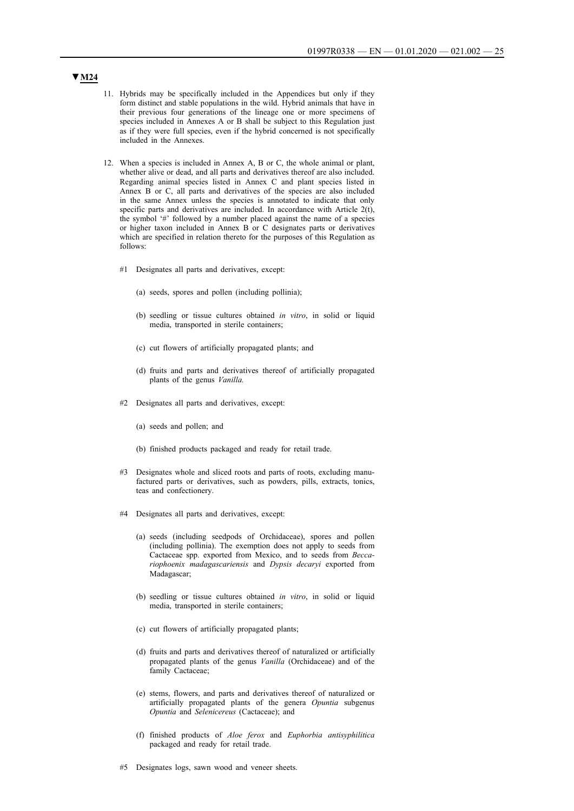- 11. Hybrids may be specifically included in the Appendices but only if they form distinct and stable populations in the wild. Hybrid animals that have in their previous four generations of the lineage one or more specimens of species included in Annexes A or B shall be subject to this Regulation just as if they were full species, even if the hybrid concerned is not specifically included in the Annexes.
- 12. When a species is included in Annex A, B or C, the whole animal or plant, whether alive or dead, and all parts and derivatives thereof are also included. Regarding animal species listed in Annex C and plant species listed in Annex B or C, all parts and derivatives of the species are also included in the same Annex unless the species is annotated to indicate that only specific parts and derivatives are included. In accordance with Article 2(t), the symbol '#' followed by a number placed against the name of a species or higher taxon included in Annex B or C designates parts or derivatives which are specified in relation thereto for the purposes of this Regulation as follows:
	- #1 Designates all parts and derivatives, except:
		- (a) seeds, spores and pollen (including pollinia);
		- (b) seedling or tissue cultures obtained *in vitro*, in solid or liquid media, transported in sterile containers;
		- (c) cut flowers of artificially propagated plants; and
		- (d) fruits and parts and derivatives thereof of artificially propagated plants of the genus *Vanilla.*
	- #2 Designates all parts and derivatives, except:
		- (a) seeds and pollen; and
		- (b) finished products packaged and ready for retail trade.
	- #3 Designates whole and sliced roots and parts of roots, excluding manufactured parts or derivatives, such as powders, pills, extracts, tonics, teas and confectionery.
	- #4 Designates all parts and derivatives, except:
		- (a) seeds (including seedpods of Orchidaceae), spores and pollen (including pollinia). The exemption does not apply to seeds from Cactaceae spp. exported from Mexico, and to seeds from *Beccariophoenix madagascariensis* and *Dypsis decaryi* exported from Madagascar;
		- (b) seedling or tissue cultures obtained *in vitro*, in solid or liquid media, transported in sterile containers;
		- (c) cut flowers of artificially propagated plants;
		- (d) fruits and parts and derivatives thereof of naturalized or artificially propagated plants of the genus *Vanilla* (Orchidaceae) and of the family Cactaceae;
		- (e) stems, flowers, and parts and derivatives thereof of naturalized or artificially propagated plants of the genera *Opuntia* subgenus *Opuntia* and *Selenicereus* (Cactaceae); and
		- (f) finished products of *Aloe ferox* and *Euphorbia antisyphilitica* packaged and ready for retail trade.
	- #5 Designates logs, sawn wood and veneer sheets.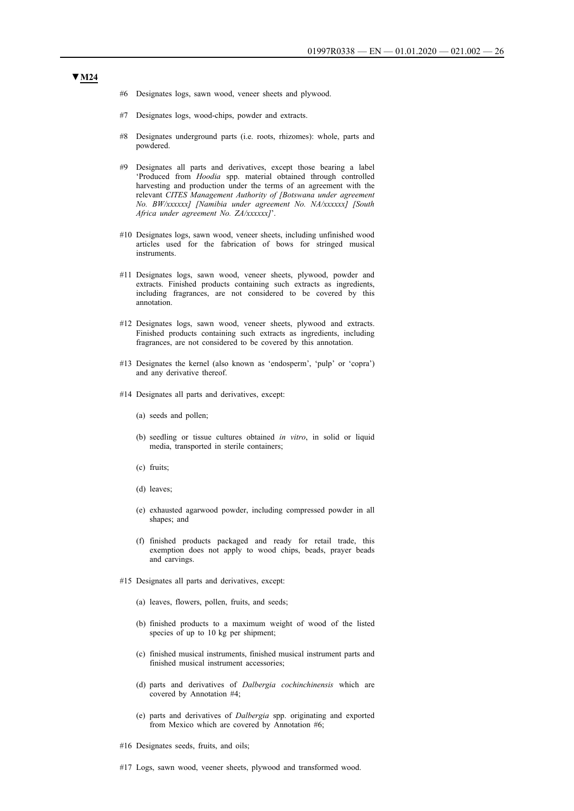- #6 Designates logs, sawn wood, veneer sheets and plywood.
- #7 Designates logs, wood-chips, powder and extracts.
- #8 Designates underground parts (i.e. roots, rhizomes): whole, parts and powdered.
- #9 Designates all parts and derivatives, except those bearing a label 'Produced from *Hoodia* spp. material obtained through controlled harvesting and production under the terms of an agreement with the relevant *CITES Management Authority of [Botswana under agreement No. BW/xxxxxx] [Namibia under agreement No. NA/xxxxxx] [South Africa under agreement No. ZA/xxxxxx]*'.
- #10 Designates logs, sawn wood, veneer sheets, including unfinished wood articles used for the fabrication of bows for stringed musical instruments.
- #11 Designates logs, sawn wood, veneer sheets, plywood, powder and extracts. Finished products containing such extracts as ingredients, including fragrances, are not considered to be covered by this annotation.
- #12 Designates logs, sawn wood, veneer sheets, plywood and extracts. Finished products containing such extracts as ingredients, including fragrances, are not considered to be covered by this annotation.
- #13 Designates the kernel (also known as 'endosperm', 'pulp' or 'copra') and any derivative thereof.
- #14 Designates all parts and derivatives, except:
	- (a) seeds and pollen;
	- (b) seedling or tissue cultures obtained *in vitro*, in solid or liquid media, transported in sterile containers;
	- (c) fruits;
	- (d) leaves;
	- (e) exhausted agarwood powder, including compressed powder in all shapes; and
	- (f) finished products packaged and ready for retail trade, this exemption does not apply to wood chips, beads, prayer beads and carvings.
- #15 Designates all parts and derivatives, except:
	- (a) leaves, flowers, pollen, fruits, and seeds;
	- (b) finished products to a maximum weight of wood of the listed species of up to 10 kg per shipment;
	- (c) finished musical instruments, finished musical instrument parts and finished musical instrument accessories;
	- (d) parts and derivatives of *Dalbergia cochinchinensis* which are covered by Annotation #4;
	- (e) parts and derivatives of *Dalbergia* spp. originating and exported from Mexico which are covered by Annotation #6;
- #16 Designates seeds, fruits, and oils;
- #17 Logs, sawn wood, veener sheets, plywood and transformed wood.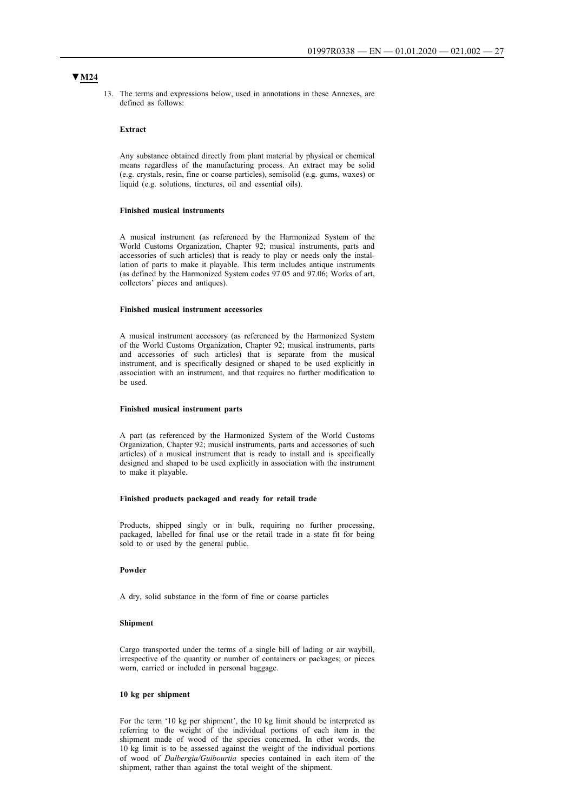13. The terms and expressions below, used in annotations in these Annexes, are defined as follows:

#### **Extract**

Any substance obtained directly from plant material by physical or chemical means regardless of the manufacturing process. An extract may be solid (e.g. crystals, resin, fine or coarse particles), semisolid (e.g. gums, waxes) or liquid (e.g. solutions, tinctures, oil and essential oils).

#### **Finished musical instruments**

A musical instrument (as referenced by the Harmonized System of the World Customs Organization, Chapter 92; musical instruments, parts and accessories of such articles) that is ready to play or needs only the installation of parts to make it playable. This term includes antique instruments (as defined by the Harmonized System codes 97.05 and 97.06; Works of art, collectors' pieces and antiques).

#### **Finished musical instrument accessories**

A musical instrument accessory (as referenced by the Harmonized System of the World Customs Organization, Chapter 92; musical instruments, parts and accessories of such articles) that is separate from the musical instrument, and is specifically designed or shaped to be used explicitly in association with an instrument, and that requires no further modification to be used.

#### **Finished musical instrument parts**

A part (as referenced by the Harmonized System of the World Customs Organization, Chapter 92; musical instruments, parts and accessories of such articles) of a musical instrument that is ready to install and is specifically designed and shaped to be used explicitly in association with the instrument to make it playable.

#### **Finished products packaged and ready for retail trade**

Products, shipped singly or in bulk, requiring no further processing, packaged, labelled for final use or the retail trade in a state fit for being sold to or used by the general public.

#### **Powder**

A dry, solid substance in the form of fine or coarse particles

#### **Shipment**

Cargo transported under the terms of a single bill of lading or air waybill, irrespective of the quantity or number of containers or packages; or pieces worn, carried or included in personal baggage.

#### **10 kg per shipment**

For the term '10 kg per shipment', the 10 kg limit should be interpreted as referring to the weight of the individual portions of each item in the shipment made of wood of the species concerned. In other words, the 10 kg limit is to be assessed against the weight of the individual portions of wood of *Dalbergia/Guibourtia* species contained in each item of the shipment, rather than against the total weight of the shipment.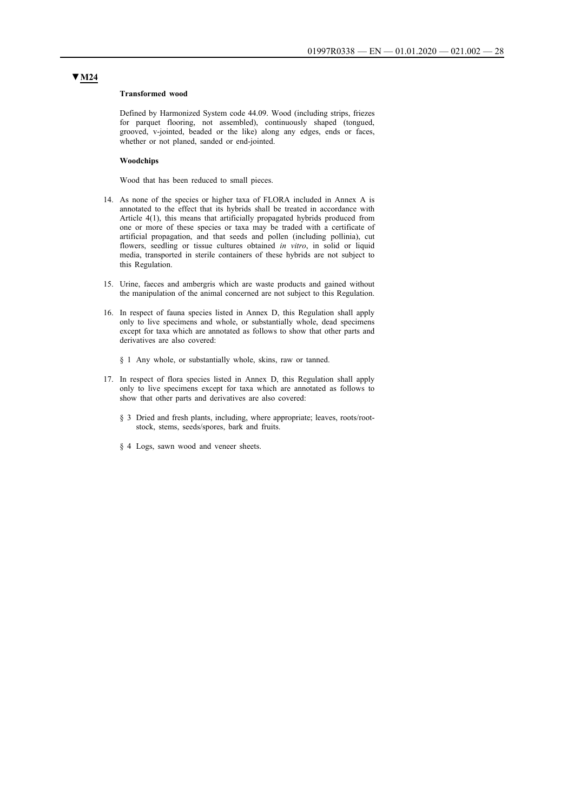#### **Transformed wood**

Defined by Harmonized System code 44.09. Wood (including strips, friezes for parquet flooring, not assembled), continuously shaped (tongued, grooved, v-jointed, beaded or the like) along any edges, ends or faces, whether or not planed, sanded or end-jointed.

#### **Woodchips**

Wood that has been reduced to small pieces.

- 14. As none of the species or higher taxa of FLORA included in Annex A is annotated to the effect that its hybrids shall be treated in accordance with Article 4(1), this means that artificially propagated hybrids produced from one or more of these species or taxa may be traded with a certificate of artificial propagation, and that seeds and pollen (including pollinia), cut flowers, seedling or tissue cultures obtained *in vitro*, in solid or liquid media, transported in sterile containers of these hybrids are not subject to this Regulation.
- 15. Urine, faeces and ambergris which are waste products and gained without the manipulation of the animal concerned are not subject to this Regulation.
- 16. In respect of fauna species listed in Annex D, this Regulation shall apply only to live specimens and whole, or substantially whole, dead specimens except for taxa which are annotated as follows to show that other parts and derivatives are also covered:
	- § 1 Any whole, or substantially whole, skins, raw or tanned.
- 17. In respect of flora species listed in Annex D, this Regulation shall apply only to live specimens except for taxa which are annotated as follows to show that other parts and derivatives are also covered:
	- § 3 Dried and fresh plants, including, where appropriate; leaves, roots/rootstock, stems, seeds/spores, bark and fruits.
	- § 4 Logs, sawn wood and veneer sheets.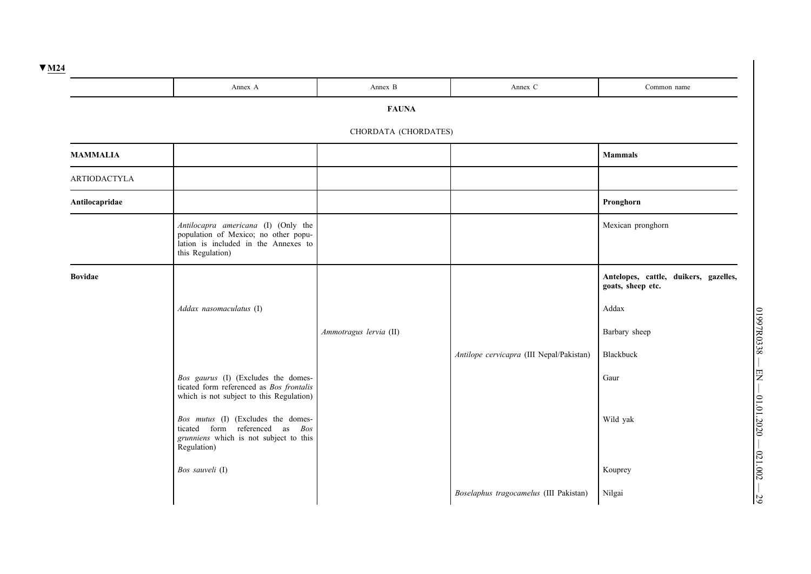|                     | Annex A                                                                                                                                 | Annex B                | Annex C                                  | Common name                                                |
|---------------------|-----------------------------------------------------------------------------------------------------------------------------------------|------------------------|------------------------------------------|------------------------------------------------------------|
|                     |                                                                                                                                         | <b>FAUNA</b>           |                                          |                                                            |
|                     |                                                                                                                                         | CHORDATA (CHORDATES)   |                                          |                                                            |
| <b>MAMMALIA</b>     |                                                                                                                                         |                        |                                          | <b>Mammals</b>                                             |
| <b>ARTIODACTYLA</b> |                                                                                                                                         |                        |                                          |                                                            |
| Antilocapridae      |                                                                                                                                         |                        |                                          | Pronghorn                                                  |
|                     | Antilocapra americana (I) (Only the<br>population of Mexico; no other popu-<br>lation is included in the Annexes to<br>this Regulation) |                        |                                          | Mexican pronghorn                                          |
| <b>Bovidae</b>      |                                                                                                                                         |                        |                                          | Antelopes, cattle, duikers, gazelles,<br>goats, sheep etc. |
|                     | Addax nasomaculatus (I)                                                                                                                 |                        |                                          | Addax                                                      |
|                     |                                                                                                                                         | Ammotragus lervia (II) |                                          | Barbary sheep                                              |
|                     |                                                                                                                                         |                        | Antilope cervicapra (III Nepal/Pakistan) | Blackbuck                                                  |
|                     | Bos gaurus (I) (Excludes the domes-<br>ticated form referenced as Bos frontalis<br>which is not subject to this Regulation)             |                        |                                          | Gaur                                                       |
|                     | Bos mutus (I) (Excludes the domes-<br>ticated form referenced as <i>Bos</i><br>grunniens which is not subject to this<br>Regulation)    |                        |                                          | Wild yak                                                   |
|                     | Bos sauveli (I)                                                                                                                         |                        |                                          | Kouprey                                                    |
|                     |                                                                                                                                         |                        | Boselaphus tragocamelus (III Pakistan)   | Nilgai                                                     |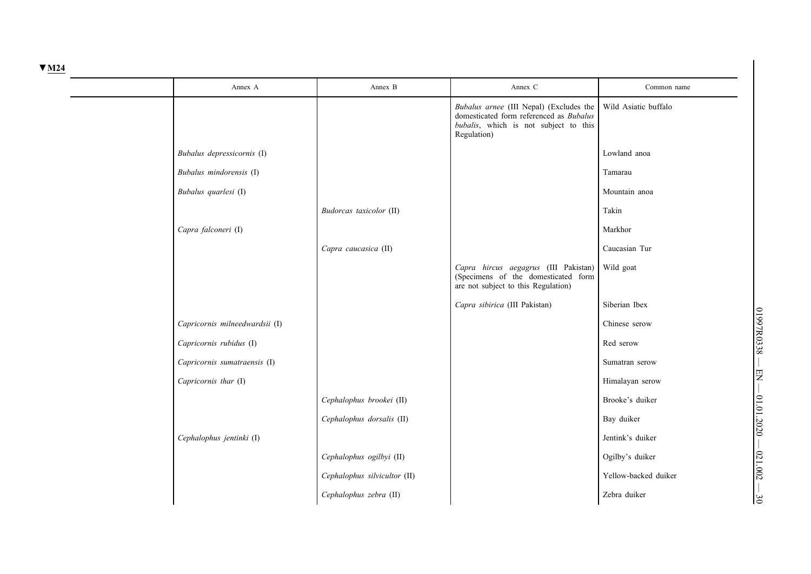|                      | Annex A                        | Annex B                      | Annex C                                                                                                                                    | Common name          |
|----------------------|--------------------------------|------------------------------|--------------------------------------------------------------------------------------------------------------------------------------------|----------------------|
|                      |                                |                              | Bubalus arnee (III Nepal) (Excludes the<br>domesticated form referenced as Bubalus<br>bubalis, which is not subject to this<br>Regulation) | Wild Asiatic buffalo |
|                      | Bubalus depressicornis (I)     |                              |                                                                                                                                            | Lowland anoa         |
|                      | Bubalus mindorensis (I)        |                              |                                                                                                                                            | Tamarau              |
| Bubalus quarlesi (I) |                                |                              |                                                                                                                                            | Mountain anoa        |
|                      |                                | Budorcas taxicolor (II)      |                                                                                                                                            | Takin                |
| Capra falconeri (I)  |                                |                              |                                                                                                                                            | Markhor              |
|                      |                                | Capra caucasica (II)         |                                                                                                                                            | Caucasian Tur        |
|                      |                                |                              | Capra hircus aegagrus (III Pakistan)<br>(Specimens of the domesticated form<br>are not subject to this Regulation)                         | Wild goat            |
|                      |                                |                              | Capra sibirica (III Pakistan)                                                                                                              | Siberian Ibex        |
|                      | Capricornis milneedwardsii (I) |                              |                                                                                                                                            | Chinese serow        |
|                      | Capricornis rubidus (I)        |                              |                                                                                                                                            | Red serow            |
|                      | Capricornis sumatraensis (I)   |                              |                                                                                                                                            | Sumatran serow       |
| Capricornis thar (I) |                                |                              |                                                                                                                                            | Himalayan serow      |
|                      |                                | Cephalophus brookei (II)     |                                                                                                                                            | Brooke's duiker      |
|                      |                                | Cephalophus dorsalis (II)    |                                                                                                                                            | Bay duiker           |
|                      | Cephalophus jentinki (I)       |                              |                                                                                                                                            | Jentink's duiker     |
|                      |                                | Cephalophus ogilbyi (II)     |                                                                                                                                            | Ogilby's duiker      |
|                      |                                | Cephalophus silvicultor (II) |                                                                                                                                            | Yellow-backed duiker |
|                      |                                | Cephalophus zebra (II)       |                                                                                                                                            | Zebra duiker         |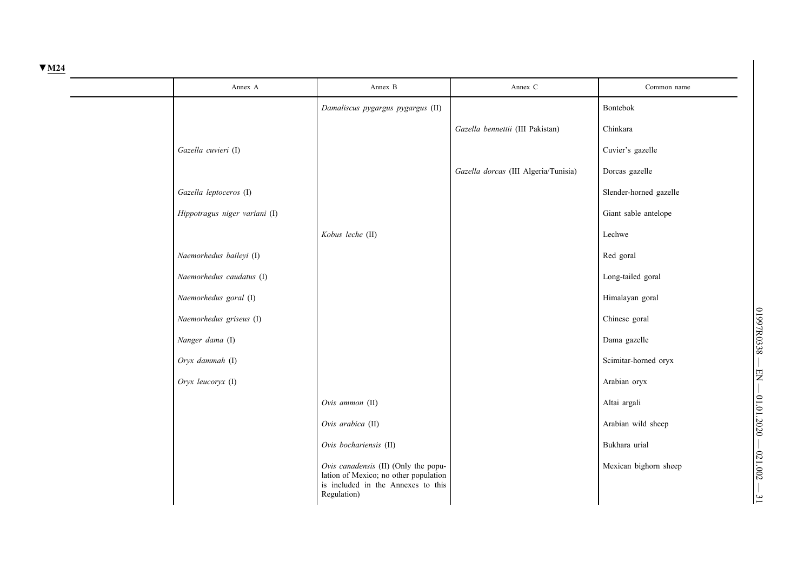|  | Annex A                       | Annex B                                                                                                                       | Annex C                              | Common name            |
|--|-------------------------------|-------------------------------------------------------------------------------------------------------------------------------|--------------------------------------|------------------------|
|  |                               | Damaliscus pygargus pygargus (II)                                                                                             |                                      | Bontebok               |
|  |                               |                                                                                                                               | Gazella bennettii (III Pakistan)     | Chinkara               |
|  | Gazella cuvieri (I)           |                                                                                                                               |                                      | Cuvier's gazelle       |
|  |                               |                                                                                                                               | Gazella dorcas (III Algeria/Tunisia) | Dorcas gazelle         |
|  | Gazella leptoceros (I)        |                                                                                                                               |                                      | Slender-horned gazelle |
|  | Hippotragus niger variani (I) |                                                                                                                               |                                      | Giant sable antelope   |
|  |                               | Kobus leche (II)                                                                                                              |                                      | Lechwe                 |
|  | Naemorhedus baileyi (I)       |                                                                                                                               |                                      | Red goral              |
|  | Naemorhedus caudatus (I)      |                                                                                                                               |                                      | Long-tailed goral      |
|  | Naemorhedus goral (I)         |                                                                                                                               |                                      | Himalayan goral        |
|  | Naemorhedus griseus (I)       |                                                                                                                               |                                      | Chinese goral          |
|  | Nanger dama (I)               |                                                                                                                               |                                      | Dama gazelle           |
|  | Oryx dammah (I)               |                                                                                                                               |                                      | Scimitar-horned oryx   |
|  | Oryx leucoryx (I)             |                                                                                                                               |                                      | Arabian oryx           |
|  |                               | Ovis ammon (II)                                                                                                               |                                      | Altai argali           |
|  |                               | Ovis arabica (II)                                                                                                             |                                      | Arabian wild sheep     |
|  |                               | Ovis bochariensis (II)                                                                                                        |                                      | Bukhara urial          |
|  |                               | Ovis canadensis (II) (Only the population of Mexico; no other population<br>is included in the Annexes to this<br>Regulation) |                                      | Mexican bighorn sheep  |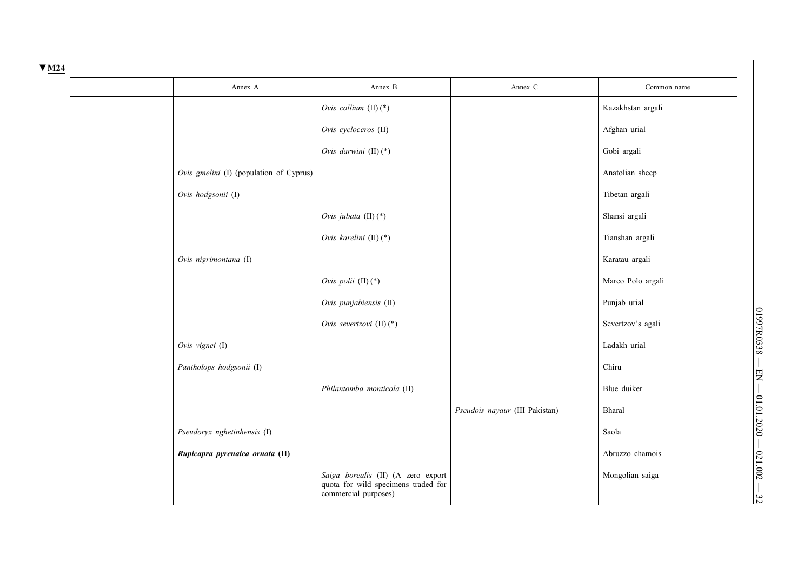| Annex A                                 | Annex B                                                                                           | Annex C                        | Common name       |
|-----------------------------------------|---------------------------------------------------------------------------------------------------|--------------------------------|-------------------|
|                                         | Ovis collium $(II)$ (*)                                                                           |                                | Kazakhstan argali |
|                                         | Ovis cycloceros (II)                                                                              |                                | Afghan urial      |
|                                         | Ovis darwini $(II)$ (*)                                                                           |                                | Gobi argali       |
| Ovis gmelini (I) (population of Cyprus) |                                                                                                   |                                | Anatolian sheep   |
| Ovis hodgsonii (I)                      |                                                                                                   |                                | Tibetan argali    |
|                                         | Ovis jubata $(II)$ (*)                                                                            |                                | Shansi argali     |
|                                         | Ovis karelini $(II)(*)$                                                                           |                                | Tianshan argali   |
| Ovis nigrimontana (I)                   |                                                                                                   |                                | Karatau argali    |
|                                         | Ovis polii $(II)$ (*)                                                                             |                                | Marco Polo argali |
|                                         | Ovis punjabiensis (II)                                                                            |                                | Punjab urial      |
|                                         | Ovis severtzovi $(II)$ (*)                                                                        |                                | Severtzov's agali |
| Ovis vignei (I)                         |                                                                                                   |                                | Ladakh urial      |
| Pantholops hodgsonii (I)                |                                                                                                   |                                | Chiru             |
|                                         | Philantomba monticola (II)                                                                        |                                | Blue duiker       |
|                                         |                                                                                                   | Pseudois nayaur (III Pakistan) | Bharal            |
| Pseudoryx nghetinhensis (I)             |                                                                                                   |                                | Saola             |
| Rupicapra pyrenaica ornata (II)         |                                                                                                   |                                | Abruzzo chamois   |
|                                         | Saiga borealis (II) (A zero export<br>quota for wild specimens traded for<br>commercial purposes) |                                | Mongolian saiga   |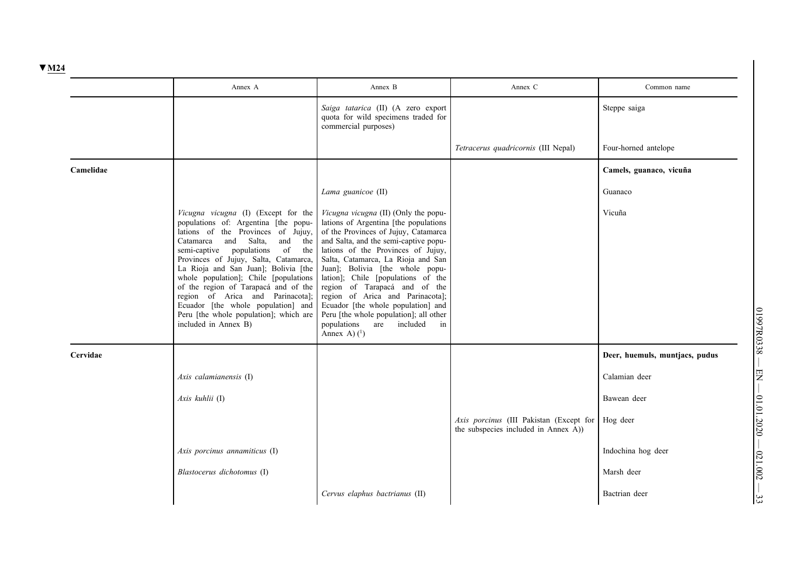|           | Annex A                                                                                                                                                                                                                                                                                                                                                                                                                                                                                                      | Annex B                                                                                                                                                                                                                                                                                                                                                                                                                                                                                                                         | Annex C                                                                         | Common name                    |
|-----------|--------------------------------------------------------------------------------------------------------------------------------------------------------------------------------------------------------------------------------------------------------------------------------------------------------------------------------------------------------------------------------------------------------------------------------------------------------------------------------------------------------------|---------------------------------------------------------------------------------------------------------------------------------------------------------------------------------------------------------------------------------------------------------------------------------------------------------------------------------------------------------------------------------------------------------------------------------------------------------------------------------------------------------------------------------|---------------------------------------------------------------------------------|--------------------------------|
|           |                                                                                                                                                                                                                                                                                                                                                                                                                                                                                                              | Saiga tatarica (II) (A zero export<br>quota for wild specimens traded for<br>commercial purposes)                                                                                                                                                                                                                                                                                                                                                                                                                               |                                                                                 | Steppe saiga                   |
|           |                                                                                                                                                                                                                                                                                                                                                                                                                                                                                                              |                                                                                                                                                                                                                                                                                                                                                                                                                                                                                                                                 | Tetracerus quadricornis (III Nepal)                                             | Four-horned antelope           |
| Camelidae |                                                                                                                                                                                                                                                                                                                                                                                                                                                                                                              |                                                                                                                                                                                                                                                                                                                                                                                                                                                                                                                                 |                                                                                 | Camels, guanaco, vicuña        |
|           |                                                                                                                                                                                                                                                                                                                                                                                                                                                                                                              | Lama guanicoe (II)                                                                                                                                                                                                                                                                                                                                                                                                                                                                                                              |                                                                                 | Guanaco                        |
|           | Vicugna vicugna (I) (Except for the<br>populations of: Argentina [the popu-<br>lations of the Provinces of Jujuy,<br>and Salta,<br>Catamarca<br>and the<br>semi-captive populations<br>of the<br>Provinces of Jujuy, Salta, Catamarca,<br>La Rioja and San Juan]; Bolivia [the<br>whole population]; Chile [populations]<br>of the region of Tarapacá and of the<br>region of Arica and Parinacota];<br>Ecuador [the whole population] and<br>Peru [the whole population]; which are<br>included in Annex B) | Vicugna vicugna (II) (Only the popu-<br>lations of Argentina [the populations<br>of the Provinces of Jujuy, Catamarca<br>and Salta, and the semi-captive popu-<br>lations of the Provinces of Jujuy,<br>Salta, Catamarca, La Rioja and San<br>Juan]; Bolivia [the whole popu-<br>lation]; Chile [populations of the<br>region of Tarapacá and of the<br>region of Arica and Parinacota];<br>Ecuador [the whole population] and<br>Peru [the whole population]; all other<br>populations are<br>included<br>in<br>Annex A) $(1)$ |                                                                                 | Vicuña                         |
| Cervidae  |                                                                                                                                                                                                                                                                                                                                                                                                                                                                                                              |                                                                                                                                                                                                                                                                                                                                                                                                                                                                                                                                 |                                                                                 | Deer, huemuls, muntjacs, pudus |
|           | Axis calamianensis (I)                                                                                                                                                                                                                                                                                                                                                                                                                                                                                       |                                                                                                                                                                                                                                                                                                                                                                                                                                                                                                                                 |                                                                                 | Calamian deer                  |
|           | Axis kuhlii (I)                                                                                                                                                                                                                                                                                                                                                                                                                                                                                              |                                                                                                                                                                                                                                                                                                                                                                                                                                                                                                                                 |                                                                                 | Bawean deer                    |
|           |                                                                                                                                                                                                                                                                                                                                                                                                                                                                                                              |                                                                                                                                                                                                                                                                                                                                                                                                                                                                                                                                 | Axis porcinus (III Pakistan (Except for<br>the subspecies included in Annex A)) | Hog deer                       |
|           | Axis porcinus annamiticus (I)                                                                                                                                                                                                                                                                                                                                                                                                                                                                                |                                                                                                                                                                                                                                                                                                                                                                                                                                                                                                                                 |                                                                                 | Indochina hog deer             |
|           | Blastocerus dichotomus (I)                                                                                                                                                                                                                                                                                                                                                                                                                                                                                   |                                                                                                                                                                                                                                                                                                                                                                                                                                                                                                                                 |                                                                                 | Marsh deer                     |
|           |                                                                                                                                                                                                                                                                                                                                                                                                                                                                                                              | Cervus elaphus bactrianus (II)                                                                                                                                                                                                                                                                                                                                                                                                                                                                                                  |                                                                                 | Bactrian deer                  |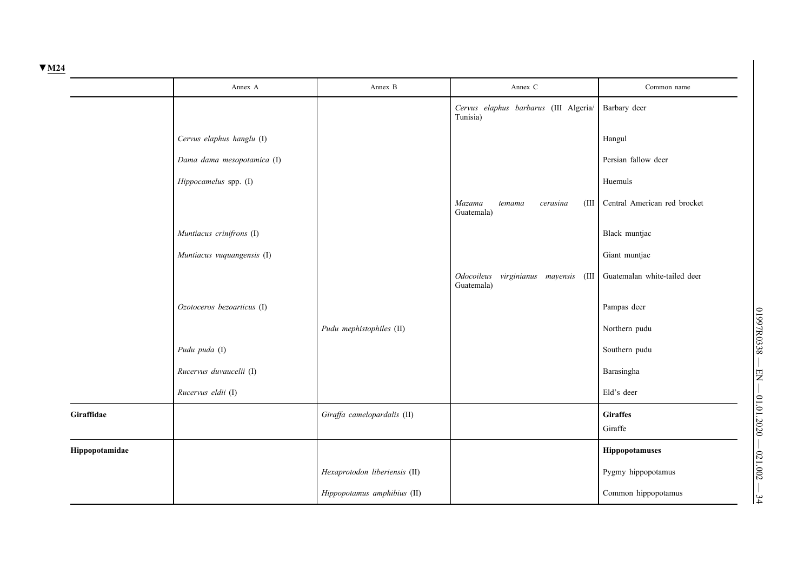|                | Annex A                    | Annex B                       | Annex C                                             | Common name                  |
|----------------|----------------------------|-------------------------------|-----------------------------------------------------|------------------------------|
|                |                            |                               | Cervus elaphus barbarus (III Algeria/<br>Tunisia)   | Barbary deer                 |
|                | Cervus elaphus hanglu (I)  |                               |                                                     | Hangul                       |
|                | Dama dama mesopotamica (I) |                               |                                                     | Persian fallow deer          |
|                | Hippocamelus spp. (I)      |                               |                                                     | Huemuls                      |
|                |                            |                               | Mazama<br>(III)<br>cerasina<br>temama<br>Guatemala) | Central American red brocket |
|                | Muntiacus crinifrons (I)   |                               |                                                     | Black muntjac                |
|                | Muntiacus vuquangensis (I) |                               |                                                     | Giant muntjac                |
|                |                            |                               | Odocoileus virginianus mayensis (III<br>Guatemala)  | Guatemalan white-tailed deer |
|                | Ozotoceros bezoarticus (I) |                               |                                                     | Pampas deer                  |
|                |                            | Pudu mephistophiles (II)      |                                                     | Northern pudu                |
|                | Pudu puda (I)              |                               |                                                     | Southern pudu                |
|                | Rucervus duvaucelii (I)    |                               |                                                     | Barasingha                   |
|                | Rucervus eldii (I)         |                               |                                                     | Eld's deer                   |
| Giraffidae     |                            | Giraffa camelopardalis (II)   |                                                     | <b>Giraffes</b>              |
|                |                            |                               |                                                     | Giraffe                      |
| Hippopotamidae |                            |                               |                                                     | Hippopotamuses               |
|                |                            | Hexaprotodon liberiensis (II) |                                                     | Pygmy hippopotamus           |
|                |                            | Hippopotamus amphibius (II)   |                                                     | Common hippopotamus          |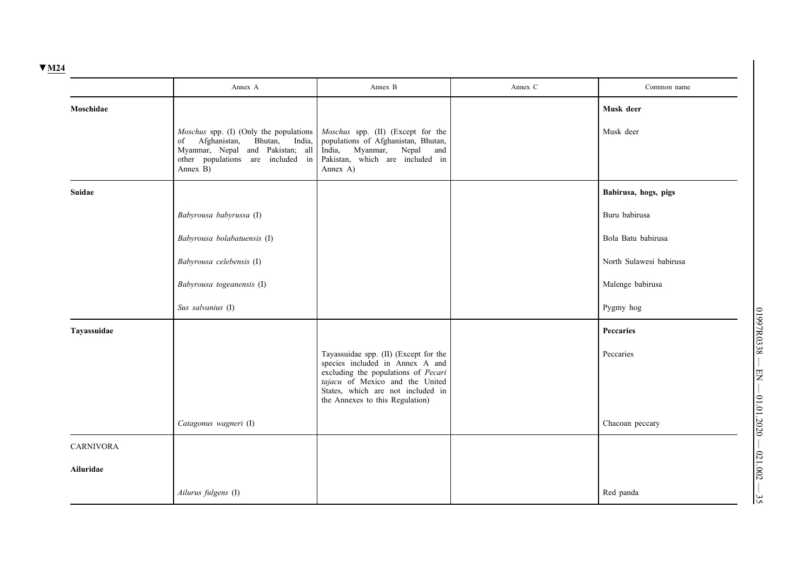| × |  |
|---|--|
|---|--|

|                  | Annex A                                                                                                                                                             | Annex B                                                                                                                                                                                                                    | Annex C | Common name             |
|------------------|---------------------------------------------------------------------------------------------------------------------------------------------------------------------|----------------------------------------------------------------------------------------------------------------------------------------------------------------------------------------------------------------------------|---------|-------------------------|
| Moschidae        |                                                                                                                                                                     |                                                                                                                                                                                                                            |         | Musk deer               |
|                  | Moschus spp. (I) (Only the populations<br>Afghanistan,<br>Bhutan, India,<br>of<br>Myanmar, Nepal and Pakistan; all<br>other populations are included in<br>Annex B) | Moschus spp. (II) (Except for the<br>populations of Afghanistan, Bhutan,<br>India, Myanmar, Nepal and<br>Pakistan, which are included in<br>Annex A)                                                                       |         | Musk deer               |
| Suidae           |                                                                                                                                                                     |                                                                                                                                                                                                                            |         | Babirusa, hogs, pigs    |
|                  | Babyrousa babyrussa (I)                                                                                                                                             |                                                                                                                                                                                                                            |         | Buru babirusa           |
|                  | Babyrousa bolabatuensis (I)                                                                                                                                         |                                                                                                                                                                                                                            |         | Bola Batu babirusa      |
|                  | Babyrousa celebensis (I)                                                                                                                                            |                                                                                                                                                                                                                            |         | North Sulawesi babirusa |
|                  | Babyrousa togeanensis (I)                                                                                                                                           |                                                                                                                                                                                                                            |         | Malenge babirusa        |
|                  | Sus salvanius (I)                                                                                                                                                   |                                                                                                                                                                                                                            |         | Pygmy hog               |
| Tayassuidae      |                                                                                                                                                                     |                                                                                                                                                                                                                            |         | Peccaries               |
|                  |                                                                                                                                                                     | Tayassuidae spp. (II) (Except for the<br>species included in Annex A and<br>excluding the populations of Pecari<br>tajacu of Mexico and the United<br>States, which are not included in<br>the Annexes to this Regulation) |         | Peccaries               |
|                  | Catagonus wagneri (I)                                                                                                                                               |                                                                                                                                                                                                                            |         | Chacoan peccary         |
| <b>CARNIVORA</b> |                                                                                                                                                                     |                                                                                                                                                                                                                            |         |                         |
| Ailuridae        |                                                                                                                                                                     |                                                                                                                                                                                                                            |         |                         |
|                  | Ailurus fulgens (I)                                                                                                                                                 |                                                                                                                                                                                                                            |         | Red panda               |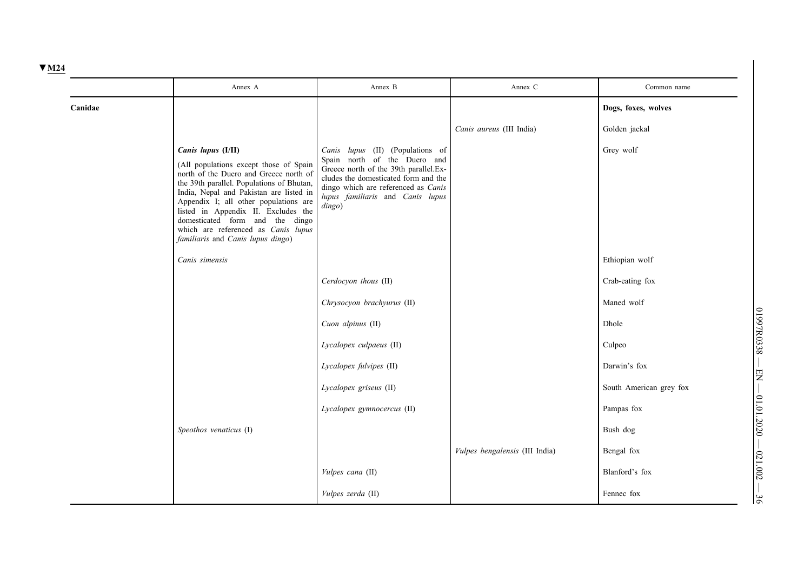|         | Annex A                                                                                                                                                                                                                                                                                                                                                                                       | Annex B                                                                                                                                                                                                                                | Annex C                  | Common name             |
|---------|-----------------------------------------------------------------------------------------------------------------------------------------------------------------------------------------------------------------------------------------------------------------------------------------------------------------------------------------------------------------------------------------------|----------------------------------------------------------------------------------------------------------------------------------------------------------------------------------------------------------------------------------------|--------------------------|-------------------------|
| Canidae |                                                                                                                                                                                                                                                                                                                                                                                               |                                                                                                                                                                                                                                        |                          | Dogs, foxes, wolves     |
|         |                                                                                                                                                                                                                                                                                                                                                                                               |                                                                                                                                                                                                                                        | Canis aureus (III India) | Golden jackal           |
|         | Canis lupus (I/II)<br>(All populations except those of Spain<br>north of the Duero and Greece north of<br>the 39th parallel. Populations of Bhutan,<br>India, Nepal and Pakistan are listed in<br>Appendix I; all other populations are<br>listed in Appendix II. Excludes the<br>domesticated form and the dingo<br>which are referenced as Canis lupus<br>familiaris and Canis lupus dingo) | Canis lupus (II) (Populations of<br>Spain north of the Duero and<br>Greece north of the 39th parallel.Ex-<br>cludes the domesticated form and the<br>dingo which are referenced as Canis<br>lupus familiaris and Canis lupus<br>dingo) |                          | Grey wolf               |
|         | Canis simensis                                                                                                                                                                                                                                                                                                                                                                                |                                                                                                                                                                                                                                        |                          | Ethiopian wolf          |
|         |                                                                                                                                                                                                                                                                                                                                                                                               | Cerdocyon thous (II)                                                                                                                                                                                                                   |                          | Crab-eating fox         |
|         |                                                                                                                                                                                                                                                                                                                                                                                               | Chrysocyon brachyurus (II)                                                                                                                                                                                                             |                          | Maned wolf              |
|         |                                                                                                                                                                                                                                                                                                                                                                                               | Cuon alpinus (II)                                                                                                                                                                                                                      |                          | Dhole                   |
|         |                                                                                                                                                                                                                                                                                                                                                                                               | Lycalopex culpaeus (II)                                                                                                                                                                                                                |                          | Culpeo                  |
|         |                                                                                                                                                                                                                                                                                                                                                                                               | Lycalopex fulvipes (II)                                                                                                                                                                                                                |                          | Darwin's fox            |
|         |                                                                                                                                                                                                                                                                                                                                                                                               | Lycalopex griseus (II)                                                                                                                                                                                                                 |                          | South American grey fox |
|         |                                                                                                                                                                                                                                                                                                                                                                                               | Lycalopex gymnocercus (II)                                                                                                                                                                                                             |                          | Pampas fox              |
|         | Speothos venaticus (I)                                                                                                                                                                                                                                                                                                                                                                        |                                                                                                                                                                                                                                        |                          | Bush dog                |

*Vulpes bengalensis* (III India) **Bengal fox** 

*Vulpes cana* (II) Blanford's fox

*Vulpes zerda* (II) Fennec fox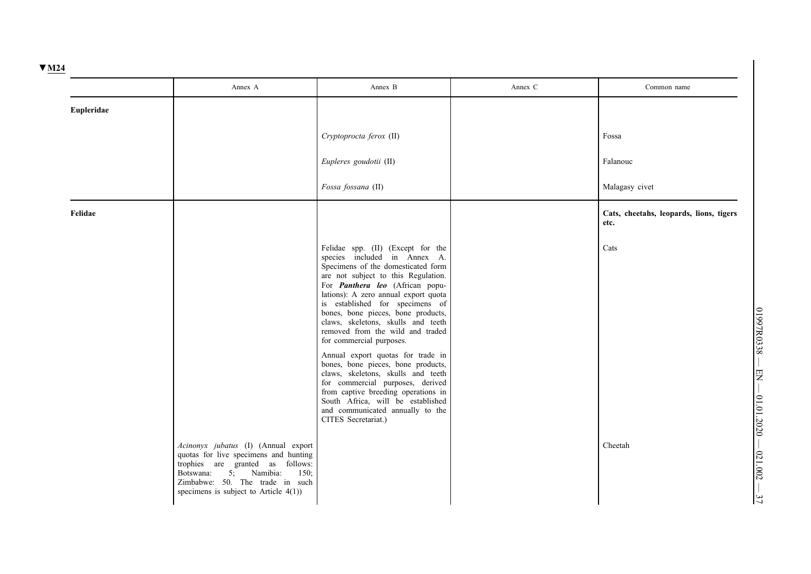| × |  |  |
|---|--|--|
|---|--|--|

|            | Annex A                                                                                                                                                                                                                             | Annex B                                                                                                                                                                                                                                                                                                                                                                                                                                                                                                                                                                                                                                                                                                     | Annex C | Common name                                     |
|------------|-------------------------------------------------------------------------------------------------------------------------------------------------------------------------------------------------------------------------------------|-------------------------------------------------------------------------------------------------------------------------------------------------------------------------------------------------------------------------------------------------------------------------------------------------------------------------------------------------------------------------------------------------------------------------------------------------------------------------------------------------------------------------------------------------------------------------------------------------------------------------------------------------------------------------------------------------------------|---------|-------------------------------------------------|
| Eupleridae |                                                                                                                                                                                                                                     |                                                                                                                                                                                                                                                                                                                                                                                                                                                                                                                                                                                                                                                                                                             |         |                                                 |
|            |                                                                                                                                                                                                                                     | Cryptoprocta ferox (II)                                                                                                                                                                                                                                                                                                                                                                                                                                                                                                                                                                                                                                                                                     |         | Fossa                                           |
|            |                                                                                                                                                                                                                                     | Eupleres goudotii (II)                                                                                                                                                                                                                                                                                                                                                                                                                                                                                                                                                                                                                                                                                      |         | Falanouc                                        |
|            |                                                                                                                                                                                                                                     | Fossa fossana (II)                                                                                                                                                                                                                                                                                                                                                                                                                                                                                                                                                                                                                                                                                          |         | Malagasy civet                                  |
| Felidae    |                                                                                                                                                                                                                                     |                                                                                                                                                                                                                                                                                                                                                                                                                                                                                                                                                                                                                                                                                                             |         | Cats, cheetahs, leopards, lions, tigers<br>etc. |
|            |                                                                                                                                                                                                                                     | Felidae spp. (II) (Except for the<br>species included in Annex A.<br>Specimens of the domesticated form<br>are not subject to this Regulation.<br>For <i>Panthera leo</i> (African popu-<br>lations): A zero annual export quota<br>is established for specimens of<br>bones, bone pieces, bone products,<br>claws, skeletons, skulls and teeth<br>removed from the wild and traded<br>for commercial purposes.<br>Annual export quotas for trade in<br>bones, bone pieces, bone products,<br>claws, skeletons, skulls and teeth<br>for commercial purposes, derived<br>from captive breeding operations in<br>South Africa, will be established<br>and communicated annually to the<br>CITES Secretariat.) |         | Cats                                            |
|            | Acinonyx jubatus (I) (Annual export<br>quotas for live specimens and hunting<br>trophies are granted as follows:<br>5; Namibia:<br>Botswana:<br>150:<br>Zimbabwe: 50. The trade in such<br>specimens is subject to Article $4(1)$ ) |                                                                                                                                                                                                                                                                                                                                                                                                                                                                                                                                                                                                                                                                                                             |         | Cheetah                                         |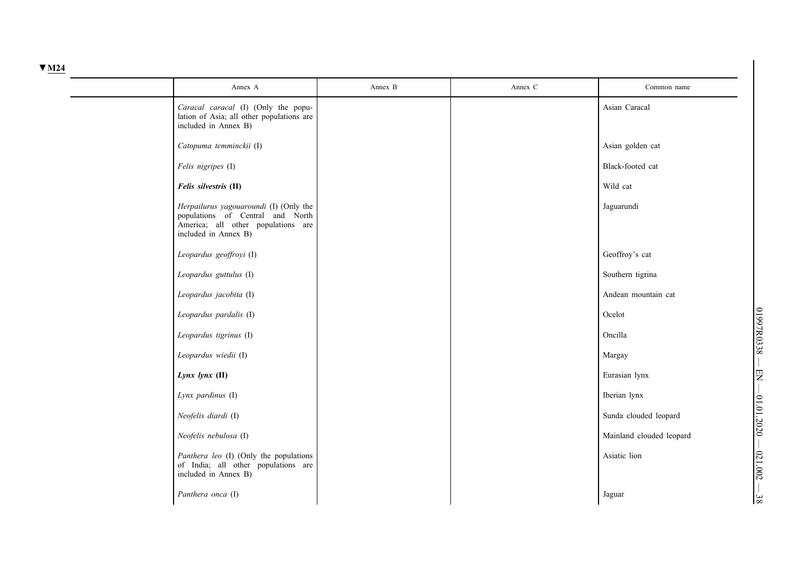| Annex A                                                                                                                                  | Annex B | Annex C | Common name              |
|------------------------------------------------------------------------------------------------------------------------------------------|---------|---------|--------------------------|
| Caracal caracal (I) (Only the popu-<br>lation of Asia; all other populations are<br>included in Annex B)                                 |         |         | Asian Caracal            |
| Catopuma temminckii (I)                                                                                                                  |         |         | Asian golden cat         |
| Felis nigripes (I)                                                                                                                       |         |         | Black-footed cat         |
| Felis silvestris (II)                                                                                                                    |         |         | Wild cat                 |
| Herpailurus yagouaroundi (I) (Only the<br>populations of Central and North<br>America; all other populations are<br>included in Annex B) |         |         | Jaguarundi               |
| Leopardus geoffroyi (I)                                                                                                                  |         |         | Geoffroy's cat           |
| Leopardus guttulus (I)                                                                                                                   |         |         | Southern tigrina         |
| Leopardus jacobita (I)                                                                                                                   |         |         | Andean mountain cat      |
| Leopardus pardalis (I)                                                                                                                   |         |         | Ocelot                   |
| Leopardus tigrinus (I)                                                                                                                   |         |         | Oncilla                  |
| Leopardus wiedii (I)                                                                                                                     |         |         | Margay                   |
| $Lynx$ lynx $(II)$                                                                                                                       |         |         | Eurasian lynx            |
| Lynx pardinus (I)                                                                                                                        |         |         | Iberian lynx             |
| Neofelis diardi (I)                                                                                                                      |         |         | Sunda clouded leopard    |
| Neofelis nebulosa (I)                                                                                                                    |         |         | Mainland clouded leopard |
| Panthera leo (I) (Only the populations<br>of India; all other populations are<br>included in Annex B)                                    |         |         | Asiatic lion             |
| Panthera onca (I)                                                                                                                        |         |         | Jaguar                   |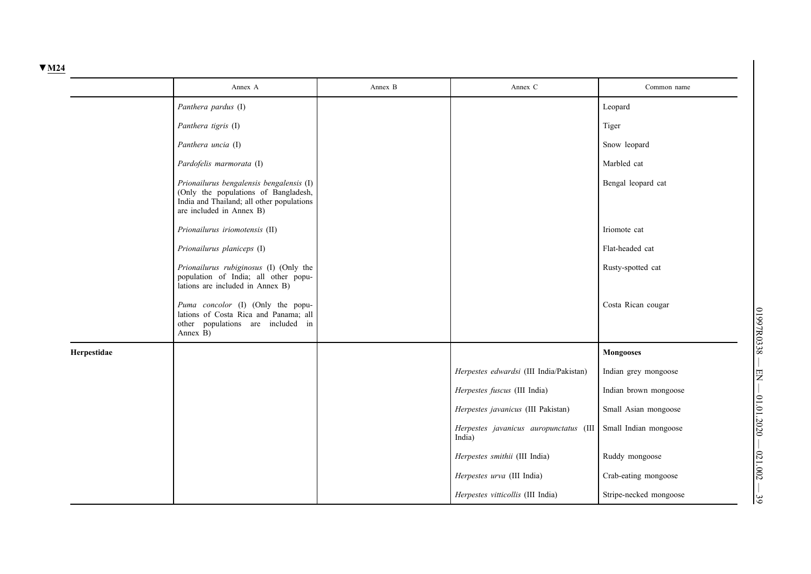|             | Annex A                                                                                                                                                   | Annex B | Annex C                                          | Common name            |
|-------------|-----------------------------------------------------------------------------------------------------------------------------------------------------------|---------|--------------------------------------------------|------------------------|
|             | Panthera pardus (I)                                                                                                                                       |         |                                                  | Leopard                |
|             | Panthera tigris (I)                                                                                                                                       |         |                                                  | Tiger                  |
|             | Panthera uncia (I)                                                                                                                                        |         |                                                  | Snow leopard           |
|             | Pardofelis marmorata (I)                                                                                                                                  |         |                                                  | Marbled cat            |
|             | Prionailurus bengalensis bengalensis (I)<br>(Only the populations of Bangladesh,<br>India and Thailand; all other populations<br>are included in Annex B) |         |                                                  | Bengal leopard cat     |
|             | Prionailurus iriomotensis (II)                                                                                                                            |         |                                                  | Iriomote cat           |
|             | Prionailurus planiceps (I)                                                                                                                                |         |                                                  | Flat-headed cat        |
|             | Prionailurus rubiginosus (I) (Only the<br>population of India; all other popu-<br>lations are included in Annex B)                                        |         |                                                  | Rusty-spotted cat      |
|             | Puma concolor (I) (Only the popu-<br>lations of Costa Rica and Panama; all<br>other populations are included in<br>Annex B)                               |         |                                                  | Costa Rican cougar     |
| Herpestidae |                                                                                                                                                           |         |                                                  | <b>Mongooses</b>       |
|             |                                                                                                                                                           |         | Herpestes edwardsi (III India/Pakistan)          | Indian grey mongoose   |
|             |                                                                                                                                                           |         | Herpestes fuscus (III India)                     | Indian brown mongoose  |
|             |                                                                                                                                                           |         | Herpestes javanicus (III Pakistan)               | Small Asian mongoose   |
|             |                                                                                                                                                           |         | Herpestes javanicus auropunctatus (III<br>India) | Small Indian mongoose  |
|             |                                                                                                                                                           |         | Herpestes smithii (III India)                    | Ruddy mongoose         |
|             |                                                                                                                                                           |         | Herpestes urva (III India)                       | Crab-eating mongoose   |
|             |                                                                                                                                                           |         | Herpestes vitticollis (III India)                | Stripe-necked mongoose |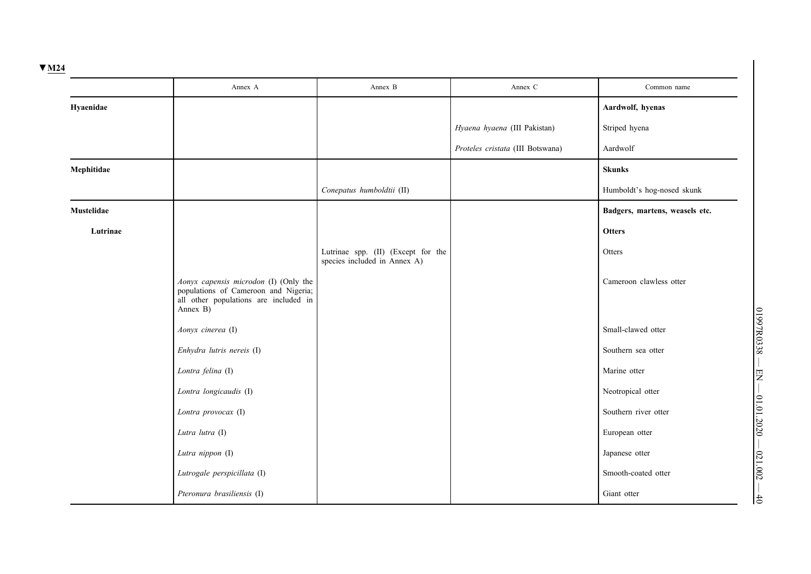| × |  |  |
|---|--|--|
|---|--|--|

|            | Annex A                                                                                                                         | Annex B                                                            | Annex C                          | Common name                    |
|------------|---------------------------------------------------------------------------------------------------------------------------------|--------------------------------------------------------------------|----------------------------------|--------------------------------|
| Hyaenidae  |                                                                                                                                 |                                                                    |                                  | Aardwolf, hyenas               |
|            |                                                                                                                                 |                                                                    | Hyaena hyaena (III Pakistan)     | Striped hyena                  |
|            |                                                                                                                                 |                                                                    | Proteles cristata (III Botswana) | Aardwolf                       |
| Mephitidae |                                                                                                                                 |                                                                    |                                  | <b>Skunks</b>                  |
|            |                                                                                                                                 | Conepatus humboldtii (II)                                          |                                  | Humboldt's hog-nosed skunk     |
| Mustelidae |                                                                                                                                 |                                                                    |                                  | Badgers, martens, weasels etc. |
| Lutrinae   |                                                                                                                                 |                                                                    |                                  | <b>Otters</b>                  |
|            |                                                                                                                                 | Lutrinae spp. (II) (Except for the<br>species included in Annex A) |                                  | Otters                         |
|            | Aonyx capensis microdon (I) (Only the populations of Cameroon and Nigeria;<br>all other populations are included in<br>Annex B) |                                                                    |                                  | Cameroon clawless otter        |
|            | Aonyx cinerea (I)                                                                                                               |                                                                    |                                  | Small-clawed otter             |
|            | Enhydra lutris nereis (I)                                                                                                       |                                                                    |                                  | Southern sea otter             |
|            | Lontra felina (I)                                                                                                               |                                                                    |                                  | Marine otter                   |
|            | Lontra longicaudis (I)                                                                                                          |                                                                    |                                  | Neotropical otter              |
|            | Lontra provocax (I)                                                                                                             |                                                                    |                                  | Southern river otter           |
|            | Lutra lutra (I)                                                                                                                 |                                                                    |                                  | European otter                 |
|            | Lutra nippon (I)                                                                                                                |                                                                    |                                  | Japanese otter                 |
|            | Lutrogale perspicillata (I)                                                                                                     |                                                                    |                                  | Smooth-coated otter            |
|            | Pteronura brasiliensis (I)                                                                                                      |                                                                    |                                  | Giant otter                    |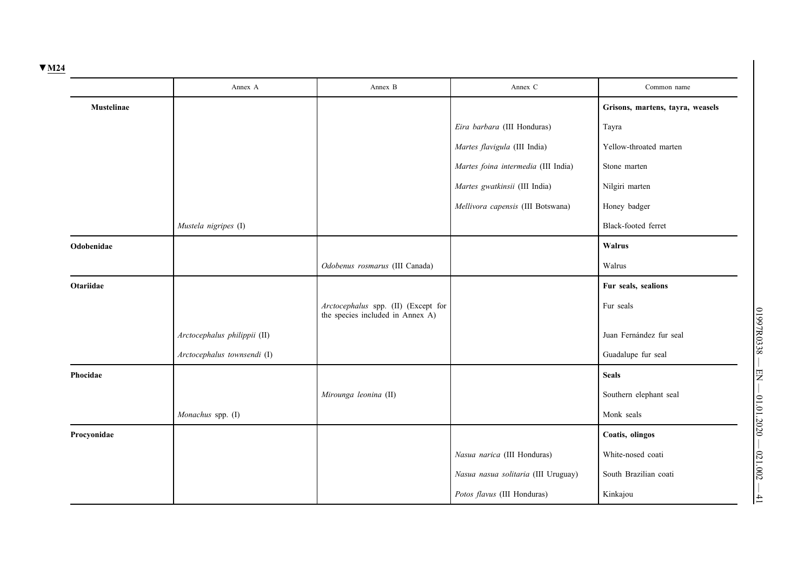|             | Annex A                      | Annex B                                                                 | Annex C                             | Common name                      |
|-------------|------------------------------|-------------------------------------------------------------------------|-------------------------------------|----------------------------------|
| Mustelinae  |                              |                                                                         |                                     | Grisons, martens, tayra, weasels |
|             |                              |                                                                         | Eira barbara (III Honduras)         | Tayra                            |
|             |                              |                                                                         | Martes flavigula (III India)        | Yellow-throated marten           |
|             |                              |                                                                         | Martes foina intermedia (III India) | Stone marten                     |
|             |                              |                                                                         | Martes gwatkinsii (III India)       | Nilgiri marten                   |
|             |                              |                                                                         | Mellivora capensis (III Botswana)   | Honey badger                     |
|             | Mustela nigripes (I)         |                                                                         |                                     | Black-footed ferret              |
| Odobenidae  |                              |                                                                         |                                     | Walrus                           |
|             |                              | Odobenus rosmarus (III Canada)                                          |                                     | Walrus                           |
| Otariidae   |                              |                                                                         |                                     | Fur seals, sealions              |
|             |                              | Arctocephalus spp. (II) (Except for<br>the species included in Annex A) |                                     | Fur seals                        |
|             | Arctocephalus philippii (II) |                                                                         |                                     | Juan Fernández fur seal          |
|             | Arctocephalus townsendi (I)  |                                                                         |                                     | Guadalupe fur seal               |
| Phocidae    |                              |                                                                         |                                     | <b>Seals</b>                     |
|             |                              | Mirounga leonina (II)                                                   |                                     | Southern elephant seal           |
|             | Monachus spp. (I)            |                                                                         |                                     | Monk seals                       |
| Procyonidae |                              |                                                                         |                                     | Coatis, olingos                  |
|             |                              |                                                                         | Nasua narica (III Honduras)         | White-nosed coati                |
|             |                              |                                                                         | Nasua nasua solitaria (III Uruguay) | South Brazilian coati            |
|             |                              |                                                                         | Potos flavus (III Honduras)         | Kinkajou                         |

 $\frac{01997R0338 - EN - 01.01.2020 - 021.002 - 41}{0}$  $01997R0338 - EN - 01.01.202 - 021.002 - 41$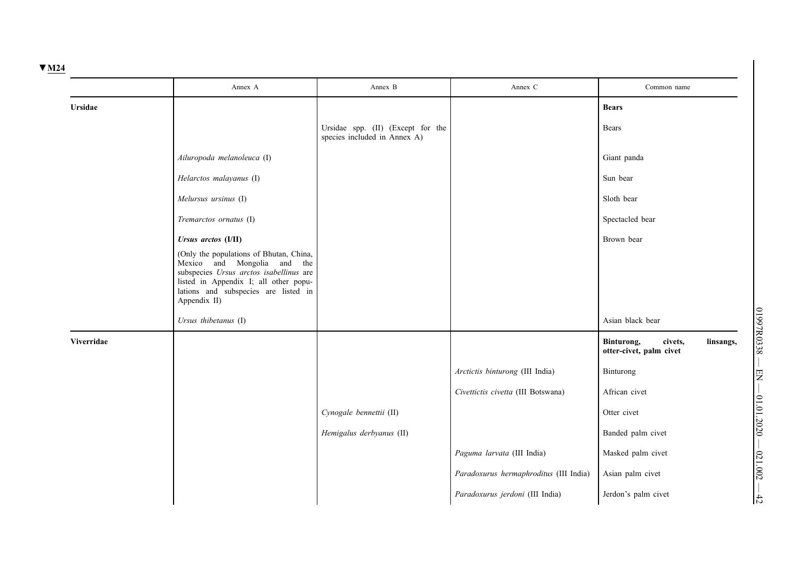| ı |  |
|---|--|
|   |  |

|                | Annex A                                                                                                                                                                                                            | Annex B                                                           | Annex C                                | Common name                                                   |
|----------------|--------------------------------------------------------------------------------------------------------------------------------------------------------------------------------------------------------------------|-------------------------------------------------------------------|----------------------------------------|---------------------------------------------------------------|
| <b>Ursidae</b> |                                                                                                                                                                                                                    |                                                                   |                                        | <b>Bears</b>                                                  |
|                |                                                                                                                                                                                                                    | Ursidae spp. (II) (Except for the<br>species included in Annex A) |                                        | Bears                                                         |
|                | Ailuropoda melanoleuca (I)                                                                                                                                                                                         |                                                                   |                                        | Giant panda                                                   |
|                | Helarctos malayanus (I)                                                                                                                                                                                            |                                                                   |                                        | Sun bear                                                      |
|                | Melursus ursinus (I)                                                                                                                                                                                               |                                                                   |                                        | Sloth bear                                                    |
|                | Tremarctos ornatus (I)                                                                                                                                                                                             |                                                                   |                                        | Spectacled bear                                               |
|                | Ursus arctos (I/II)                                                                                                                                                                                                |                                                                   |                                        | Brown bear                                                    |
|                | (Only the populations of Bhutan, China,<br>Mexico and Mongolia and the<br>subspecies Ursus arctos isabellinus are<br>listed in Appendix I; all other popu-<br>lations and subspecies are listed in<br>Appendix II) |                                                                   |                                        |                                                               |
|                | Ursus thibetanus (I)                                                                                                                                                                                               |                                                                   |                                        | Asian black bear                                              |
| Viverridae     |                                                                                                                                                                                                                    |                                                                   |                                        | civets,<br>linsangs,<br>Binturong,<br>otter-civet, palm civet |
|                |                                                                                                                                                                                                                    |                                                                   | Arctictis binturong (III India)        | Binturong                                                     |
|                |                                                                                                                                                                                                                    |                                                                   | Civettictis civetta (III Botswana)     | African civet                                                 |
|                |                                                                                                                                                                                                                    | Cynogale bennettii (II)                                           |                                        | Otter civet                                                   |
|                |                                                                                                                                                                                                                    | Hemigalus derbyanus (II)                                          |                                        | Banded palm civet                                             |
|                |                                                                                                                                                                                                                    |                                                                   | Paguma larvata (III India)             | Masked palm civet                                             |
|                |                                                                                                                                                                                                                    |                                                                   | Paradoxurus hermaphroditus (III India) | Asian palm civet                                              |
|                |                                                                                                                                                                                                                    |                                                                   | Paradoxurus jerdoni (III India)        | Jerdon's palm civet                                           |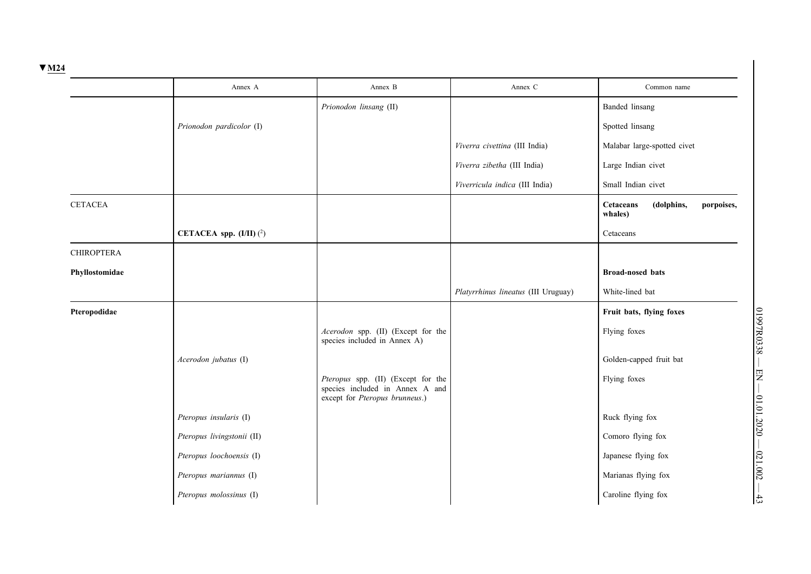|                   | Annex A                      | Annex B                                                                                                 | Annex C                             | Common name                                      |
|-------------------|------------------------------|---------------------------------------------------------------------------------------------------------|-------------------------------------|--------------------------------------------------|
|                   |                              | Prionodon linsang (II)                                                                                  |                                     | Banded linsang                                   |
|                   | Prionodon pardicolor (I)     |                                                                                                         |                                     | Spotted linsang                                  |
|                   |                              |                                                                                                         | Viverra civettina (III India)       | Malabar large-spotted civet                      |
|                   |                              |                                                                                                         | Viverra zibetha (III India)         | Large Indian civet                               |
|                   |                              |                                                                                                         | Viverricula indica (III India)      | Small Indian civet                               |
| <b>CETACEA</b>    |                              |                                                                                                         |                                     | Cetaceans<br>(dolphins,<br>porpoises,<br>whales) |
|                   | CETACEA spp. $(I/II)$ $(^2)$ |                                                                                                         |                                     | Cetaceans                                        |
| <b>CHIROPTERA</b> |                              |                                                                                                         |                                     |                                                  |
| Phyllostomidae    |                              |                                                                                                         |                                     | <b>Broad-nosed bats</b>                          |
|                   |                              |                                                                                                         | Platyrrhinus lineatus (III Uruguay) | White-lined bat                                  |
| Pteropodidae      |                              |                                                                                                         |                                     | Fruit bats, flying foxes                         |
|                   |                              | Acerodon spp. (II) (Except for the<br>species included in Annex A)                                      |                                     | Flying foxes                                     |
|                   | Acerodon jubatus (I)         |                                                                                                         |                                     | Golden-capped fruit bat                          |
|                   |                              | Pteropus spp. (II) (Except for the<br>species included in Annex A and<br>except for Pteropus brunneus.) |                                     | Flying foxes                                     |
|                   | Pteropus insularis (I)       |                                                                                                         |                                     | Ruck flying fox                                  |
|                   | Pteropus livingstonii (II)   |                                                                                                         |                                     | Comoro flying fox                                |
|                   | Pteropus loochoensis (I)     |                                                                                                         |                                     | Japanese flying fox                              |
|                   | Pteropus mariannus (I)       |                                                                                                         |                                     | Marianas flying fox                              |
|                   | Pteropus molossinus (I)      |                                                                                                         |                                     | Caroline flying fox                              |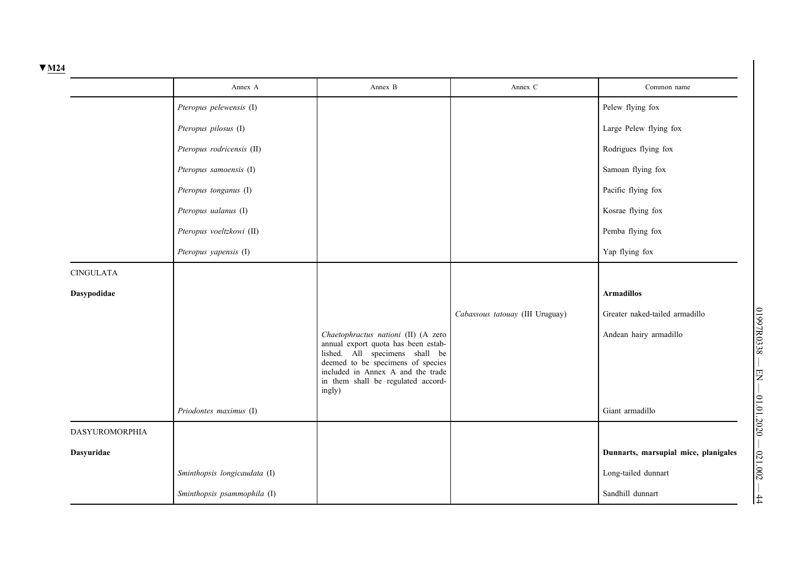| × |  |
|---|--|

|                       | Annex A                      | Annex B                                                                                                                                                                                                                                | Annex C                         | Common name                          |
|-----------------------|------------------------------|----------------------------------------------------------------------------------------------------------------------------------------------------------------------------------------------------------------------------------------|---------------------------------|--------------------------------------|
|                       | Pteropus pelewensis (I)      |                                                                                                                                                                                                                                        |                                 | Pelew flying fox                     |
|                       | Pteropus pilosus (I)         |                                                                                                                                                                                                                                        |                                 | Large Pelew flying fox               |
|                       | Pteropus rodricensis (II)    |                                                                                                                                                                                                                                        |                                 | Rodrigues flying fox                 |
|                       | Pteropus samoensis (I)       |                                                                                                                                                                                                                                        |                                 | Samoan flying fox                    |
|                       | Pteropus tonganus (I)        |                                                                                                                                                                                                                                        |                                 | Pacific flying fox                   |
|                       | Pteropus ualanus (I)         |                                                                                                                                                                                                                                        |                                 | Kosrae flying fox                    |
|                       | Pteropus voeltzkowi (II)     |                                                                                                                                                                                                                                        |                                 | Pemba flying fox                     |
|                       | Pteropus yapensis (I)        |                                                                                                                                                                                                                                        |                                 | Yap flying fox                       |
| <b>CINGULATA</b>      |                              |                                                                                                                                                                                                                                        |                                 |                                      |
| Dasypodidae           |                              |                                                                                                                                                                                                                                        |                                 | <b>Armadillos</b>                    |
|                       |                              |                                                                                                                                                                                                                                        | Cabassous tatouay (III Uruguay) | Greater naked-tailed armadillo       |
|                       |                              | Chaetophractus nationi (II) (A zero<br>annual export quota has been estab-<br>lished. All specimens shall be<br>deemed to be specimens of species<br>included in Annex A and the trade<br>in them shall be regulated accord-<br>ingly) |                                 | Andean hairy armadillo               |
|                       | Priodontes maximus (I)       |                                                                                                                                                                                                                                        |                                 | Giant armadillo                      |
| <b>DASYUROMORPHIA</b> |                              |                                                                                                                                                                                                                                        |                                 |                                      |
| Dasyuridae            |                              |                                                                                                                                                                                                                                        |                                 | Dunnarts, marsupial mice, planigales |
|                       | Sminthopsis longicaudata (I) |                                                                                                                                                                                                                                        |                                 | Long-tailed dunnart                  |
|                       | Sminthopsis psammophila (I)  |                                                                                                                                                                                                                                        |                                 | Sandhill dunnart                     |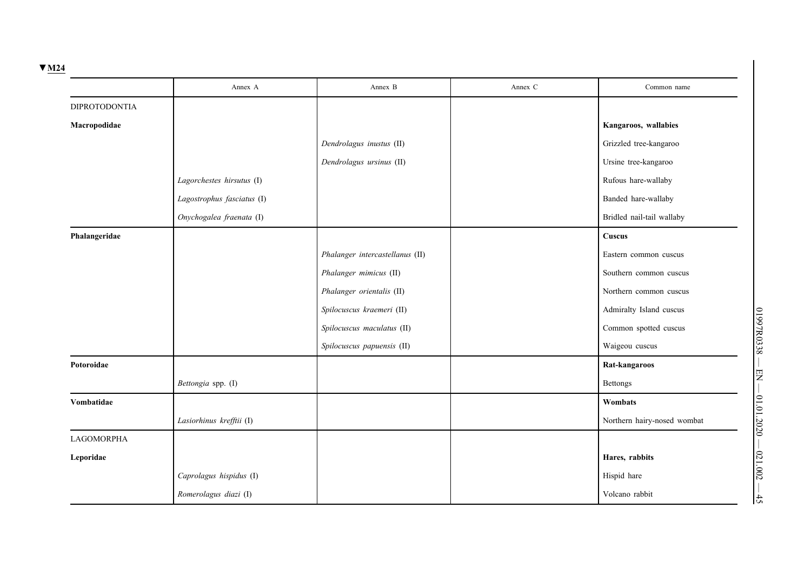|--|

|                      | Annex A                    | Annex B                         | Annex C | Common name                 |
|----------------------|----------------------------|---------------------------------|---------|-----------------------------|
| <b>DIPROTODONTIA</b> |                            |                                 |         |                             |
| Macropodidae         |                            |                                 |         | Kangaroos, wallabies        |
|                      |                            | Dendrolagus inustus (II)        |         | Grizzled tree-kangaroo      |
|                      |                            | Dendrolagus ursinus (II)        |         | Ursine tree-kangaroo        |
|                      | Lagorchestes hirsutus (I)  |                                 |         | Rufous hare-wallaby         |
|                      | Lagostrophus fasciatus (I) |                                 |         | Banded hare-wallaby         |
|                      | Onychogalea fraenata (I)   |                                 |         | Bridled nail-tail wallaby   |
| Phalangeridae        |                            |                                 |         | Cuscus                      |
|                      |                            | Phalanger intercastellanus (II) |         | Eastern common cuscus       |
|                      |                            | Phalanger mimicus (II)          |         | Southern common cuscus      |
|                      |                            | Phalanger orientalis (II)       |         | Northern common cuscus      |
|                      |                            | Spilocuscus kraemeri (II)       |         | Admiralty Island cuscus     |
|                      |                            | Spilocuscus maculatus (II)      |         | Common spotted cuscus       |
|                      |                            | Spilocuscus papuensis (II)      |         | Waigeou cuscus              |
| Potoroidae           |                            |                                 |         | Rat-kangaroos               |
|                      | Bettongia spp. (I)         |                                 |         | Bettongs                    |
| Vombatidae           |                            |                                 |         | Wombats                     |
|                      | Lasiorhinus krefftii (I)   |                                 |         | Northern hairy-nosed wombat |
| <b>LAGOMORPHA</b>    |                            |                                 |         |                             |
| Leporidae            |                            |                                 |         | Hares, rabbits              |
|                      | Caprolagus hispidus (I)    |                                 |         | Hispid hare                 |
|                      | Romerolagus diazi (I)      |                                 |         | Volcano rabbit              |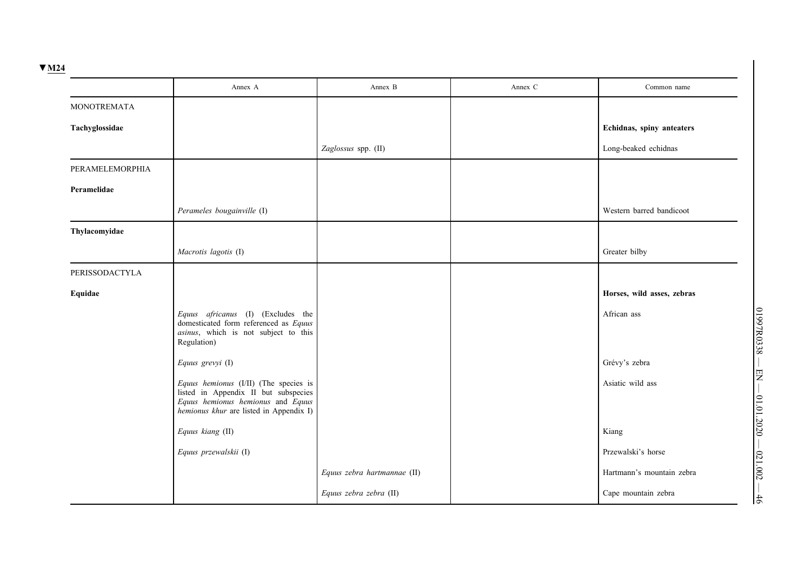|                 | Annex A                                                                                                                                                       | Annex B                     | Annex C | Common name                |
|-----------------|---------------------------------------------------------------------------------------------------------------------------------------------------------------|-----------------------------|---------|----------------------------|
| MONOTREMATA     |                                                                                                                                                               |                             |         |                            |
| Tachyglossidae  |                                                                                                                                                               |                             |         | Echidnas, spiny anteaters  |
|                 |                                                                                                                                                               | Zaglossus spp. (II)         |         | Long-beaked echidnas       |
| PERAMELEMORPHIA |                                                                                                                                                               |                             |         |                            |
| Peramelidae     |                                                                                                                                                               |                             |         |                            |
|                 | Perameles bougainville (I)                                                                                                                                    |                             |         | Western barred bandicoot   |
| Thylacomyidae   |                                                                                                                                                               |                             |         |                            |
|                 | Macrotis lagotis (I)                                                                                                                                          |                             |         | Greater bilby              |
| PERISSODACTYLA  |                                                                                                                                                               |                             |         |                            |
| Equidae         |                                                                                                                                                               |                             |         | Horses, wild asses, zebras |
|                 | Equus africanus (I) (Excludes the<br>domesticated form referenced as Equus<br>asinus, which is not subject to this<br>Regulation)                             |                             |         | African ass                |
|                 | Equus grevyi (I)                                                                                                                                              |                             |         | Grévy's zebra              |
|                 | Equus hemionus (I/II) (The species is<br>listed in Appendix II but subspecies<br>Equus hemionus hemionus and Equus<br>hemionus khur are listed in Appendix I) |                             |         | Asiatic wild ass           |
|                 | Equus kiang (II)                                                                                                                                              |                             |         | Kiang                      |
|                 | Equus przewalskii (I)                                                                                                                                         |                             |         | Przewalski's horse         |
|                 |                                                                                                                                                               | Equus zebra hartmannae (II) |         | Hartmann's mountain zebra  |
|                 |                                                                                                                                                               | Equus zebra zebra (II)      |         | Cape mountain zebra        |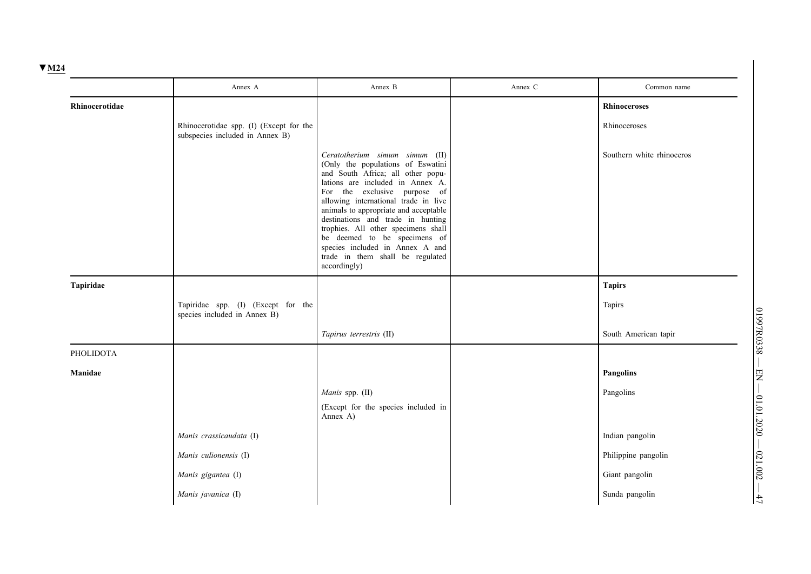|--|--|--|

|                | Annex A                                                                    | Annex B                                                                                                                                                                                                                                                                                                                                                                                                                                                          | Annex C | Common name               |
|----------------|----------------------------------------------------------------------------|------------------------------------------------------------------------------------------------------------------------------------------------------------------------------------------------------------------------------------------------------------------------------------------------------------------------------------------------------------------------------------------------------------------------------------------------------------------|---------|---------------------------|
| Rhinocerotidae |                                                                            |                                                                                                                                                                                                                                                                                                                                                                                                                                                                  |         | Rhinoceroses              |
|                | Rhinocerotidae spp. (I) (Except for the<br>subspecies included in Annex B) |                                                                                                                                                                                                                                                                                                                                                                                                                                                                  |         | Rhinoceroses              |
|                |                                                                            | Ceratotherium simum simum (II)<br>(Only the populations of Eswatini<br>and South Africa; all other popu-<br>lations are included in Annex A.<br>For the exclusive purpose of<br>allowing international trade in live<br>animals to appropriate and acceptable<br>destinations and trade in hunting<br>trophies. All other specimens shall<br>be deemed to be specimens of<br>species included in Annex A and<br>trade in them shall be regulated<br>accordingly) |         | Southern white rhinoceros |
| Tapiridae      |                                                                            |                                                                                                                                                                                                                                                                                                                                                                                                                                                                  |         | <b>Tapirs</b>             |
|                | Tapiridae spp. (I) (Except for the<br>species included in Annex B)         |                                                                                                                                                                                                                                                                                                                                                                                                                                                                  |         | Tapirs                    |
|                |                                                                            | Tapirus terrestris (II)                                                                                                                                                                                                                                                                                                                                                                                                                                          |         | South American tapir      |
| PHOLIDOTA      |                                                                            |                                                                                                                                                                                                                                                                                                                                                                                                                                                                  |         |                           |
| Manidae        |                                                                            |                                                                                                                                                                                                                                                                                                                                                                                                                                                                  |         | <b>Pangolins</b>          |
|                |                                                                            | Manis spp. (II)                                                                                                                                                                                                                                                                                                                                                                                                                                                  |         | Pangolins                 |
|                |                                                                            | (Except for the species included in<br>Annex A)                                                                                                                                                                                                                                                                                                                                                                                                                  |         |                           |
|                | Manis crassicaudata (I)                                                    |                                                                                                                                                                                                                                                                                                                                                                                                                                                                  |         | Indian pangolin           |
|                | Manis culionensis (I)                                                      |                                                                                                                                                                                                                                                                                                                                                                                                                                                                  |         | Philippine pangolin       |
|                | Manis gigantea (I)                                                         |                                                                                                                                                                                                                                                                                                                                                                                                                                                                  |         | Giant pangolin            |
|                | Manis javanica (I)                                                         |                                                                                                                                                                                                                                                                                                                                                                                                                                                                  |         | Sunda pangolin            |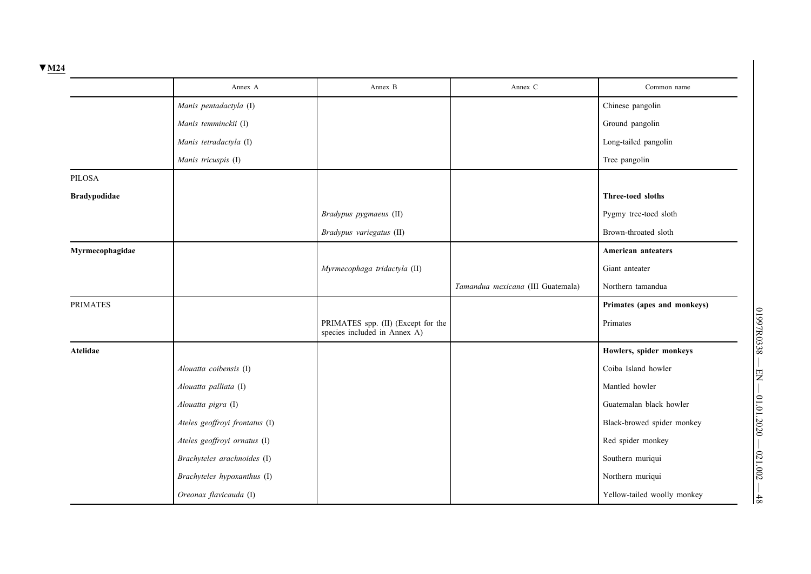|                     | Annex A                        | Annex B                                                            | Annex C                           | Common name                 |
|---------------------|--------------------------------|--------------------------------------------------------------------|-----------------------------------|-----------------------------|
|                     | Manis pentadactyla (I)         |                                                                    |                                   | Chinese pangolin            |
|                     | Manis temminckii (I)           |                                                                    |                                   | Ground pangolin             |
|                     | Manis tetradactyla (I)         |                                                                    |                                   | Long-tailed pangolin        |
|                     | Manis tricuspis (I)            |                                                                    |                                   | Tree pangolin               |
| <b>PILOSA</b>       |                                |                                                                    |                                   |                             |
| <b>Bradypodidae</b> |                                |                                                                    |                                   | Three-toed sloths           |
|                     |                                | Bradypus pygmaeus (II)                                             |                                   | Pygmy tree-toed sloth       |
|                     |                                | Bradypus variegatus (II)                                           |                                   | Brown-throated sloth        |
| Myrmecophagidae     |                                |                                                                    |                                   | <b>American anteaters</b>   |
|                     |                                | Myrmecophaga tridactyla (II)                                       |                                   | Giant anteater              |
|                     |                                |                                                                    | Tamandua mexicana (III Guatemala) | Northern tamandua           |
| <b>PRIMATES</b>     |                                |                                                                    |                                   | Primates (apes and monkeys) |
|                     |                                | PRIMATES spp. (II) (Except for the<br>species included in Annex A) |                                   | Primates                    |
| <b>Atelidae</b>     |                                |                                                                    |                                   | Howlers, spider monkeys     |
|                     | Alouatta coibensis (I)         |                                                                    |                                   | Coiba Island howler         |
|                     | Alouatta palliata (I)          |                                                                    |                                   | Mantled howler              |
|                     | Alouatta pigra (I)             |                                                                    |                                   | Guatemalan black howler     |
|                     | Ateles geoffroyi frontatus (I) |                                                                    |                                   | Black-browed spider monkey  |
|                     | Ateles geoffroyi ornatus (I)   |                                                                    |                                   | Red spider monkey           |
|                     | Brachyteles arachnoides (I)    |                                                                    |                                   | Southern muriqui            |
|                     | Brachyteles hypoxanthus (I)    |                                                                    |                                   | Northern muriqui            |
|                     | Oreonax flavicauda (I)         |                                                                    |                                   | Yellow-tailed woolly monkey |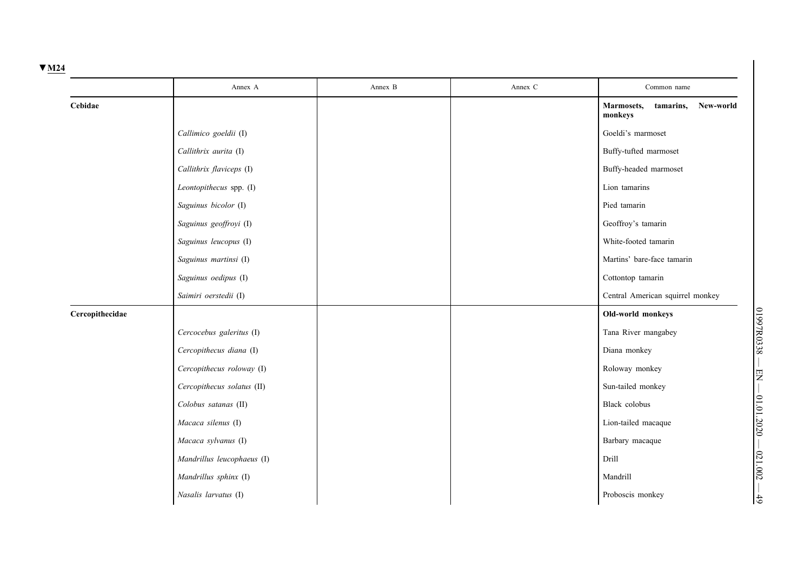|                 | Annex A                    | Annex B | Annex C | Common name                                     |
|-----------------|----------------------------|---------|---------|-------------------------------------------------|
| Cebidae         |                            |         |         | Marmosets,<br>tamarins,<br>New-world<br>monkeys |
|                 | Callimico goeldii (I)      |         |         | Goeldi's marmoset                               |
|                 | Callithrix aurita (I)      |         |         | Buffy-tufted marmoset                           |
|                 | Callithrix flaviceps (I)   |         |         | Buffy-headed marmoset                           |
|                 | Leontopithecus spp. (I)    |         |         | Lion tamarins                                   |
|                 | Saguinus bicolor (I)       |         |         | Pied tamarin                                    |
|                 | Saguinus geoffroyi (I)     |         |         | Geoffroy's tamarin                              |
|                 | Saguinus leucopus (I)      |         |         | White-footed tamarin                            |
|                 | Saguinus martinsi (I)      |         |         | Martins' bare-face tamarin                      |
|                 | Saguinus oedipus (I)       |         |         | Cottontop tamarin                               |
|                 | Saimiri oerstedii (I)      |         |         | Central American squirrel monkey                |
| Cercopithecidae |                            |         |         | Old-world monkeys                               |
|                 | Cercocebus galeritus (I)   |         |         | Tana River mangabey                             |
|                 | Cercopithecus diana (I)    |         |         | Diana monkey                                    |
|                 | Cercopithecus roloway (I)  |         |         | Roloway monkey                                  |
|                 | Cercopithecus solatus (II) |         |         | Sun-tailed monkey                               |
|                 | Colobus satanas (II)       |         |         | Black colobus                                   |
|                 | Macaca silenus (I)         |         |         | Lion-tailed macaque                             |
|                 | Macaca sylvanus (I)        |         |         | Barbary macaque                                 |
|                 | Mandrillus leucophaeus (I) |         |         | Drill                                           |
|                 | Mandrillus sphinx (I)      |         |         | Mandrill                                        |
|                 | Nasalis larvatus (I)       |         |         | Proboscis monkey                                |
|                 |                            |         |         |                                                 |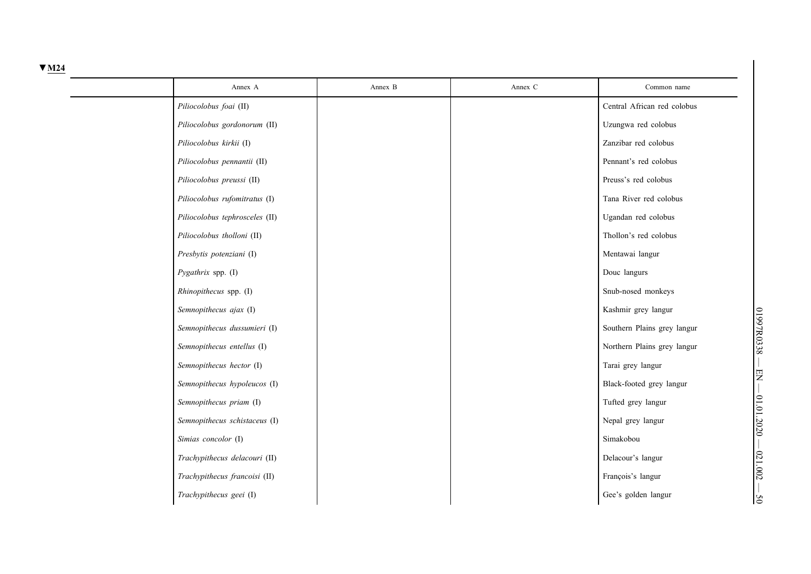| Annex A                        | Annex B | Annex C | Common name                 |
|--------------------------------|---------|---------|-----------------------------|
| Piliocolobus foai (II)         |         |         | Central African red colobus |
| Piliocolobus gordonorum (II)   |         |         | Uzungwa red colobus         |
| Piliocolobus kirkii (I)        |         |         | Zanzibar red colobus        |
| Piliocolobus pennantii (II)    |         |         | Pennant's red colobus       |
| Piliocolobus preussi (II)      |         |         | Preuss's red colobus        |
| Piliocolobus rufomitratus (I)  |         |         | Tana River red colobus      |
| Piliocolobus tephrosceles (II) |         |         | Ugandan red colobus         |
| Piliocolobus tholloni (II)     |         |         | Thollon's red colobus       |
| Presbytis potenziani (I)       |         |         | Mentawai langur             |
| Pygathrix spp. (I)             |         |         | Douc langurs                |
| Rhinopithecus spp. (I)         |         |         | Snub-nosed monkeys          |
| Semnopithecus ajax (I)         |         |         | Kashmir grey langur         |
| Semnopithecus dussumieri (I)   |         |         | Southern Plains grey langur |
| Semnopithecus entellus (I)     |         |         | Northern Plains grey langur |
| Semnopithecus hector (I)       |         |         | Tarai grey langur           |
| Semnopithecus hypoleucos (I)   |         |         | Black-footed grey langur    |
| Semnopithecus priam (I)        |         |         | Tufted grey langur          |
| Semnopithecus schistaceus (I)  |         |         | Nepal grey langur           |
| Simias concolor (I)            |         |         | Simakobou                   |
| Trachypithecus delacouri (II)  |         |         | Delacour's langur           |
| Trachypithecus francoisi (II)  |         |         | François's langur           |
| Trachypithecus geei (I)        |         |         | Gee's golden langur         |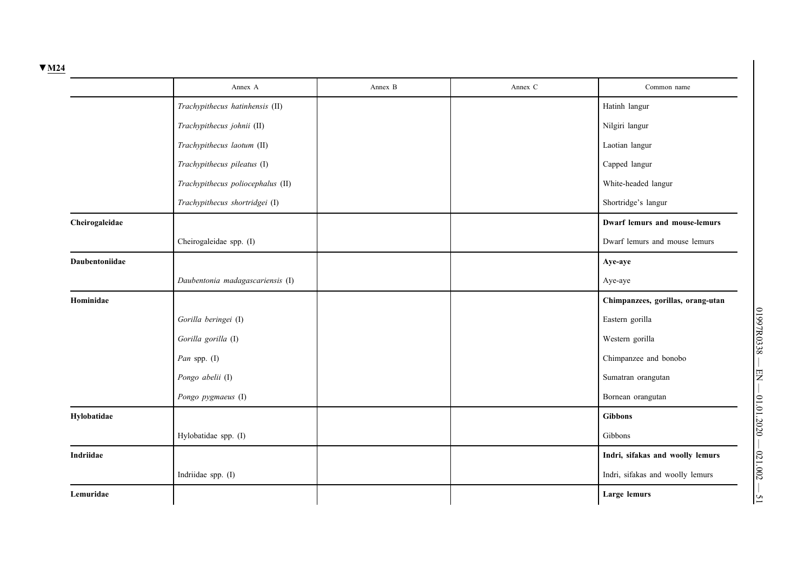|                | Annex A                           | Annex B | Annex C | Common name                          |
|----------------|-----------------------------------|---------|---------|--------------------------------------|
|                | Trachypithecus hatinhensis (II)   |         |         | Hatinh langur                        |
|                | Trachypithecus johnii (II)        |         |         | Nilgiri langur                       |
|                | Trachypithecus laotum (II)        |         |         | Laotian langur                       |
|                | Trachypithecus pileatus (I)       |         |         | Capped langur                        |
|                | Trachypithecus poliocephalus (II) |         |         | White-headed langur                  |
|                | Trachypithecus shortridgei (I)    |         |         | Shortridge's langur                  |
| Cheirogaleidae |                                   |         |         | <b>Dwarf lemurs and mouse-lemurs</b> |
|                | Cheirogaleidae spp. (I)           |         |         | Dwarf lemurs and mouse lemurs        |
| Daubentoniidae |                                   |         |         | Aye-aye                              |
|                | Daubentonia madagascariensis (I)  |         |         | Aye-aye                              |
| Hominidae      |                                   |         |         | Chimpanzees, gorillas, orang-utan    |
|                | Gorilla beringei (I)              |         |         | Eastern gorilla                      |
|                | Gorilla gorilla (I)               |         |         | Western gorilla                      |
|                | Pan spp. (I)                      |         |         | Chimpanzee and bonobo                |
|                | Pongo abelii (I)                  |         |         | Sumatran orangutan                   |
|                | Pongo pygmaeus (I)                |         |         | Bornean orangutan                    |
| Hylobatidae    |                                   |         |         | <b>Gibbons</b>                       |
|                | Hylobatidae spp. (I)              |         |         | Gibbons                              |
| Indriidae      |                                   |         |         | Indri, sifakas and woolly lemurs     |
|                | Indriidae spp. (I)                |         |         | Indri, sifakas and woolly lemurs     |
| Lemuridae      |                                   |         |         | Large lemurs                         |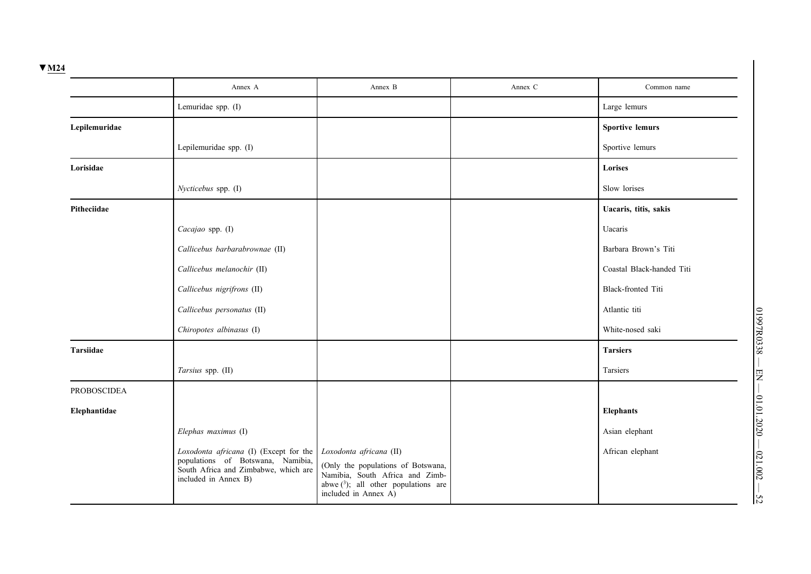|                    | Annex A                                                                                                                                     | Annex B                                                                                                                                                            | Annex C | Common name               |
|--------------------|---------------------------------------------------------------------------------------------------------------------------------------------|--------------------------------------------------------------------------------------------------------------------------------------------------------------------|---------|---------------------------|
|                    | Lemuridae spp. (I)                                                                                                                          |                                                                                                                                                                    |         | Large lemurs              |
| Lepilemuridae      |                                                                                                                                             |                                                                                                                                                                    |         | <b>Sportive lemurs</b>    |
|                    | Lepilemuridae spp. (I)                                                                                                                      |                                                                                                                                                                    |         | Sportive lemurs           |
| Lorisidae          |                                                                                                                                             |                                                                                                                                                                    |         | Lorises                   |
|                    | Nycticebus spp. (I)                                                                                                                         |                                                                                                                                                                    |         | Slow lorises              |
| Pitheciidae        |                                                                                                                                             |                                                                                                                                                                    |         | Uacaris, titis, sakis     |
|                    | Cacajao spp. (I)                                                                                                                            |                                                                                                                                                                    |         | Uacaris                   |
|                    | Callicebus barbarabrownae (II)                                                                                                              |                                                                                                                                                                    |         | Barbara Brown's Titi      |
|                    | Callicebus melanochir (II)                                                                                                                  |                                                                                                                                                                    |         | Coastal Black-handed Titi |
|                    | Callicebus nigrifrons (II)                                                                                                                  |                                                                                                                                                                    |         | Black-fronted Titi        |
|                    | Callicebus personatus (II)                                                                                                                  |                                                                                                                                                                    |         | Atlantic titi             |
|                    | Chiropotes albinasus (I)                                                                                                                    |                                                                                                                                                                    |         | White-nosed saki          |
| Tarsiidae          |                                                                                                                                             |                                                                                                                                                                    |         | <b>Tarsiers</b>           |
|                    | Tarsius spp. (II)                                                                                                                           |                                                                                                                                                                    |         | Tarsiers                  |
| <b>PROBOSCIDEA</b> |                                                                                                                                             |                                                                                                                                                                    |         |                           |
| Elephantidae       |                                                                                                                                             |                                                                                                                                                                    |         | <b>Elephants</b>          |
|                    | Elephas maximus (I)                                                                                                                         |                                                                                                                                                                    |         | Asian elephant            |
|                    | Loxodonta africana (I) (Except for the<br>populations of Botswana, Namibia,<br>South Africa and Zimbabwe, which are<br>included in Annex B) | Loxodonta africana (II)<br>(Only the populations of Botswana,<br>Namibia, South Africa and Zimb-<br>abwe $(3)$ ; all other populations are<br>included in Annex A) |         | African elephant          |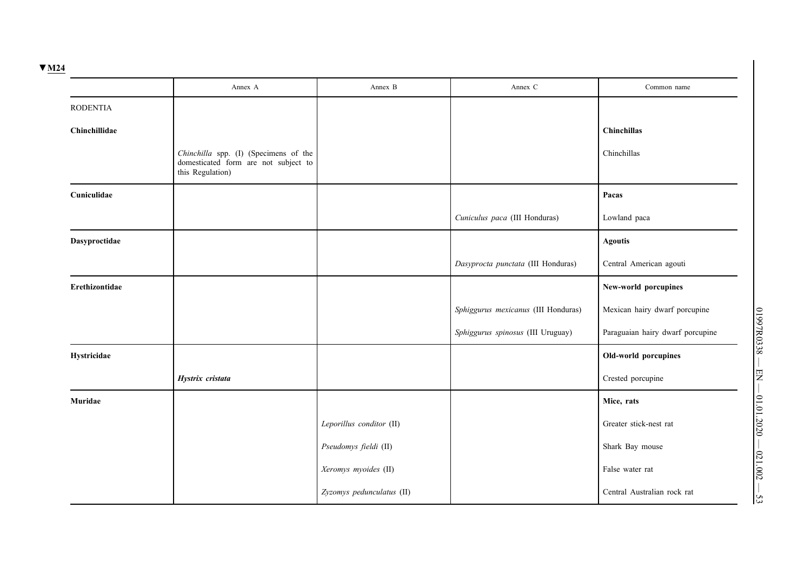|                 | Annex A                                                                                           | Annex B                   | Annex C                             | Common name                      |
|-----------------|---------------------------------------------------------------------------------------------------|---------------------------|-------------------------------------|----------------------------------|
| <b>RODENTIA</b> |                                                                                                   |                           |                                     |                                  |
| Chinchillidae   |                                                                                                   |                           |                                     | Chinchillas                      |
|                 | Chinchilla spp. (I) (Specimens of the<br>domesticated form are not subject to<br>this Regulation) |                           |                                     | Chinchillas                      |
| Cuniculidae     |                                                                                                   |                           |                                     | Pacas                            |
|                 |                                                                                                   |                           | Cuniculus paca (III Honduras)       | Lowland paca                     |
| Dasyproctidae   |                                                                                                   |                           |                                     | <b>Agoutis</b>                   |
|                 |                                                                                                   |                           | Dasyprocta punctata (III Honduras)  | Central American agouti          |
| Erethizontidae  |                                                                                                   |                           |                                     | New-world porcupines             |
|                 |                                                                                                   |                           | Sphiggurus mexicanus (III Honduras) | Mexican hairy dwarf porcupine    |
|                 |                                                                                                   |                           | Sphiggurus spinosus (III Uruguay)   | Paraguaian hairy dwarf porcupine |
| Hystricidae     |                                                                                                   |                           |                                     | Old-world porcupines             |
|                 | Hystrix cristata                                                                                  |                           |                                     | Crested porcupine                |
| Muridae         |                                                                                                   |                           |                                     | Mice, rats                       |
|                 |                                                                                                   | Leporillus conditor (II)  |                                     | Greater stick-nest rat           |
|                 |                                                                                                   | Pseudomys fieldi (II)     |                                     | Shark Bay mouse                  |
|                 |                                                                                                   | Xeromys myoides (II)      |                                     | False water rat                  |
|                 |                                                                                                   | Zyzomys pedunculatus (II) |                                     | Central Australian rock rat      |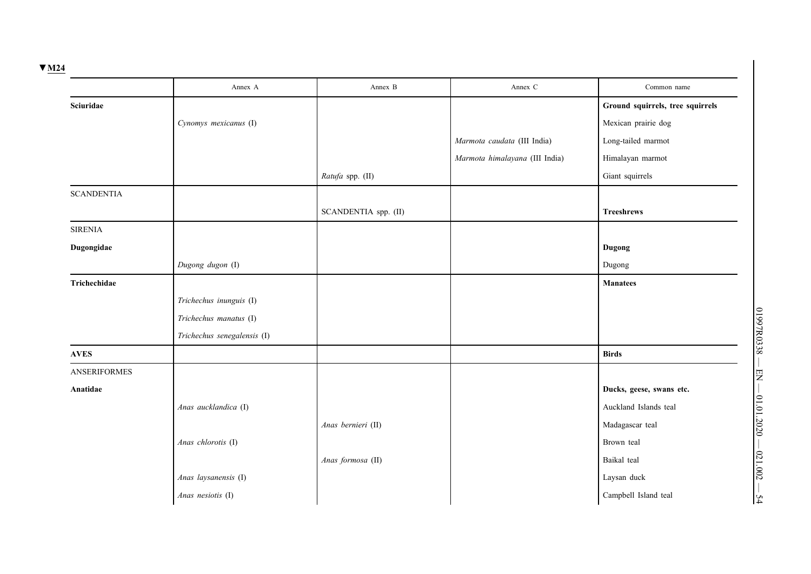|                     | Annex A                     | Annex B              | Annex C                        | Common name                      |
|---------------------|-----------------------------|----------------------|--------------------------------|----------------------------------|
| Sciuridae           |                             |                      |                                | Ground squirrels, tree squirrels |
|                     | Cynomys mexicanus (I)       |                      |                                | Mexican prairie dog              |
|                     |                             |                      | Marmota caudata (III India)    | Long-tailed marmot               |
|                     |                             |                      | Marmota himalayana (III India) | Himalayan marmot                 |
|                     |                             | Ratufa spp. (II)     |                                | Giant squirrels                  |
| <b>SCANDENTIA</b>   |                             |                      |                                |                                  |
|                     |                             | SCANDENTIA spp. (II) |                                | <b>Treeshrews</b>                |
| <b>SIRENIA</b>      |                             |                      |                                |                                  |
| Dugongidae          |                             |                      |                                | <b>Dugong</b>                    |
|                     | Dugong dugon (I)            |                      |                                | Dugong                           |
| Trichechidae        |                             |                      |                                | <b>Manatees</b>                  |
|                     | Trichechus inunguis (I)     |                      |                                |                                  |
|                     | Trichechus manatus (I)      |                      |                                |                                  |
|                     | Trichechus senegalensis (I) |                      |                                |                                  |
| <b>AVES</b>         |                             |                      |                                | <b>Birds</b>                     |
| <b>ANSERIFORMES</b> |                             |                      |                                |                                  |
| Anatidae            |                             |                      |                                | Ducks, geese, swans etc.         |
|                     | Anas aucklandica (I)        |                      |                                | Auckland Islands teal            |
|                     |                             | Anas bernieri (II)   |                                | Madagascar teal                  |
|                     | Anas chlorotis (I)          |                      |                                | Brown teal                       |
|                     |                             | Anas formosa (II)    |                                | Baikal teal                      |
|                     | Anas laysanensis (I)        |                      |                                | Laysan duck                      |
|                     | Anas nesiotis (I)           |                      |                                | Campbell Island teal             |
|                     |                             |                      |                                |                                  |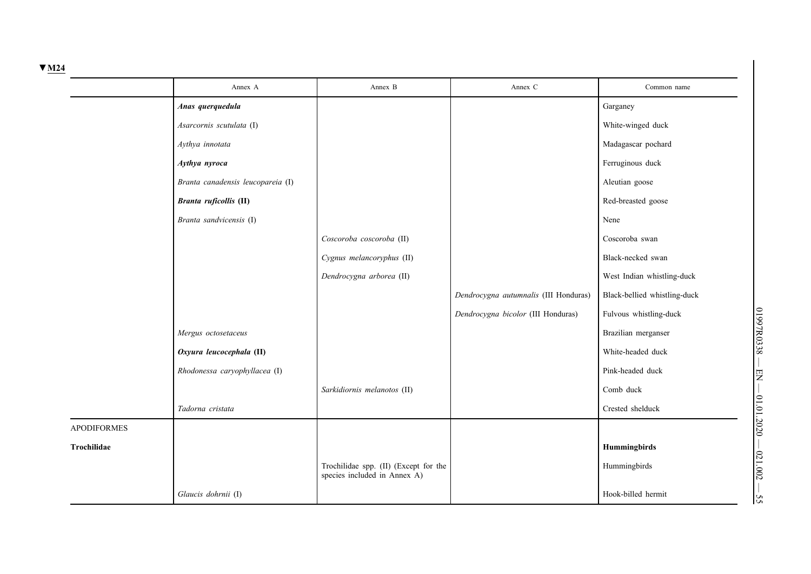|                    | Annex A                           | Annex B                                                               | Annex C                               | Common name                  |
|--------------------|-----------------------------------|-----------------------------------------------------------------------|---------------------------------------|------------------------------|
|                    | Anas querquedula                  |                                                                       |                                       | Garganey                     |
|                    | Asarcornis scutulata (I)          |                                                                       |                                       | White-winged duck            |
|                    | Aythya innotata                   |                                                                       |                                       | Madagascar pochard           |
|                    | Aythya nyroca                     |                                                                       |                                       | Ferruginous duck             |
|                    | Branta canadensis leucopareia (I) |                                                                       |                                       | Aleutian goose               |
|                    | Branta ruficollis (II)            |                                                                       |                                       | Red-breasted goose           |
|                    | Branta sandvicensis (I)           |                                                                       |                                       | Nene                         |
|                    |                                   | Coscoroba coscoroba (II)                                              |                                       | Coscoroba swan               |
|                    |                                   | Cygnus melancoryphus (II)                                             |                                       | Black-necked swan            |
|                    |                                   | Dendrocygna arborea (II)                                              |                                       | West Indian whistling-duck   |
|                    |                                   |                                                                       | Dendrocygna autumnalis (III Honduras) | Black-bellied whistling-duck |
|                    |                                   |                                                                       | Dendrocygna bicolor (III Honduras)    | Fulvous whistling-duck       |
|                    | Mergus octosetaceus               |                                                                       |                                       | Brazilian merganser          |
|                    | Oxyura leucocephala (II)          |                                                                       |                                       | White-headed duck            |
|                    | Rhodonessa caryophyllacea (I)     |                                                                       |                                       | Pink-headed duck             |
|                    |                                   | Sarkidiornis melanotos (II)                                           |                                       | Comb duck                    |
|                    | Tadorna cristata                  |                                                                       |                                       | Crested shelduck             |
| <b>APODIFORMES</b> |                                   |                                                                       |                                       |                              |
| Trochilidae        |                                   |                                                                       |                                       | Hummingbirds                 |
|                    |                                   | Trochilidae spp. (II) (Except for the<br>species included in Annex A) |                                       | Hummingbirds                 |
|                    | Glaucis dohrnii (I)               |                                                                       |                                       | Hook-billed hermit           |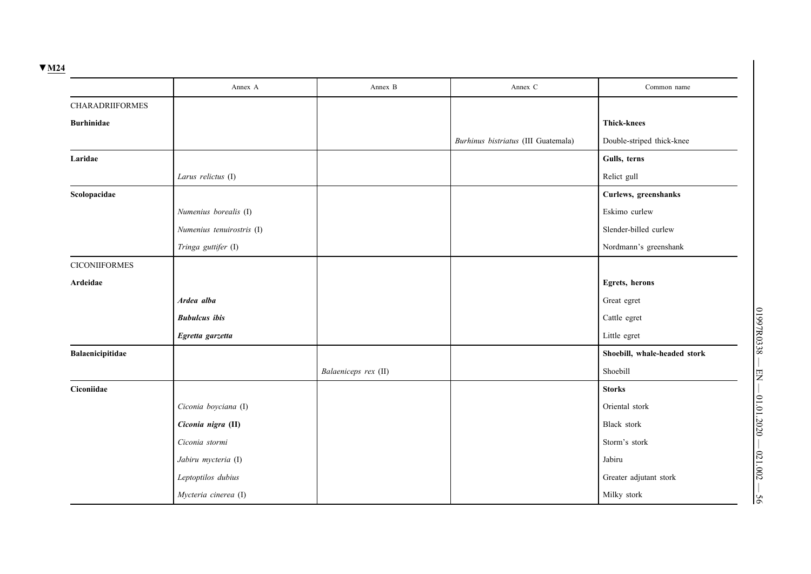|                        | Annex A                   | Annex B              | Annex C                             | Common name                  |
|------------------------|---------------------------|----------------------|-------------------------------------|------------------------------|
| <b>CHARADRIIFORMES</b> |                           |                      |                                     |                              |
| <b>Burhinidae</b>      |                           |                      |                                     | <b>Thick-knees</b>           |
|                        |                           |                      | Burhinus bistriatus (III Guatemala) | Double-striped thick-knee    |
| Laridae                |                           |                      |                                     | Gulls, terns                 |
|                        | Larus relictus (I)        |                      |                                     | Relict gull                  |
| Scolopacidae           |                           |                      |                                     | Curlews, greenshanks         |
|                        | Numenius borealis (I)     |                      |                                     | Eskimo curlew                |
|                        | Numenius tenuirostris (I) |                      |                                     | Slender-billed curlew        |
|                        | Tringa guttifer (I)       |                      |                                     | Nordmann's greenshank        |
| <b>CICONIIFORMES</b>   |                           |                      |                                     |                              |
| Ardeidae               |                           |                      |                                     | Egrets, herons               |
|                        | Ardea alba                |                      |                                     | Great egret                  |
|                        | <b>Bubulcus</b> ibis      |                      |                                     | Cattle egret                 |
|                        | Egretta garzetta          |                      |                                     | Little egret                 |
| Balaenicipitidae       |                           |                      |                                     | Shoebill, whale-headed stork |
|                        |                           | Balaeniceps rex (II) |                                     | Shoebill                     |
| Ciconiidae             |                           |                      |                                     | <b>Storks</b>                |
|                        | Ciconia boyciana (I)      |                      |                                     | Oriental stork               |
|                        | Ciconia nigra (II)        |                      |                                     | Black stork                  |
|                        | Ciconia stormi            |                      |                                     | Storm's stork                |
|                        | Jabiru mycteria (I)       |                      |                                     | Jabiru                       |
|                        | Leptoptilos dubius        |                      |                                     | Greater adjutant stork       |
|                        | Mycteria cinerea (I)      |                      |                                     | Milky stork                  |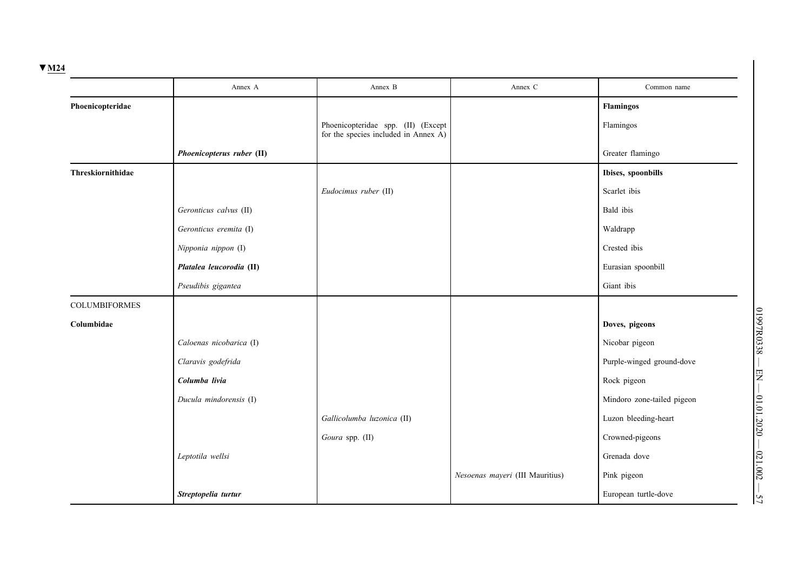|                      | Annex A                   | Annex B                                                                    | Annex C                         | Common name                |
|----------------------|---------------------------|----------------------------------------------------------------------------|---------------------------------|----------------------------|
| Phoenicopteridae     |                           |                                                                            |                                 | <b>Flamingos</b>           |
|                      |                           | Phoenicopteridae spp. (II) (Except<br>for the species included in Annex A) |                                 | Flamingos                  |
|                      | Phoenicopterus ruber (II) |                                                                            |                                 | Greater flamingo           |
| Threskiornithidae    |                           |                                                                            |                                 | Ibises, spoonbills         |
|                      |                           | Eudocimus ruber (II)                                                       |                                 | Scarlet ibis               |
|                      | Geronticus calvus (II)    |                                                                            |                                 | Bald ibis                  |
|                      | Geronticus eremita (I)    |                                                                            |                                 | Waldrapp                   |
|                      | Nipponia nippon (I)       |                                                                            |                                 | Crested ibis               |
|                      | Platalea leucorodia (II)  |                                                                            |                                 | Eurasian spoonbill         |
|                      | Pseudibis gigantea        |                                                                            |                                 | Giant ibis                 |
| <b>COLUMBIFORMES</b> |                           |                                                                            |                                 |                            |
| Columbidae           |                           |                                                                            |                                 | Doves, pigeons             |
|                      | Caloenas nicobarica (I)   |                                                                            |                                 | Nicobar pigeon             |
|                      | Claravis godefrida        |                                                                            |                                 | Purple-winged ground-dove  |
|                      | Columba livia             |                                                                            |                                 | Rock pigeon                |
|                      | Ducula mindorensis (I)    |                                                                            |                                 | Mindoro zone-tailed pigeon |
|                      |                           | Gallicolumba luzonica (II)                                                 |                                 | Luzon bleeding-heart       |
|                      |                           | Goura spp. (II)                                                            |                                 | Crowned-pigeons            |
|                      | Leptotila wellsi          |                                                                            |                                 | Grenada dove               |
|                      |                           |                                                                            | Nesoenas mayeri (III Mauritius) | Pink pigeon                |
|                      | Streptopelia turtur       |                                                                            |                                 | European turtle-dove       |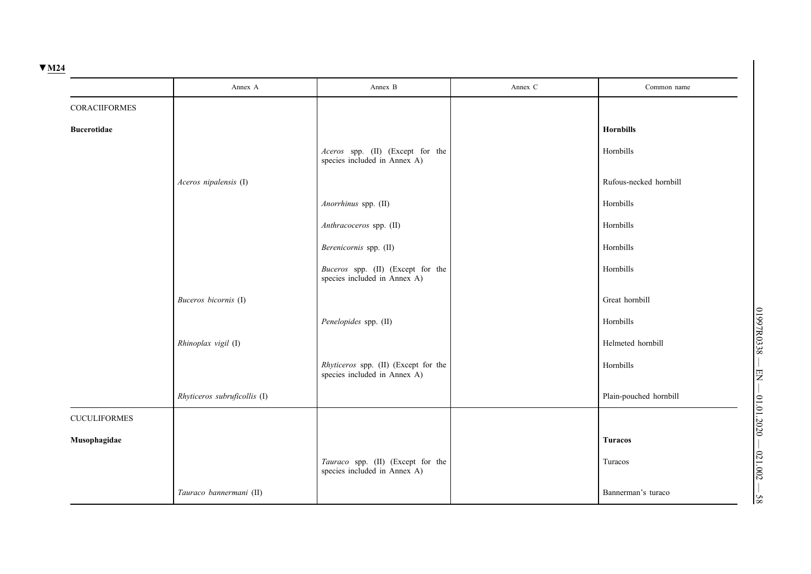|                      | Annex A                      | Annex B                                                              | Annex C | Common name            |
|----------------------|------------------------------|----------------------------------------------------------------------|---------|------------------------|
| <b>CORACIIFORMES</b> |                              |                                                                      |         |                        |
| <b>Bucerotidae</b>   |                              |                                                                      |         | <b>Hornbills</b>       |
|                      |                              | Aceros spp. (II) (Except for the<br>species included in Annex A)     |         | Hornbills              |
|                      | Aceros nipalensis (I)        |                                                                      |         | Rufous-necked hornbill |
|                      |                              | Anorrhinus spp. (II)                                                 |         | Hornbills              |
|                      |                              | Anthracoceros spp. (II)                                              |         | Hornbills              |
|                      |                              | Berenicornis spp. (II)                                               |         | Hornbills              |
|                      |                              | Buceros spp. (II) (Except for the<br>species included in Annex A)    |         | Hornbills              |
|                      | Buceros bicornis (I)         |                                                                      |         | Great hornbill         |
|                      |                              | Penelopides spp. (II)                                                |         | Hornbills              |
|                      | Rhinoplax vigil (I)          |                                                                      |         | Helmeted hornbill      |
|                      |                              | Rhyticeros spp. (II) (Except for the<br>species included in Annex A) |         | Hornbills              |
|                      | Rhyticeros subruficollis (I) |                                                                      |         | Plain-pouched hornbill |
| <b>CUCULIFORMES</b>  |                              |                                                                      |         |                        |
| Musophagidae         |                              |                                                                      |         | <b>Turacos</b>         |
|                      |                              | Tauraco spp. (II) (Except for the<br>species included in Annex A)    |         | Turacos                |
|                      | Tauraco bannermani (II)      |                                                                      |         | Bannerman's turaco     |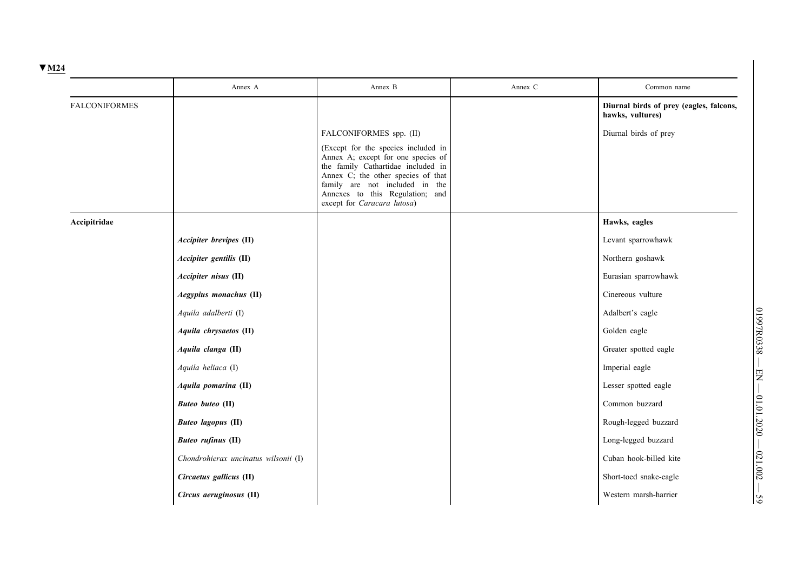|                      | Annex A                              | Annex B                                                                                                                                                                                                                                                   | Annex C | Common name                                                 |
|----------------------|--------------------------------------|-----------------------------------------------------------------------------------------------------------------------------------------------------------------------------------------------------------------------------------------------------------|---------|-------------------------------------------------------------|
| <b>FALCONIFORMES</b> |                                      |                                                                                                                                                                                                                                                           |         | Diurnal birds of prey (eagles, falcons,<br>hawks, vultures) |
|                      |                                      | FALCONIFORMES spp. (II)                                                                                                                                                                                                                                   |         | Diurnal birds of prey                                       |
|                      |                                      | (Except for the species included in<br>Annex A; except for one species of<br>the family Cathartidae included in<br>Annex C; the other species of that<br>family are not included in the<br>Annexes to this Regulation; and<br>except for Caracara lutosa) |         |                                                             |
| Accipitridae         |                                      |                                                                                                                                                                                                                                                           |         | Hawks, eagles                                               |
|                      | Accipiter brevipes (II)              |                                                                                                                                                                                                                                                           |         | Levant sparrowhawk                                          |
|                      | Accipiter gentilis (II)              |                                                                                                                                                                                                                                                           |         | Northern goshawk                                            |
|                      | Accipiter nisus (II)                 |                                                                                                                                                                                                                                                           |         | Eurasian sparrowhawk                                        |
|                      | Aegypius monachus (II)               |                                                                                                                                                                                                                                                           |         | Cinereous vulture                                           |
|                      | Aquila adalberti (I)                 |                                                                                                                                                                                                                                                           |         | Adalbert's eagle                                            |
|                      | Aquila chrysaetos (II)               |                                                                                                                                                                                                                                                           |         | Golden eagle                                                |
|                      | Aquila clanga (II)                   |                                                                                                                                                                                                                                                           |         | Greater spotted eagle                                       |
|                      | Aquila heliaca (I)                   |                                                                                                                                                                                                                                                           |         | Imperial eagle                                              |
|                      | Aquila pomarina (II)                 |                                                                                                                                                                                                                                                           |         | Lesser spotted eagle                                        |
|                      | <b>Buteo buteo (II)</b>              |                                                                                                                                                                                                                                                           |         | Common buzzard                                              |
|                      | <b>Buteo lagopus (II)</b>            |                                                                                                                                                                                                                                                           |         | Rough-legged buzzard                                        |
|                      | <b>Buteo rufinus (II)</b>            |                                                                                                                                                                                                                                                           |         | Long-legged buzzard                                         |
|                      | Chondrohierax uncinatus wilsonii (I) |                                                                                                                                                                                                                                                           |         | Cuban hook-billed kite                                      |
|                      | Circaetus gallicus (II)              |                                                                                                                                                                                                                                                           |         | Short-toed snake-eagle                                      |
|                      | Circus aeruginosus (II)              |                                                                                                                                                                                                                                                           |         | Western marsh-harrier                                       |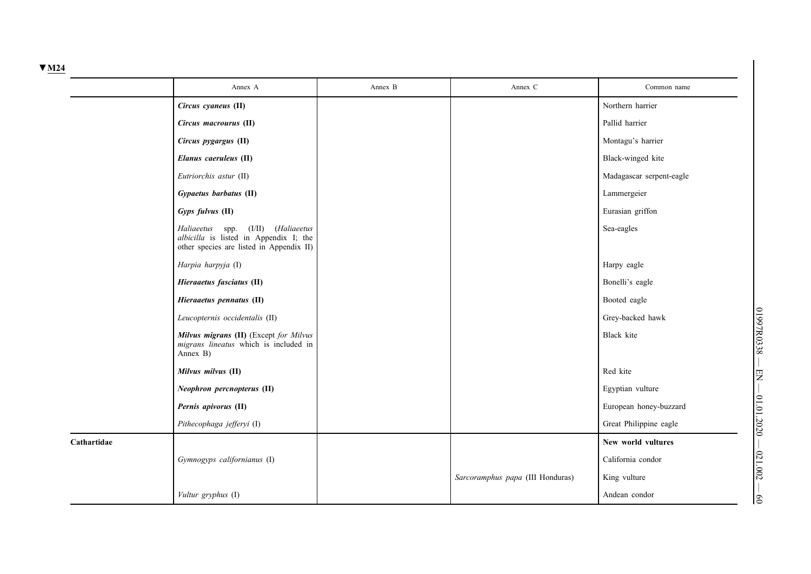|             | Annex A                                                                                                                     | Annex B | Annex C                          | Common name              |
|-------------|-----------------------------------------------------------------------------------------------------------------------------|---------|----------------------------------|--------------------------|
|             | Circus cyaneus (II)                                                                                                         |         |                                  | Northern harrier         |
|             | Circus macrourus (II)                                                                                                       |         |                                  | Pallid harrier           |
|             | Circus pygargus (II)                                                                                                        |         |                                  | Montagu's harrier        |
|             | Elanus caeruleus (II)                                                                                                       |         |                                  | Black-winged kite        |
|             | Eutriorchis astur (II)                                                                                                      |         |                                  | Madagascar serpent-eagle |
|             | Gypaetus barbatus (II)                                                                                                      |         |                                  | Lammergeier              |
|             | Gyps fulvus (II)                                                                                                            |         |                                  | Eurasian griffon         |
|             | (I/II) (Haliaeetus<br>Haliaeetus spp.<br>albicilla is listed in Appendix I; the<br>other species are listed in Appendix II) |         |                                  | Sea-eagles               |
|             | Harpia harpyja (I)                                                                                                          |         |                                  | Harpy eagle              |
|             | Hieraaetus fasciatus (II)                                                                                                   |         |                                  | Bonelli's eagle          |
|             | Hieraaetus pennatus (II)                                                                                                    |         |                                  | Booted eagle             |
|             | Leucopternis occidentalis (II)                                                                                              |         |                                  | Grey-backed hawk         |
|             | Milvus migrans (II) (Except for Milvus<br>migrans lineatus which is included in<br>Annex B)                                 |         |                                  | Black kite               |
|             | Milvus milvus (II)                                                                                                          |         |                                  | Red kite                 |
|             | Neophron percnopterus (II)                                                                                                  |         |                                  | Egyptian vulture         |
|             | Pernis apivorus (II)                                                                                                        |         |                                  | European honey-buzzard   |
|             | Pithecophaga jefferyi (I)                                                                                                   |         |                                  | Great Philippine eagle   |
| Cathartidae |                                                                                                                             |         |                                  | New world vultures       |
|             | Gymnogyps californianus (I)                                                                                                 |         |                                  | California condor        |
|             |                                                                                                                             |         | Sarcoramphus papa (III Honduras) | King vulture             |
|             | Vultur gryphus (I)                                                                                                          |         |                                  | Andean condor            |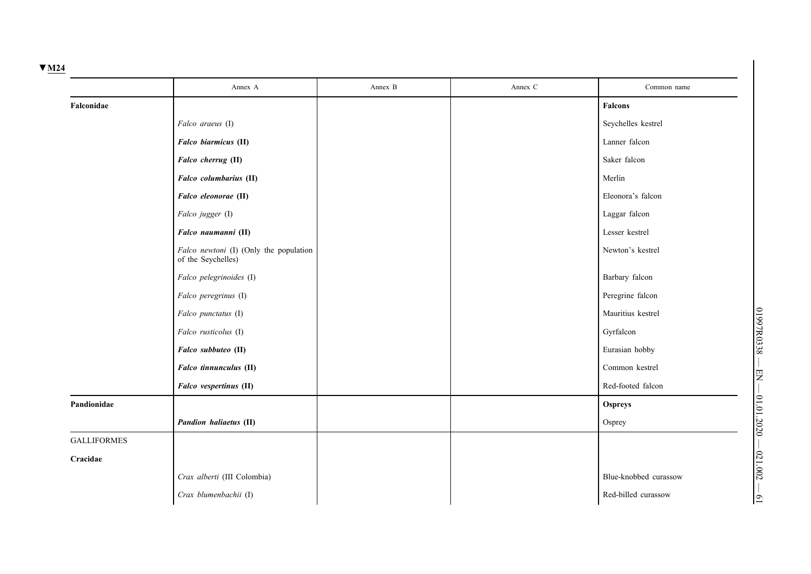|                    | Annex A                                                      | Annex B | Annex C | Common name           |
|--------------------|--------------------------------------------------------------|---------|---------|-----------------------|
| Falconidae         |                                                              |         |         | Falcons               |
|                    | Falco araeus (I)                                             |         |         | Seychelles kestrel    |
|                    | Falco biarmicus (II)                                         |         |         | Lanner falcon         |
|                    | Falco cherrug (II)                                           |         |         | Saker falcon          |
|                    | Falco columbarius (II)                                       |         |         | Merlin                |
|                    | Falco eleonorae (II)                                         |         |         | Eleonora's falcon     |
|                    | Falco jugger (I)                                             |         |         | Laggar falcon         |
|                    | Falco naumanni (II)                                          |         |         | Lesser kestrel        |
|                    | Falco newtoni (I) (Only the population<br>of the Seychelles) |         |         | Newton's kestrel      |
|                    | Falco pelegrinoides (I)                                      |         |         | Barbary falcon        |
|                    | Falco peregrinus (I)                                         |         |         | Peregrine falcon      |
|                    | Falco punctatus (I)                                          |         |         | Mauritius kestrel     |
|                    | Falco rusticolus (I)                                         |         |         | Gyrfalcon             |
|                    | Falco subbuteo (II)                                          |         |         | Eurasian hobby        |
|                    | Falco tinnunculus (II)                                       |         |         | Common kestrel        |
|                    | Falco vespertinus (II)                                       |         |         | Red-footed falcon     |
| Pandionidae        |                                                              |         |         | Ospreys               |
|                    | <b>Pandion haliaetus (II)</b>                                |         |         | Osprey                |
| <b>GALLIFORMES</b> |                                                              |         |         |                       |
| Cracidae           |                                                              |         |         |                       |
|                    | Crax alberti (III Colombia)                                  |         |         | Blue-knobbed curassow |
|                    | Crax blumenbachii (I)                                        |         |         | Red-billed curassow   |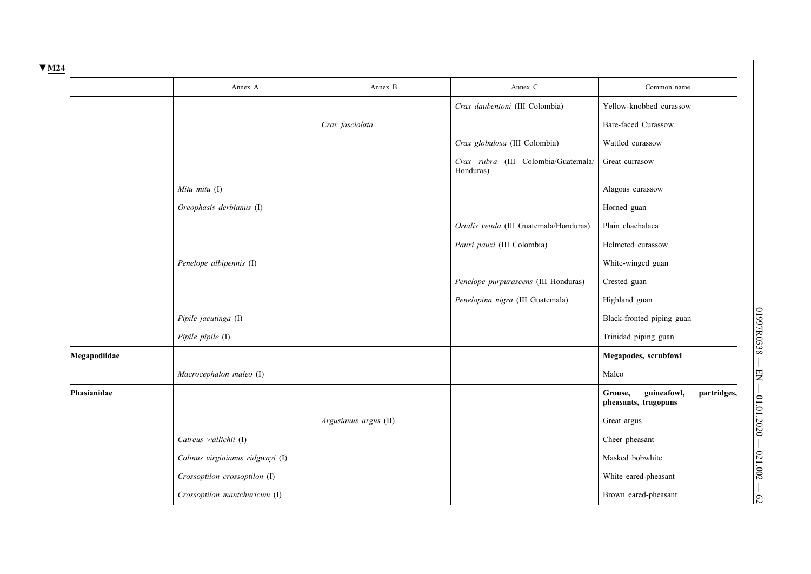|              | Annex A                          | Annex B               | Annex C                                          | Common name                                                   |
|--------------|----------------------------------|-----------------------|--------------------------------------------------|---------------------------------------------------------------|
|              |                                  |                       | Crax daubentoni (III Colombia)                   | Yellow-knobbed curassow                                       |
|              |                                  | Crax fasciolata       |                                                  | Bare-faced Curassow                                           |
|              |                                  |                       | Crax globulosa (III Colombia)                    | Wattled curassow                                              |
|              |                                  |                       | Crax rubra (III Colombia/Guatemala/<br>Honduras) | Great currasow                                                |
|              | Mitu mitu (I)                    |                       |                                                  | Alagoas curassow                                              |
|              | Oreophasis derbianus (I)         |                       |                                                  | Horned guan                                                   |
|              |                                  |                       | Ortalis vetula (III Guatemala/Honduras)          | Plain chachalaca                                              |
|              |                                  |                       | Pauxi pauxi (III Colombia)                       | Helmeted curassow                                             |
|              | Penelope albipennis (I)          |                       |                                                  | White-winged guan                                             |
|              |                                  |                       | Penelope purpurascens (III Honduras)             | Crested guan                                                  |
|              |                                  |                       | Penelopina nigra (III Guatemala)                 | Highland guan                                                 |
|              | Pipile jacutinga (I)             |                       |                                                  | Black-fronted piping guan                                     |
|              | Pipile pipile (I)                |                       |                                                  | Trinidad piping guan                                          |
| Megapodiidae |                                  |                       |                                                  | Megapodes, scrubfowl                                          |
|              | Macrocephalon maleo (I)          |                       |                                                  | Maleo                                                         |
| Phasianidae  |                                  |                       |                                                  | guineafowl,<br>partridges,<br>Grouse,<br>pheasants, tragopans |
|              |                                  | Argusianus argus (II) |                                                  | Great argus                                                   |
|              | Catreus wallichii (I)            |                       |                                                  | Cheer pheasant                                                |
|              | Colinus virginianus ridgwayi (I) |                       |                                                  | Masked bobwhite                                               |
|              | Crossoptilon crossoptilon (I)    |                       |                                                  | White eared-pheasant                                          |
|              | Crossoptilon mantchuricum (I)    |                       |                                                  | Brown eared-pheasant                                          |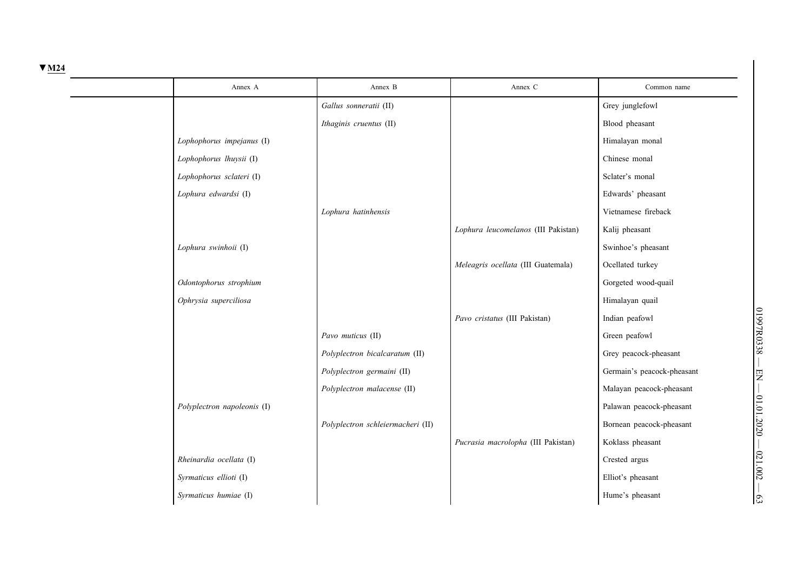| Annex A                     | Annex B                           | Annex C                             | Common name                |
|-----------------------------|-----------------------------------|-------------------------------------|----------------------------|
|                             | Gallus sonneratii (II)            |                                     | Grey junglefowl            |
|                             | Ithaginis cruentus (II)           |                                     | Blood pheasant             |
| Lophophorus impejanus (I)   |                                   |                                     | Himalayan monal            |
| Lophophorus lhuysii (I)     |                                   |                                     | Chinese monal              |
| Lophophorus sclateri (I)    |                                   |                                     | Sclater's monal            |
| Lophura edwardsi (I)        |                                   |                                     | Edwards' pheasant          |
|                             | Lophura hatinhensis               |                                     | Vietnamese fireback        |
|                             |                                   | Lophura leucomelanos (III Pakistan) | Kalij pheasant             |
| Lophura swinhoii (I)        |                                   |                                     | Swinhoe's pheasant         |
|                             |                                   | Meleagris ocellata (III Guatemala)  | Ocellated turkey           |
| Odontophorus strophium      |                                   |                                     | Gorgeted wood-quail        |
| Ophrysia superciliosa       |                                   |                                     | Himalayan quail            |
|                             |                                   | Pavo cristatus (III Pakistan)       | Indian peafowl             |
|                             | Pavo muticus (II)                 |                                     | Green peafowl              |
|                             | Polyplectron bicalcaratum (II)    |                                     | Grey peacock-pheasant      |
|                             | Polyplectron germaini (II)        |                                     | Germain's peacock-pheasant |
|                             | Polyplectron malacense (II)       |                                     | Malayan peacock-pheasant   |
| Polyplectron napoleonis (I) |                                   |                                     | Palawan peacock-pheasant   |
|                             | Polyplectron schleiermacheri (II) |                                     | Bornean peacock-pheasant   |
|                             |                                   | Pucrasia macrolopha (III Pakistan)  | Koklass pheasant           |
| Rheinardia ocellata (I)     |                                   |                                     | Crested argus              |
| Syrmaticus ellioti (I)      |                                   |                                     | Elliot's pheasant          |
| Syrmaticus humiae (I)       |                                   |                                     | Hume's pheasant            |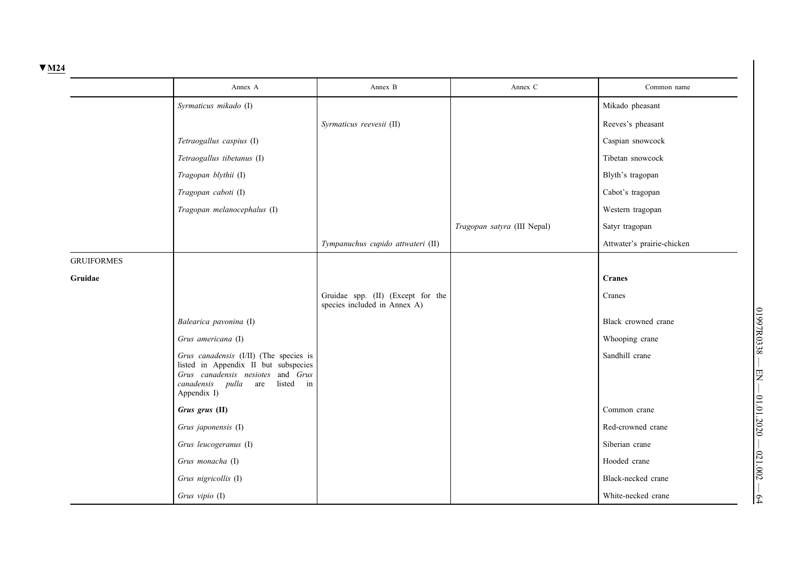|--|

|                   | Annex A                                                                                                                                                                 | Annex B                                                           | Annex C                     | Common name                |
|-------------------|-------------------------------------------------------------------------------------------------------------------------------------------------------------------------|-------------------------------------------------------------------|-----------------------------|----------------------------|
|                   | Syrmaticus mikado (I)                                                                                                                                                   |                                                                   |                             | Mikado pheasant            |
|                   |                                                                                                                                                                         | Syrmaticus reevesii (II)                                          |                             | Reeves's pheasant          |
|                   | Tetraogallus caspius (I)                                                                                                                                                |                                                                   |                             | Caspian snowcock           |
|                   | Tetraogallus tibetanus (I)                                                                                                                                              |                                                                   |                             | Tibetan snowcock           |
|                   | Tragopan blythii (I)                                                                                                                                                    |                                                                   |                             | Blyth's tragopan           |
|                   | Tragopan caboti (I)                                                                                                                                                     |                                                                   |                             | Cabot's tragopan           |
|                   | Tragopan melanocephalus (I)                                                                                                                                             |                                                                   |                             | Western tragopan           |
|                   |                                                                                                                                                                         |                                                                   | Tragopan satyra (III Nepal) | Satyr tragopan             |
|                   |                                                                                                                                                                         | Tympanuchus cupido attwateri (II)                                 |                             | Attwater's prairie-chicken |
| <b>GRUIFORMES</b> |                                                                                                                                                                         |                                                                   |                             |                            |
| Gruidae           |                                                                                                                                                                         |                                                                   |                             | Cranes                     |
|                   |                                                                                                                                                                         | Gruidae spp. (II) (Except for the<br>species included in Annex A) |                             | Cranes                     |
|                   | Balearica pavonina (I)                                                                                                                                                  |                                                                   |                             | Black crowned crane        |
|                   | Grus americana (I)                                                                                                                                                      |                                                                   |                             | Whooping crane             |
|                   | Grus canadensis (I/II) (The species is<br>listed in Appendix II but subspecies<br>Grus canadensis nesiotes and Grus<br>canadensis pulla are<br>listed in<br>Appendix I) |                                                                   |                             | Sandhill crane             |
|                   | Grus grus (II)                                                                                                                                                          |                                                                   |                             | Common crane               |
|                   | Grus japonensis (I)                                                                                                                                                     |                                                                   |                             | Red-crowned crane          |
|                   | Grus leucogeranus (I)                                                                                                                                                   |                                                                   |                             | Siberian crane             |
|                   | Grus monacha (I)                                                                                                                                                        |                                                                   |                             | Hooded crane               |
|                   | Grus nigricollis (I)                                                                                                                                                    |                                                                   |                             | Black-necked crane         |
|                   | Grus vipio (I)                                                                                                                                                          |                                                                   |                             | White-necked crane         |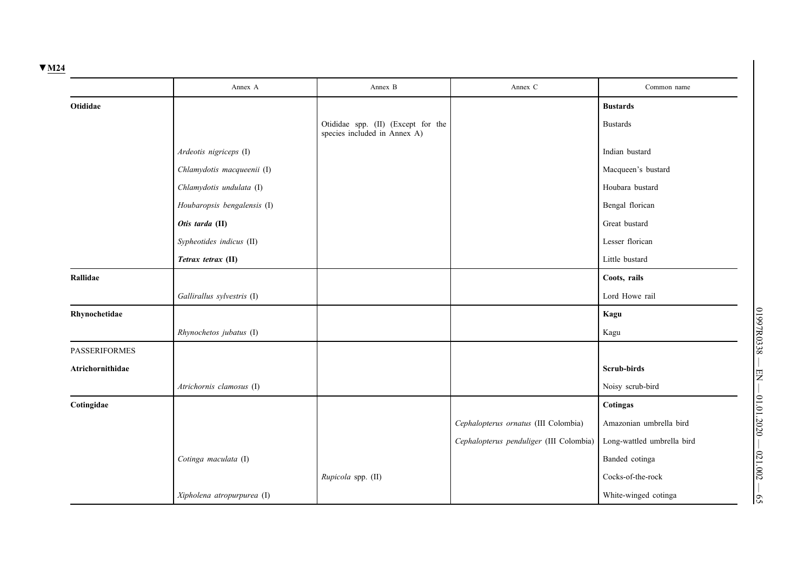| × |  |  |
|---|--|--|
|---|--|--|

|                      | Annex A                     | Annex B                                                            | Annex C                                 | Common name                |
|----------------------|-----------------------------|--------------------------------------------------------------------|-----------------------------------------|----------------------------|
| Otididae             |                             |                                                                    |                                         | <b>Bustards</b>            |
|                      |                             | Otididae spp. (II) (Except for the<br>species included in Annex A) |                                         | <b>Bustards</b>            |
|                      | Ardeotis nigriceps (I)      |                                                                    |                                         | Indian bustard             |
|                      | Chlamydotis macqueenii (I)  |                                                                    |                                         | Macqueen's bustard         |
|                      | Chlamydotis undulata (I)    |                                                                    |                                         | Houbara bustard            |
|                      | Houbaropsis bengalensis (I) |                                                                    |                                         | Bengal florican            |
|                      | Otis tarda (II)             |                                                                    |                                         | Great bustard              |
|                      | Sypheotides indicus (II)    |                                                                    |                                         | Lesser florican            |
|                      | Tetrax tetrax (II)          |                                                                    |                                         | Little bustard             |
| Rallidae             |                             |                                                                    |                                         | Coots, rails               |
|                      | Gallirallus sylvestris (I)  |                                                                    |                                         | Lord Howe rail             |
| Rhynochetidae        |                             |                                                                    |                                         | Kagu                       |
|                      | Rhynochetos jubatus (I)     |                                                                    |                                         | Kagu                       |
| <b>PASSERIFORMES</b> |                             |                                                                    |                                         |                            |
| Atrichornithidae     |                             |                                                                    |                                         | Scrub-birds                |
|                      | Atrichornis clamosus (I)    |                                                                    |                                         | Noisy scrub-bird           |
| Cotingidae           |                             |                                                                    |                                         | Cotingas                   |
|                      |                             |                                                                    | Cephalopterus ornatus (III Colombia)    | Amazonian umbrella bird    |
|                      |                             |                                                                    | Cephalopterus penduliger (III Colombia) | Long-wattled umbrella bird |
|                      | Cotinga maculata (I)        |                                                                    |                                         | Banded cotinga             |
|                      |                             | Rupicola spp. (II)                                                 |                                         | Cocks-of-the-rock          |
|                      | Xipholena atropurpurea (I)  |                                                                    |                                         | White-winged cotinga       |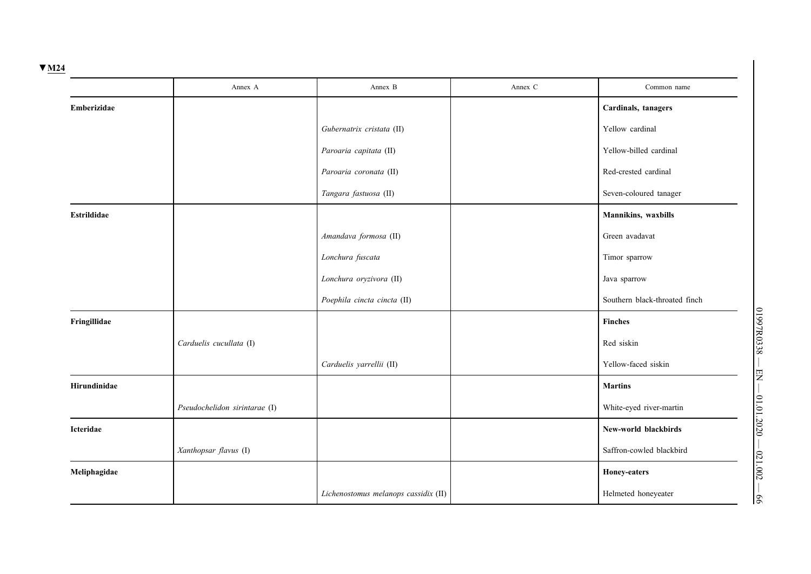| × |  |
|---|--|
|---|--|

|                    | Annex A                       | Annex B                              | Annex C | Common name                   |
|--------------------|-------------------------------|--------------------------------------|---------|-------------------------------|
| <b>Emberizidae</b> |                               |                                      |         | Cardinals, tanagers           |
|                    |                               | Gubernatrix cristata (II)            |         | Yellow cardinal               |
|                    |                               | Paroaria capitata (II)               |         | Yellow-billed cardinal        |
|                    |                               | Paroaria coronata (II)               |         | Red-crested cardinal          |
|                    |                               | Tangara fastuosa (II)                |         | Seven-coloured tanager        |
| <b>Estrildidae</b> |                               |                                      |         | Mannikins, waxbills           |
|                    |                               | Amandava formosa (II)                |         | Green avadavat                |
|                    |                               | Lonchura fuscata                     |         | Timor sparrow                 |
|                    |                               | Lonchura oryzivora (II)              |         | Java sparrow                  |
|                    |                               | Poephila cincta cincta (II)          |         | Southern black-throated finch |
| Fringillidae       |                               |                                      |         | <b>Finches</b>                |
|                    | Carduelis cucullata (I)       |                                      |         | Red siskin                    |
|                    |                               | Carduelis yarrellii (II)             |         | Yellow-faced siskin           |
| Hirundinidae       |                               |                                      |         | <b>Martins</b>                |
|                    | Pseudochelidon sirintarae (I) |                                      |         | White-eyed river-martin       |
| Icteridae          |                               |                                      |         | New-world blackbirds          |
|                    | Xanthopsar flavus (I)         |                                      |         | Saffron-cowled blackbird      |
| Meliphagidae       |                               |                                      |         | Honey-eaters                  |
|                    |                               | Lichenostomus melanops cassidix (II) |         | Helmeted honeyeater           |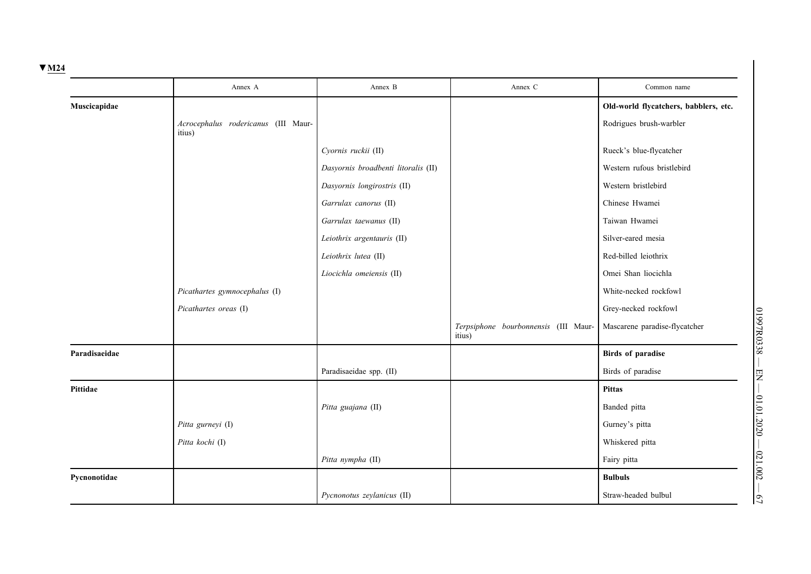|               | Annex A                                       | Annex B                             | Annex C                                        | Common name                           |
|---------------|-----------------------------------------------|-------------------------------------|------------------------------------------------|---------------------------------------|
| Muscicapidae  |                                               |                                     |                                                | Old-world flycatchers, babblers, etc. |
|               | Acrocephalus rodericanus (III Maur-<br>itius) |                                     |                                                | Rodrigues brush-warbler               |
|               |                                               | Cyornis ruckii (II)                 |                                                | Rueck's blue-flycatcher               |
|               |                                               | Dasyornis broadbenti litoralis (II) |                                                | Western rufous bristlebird            |
|               |                                               | Dasyornis longirostris (II)         |                                                | Western bristlebird                   |
|               |                                               | Garrulax canorus (II)               |                                                | Chinese Hwamei                        |
|               |                                               | Garrulax taewanus (II)              |                                                | Taiwan Hwamei                         |
|               |                                               | Leiothrix argentauris (II)          |                                                | Silver-eared mesia                    |
|               |                                               | Leiothrix lutea (II)                |                                                | Red-billed leiothrix                  |
|               |                                               | Liocichla omeiensis (II)            |                                                | Omei Shan liocichla                   |
|               | Picathartes gymnocephalus (I)                 |                                     |                                                | White-necked rockfowl                 |
|               | Picathartes oreas (I)                         |                                     |                                                | Grey-necked rockfowl                  |
|               |                                               |                                     | Terpsiphone bourbonnensis (III Maur-<br>itius) | Mascarene paradise-flycatcher         |
| Paradisaeidae |                                               |                                     |                                                | <b>Birds</b> of paradise              |
|               |                                               | Paradisaeidae spp. (II)             |                                                | Birds of paradise                     |
| Pittidae      |                                               |                                     |                                                | <b>Pittas</b>                         |
|               |                                               | Pitta guajana (II)                  |                                                | Banded pitta                          |
|               | Pitta gurneyi (I)                             |                                     |                                                | Gurney's pitta                        |
|               | Pitta kochi (I)                               |                                     |                                                | Whiskered pitta                       |
|               |                                               | Pitta nympha (II)                   |                                                | Fairy pitta                           |
| Pycnonotidae  |                                               |                                     |                                                | <b>Bulbuls</b>                        |
|               |                                               | Pycnonotus zeylanicus (II)          |                                                | Straw-headed bulbul                   |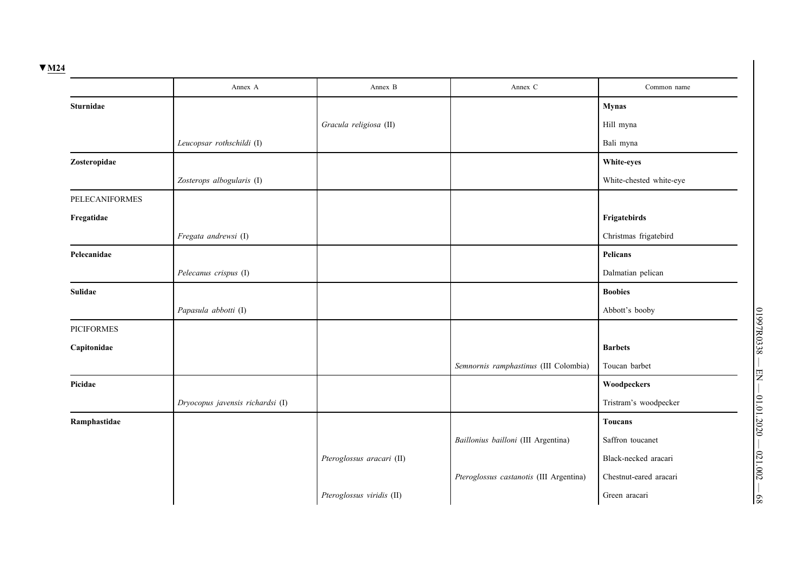|                       | Annex A                          | Annex B                   | Annex C                                 | Common name             |
|-----------------------|----------------------------------|---------------------------|-----------------------------------------|-------------------------|
| Sturnidae             |                                  |                           |                                         | <b>Mynas</b>            |
|                       |                                  | Gracula religiosa (II)    |                                         | Hill myna               |
|                       | Leucopsar rothschildi (I)        |                           |                                         | Bali myna               |
| Zosteropidae          |                                  |                           |                                         | White-eyes              |
|                       | Zosterops albogularis (I)        |                           |                                         | White-chested white-eye |
| <b>PELECANIFORMES</b> |                                  |                           |                                         |                         |
| Fregatidae            |                                  |                           |                                         | Frigatebirds            |
|                       | Fregata andrewsi (I)             |                           |                                         | Christmas frigatebird   |
| Pelecanidae           |                                  |                           |                                         | Pelicans                |
|                       | Pelecanus crispus (I)            |                           |                                         | Dalmatian pelican       |
| <b>Sulidae</b>        |                                  |                           |                                         | <b>Boobies</b>          |
|                       | Papasula abbotti (I)             |                           |                                         | Abbott's booby          |
| <b>PICIFORMES</b>     |                                  |                           |                                         |                         |
| Capitonidae           |                                  |                           |                                         | <b>Barbets</b>          |
|                       |                                  |                           | Semnornis ramphastinus (III Colombia)   | Toucan barbet           |
| Picidae               |                                  |                           |                                         | Woodpeckers             |
|                       | Dryocopus javensis richardsi (I) |                           |                                         | Tristram's woodpecker   |
| Ramphastidae          |                                  |                           |                                         | <b>Toucans</b>          |
|                       |                                  |                           | Baillonius bailloni (III Argentina)     | Saffron toucanet        |
|                       |                                  | Pteroglossus aracari (II) |                                         | Black-necked aracari    |
|                       |                                  |                           | Pteroglossus castanotis (III Argentina) | Chestnut-eared aracari  |
|                       |                                  | Pteroglossus viridis (II) |                                         | Green aracari           |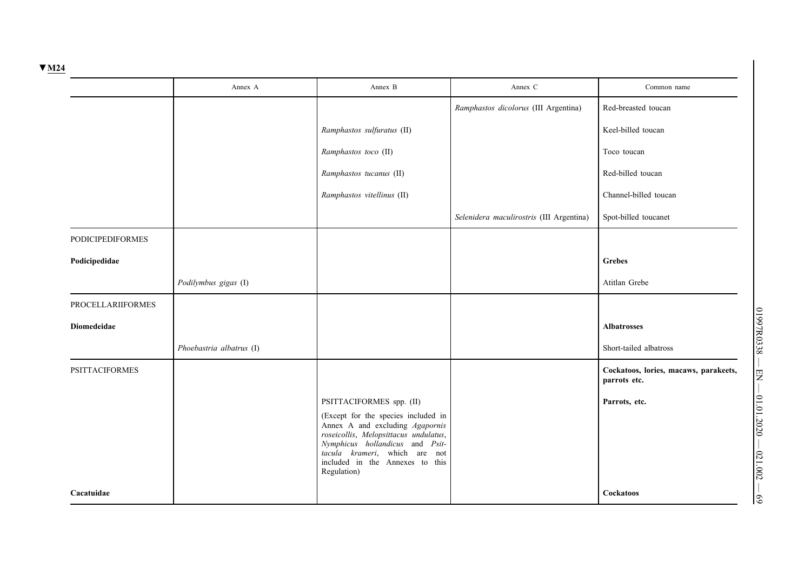|                          | Annex A                  | Annex B                                                                                                                                                                                                                                                           | Annex C                                  | Common name                                           |
|--------------------------|--------------------------|-------------------------------------------------------------------------------------------------------------------------------------------------------------------------------------------------------------------------------------------------------------------|------------------------------------------|-------------------------------------------------------|
|                          |                          |                                                                                                                                                                                                                                                                   | Ramphastos dicolorus (III Argentina)     | Red-breasted toucan                                   |
|                          |                          | Ramphastos sulfuratus (II)                                                                                                                                                                                                                                        |                                          | Keel-billed toucan                                    |
|                          |                          | Ramphastos toco (II)                                                                                                                                                                                                                                              |                                          | Toco toucan                                           |
|                          |                          | Ramphastos tucanus (II)                                                                                                                                                                                                                                           |                                          | Red-billed toucan                                     |
|                          |                          | Ramphastos vitellinus (II)                                                                                                                                                                                                                                        |                                          | Channel-billed toucan                                 |
|                          |                          |                                                                                                                                                                                                                                                                   | Selenidera maculirostris (III Argentina) | Spot-billed toucanet                                  |
| <b>PODICIPEDIFORMES</b>  |                          |                                                                                                                                                                                                                                                                   |                                          |                                                       |
| Podicipedidae            |                          |                                                                                                                                                                                                                                                                   |                                          | <b>Grebes</b>                                         |
|                          | Podilymbus gigas (I)     |                                                                                                                                                                                                                                                                   |                                          | Atitlan Grebe                                         |
| <b>PROCELLARIIFORMES</b> |                          |                                                                                                                                                                                                                                                                   |                                          |                                                       |
| <b>Diomedeidae</b>       |                          |                                                                                                                                                                                                                                                                   |                                          | <b>Albatrosses</b>                                    |
|                          | Phoebastria albatrus (I) |                                                                                                                                                                                                                                                                   |                                          | Short-tailed albatross                                |
| <b>PSITTACIFORMES</b>    |                          |                                                                                                                                                                                                                                                                   |                                          | Cockatoos, lories, macaws, parakeets,<br>parrots etc. |
|                          |                          | PSITTACIFORMES spp. (II)<br>(Except for the species included in<br>Annex A and excluding Agapornis<br>roseicollis, Melopsittacus undulatus,<br>Nymphicus hollandicus and Psit-<br>tacula krameri, which are not<br>included in the Annexes to this<br>Regulation) |                                          | Parrots, etc.                                         |
| Cacatuidae               |                          |                                                                                                                                                                                                                                                                   |                                          | Cockatoos                                             |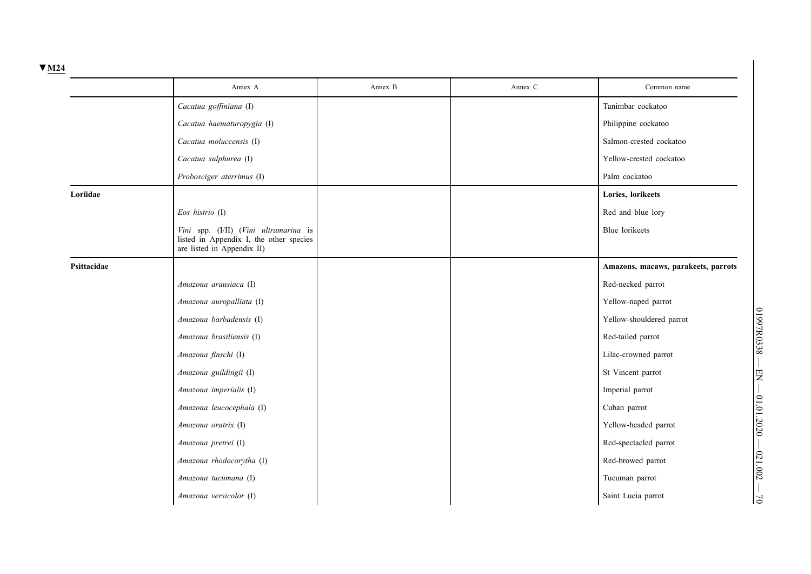|             | Annex A                                                               | Annex B | Annex C | Common name                         |
|-------------|-----------------------------------------------------------------------|---------|---------|-------------------------------------|
|             | Cacatua goffiniana (I)                                                |         |         | Tanimbar cockatoo                   |
|             | Cacatua haematuropygia (I)                                            |         |         | Philippine cockatoo                 |
|             | Cacatua moluccensis (I)                                               |         |         | Salmon-crested cockatoo             |
|             | Cacatua sulphurea (I)                                                 |         |         | Yellow-crested cockatoo             |
|             | Probosciger aterrimus (I)                                             |         |         | Palm cockatoo                       |
| Loriidae    |                                                                       |         |         | Lories, lorikeets                   |
|             | $Eos$ histrio $(I)$                                                   |         |         | Red and blue lory                   |
|             | Vini spp. (I/II) (Vini ultramarina is                                 |         |         | Blue lorikeets                      |
|             | listed in Appendix I, the other species<br>are listed in Appendix II) |         |         |                                     |
| Psittacidae |                                                                       |         |         | Amazons, macaws, parakeets, parrots |
|             | Amazona arausiaca (I)                                                 |         |         | Red-necked parrot                   |
|             | Amazona auropalliata (I)                                              |         |         | Yellow-naped parrot                 |
|             | Amazona barbadensis (I)                                               |         |         | Yellow-shouldered parrot            |
|             | Amazona brasiliensis (I)                                              |         |         | Red-tailed parrot                   |
|             | Amazona finschi (I)                                                   |         |         | Lilac-crowned parrot                |
|             | Amazona guildingii (I)                                                |         |         | St Vincent parrot                   |
|             | Amazona imperialis (I)                                                |         |         | Imperial parrot                     |
|             | Amazona leucocephala (I)                                              |         |         | Cuban parrot                        |
|             | Amazona oratrix (I)                                                   |         |         | Yellow-headed parrot                |
|             | Amazona pretrei (I)                                                   |         |         | Red-spectacled parrot               |
|             | Amazona rhodocorytha (I)                                              |         |         | Red-browed parrot                   |
|             | Amazona tucumana (I)                                                  |         |         | Tucuman parrot                      |
|             | Amazona versicolor (I)                                                |         |         | Saint Lucia parrot                  |
|             |                                                                       |         |         |                                     |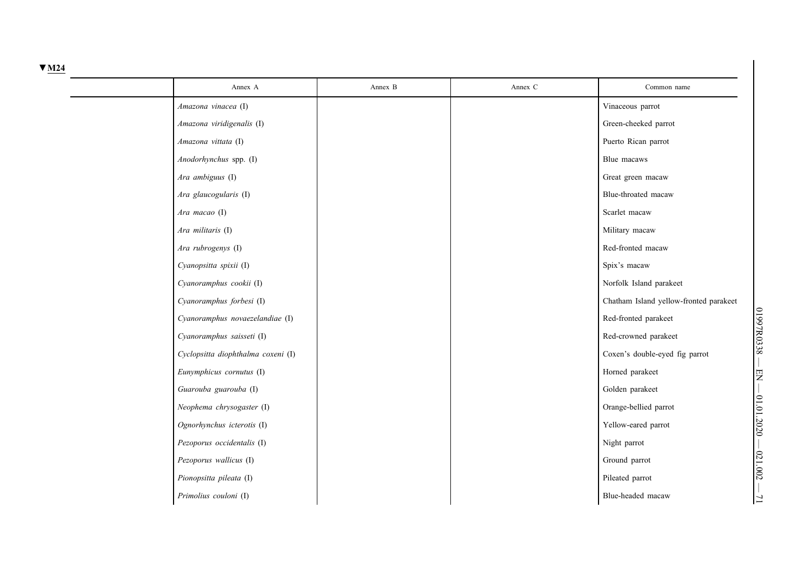| Annex A                            | Annex B | Annex C | Common name                            |
|------------------------------------|---------|---------|----------------------------------------|
| Amazona vinacea (I)                |         |         | Vinaceous parrot                       |
| Amazona viridigenalis (I)          |         |         | Green-cheeked parrot                   |
| Amazona vittata (I)                |         |         | Puerto Rican parrot                    |
| Anodorhynchus spp. (I)             |         |         | Blue macaws                            |
| Ara ambiguus (I)                   |         |         | Great green macaw                      |
| Ara glaucogularis (I)              |         |         | Blue-throated macaw                    |
| Ara macao (I)                      |         |         | Scarlet macaw                          |
| Ara militaris (I)                  |         |         | Military macaw                         |
| Ara rubrogenys (I)                 |         |         | Red-fronted macaw                      |
| Cyanopsitta spixii (I)             |         |         | Spix's macaw                           |
| Cyanoramphus cookii (I)            |         |         | Norfolk Island parakeet                |
| Cyanoramphus forbesi (I)           |         |         | Chatham Island yellow-fronted parakeet |
| Cyanoramphus novaezelandiae (I)    |         |         | Red-fronted parakeet                   |
| Cyanoramphus saisseti (I)          |         |         | Red-crowned parakeet                   |
| Cyclopsitta diophthalma coxeni (I) |         |         | Coxen's double-eyed fig parrot         |
| Eunymphicus cornutus (I)           |         |         | Horned parakeet                        |
| Guarouba guarouba (I)              |         |         | Golden parakeet                        |
| Neophema chrysogaster (I)          |         |         | Orange-bellied parrot                  |
| Ognorhynchus icterotis (I)         |         |         | Yellow-eared parrot                    |
| Pezoporus occidentalis (I)         |         |         | Night parrot                           |
| Pezoporus wallicus (I)             |         |         | Ground parrot                          |
| Pionopsitta pileata (I)            |         |         | Pileated parrot                        |
| Primolius couloni (I)              |         |         | Blue-headed macaw                      |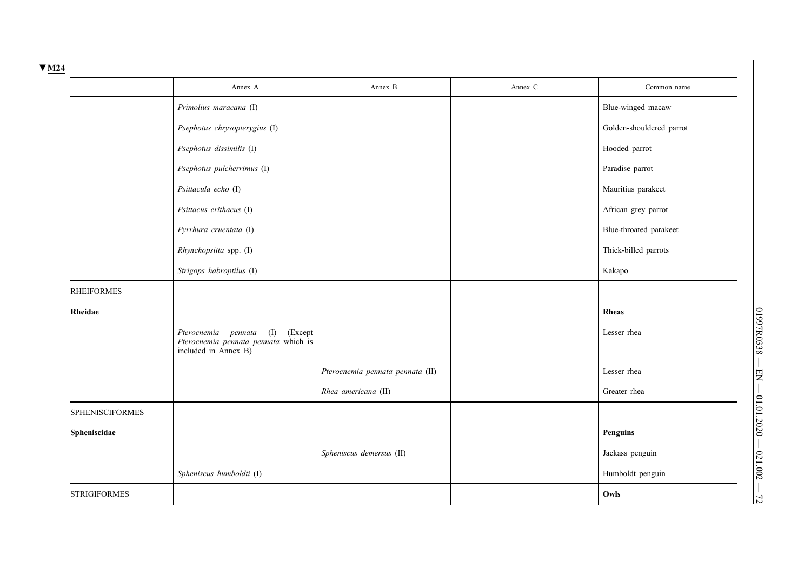|                        | Annex A                                                                                                  | Annex B                          | Annex C | Common name              |
|------------------------|----------------------------------------------------------------------------------------------------------|----------------------------------|---------|--------------------------|
|                        | Primolius maracana (I)                                                                                   |                                  |         | Blue-winged macaw        |
|                        | Psephotus chrysopterygius (I)                                                                            |                                  |         | Golden-shouldered parrot |
|                        | Psephotus dissimilis (I)                                                                                 |                                  |         | Hooded parrot            |
|                        | Psephotus pulcherrimus (I)                                                                               |                                  |         | Paradise parrot          |
|                        | Psittacula echo (I)                                                                                      |                                  |         | Mauritius parakeet       |
|                        | Psittacus erithacus (I)                                                                                  |                                  |         | African grey parrot      |
|                        | Pyrrhura cruentata (I)                                                                                   |                                  |         | Blue-throated parakeet   |
|                        | Rhynchopsitta spp. (I)                                                                                   |                                  |         | Thick-billed parrots     |
|                        | Strigops habroptilus (I)                                                                                 |                                  |         | Kakapo                   |
| <b>RHEIFORMES</b>      |                                                                                                          |                                  |         |                          |
| Rheidae                |                                                                                                          |                                  |         | Rheas                    |
|                        | (Except<br>Pterocnemia<br>(I)<br>pennata<br>Pterocnemia pennata pennata which is<br>included in Annex B) |                                  |         | Lesser rhea              |
|                        |                                                                                                          | Pterocnemia pennata pennata (II) |         | Lesser rhea              |
|                        |                                                                                                          | Rhea americana (II)              |         | Greater rhea             |
| <b>SPHENISCIFORMES</b> |                                                                                                          |                                  |         |                          |
| Spheniscidae           |                                                                                                          |                                  |         | Penguins                 |
|                        |                                                                                                          | Spheniscus demersus (II)         |         | Jackass penguin          |
|                        | Spheniscus humboldti (I)                                                                                 |                                  |         | Humboldt penguin         |
| <b>STRIGIFORMES</b>    |                                                                                                          |                                  |         | Owls                     |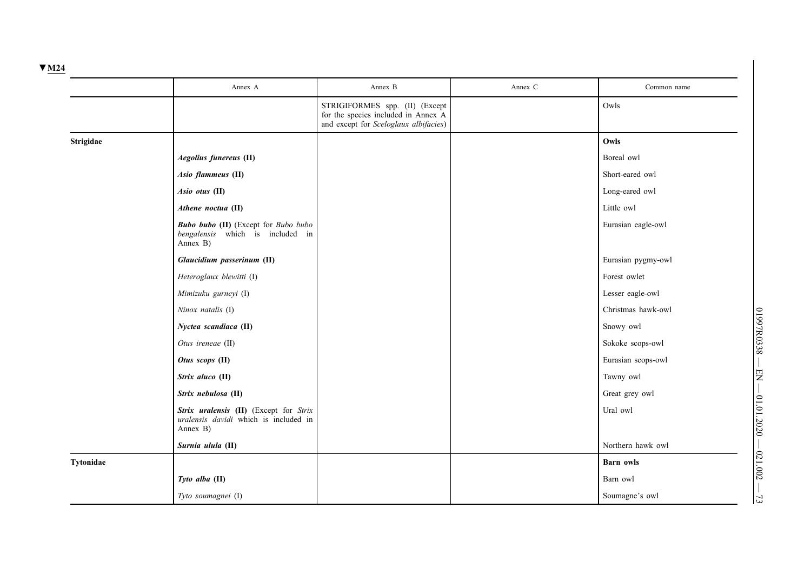|           | Annex A                                                                                     | Annex B                                                                                                        | Annex C | Common name        |
|-----------|---------------------------------------------------------------------------------------------|----------------------------------------------------------------------------------------------------------------|---------|--------------------|
|           |                                                                                             | STRIGIFORMES spp. (II) (Except<br>for the species included in Annex A<br>and except for Sceloglaux albifacies) |         | Owls               |
| Strigidae |                                                                                             |                                                                                                                |         | Owls               |
|           | Aegolius funereus (II)                                                                      |                                                                                                                |         | Boreal owl         |
|           | Asio flammeus (II)                                                                          |                                                                                                                |         | Short-eared owl    |
|           | Asio otus (II)                                                                              |                                                                                                                |         | Long-eared owl     |
|           | Athene noctua (II)                                                                          |                                                                                                                |         | Little owl         |
|           | <b>Bubo bubo (II)</b> (Except for Bubo bubo<br>bengalensis which is included in<br>Annex B) |                                                                                                                |         | Eurasian eagle-owl |
|           | Glaucidium passerinum (II)                                                                  |                                                                                                                |         | Eurasian pygmy-owl |
|           | Heteroglaux blewitti (I)                                                                    |                                                                                                                |         | Forest owlet       |
|           | Mimizuku gurneyi (I)                                                                        |                                                                                                                |         | Lesser eagle-owl   |
|           | Ninox natalis (I)                                                                           |                                                                                                                |         | Christmas hawk-owl |
|           | Nyctea scandiaca (II)                                                                       |                                                                                                                |         | Snowy owl          |
|           | Otus ireneae (II)                                                                           |                                                                                                                |         | Sokoke scops-owl   |
|           | Otus scops (II)                                                                             |                                                                                                                |         | Eurasian scops-owl |
|           | Strix aluco (II)                                                                            |                                                                                                                |         | Tawny owl          |
|           | Strix nebulosa (II)                                                                         |                                                                                                                |         | Great grey owl     |
|           | Strix uralensis (II) (Except for Strix<br>uralensis davidi which is included in<br>Annex B) |                                                                                                                |         | Ural owl           |
|           | Surnia ulula (II)                                                                           |                                                                                                                |         | Northern hawk owl  |
| Tytonidae |                                                                                             |                                                                                                                |         | <b>Barn</b> owls   |
|           | Tyto alba (II)                                                                              |                                                                                                                |         | Barn owl           |
|           | Tyto soumagnei (I)                                                                          |                                                                                                                |         | Soumagne's owl     |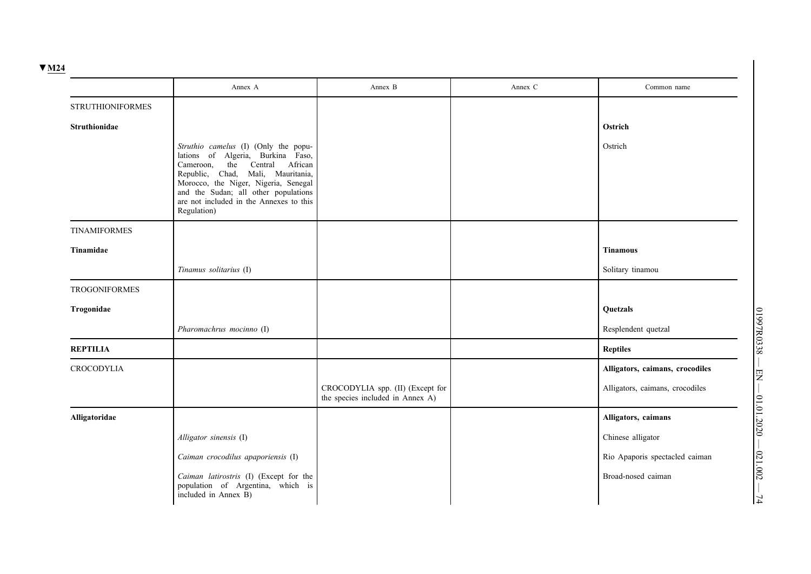|--|

|                         | Annex A                                                                                                                                                                                                                                                                                            | Annex B                                                              | Annex C | Common name                     |
|-------------------------|----------------------------------------------------------------------------------------------------------------------------------------------------------------------------------------------------------------------------------------------------------------------------------------------------|----------------------------------------------------------------------|---------|---------------------------------|
| <b>STRUTHIONIFORMES</b> |                                                                                                                                                                                                                                                                                                    |                                                                      |         |                                 |
| <b>Struthionidae</b>    |                                                                                                                                                                                                                                                                                                    |                                                                      |         | Ostrich                         |
|                         | Struthio camelus (I) (Only the popu-<br>lations of Algeria, Burkina Faso,<br>the<br>Central<br>African<br>Cameroon,<br>Republic, Chad, Mali, Mauritania,<br>Morocco, the Niger, Nigeria, Senegal<br>and the Sudan; all other populations<br>are not included in the Annexes to this<br>Regulation) |                                                                      |         | Ostrich                         |
| <b>TINAMIFORMES</b>     |                                                                                                                                                                                                                                                                                                    |                                                                      |         |                                 |
| Tinamidae               |                                                                                                                                                                                                                                                                                                    |                                                                      |         | <b>Tinamous</b>                 |
|                         | Tinamus solitarius (I)                                                                                                                                                                                                                                                                             |                                                                      |         | Solitary tinamou                |
| <b>TROGONIFORMES</b>    |                                                                                                                                                                                                                                                                                                    |                                                                      |         |                                 |
| Trogonidae              |                                                                                                                                                                                                                                                                                                    |                                                                      |         | Quetzals                        |
|                         | Pharomachrus mocinno (I)                                                                                                                                                                                                                                                                           |                                                                      |         | Resplendent quetzal             |
| <b>REPTILIA</b>         |                                                                                                                                                                                                                                                                                                    |                                                                      |         | <b>Reptiles</b>                 |
| CROCODYLIA              |                                                                                                                                                                                                                                                                                                    |                                                                      |         | Alligators, caimans, crocodiles |
|                         |                                                                                                                                                                                                                                                                                                    | CROCODYLIA spp. (II) (Except for<br>the species included in Annex A) |         | Alligators, caimans, crocodiles |
| Alligatoridae           |                                                                                                                                                                                                                                                                                                    |                                                                      |         | Alligators, caimans             |
|                         | Alligator sinensis (I)                                                                                                                                                                                                                                                                             |                                                                      |         | Chinese alligator               |
|                         | Caiman crocodilus apaporiensis (I)                                                                                                                                                                                                                                                                 |                                                                      |         | Rio Apaporis spectacled caiman  |
|                         | Caiman latirostris (I) (Except for the<br>population of Argentina, which is<br>included in Annex B)                                                                                                                                                                                                |                                                                      |         | Broad-nosed caiman              |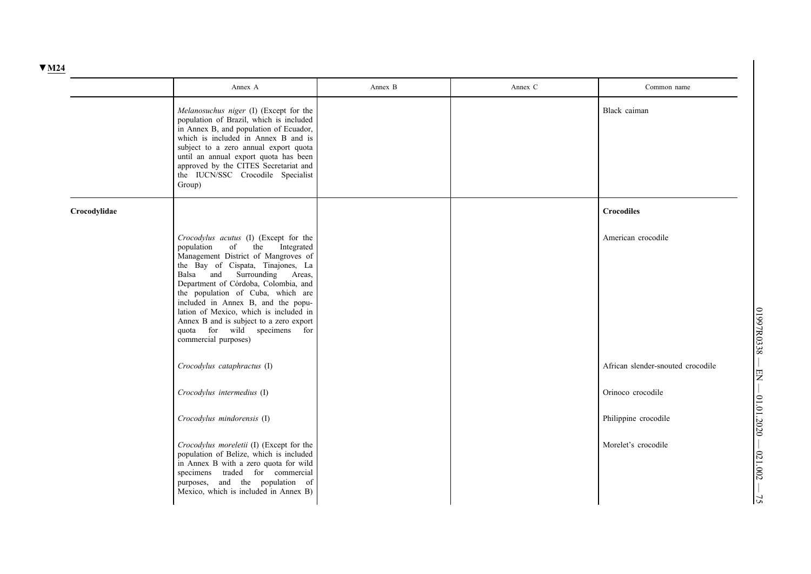|              | Annex A                                                                                                                                                                                                                                                                                                                                                                                                                                                    | Annex B | Annex C | Common name                       |
|--------------|------------------------------------------------------------------------------------------------------------------------------------------------------------------------------------------------------------------------------------------------------------------------------------------------------------------------------------------------------------------------------------------------------------------------------------------------------------|---------|---------|-----------------------------------|
|              | Melanosuchus niger (I) (Except for the<br>population of Brazil, which is included<br>in Annex B, and population of Ecuador,<br>which is included in Annex B and is<br>subject to a zero annual export quota<br>until an annual export quota has been<br>approved by the CITES Secretariat and<br>the IUCN/SSC Crocodile Specialist<br>Group)                                                                                                               |         |         | Black caiman                      |
| Crocodylidae |                                                                                                                                                                                                                                                                                                                                                                                                                                                            |         |         | <b>Crocodiles</b>                 |
|              | Crocodylus acutus (I) (Except for the<br>the<br>population<br>of<br>Integrated<br>Management District of Mangroves of<br>the Bay of Cispata, Tinajones, La<br>Balsa and Surrounding Areas,<br>Department of Córdoba, Colombia, and<br>the population of Cuba, which are<br>included in Annex B, and the popu-<br>lation of Mexico, which is included in<br>Annex B and is subject to a zero export<br>quota for wild specimens for<br>commercial purposes) |         |         | American crocodile                |
|              | Crocodylus cataphractus (I)                                                                                                                                                                                                                                                                                                                                                                                                                                |         |         | African slender-snouted crocodile |
|              | Crocodylus intermedius (I)                                                                                                                                                                                                                                                                                                                                                                                                                                 |         |         | Orinoco crocodile                 |
|              | Crocodylus mindorensis (I)                                                                                                                                                                                                                                                                                                                                                                                                                                 |         |         | Philippine crocodile              |
|              | Crocodylus moreletii (I) (Except for the<br>population of Belize, which is included<br>in Annex B with a zero quota for wild<br>specimens traded for commercial<br>purposes, and the population of<br>Mexico, which is included in Annex B)                                                                                                                                                                                                                |         |         | Morelet's crocodile               |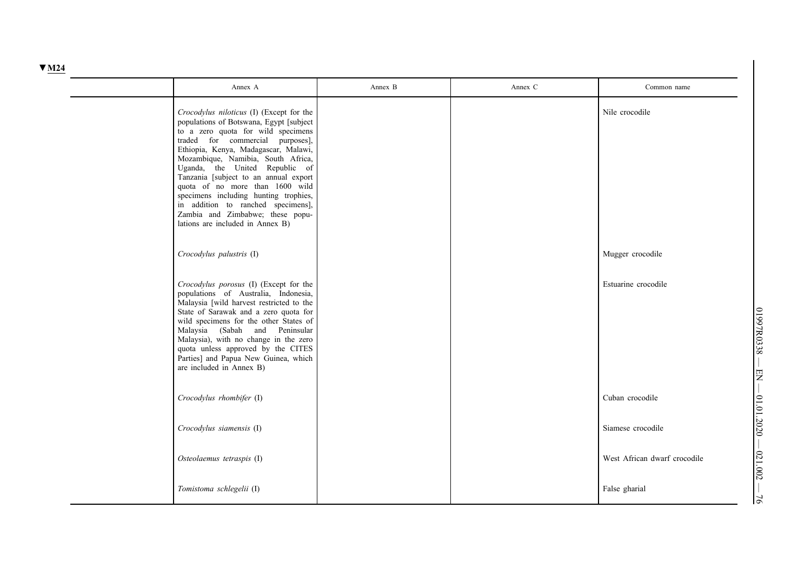| Annex A                                                                                                                                                                                                                                                                                                                                                                                                                                                                                                          | Annex B | Annex C | Common name                  |
|------------------------------------------------------------------------------------------------------------------------------------------------------------------------------------------------------------------------------------------------------------------------------------------------------------------------------------------------------------------------------------------------------------------------------------------------------------------------------------------------------------------|---------|---------|------------------------------|
| Crocodylus niloticus (I) (Except for the<br>populations of Botswana, Egypt [subject<br>to a zero quota for wild specimens<br>traded for commercial purposes],<br>Ethiopia, Kenya, Madagascar, Malawi,<br>Mozambique, Namibia, South Africa,<br>Uganda, the United Republic of<br>Tanzania [subject to an annual export<br>quota of no more than 1600 wild<br>specimens including hunting trophies,<br>in addition to ranched specimens],<br>Zambia and Zimbabwe; these popu-<br>lations are included in Annex B) |         |         | Nile crocodile               |
| Crocodylus palustris (I)                                                                                                                                                                                                                                                                                                                                                                                                                                                                                         |         |         | Mugger crocodile             |
| Crocodylus porosus (I) (Except for the<br>populations of Australia, Indonesia,<br>Malaysia [wild harvest restricted to the<br>State of Sarawak and a zero quota for<br>wild specimens for the other States of<br>Malaysia (Sabah and Peninsular<br>Malaysia), with no change in the zero<br>quota unless approved by the CITES<br>Parties] and Papua New Guinea, which<br>are included in Annex B)                                                                                                               |         |         | Estuarine crocodile          |
| Crocodylus rhombifer (I)                                                                                                                                                                                                                                                                                                                                                                                                                                                                                         |         |         | Cuban crocodile              |
| Crocodylus siamensis (I)                                                                                                                                                                                                                                                                                                                                                                                                                                                                                         |         |         | Siamese crocodile            |
| Osteolaemus tetraspis (I)                                                                                                                                                                                                                                                                                                                                                                                                                                                                                        |         |         | West African dwarf crocodile |
| Tomistoma schlegelii (I)                                                                                                                                                                                                                                                                                                                                                                                                                                                                                         |         |         | False gharial                |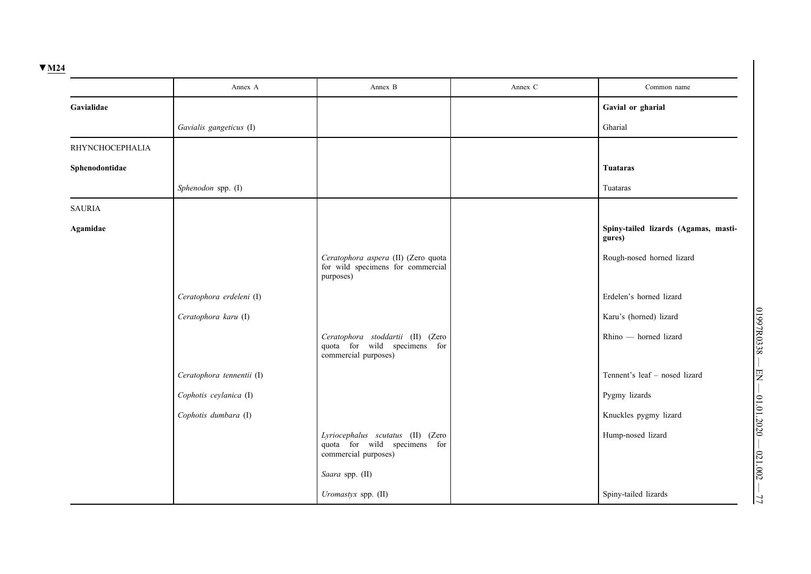|                 | Annex A                   | Annex B                                                                                   | Annex C | Common name                                    |
|-----------------|---------------------------|-------------------------------------------------------------------------------------------|---------|------------------------------------------------|
| Gavialidae      |                           |                                                                                           |         | Gavial or gharial                              |
|                 | Gavialis gangeticus (I)   |                                                                                           |         | Gharial                                        |
| RHYNCHOCEPHALIA |                           |                                                                                           |         |                                                |
| Sphenodontidae  |                           |                                                                                           |         | <b>Tuataras</b>                                |
|                 | Sphenodon spp. (I)        |                                                                                           |         | Tuataras                                       |
| <b>SAURIA</b>   |                           |                                                                                           |         |                                                |
| Agamidae        |                           |                                                                                           |         | Spiny-tailed lizards (Agamas, masti-<br>gures) |
|                 |                           | Ceratophora aspera (II) (Zero quota<br>for wild specimens for commercial<br>purposes)     |         | Rough-nosed horned lizard                      |
|                 | Ceratophora erdeleni (I)  |                                                                                           |         | Erdelen's horned lizard                        |
|                 | Ceratophora karu (I)      |                                                                                           |         | Karu's (horned) lizard                         |
|                 |                           | Ceratophora stoddartii (II) (Zero<br>quota for wild specimens for<br>commercial purposes) |         | Rhino - horned lizard                          |
|                 | Ceratophora tennentii (I) |                                                                                           |         | Tennent's leaf - nosed lizard                  |
|                 | Cophotis ceylanica (I)    |                                                                                           |         | Pygmy lizards                                  |
|                 | Cophotis dumbara (I)      |                                                                                           |         | Knuckles pygmy lizard                          |
|                 |                           | Lyriocephalus scutatus (II) (Zero<br>quota for wild specimens for<br>commercial purposes) |         | Hump-nosed lizard                              |
|                 |                           | Saara spp. (II)                                                                           |         |                                                |
|                 |                           | Uromastyx spp. (II)                                                                       |         | Spiny-tailed lizards                           |

**▼M24**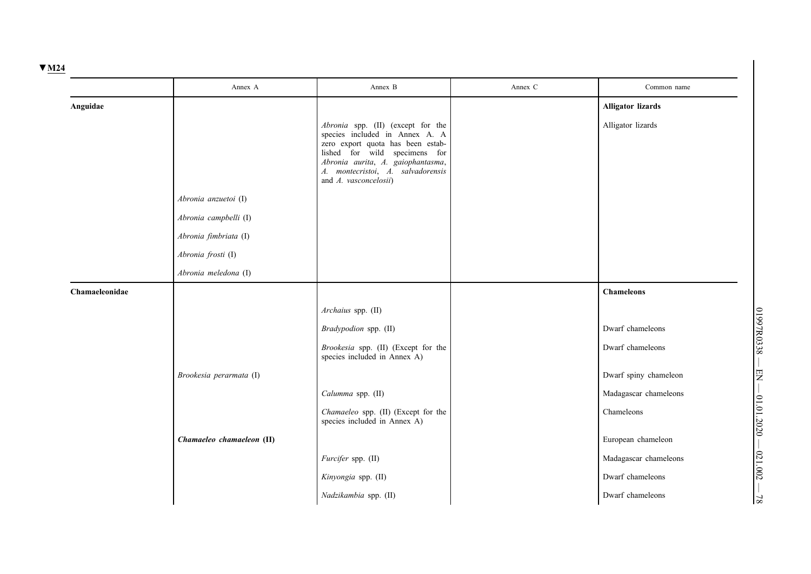| × |  |  |
|---|--|--|
|---|--|--|

|                | Annex A                   | Annex B                                                                                                                                                                                                                                      | Annex C | Common name              |
|----------------|---------------------------|----------------------------------------------------------------------------------------------------------------------------------------------------------------------------------------------------------------------------------------------|---------|--------------------------|
| Anguidae       |                           |                                                                                                                                                                                                                                              |         | <b>Alligator lizards</b> |
|                |                           | Abronia spp. (II) (except for the<br>species included in Annex A. A<br>zero export quota has been estab-<br>lished for wild specimens for<br>Abronia aurita, A. gaiophantasma,<br>A. montecristoi, A. salvadorensis<br>and A. vasconcelosii) |         | Alligator lizards        |
|                | Abronia anzuetoi (I)      |                                                                                                                                                                                                                                              |         |                          |
|                | Abronia campbelli (I)     |                                                                                                                                                                                                                                              |         |                          |
|                | Abronia fimbriata (I)     |                                                                                                                                                                                                                                              |         |                          |
|                | Abronia frosti (I)        |                                                                                                                                                                                                                                              |         |                          |
|                | Abronia meledona (I)      |                                                                                                                                                                                                                                              |         |                          |
| Chamaeleonidae |                           |                                                                                                                                                                                                                                              |         | <b>Chameleons</b>        |
|                |                           | Archaius spp. (II)                                                                                                                                                                                                                           |         |                          |
|                |                           | Bradypodion spp. (II)                                                                                                                                                                                                                        |         | Dwarf chameleons         |
|                |                           | Brookesia spp. (II) (Except for the<br>species included in Annex A)                                                                                                                                                                          |         | Dwarf chameleons         |
|                | Brookesia perarmata (I)   |                                                                                                                                                                                                                                              |         | Dwarf spiny chameleon    |
|                |                           | Calumma spp. (II)                                                                                                                                                                                                                            |         | Madagascar chameleons    |
|                |                           | Chamaeleo spp. (II) (Except for the<br>species included in Annex A)                                                                                                                                                                          |         | Chameleons               |
|                | Chamaeleo chamaeleon (II) |                                                                                                                                                                                                                                              |         | European chameleon       |
|                |                           | Furcifer spp. (II)                                                                                                                                                                                                                           |         | Madagascar chameleons    |
|                |                           | Kinyongia spp. (II)                                                                                                                                                                                                                          |         | Dwarf chameleons         |
|                |                           | Nadzikambia spp. (II)                                                                                                                                                                                                                        |         | Dwarf chameleons         |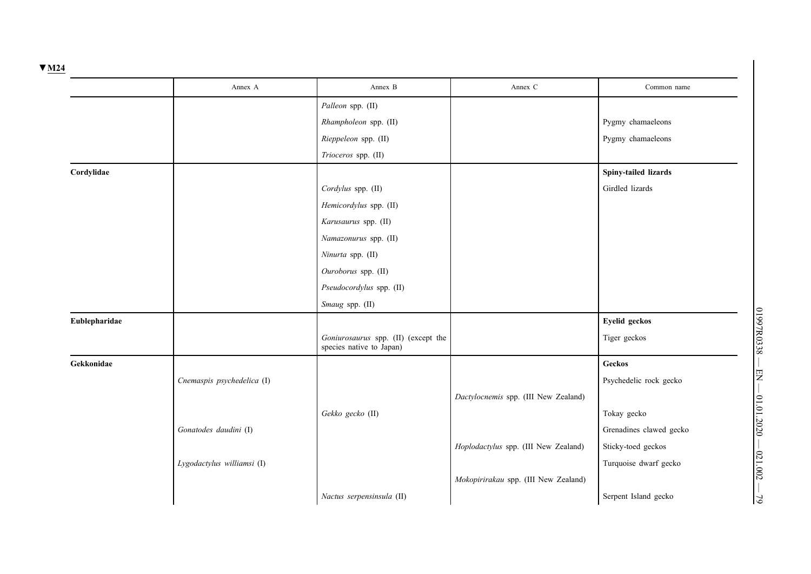|               | Annex A                    | Annex B                                                         | Annex C                              | Common name             |
|---------------|----------------------------|-----------------------------------------------------------------|--------------------------------------|-------------------------|
|               |                            | Palleon spp. (II)                                               |                                      |                         |
|               |                            | Rhampholeon spp. (II)                                           |                                      | Pygmy chamaeleons       |
|               |                            | Rieppeleon spp. (II)                                            |                                      | Pygmy chamaeleons       |
|               |                            | Trioceros spp. (II)                                             |                                      |                         |
| Cordylidae    |                            |                                                                 |                                      | Spiny-tailed lizards    |
|               |                            | Cordylus spp. (II)                                              |                                      | Girdled lizards         |
|               |                            | Hemicordylus spp. (II)                                          |                                      |                         |
|               |                            | Karusaurus spp. (II)                                            |                                      |                         |
|               |                            | Namazonurus spp. (II)                                           |                                      |                         |
|               |                            | Ninurta spp. (II)                                               |                                      |                         |
|               |                            | Ouroborus spp. (II)                                             |                                      |                         |
|               |                            | Pseudocordylus spp. (II)                                        |                                      |                         |
|               |                            | Smaug spp. (II)                                                 |                                      |                         |
| Eublepharidae |                            |                                                                 |                                      | Eyelid geckos           |
|               |                            | Goniurosaurus spp. (II) (except the<br>species native to Japan) |                                      | Tiger geckos            |
| Gekkonidae    |                            |                                                                 |                                      | Geckos                  |
|               | Cnemaspis psychedelica (I) |                                                                 |                                      | Psychedelic rock gecko  |
|               |                            |                                                                 | Dactylocnemis spp. (III New Zealand) |                         |
|               |                            | Gekko gecko (II)                                                |                                      | Tokay gecko             |
|               | Gonatodes daudini (I)      |                                                                 |                                      | Grenadines clawed gecko |
|               |                            |                                                                 | Hoplodactylus spp. (III New Zealand) | Sticky-toed geckos      |
|               | Lygodactylus williamsi (I) |                                                                 |                                      | Turquoise dwarf gecko   |
|               |                            |                                                                 | Mokopirirakau spp. (III New Zealand) |                         |
|               |                            | Nactus serpensinsula (II)                                       |                                      | Serpent Island gecko    |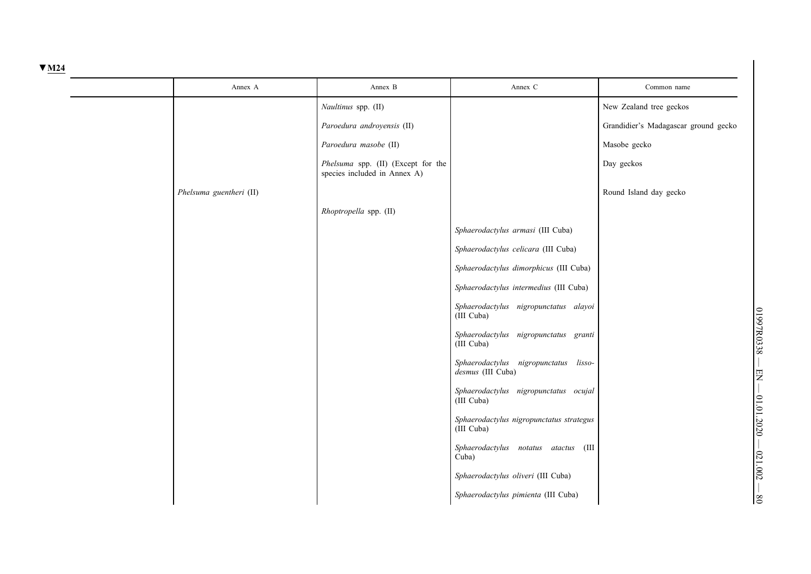| Annex A                 | Annex B                                                            | Annex C                                                    | Common name                          |
|-------------------------|--------------------------------------------------------------------|------------------------------------------------------------|--------------------------------------|
|                         | Naultinus spp. (II)                                                |                                                            | New Zealand tree geckos              |
|                         | Paroedura androyensis (II)                                         |                                                            | Grandidier's Madagascar ground gecko |
|                         | Paroedura masobe (II)                                              |                                                            | Masobe gecko                         |
|                         | Phelsuma spp. (II) (Except for the<br>species included in Annex A) |                                                            | Day geckos                           |
| Phelsuma guentheri (II) |                                                                    |                                                            | Round Island day gecko               |
|                         | Rhoptropella spp. (II)                                             |                                                            |                                      |
|                         |                                                                    | Sphaerodactylus armasi (III Cuba)                          |                                      |
|                         |                                                                    | Sphaerodactylus celicara (III Cuba)                        |                                      |
|                         |                                                                    | Sphaerodactylus dimorphicus (III Cuba)                     |                                      |
|                         |                                                                    | Sphaerodactylus intermedius (III Cuba)                     |                                      |
|                         |                                                                    | Sphaerodactylus nigropunctatus alayoi<br>(III Cuba)        |                                      |
|                         |                                                                    | Sphaerodactylus nigropunctatus granti<br>(III Cuba)        |                                      |
|                         |                                                                    | Sphaerodactylus nigropunctatus lisso-<br>desmus (III Cuba) |                                      |
|                         |                                                                    | Sphaerodactylus nigropunctatus ocujal<br>(III Cuba)        |                                      |
|                         |                                                                    | Sphaerodactylus nigropunctatus strategus<br>(III Cuba)     |                                      |
|                         |                                                                    | Sphaerodactylus notatus atactus (III<br>Cuba)              |                                      |
|                         |                                                                    | Sphaerodactylus oliveri (III Cuba)                         |                                      |
|                         |                                                                    | Sphaerodactylus pimienta (III Cuba)                        |                                      |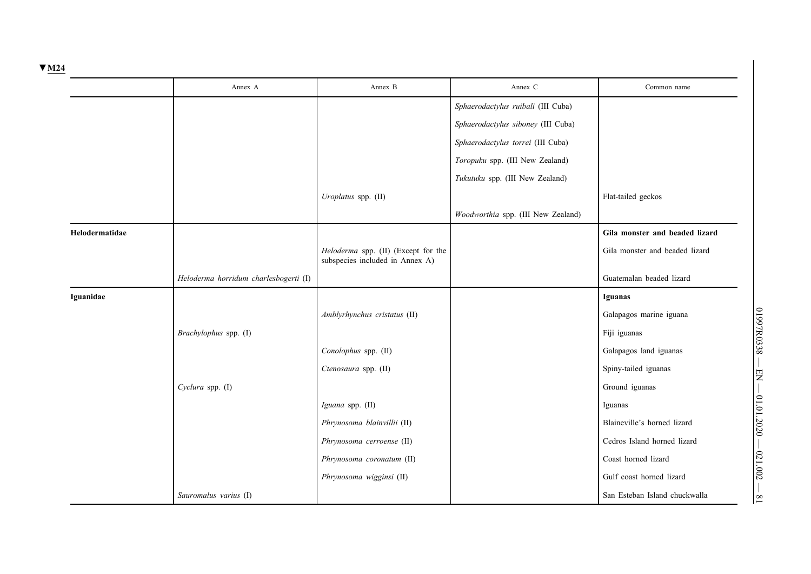|                | Annex A                               | Annex B                                                                | Annex C                            | Common name                    |
|----------------|---------------------------------------|------------------------------------------------------------------------|------------------------------------|--------------------------------|
|                |                                       |                                                                        | Sphaerodactylus ruibali (III Cuba) |                                |
|                |                                       |                                                                        | Sphaerodactylus siboney (III Cuba) |                                |
|                |                                       |                                                                        | Sphaerodactylus torrei (III Cuba)  |                                |
|                |                                       |                                                                        | Toropuku spp. (III New Zealand)    |                                |
|                |                                       |                                                                        | Tukutuku spp. (III New Zealand)    |                                |
|                |                                       | Uroplatus spp. (II)                                                    |                                    | Flat-tailed geckos             |
|                |                                       |                                                                        | Woodworthia spp. (III New Zealand) |                                |
| Helodermatidae |                                       |                                                                        |                                    | Gila monster and beaded lizard |
|                |                                       | Heloderma spp. (II) (Except for the<br>subspecies included in Annex A) |                                    | Gila monster and beaded lizard |
|                | Heloderma horridum charlesbogerti (I) |                                                                        |                                    | Guatemalan beaded lizard       |
| Iguanidae      |                                       |                                                                        |                                    | Iguanas                        |
|                |                                       | Amblyrhynchus cristatus (II)                                           |                                    | Galapagos marine iguana        |
|                | Brachylophus spp. (I)                 |                                                                        |                                    | Fiji iguanas                   |
|                |                                       | Conolophus spp. (II)                                                   |                                    | Galapagos land iguanas         |
|                |                                       | Ctenosaura spp. (II)                                                   |                                    | Spiny-tailed iguanas           |
|                | Cyclura spp. (I)                      |                                                                        |                                    | Ground iguanas                 |
|                |                                       | Iguana spp. (II)                                                       |                                    | Iguanas                        |
|                |                                       | Phrynosoma blainvillii (II)                                            |                                    | Blaineville's horned lizard    |
|                |                                       | Phrynosoma cerroense (II)                                              |                                    | Cedros Island horned lizard    |
|                |                                       | Phrynosoma coronatum (II)                                              |                                    | Coast horned lizard            |
|                |                                       | Phrynosoma wigginsi (II)                                               |                                    | Gulf coast horned lizard       |
|                | Sauromalus varius (I)                 |                                                                        |                                    | San Esteban Island chuckwalla  |

**▼M24**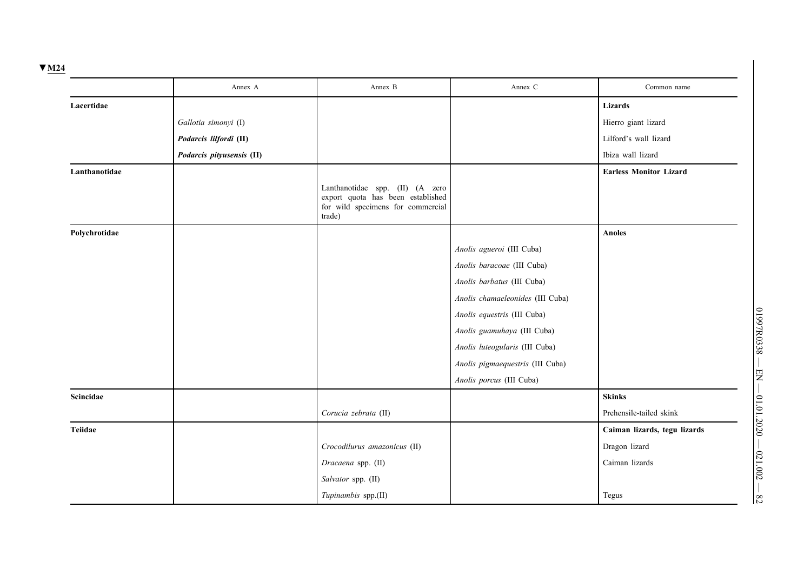|               | Annex A                   | Annex B                                                                                                             | Annex C                          | Common name                   |
|---------------|---------------------------|---------------------------------------------------------------------------------------------------------------------|----------------------------------|-------------------------------|
| Lacertidae    |                           |                                                                                                                     |                                  | Lizards                       |
|               | Gallotia simonyi (I)      |                                                                                                                     |                                  | Hierro giant lizard           |
|               | Podarcis lilfordi (II)    |                                                                                                                     |                                  | Lilford's wall lizard         |
|               | Podarcis pityusensis (II) |                                                                                                                     |                                  | Ibiza wall lizard             |
| Lanthanotidae |                           |                                                                                                                     |                                  | <b>Earless Monitor Lizard</b> |
|               |                           | Lanthanotidae spp. (II) (A zero<br>export quota has been established<br>for wild specimens for commercial<br>trade) |                                  |                               |
| Polychrotidae |                           |                                                                                                                     |                                  | <b>Anoles</b>                 |
|               |                           |                                                                                                                     | Anolis agueroi (III Cuba)        |                               |
|               |                           |                                                                                                                     | Anolis baracoae (III Cuba)       |                               |
|               |                           |                                                                                                                     | Anolis barbatus (III Cuba)       |                               |
|               |                           |                                                                                                                     | Anolis chamaeleonides (III Cuba) |                               |
|               |                           |                                                                                                                     | Anolis equestris (III Cuba)      |                               |
|               |                           |                                                                                                                     | Anolis guamuhaya (III Cuba)      |                               |
|               |                           |                                                                                                                     | Anolis luteogularis (III Cuba)   |                               |
|               |                           |                                                                                                                     | Anolis pigmaequestris (III Cuba) |                               |
|               |                           |                                                                                                                     | Anolis porcus (III Cuba)         |                               |
| Scincidae     |                           |                                                                                                                     |                                  | <b>Skinks</b>                 |
|               |                           | Corucia zebrata (II)                                                                                                |                                  | Prehensile-tailed skink       |
| Teiidae       |                           |                                                                                                                     |                                  | Caiman lizards, tegu lizards  |
|               |                           | Crocodilurus amazonicus (II)                                                                                        |                                  | Dragon lizard                 |
|               |                           | Dracaena spp. (II)                                                                                                  |                                  | Caiman lizards                |
|               |                           | Salvator spp. (II)                                                                                                  |                                  |                               |
|               |                           | Tupinambis spp.(II)                                                                                                 |                                  | Tegus                         |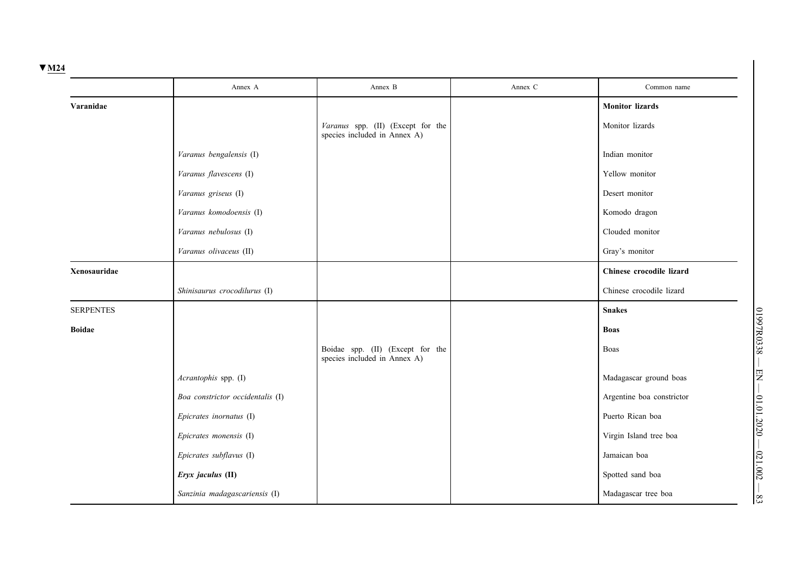| × |  |
|---|--|
|---|--|

|                  | Annex A                          | Annex B                                                          | Annex C | Common name               |
|------------------|----------------------------------|------------------------------------------------------------------|---------|---------------------------|
| Varanidae        |                                  |                                                                  |         | <b>Monitor lizards</b>    |
|                  |                                  | Varanus spp. (II) (Except for the species included in Annex A)   |         | Monitor lizards           |
|                  | Varanus bengalensis (I)          |                                                                  |         | Indian monitor            |
|                  | Varanus flavescens (I)           |                                                                  |         | Yellow monitor            |
|                  | Varanus griseus (I)              |                                                                  |         | Desert monitor            |
|                  | Varanus komodoensis (I)          |                                                                  |         | Komodo dragon             |
|                  | Varanus nebulosus (I)            |                                                                  |         | Clouded monitor           |
|                  | Varanus olivaceus (II)           |                                                                  |         | Gray's monitor            |
| Xenosauridae     |                                  |                                                                  |         | Chinese crocodile lizard  |
|                  | Shinisaurus crocodilurus (I)     |                                                                  |         | Chinese crocodile lizard  |
| <b>SERPENTES</b> |                                  |                                                                  |         | <b>Snakes</b>             |
| <b>Boidae</b>    |                                  |                                                                  |         | <b>Boas</b>               |
|                  |                                  | Boidae spp. (II) (Except for the<br>species included in Annex A) |         | Boas                      |
|                  | Acrantophis spp. (I)             |                                                                  |         | Madagascar ground boas    |
|                  | Boa constrictor occidentalis (I) |                                                                  |         | Argentine boa constrictor |
|                  | Epicrates inornatus (I)          |                                                                  |         | Puerto Rican boa          |
|                  | Epicrates monensis (I)           |                                                                  |         | Virgin Island tree boa    |
|                  | Epicrates subflavus (I)          |                                                                  |         | Jamaican boa              |
|                  | Eryx jaculus (II)                |                                                                  |         | Spotted sand boa          |
|                  | Sanzinia madagascariensis (I)    |                                                                  |         | Madagascar tree boa       |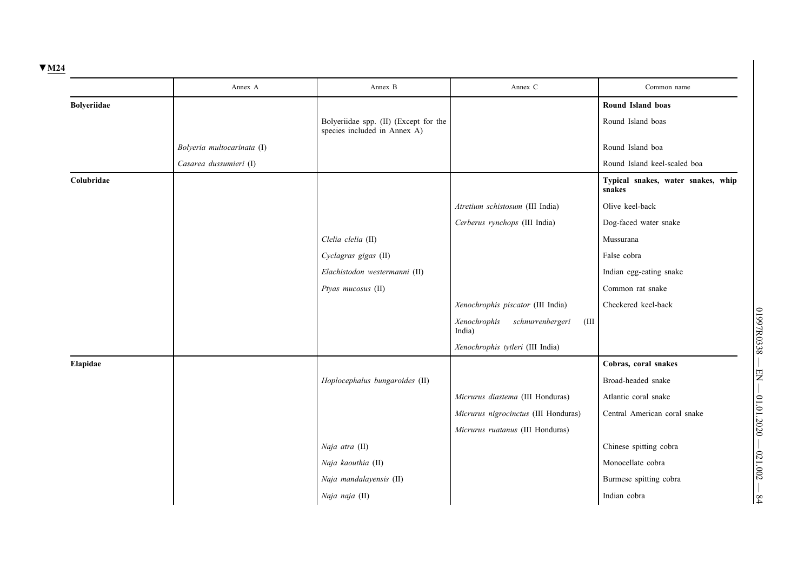| <b>Bolyeriidae</b><br>Round Island boas<br>Bolyeriidae spp. (II) (Except for the<br>Round Island boas<br>species included in Annex A)<br>Round Island boa<br>Bolyeria multocarinata (I)<br>Casarea dussumieri (I)<br>Colubridae<br>snakes<br>Olive keel-back<br>Atretium schistosum (III India)<br>Cerberus rynchops (III India)<br>Dog-faced water snake<br>Clelia clelia (II)<br>Mussurana<br>Cyclagras gigas (II)<br>False cobra<br>Elachistodon westermanni (II)<br>Indian egg-eating snake<br>Ptyas mucosus (II)<br>Common rat snake<br>Checkered keel-back<br>Xenochrophis piscator (III India)<br>Xenochrophis<br>schnurrenbergeri<br>(III)<br>India)<br>Xenochrophis tytleri (III India)<br>Elapidae<br>Cobras, coral snakes<br>Broad-headed snake<br>Hoplocephalus bungaroides (II)<br>Micrurus diastema (III Honduras)<br>Atlantic coral snake | Annex A | Annex B | Annex C                              | Common name                        |
|----------------------------------------------------------------------------------------------------------------------------------------------------------------------------------------------------------------------------------------------------------------------------------------------------------------------------------------------------------------------------------------------------------------------------------------------------------------------------------------------------------------------------------------------------------------------------------------------------------------------------------------------------------------------------------------------------------------------------------------------------------------------------------------------------------------------------------------------------------|---------|---------|--------------------------------------|------------------------------------|
|                                                                                                                                                                                                                                                                                                                                                                                                                                                                                                                                                                                                                                                                                                                                                                                                                                                          |         |         |                                      |                                    |
|                                                                                                                                                                                                                                                                                                                                                                                                                                                                                                                                                                                                                                                                                                                                                                                                                                                          |         |         |                                      |                                    |
|                                                                                                                                                                                                                                                                                                                                                                                                                                                                                                                                                                                                                                                                                                                                                                                                                                                          |         |         |                                      |                                    |
|                                                                                                                                                                                                                                                                                                                                                                                                                                                                                                                                                                                                                                                                                                                                                                                                                                                          |         |         |                                      | Round Island keel-scaled boa       |
|                                                                                                                                                                                                                                                                                                                                                                                                                                                                                                                                                                                                                                                                                                                                                                                                                                                          |         |         |                                      | Typical snakes, water snakes, whip |
|                                                                                                                                                                                                                                                                                                                                                                                                                                                                                                                                                                                                                                                                                                                                                                                                                                                          |         |         |                                      |                                    |
|                                                                                                                                                                                                                                                                                                                                                                                                                                                                                                                                                                                                                                                                                                                                                                                                                                                          |         |         |                                      |                                    |
|                                                                                                                                                                                                                                                                                                                                                                                                                                                                                                                                                                                                                                                                                                                                                                                                                                                          |         |         |                                      |                                    |
|                                                                                                                                                                                                                                                                                                                                                                                                                                                                                                                                                                                                                                                                                                                                                                                                                                                          |         |         |                                      |                                    |
|                                                                                                                                                                                                                                                                                                                                                                                                                                                                                                                                                                                                                                                                                                                                                                                                                                                          |         |         |                                      |                                    |
|                                                                                                                                                                                                                                                                                                                                                                                                                                                                                                                                                                                                                                                                                                                                                                                                                                                          |         |         |                                      |                                    |
|                                                                                                                                                                                                                                                                                                                                                                                                                                                                                                                                                                                                                                                                                                                                                                                                                                                          |         |         |                                      |                                    |
|                                                                                                                                                                                                                                                                                                                                                                                                                                                                                                                                                                                                                                                                                                                                                                                                                                                          |         |         |                                      |                                    |
|                                                                                                                                                                                                                                                                                                                                                                                                                                                                                                                                                                                                                                                                                                                                                                                                                                                          |         |         |                                      |                                    |
|                                                                                                                                                                                                                                                                                                                                                                                                                                                                                                                                                                                                                                                                                                                                                                                                                                                          |         |         |                                      |                                    |
|                                                                                                                                                                                                                                                                                                                                                                                                                                                                                                                                                                                                                                                                                                                                                                                                                                                          |         |         |                                      |                                    |
|                                                                                                                                                                                                                                                                                                                                                                                                                                                                                                                                                                                                                                                                                                                                                                                                                                                          |         |         |                                      |                                    |
|                                                                                                                                                                                                                                                                                                                                                                                                                                                                                                                                                                                                                                                                                                                                                                                                                                                          |         |         | Micrurus nigrocinctus (III Honduras) | Central American coral snake       |
| Micrurus ruatanus (III Honduras)                                                                                                                                                                                                                                                                                                                                                                                                                                                                                                                                                                                                                                                                                                                                                                                                                         |         |         |                                      |                                    |
| Chinese spitting cobra<br>Naja atra (II)                                                                                                                                                                                                                                                                                                                                                                                                                                                                                                                                                                                                                                                                                                                                                                                                                 |         |         |                                      |                                    |
| Monocellate cobra<br>Naja kaouthia (II)                                                                                                                                                                                                                                                                                                                                                                                                                                                                                                                                                                                                                                                                                                                                                                                                                  |         |         |                                      |                                    |
| Naja mandalayensis (II)<br>Burmese spitting cobra                                                                                                                                                                                                                                                                                                                                                                                                                                                                                                                                                                                                                                                                                                                                                                                                        |         |         |                                      |                                    |
| Indian cobra<br>Naja naja (II)                                                                                                                                                                                                                                                                                                                                                                                                                                                                                                                                                                                                                                                                                                                                                                                                                           |         |         |                                      |                                    |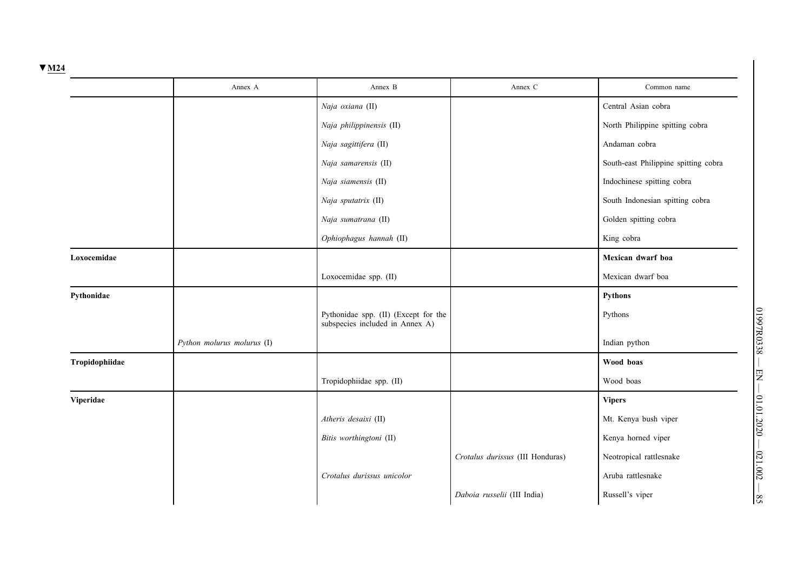|                | Annex A                    | Annex B                                                                 | Annex C                          | Common name                          |
|----------------|----------------------------|-------------------------------------------------------------------------|----------------------------------|--------------------------------------|
|                |                            | Naja oxiana (II)                                                        |                                  | Central Asian cobra                  |
|                |                            | Naja philippinensis (II)                                                |                                  | North Philippine spitting cobra      |
|                |                            | Naja sagittifera (II)                                                   |                                  | Andaman cobra                        |
|                |                            | Naja samarensis (II)                                                    |                                  | South-east Philippine spitting cobra |
|                |                            | Naja siamensis (II)                                                     |                                  | Indochinese spitting cobra           |
|                |                            | Naja sputatrix (II)                                                     |                                  | South Indonesian spitting cobra      |
|                |                            | Naja sumatrana (II)                                                     |                                  | Golden spitting cobra                |
|                |                            | Ophiophagus hannah (II)                                                 |                                  | King cobra                           |
| Loxocemidae    |                            |                                                                         |                                  | Mexican dwarf boa                    |
|                |                            | Loxocemidae spp. (II)                                                   |                                  | Mexican dwarf boa                    |
| Pythonidae     |                            |                                                                         |                                  | <b>Pythons</b>                       |
|                |                            | Pythonidae spp. (II) (Except for the<br>subspecies included in Annex A) |                                  | Pythons                              |
|                | Python molurus molurus (I) |                                                                         |                                  | Indian python                        |
| Tropidophiidae |                            |                                                                         |                                  | Wood boas                            |
|                |                            | Tropidophiidae spp. (II)                                                |                                  | Wood boas                            |
| Viperidae      |                            |                                                                         |                                  | <b>Vipers</b>                        |
|                |                            | Atheris desaixi (II)                                                    |                                  | Mt. Kenya bush viper                 |
|                |                            | Bitis worthingtoni (II)                                                 |                                  | Kenya horned viper                   |
|                |                            |                                                                         | Crotalus durissus (III Honduras) | Neotropical rattlesnake              |
|                |                            | Crotalus durissus unicolor                                              |                                  | Aruba rattlesnake                    |
|                |                            |                                                                         | Daboia russelii (III India)      | Russell's viper                      |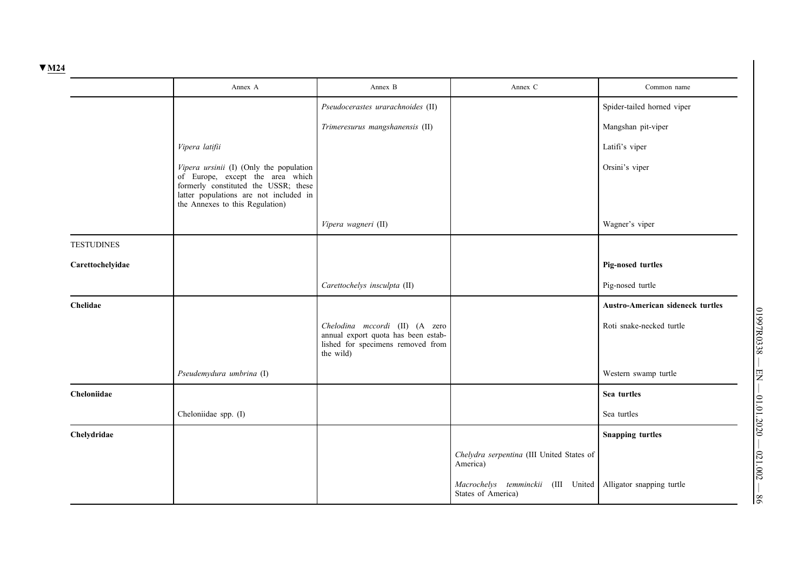|                   | Annex A                                                                                                                                                                                          | Annex B                                                                                                                 | Annex C                                                                            | Common name                             |
|-------------------|--------------------------------------------------------------------------------------------------------------------------------------------------------------------------------------------------|-------------------------------------------------------------------------------------------------------------------------|------------------------------------------------------------------------------------|-----------------------------------------|
|                   |                                                                                                                                                                                                  | Pseudocerastes urarachnoides (II)                                                                                       |                                                                                    | Spider-tailed horned viper              |
|                   |                                                                                                                                                                                                  | Trimeresurus mangshanensis (II)                                                                                         |                                                                                    | Mangshan pit-viper                      |
|                   | Vipera latifii                                                                                                                                                                                   |                                                                                                                         |                                                                                    | Latifi's viper                          |
|                   | Vipera ursinii (I) (Only the population<br>of Europe, except the area which<br>formerly constituted the USSR; these<br>latter populations are not included in<br>the Annexes to this Regulation) |                                                                                                                         |                                                                                    | Orsini's viper                          |
|                   |                                                                                                                                                                                                  | Vipera wagneri (II)                                                                                                     |                                                                                    | Wagner's viper                          |
| <b>TESTUDINES</b> |                                                                                                                                                                                                  |                                                                                                                         |                                                                                    |                                         |
| Carettochelyidae  |                                                                                                                                                                                                  |                                                                                                                         |                                                                                    | Pig-nosed turtles                       |
|                   |                                                                                                                                                                                                  | Carettochelys insculpta (II)                                                                                            |                                                                                    | Pig-nosed turtle                        |
| Chelidae          |                                                                                                                                                                                                  |                                                                                                                         |                                                                                    | <b>Austro-American sideneck turtles</b> |
|                   |                                                                                                                                                                                                  | Chelodina mccordi (II) (A zero<br>annual export quota has been estab-<br>lished for specimens removed from<br>the wild) |                                                                                    | Roti snake-necked turtle                |
|                   | Pseudemydura umbrina (I)                                                                                                                                                                         |                                                                                                                         |                                                                                    | Western swamp turtle                    |
| Cheloniidae       |                                                                                                                                                                                                  |                                                                                                                         |                                                                                    | Sea turtles                             |
|                   | Cheloniidae spp. (I)                                                                                                                                                                             |                                                                                                                         |                                                                                    | Sea turtles                             |
| Chelydridae       |                                                                                                                                                                                                  |                                                                                                                         |                                                                                    | <b>Snapping turtles</b>                 |
|                   |                                                                                                                                                                                                  |                                                                                                                         | Chelydra serpentina (III United States of<br>America)                              |                                         |
|                   |                                                                                                                                                                                                  |                                                                                                                         | Macrochelys temminckii (III United Alligator snapping turtle<br>States of America) |                                         |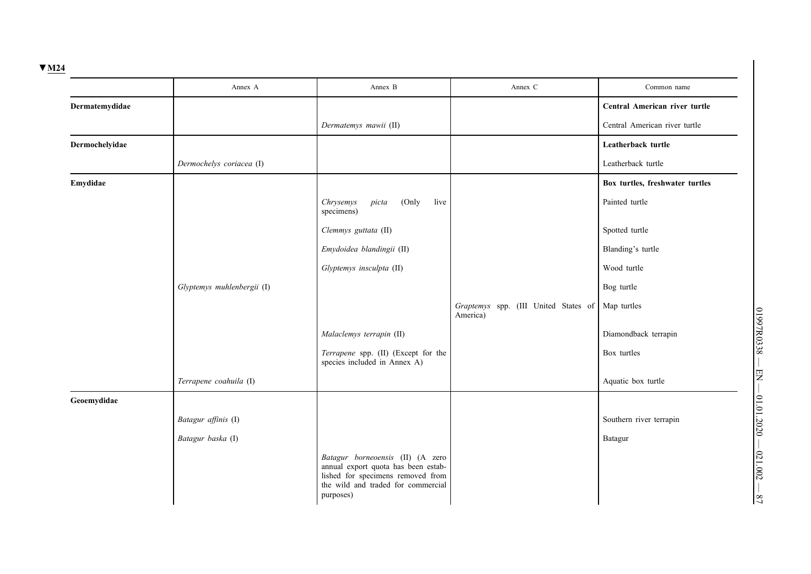|                | Annex A                    | Annex B                                                                                                                                                         | Annex C                                          | Common name                     |
|----------------|----------------------------|-----------------------------------------------------------------------------------------------------------------------------------------------------------------|--------------------------------------------------|---------------------------------|
| Dermatemydidae |                            |                                                                                                                                                                 |                                                  | Central American river turtle   |
|                |                            | Dermatemys mawii (II)                                                                                                                                           |                                                  | Central American river turtle   |
| Dermochelyidae |                            |                                                                                                                                                                 |                                                  | Leatherback turtle              |
|                | Dermochelys coriacea (I)   |                                                                                                                                                                 |                                                  | Leatherback turtle              |
| Emydidae       |                            |                                                                                                                                                                 |                                                  | Box turtles, freshwater turtles |
|                |                            | Chrysemys<br>(Only<br>live<br>picta<br>specimens)                                                                                                               |                                                  | Painted turtle                  |
|                |                            | Clemmys guttata (II)                                                                                                                                            |                                                  | Spotted turtle                  |
|                |                            | Emydoidea blandingii (II)                                                                                                                                       |                                                  | Blanding's turtle               |
|                |                            | Glyptemys insculpta (II)                                                                                                                                        |                                                  | Wood turtle                     |
|                | Glyptemys muhlenbergii (I) |                                                                                                                                                                 |                                                  | Bog turtle                      |
|                |                            |                                                                                                                                                                 | Graptemys spp. (III United States of<br>America) | Map turtles                     |
|                |                            | Malaclemys terrapin (II)                                                                                                                                        |                                                  | Diamondback terrapin            |
|                |                            | Terrapene spp. (II) (Except for the<br>species included in Annex A)                                                                                             |                                                  | Box turtles                     |
|                | Terrapene coahuila (I)     |                                                                                                                                                                 |                                                  | Aquatic box turtle              |
| Geoemydidae    |                            |                                                                                                                                                                 |                                                  |                                 |
|                | Batagur affinis (I)        |                                                                                                                                                                 |                                                  | Southern river terrapin         |
|                | Batagur baska (I)          |                                                                                                                                                                 |                                                  | Batagur                         |
|                |                            | Batagur borneoensis (II) (A zero<br>annual export quota has been estab-<br>lished for specimens removed from<br>the wild and traded for commercial<br>purposes) |                                                  |                                 |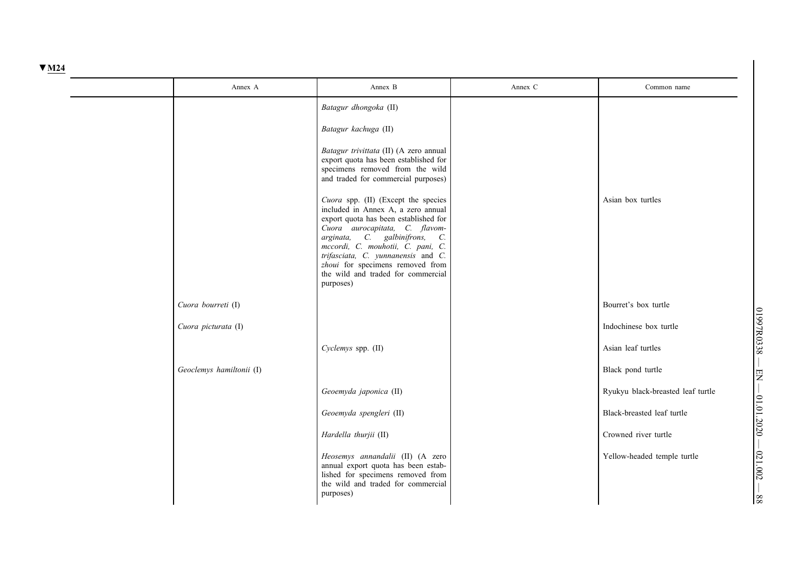| Annex A                  | Annex B                                                                                                                                                                                                                                                                                                                                                 | Annex C | Common name                       |
|--------------------------|---------------------------------------------------------------------------------------------------------------------------------------------------------------------------------------------------------------------------------------------------------------------------------------------------------------------------------------------------------|---------|-----------------------------------|
|                          | Batagur dhongoka (II)                                                                                                                                                                                                                                                                                                                                   |         |                                   |
|                          | Batagur kachuga (II)                                                                                                                                                                                                                                                                                                                                    |         |                                   |
|                          | Batagur trivittata (II) (A zero annual<br>export quota has been established for<br>specimens removed from the wild<br>and traded for commercial purposes)                                                                                                                                                                                               |         |                                   |
|                          | Cuora spp. (II) (Except the species<br>included in Annex A, a zero annual<br>export quota has been established for<br>Cuora aurocapitata, C. flavom-<br>arginata, C. galbinifrons, C.<br>mccordi, C. mouhotii, C. pani, C.<br>trifasciata, C. yunnanensis and C.<br>zhoui for specimens removed from<br>the wild and traded for commercial<br>purposes) |         | Asian box turtles                 |
| Cuora bourreti (I)       |                                                                                                                                                                                                                                                                                                                                                         |         | Bourret's box turtle              |
| Cuora picturata (I)      |                                                                                                                                                                                                                                                                                                                                                         |         | Indochinese box turtle            |
|                          | Cyclemys spp. (II)                                                                                                                                                                                                                                                                                                                                      |         | Asian leaf turtles                |
| Geoclemys hamiltonii (I) |                                                                                                                                                                                                                                                                                                                                                         |         | Black pond turtle                 |
|                          | Geoemyda japonica (II)                                                                                                                                                                                                                                                                                                                                  |         | Ryukyu black-breasted leaf turtle |
|                          | Geoemyda spengleri (II)                                                                                                                                                                                                                                                                                                                                 |         | Black-breasted leaf turtle        |
|                          | Hardella thurjii (II)                                                                                                                                                                                                                                                                                                                                   |         | Crowned river turtle              |
|                          | Heosemys annandalii (II) (A zero<br>annual export quota has been estab-<br>lished for specimens removed from<br>the wild and traded for commercial<br>purposes)                                                                                                                                                                                         |         | Yellow-headed temple turtle       |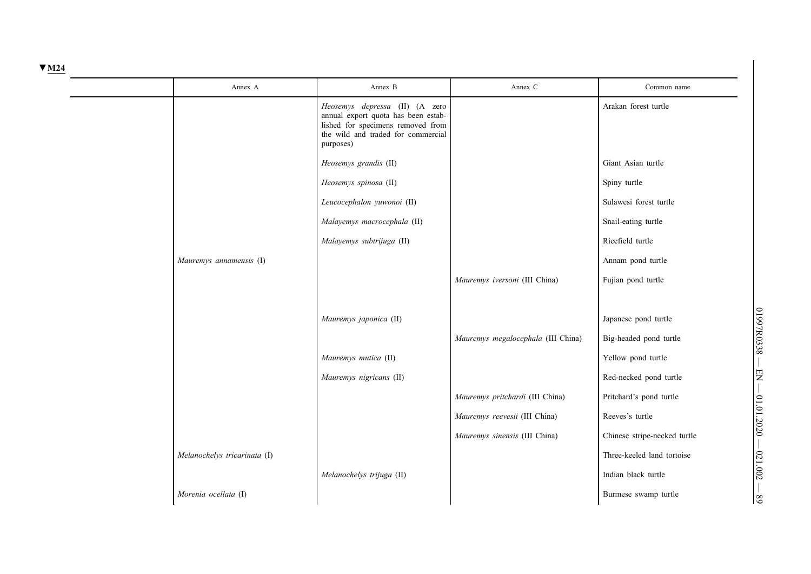| Annex A                      | Annex B                                                                                                                                                       | Annex C                            | Common name                  |
|------------------------------|---------------------------------------------------------------------------------------------------------------------------------------------------------------|------------------------------------|------------------------------|
|                              | Heosemys depressa (II) (A zero<br>annual export quota has been estab-<br>lished for specimens removed from<br>the wild and traded for commercial<br>purposes) |                                    | Arakan forest turtle         |
|                              | Heosemys grandis (II)                                                                                                                                         |                                    | Giant Asian turtle           |
|                              | Heosemys spinosa (II)                                                                                                                                         |                                    | Spiny turtle                 |
|                              | Leucocephalon yuwonoi (II)                                                                                                                                    |                                    | Sulawesi forest turtle       |
|                              | Malayemys macrocephala (II)                                                                                                                                   |                                    | Snail-eating turtle          |
|                              | Malayemys subtrijuga (II)                                                                                                                                     |                                    | Ricefield turtle             |
| Mauremys annamensis (I)      |                                                                                                                                                               |                                    | Annam pond turtle            |
|                              |                                                                                                                                                               | Mauremys iversoni (III China)      | Fujian pond turtle           |
|                              |                                                                                                                                                               |                                    |                              |
|                              | Mauremys japonica (II)                                                                                                                                        |                                    | Japanese pond turtle         |
|                              |                                                                                                                                                               | Mauremys megalocephala (III China) | Big-headed pond turtle       |
|                              | Mauremys mutica (II)                                                                                                                                          |                                    | Yellow pond turtle           |
|                              | Mauremys nigricans (II)                                                                                                                                       |                                    | Red-necked pond turtle       |
|                              |                                                                                                                                                               | Mauremys pritchardi (III China)    | Pritchard's pond turtle      |
|                              |                                                                                                                                                               | Mauremys reevesii (III China)      | Reeves's turtle              |
|                              |                                                                                                                                                               | Mauremys sinensis (III China)      | Chinese stripe-necked turtle |
| Melanochelys tricarinata (I) |                                                                                                                                                               |                                    | Three-keeled land tortoise   |
|                              | Melanochelys trijuga (II)                                                                                                                                     |                                    | Indian black turtle          |
| Morenia ocellata (I)         |                                                                                                                                                               |                                    | Burmese swamp turtle         |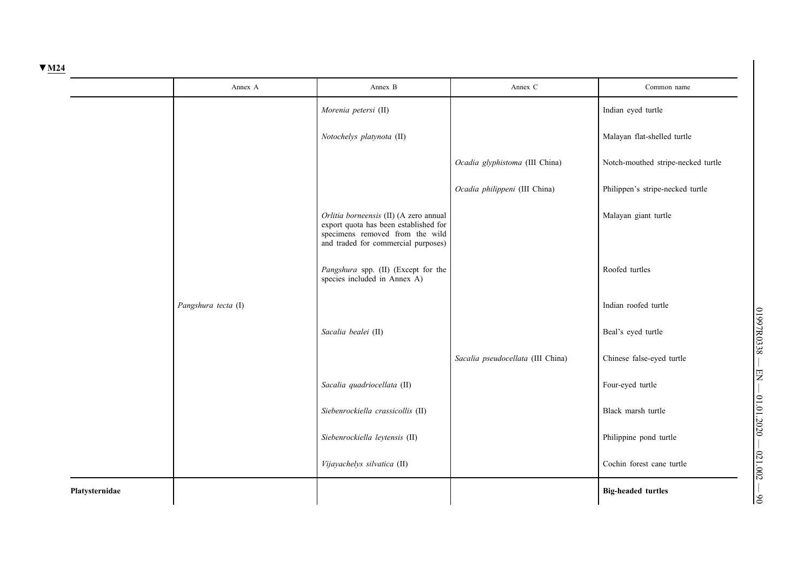|                | Annex A             | Annex B                                                                                                                                                   | Annex C                           | Common name                        |
|----------------|---------------------|-----------------------------------------------------------------------------------------------------------------------------------------------------------|-----------------------------------|------------------------------------|
|                |                     | Morenia petersi (II)                                                                                                                                      |                                   | Indian eyed turtle                 |
|                |                     | Notochelys platynota (II)                                                                                                                                 |                                   | Malayan flat-shelled turtle        |
|                |                     |                                                                                                                                                           | Ocadia glyphistoma (III China)    | Notch-mouthed stripe-necked turtle |
|                |                     |                                                                                                                                                           | Ocadia philippeni (III China)     | Philippen's stripe-necked turtle   |
|                |                     | Orlitia borneensis (II) (A zero annual<br>export quota has been established for<br>specimens removed from the wild<br>and traded for commercial purposes) |                                   | Malayan giant turtle               |
|                |                     | Pangshura spp. (II) (Except for the<br>species included in Annex A)                                                                                       |                                   | Roofed turtles                     |
|                | Pangshura tecta (I) |                                                                                                                                                           |                                   | Indian roofed turtle               |
|                |                     | Sacalia bealei (II)                                                                                                                                       |                                   | Beal's eyed turtle                 |
|                |                     |                                                                                                                                                           | Sacalia pseudocellata (III China) | Chinese false-eyed turtle          |
|                |                     | Sacalia quadriocellata (II)                                                                                                                               |                                   | Four-eyed turtle                   |
|                |                     | Siebenrockiella crassicollis (II)                                                                                                                         |                                   | Black marsh turtle                 |
|                |                     | Siebenrockiella leytensis (II)                                                                                                                            |                                   | Philippine pond turtle             |
|                |                     | Vijayachelys silvatica (II)                                                                                                                               |                                   | Cochin forest cane turtle          |
| Platysternidae |                     |                                                                                                                                                           |                                   | <b>Big-headed turtles</b>          |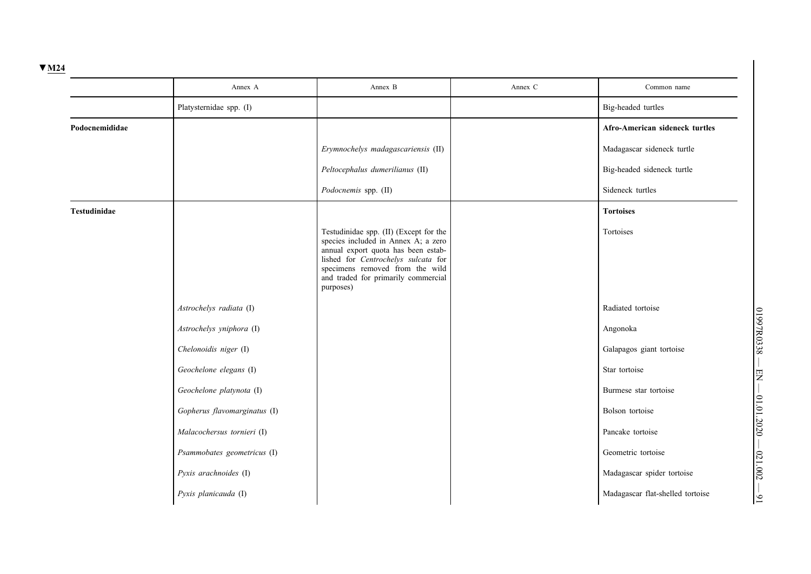|                     | Annex A                      | Annex B                                                                                                                                                                                                                                            | Annex C | Common name                      |
|---------------------|------------------------------|----------------------------------------------------------------------------------------------------------------------------------------------------------------------------------------------------------------------------------------------------|---------|----------------------------------|
|                     | Platysternidae spp. (I)      |                                                                                                                                                                                                                                                    |         | Big-headed turtles               |
| Podocnemididae      |                              |                                                                                                                                                                                                                                                    |         | Afro-American sideneck turtles   |
|                     |                              | Erymnochelys madagascariensis (II)                                                                                                                                                                                                                 |         | Madagascar sideneck turtle       |
|                     |                              | Peltocephalus dumerilianus (II)                                                                                                                                                                                                                    |         | Big-headed sideneck turtle       |
|                     |                              | Podocnemis spp. (II)                                                                                                                                                                                                                               |         | Sideneck turtles                 |
| <b>Testudinidae</b> |                              |                                                                                                                                                                                                                                                    |         | <b>Tortoises</b>                 |
|                     |                              | Testudinidae spp. (II) (Except for the<br>species included in Annex A; a zero<br>annual export quota has been estab-<br>lished for Centrochelys sulcata for<br>specimens removed from the wild<br>and traded for primarily commercial<br>purposes) |         | Tortoises                        |
|                     | Astrochelys radiata (I)      |                                                                                                                                                                                                                                                    |         | Radiated tortoise                |
|                     | Astrochelys yniphora (I)     |                                                                                                                                                                                                                                                    |         | Angonoka                         |
|                     | Chelonoidis niger (I)        |                                                                                                                                                                                                                                                    |         | Galapagos giant tortoise         |
|                     | Geochelone elegans (I)       |                                                                                                                                                                                                                                                    |         | Star tortoise                    |
|                     | Geochelone platynota (I)     |                                                                                                                                                                                                                                                    |         | Burmese star tortoise            |
|                     | Gopherus flavomarginatus (I) |                                                                                                                                                                                                                                                    |         | Bolson tortoise                  |
|                     | Malacochersus tornieri (I)   |                                                                                                                                                                                                                                                    |         | Pancake tortoise                 |
|                     | Psammobates geometricus (I)  |                                                                                                                                                                                                                                                    |         | Geometric tortoise               |
|                     | Pyxis arachnoides (I)        |                                                                                                                                                                                                                                                    |         | Madagascar spider tortoise       |
|                     | Pyxis planicauda (I)         |                                                                                                                                                                                                                                                    |         | Madagascar flat-shelled tortoise |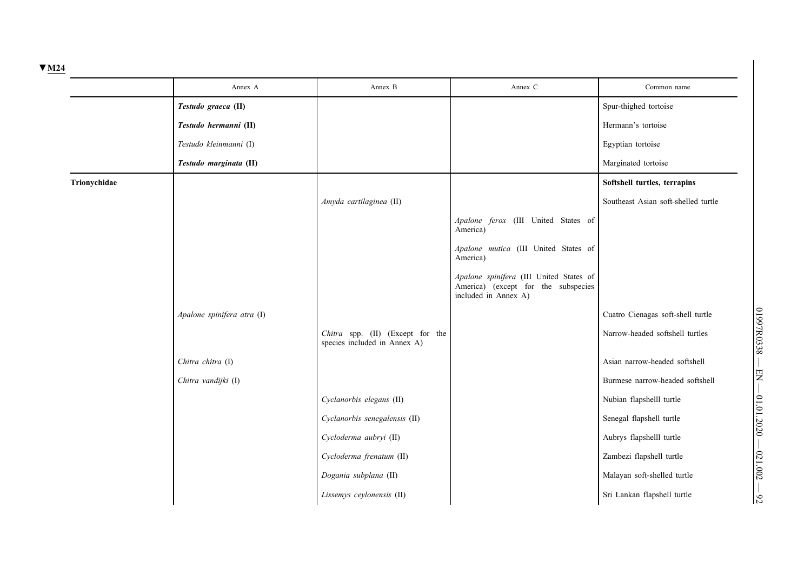|              | Annex A                    | Annex B                                                          | Annex C                                                                                                   | Common name                         |
|--------------|----------------------------|------------------------------------------------------------------|-----------------------------------------------------------------------------------------------------------|-------------------------------------|
|              | Testudo graeca (II)        |                                                                  |                                                                                                           | Spur-thighed tortoise               |
|              | Testudo hermanni (II)      |                                                                  |                                                                                                           | Hermann's tortoise                  |
|              | Testudo kleinmanni (I)     |                                                                  |                                                                                                           | Egyptian tortoise                   |
|              | Testudo marginata (II)     |                                                                  |                                                                                                           | Marginated tortoise                 |
| Trionychidae |                            |                                                                  |                                                                                                           | Softshell turtles, terrapins        |
|              |                            | Amyda cartilaginea (II)                                          |                                                                                                           | Southeast Asian soft-shelled turtle |
|              |                            |                                                                  | Apalone ferox (III United States of<br>America)                                                           |                                     |
|              |                            |                                                                  | Apalone mutica (III United States of<br>America)                                                          |                                     |
|              |                            |                                                                  | Apalone spinifera (III United States of<br>America) (except for<br>the subspecies<br>included in Annex A) |                                     |
|              | Apalone spinifera atra (I) |                                                                  |                                                                                                           | Cuatro Cienagas soft-shell turtle   |
|              |                            | Chitra spp. (II) (Except for the<br>species included in Annex A) |                                                                                                           | Narrow-headed softshell turtles     |
|              | Chitra chitra (I)          |                                                                  |                                                                                                           | Asian narrow-headed softshell       |
|              | Chitra vandijki (I)        |                                                                  |                                                                                                           | Burmese narrow-headed softshell     |
|              |                            | Cyclanorbis elegans (II)                                         |                                                                                                           | Nubian flapshelll turtle            |
|              |                            | Cyclanorbis senegalensis (II)                                    |                                                                                                           | Senegal flapshell turtle            |
|              |                            | Cycloderma aubryi (II)                                           |                                                                                                           | Aubrys flapshelll turtle            |
|              |                            | Cycloderma frenatum (II)                                         |                                                                                                           | Zambezi flapshell turtle            |
|              |                            | Dogania subplana (II)                                            |                                                                                                           | Malayan soft-shelled turtle         |
|              |                            | Lissemys ceylonensis (II)                                        |                                                                                                           | Sri Lankan flapshell turtle         |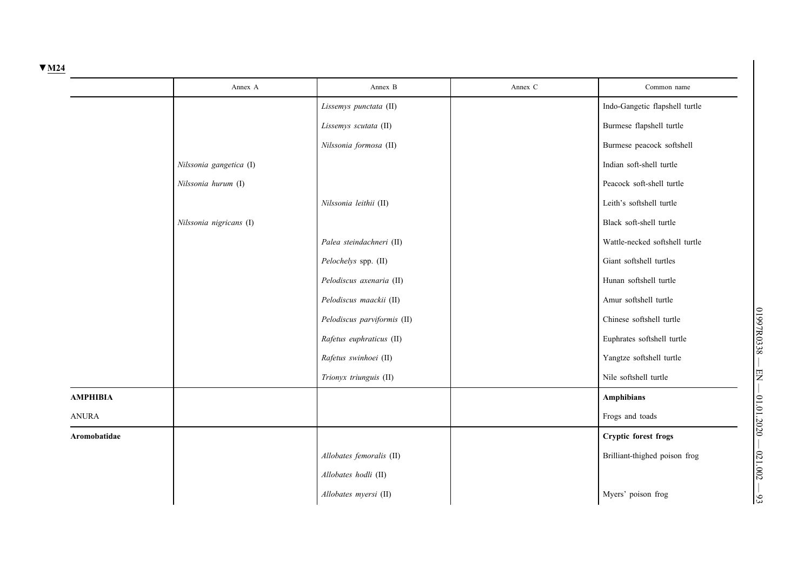| × |
|---|
|   |

|                 | Annex A                 | Annex B                     | Annex C | Common name                    |
|-----------------|-------------------------|-----------------------------|---------|--------------------------------|
|                 |                         | Lissemys punctata (II)      |         | Indo-Gangetic flapshell turtle |
|                 |                         | Lissemys scutata (II)       |         | Burmese flapshell turtle       |
|                 |                         | Nilssonia formosa (II)      |         | Burmese peacock softshell      |
|                 | Nilssonia gangetica (I) |                             |         | Indian soft-shell turtle       |
|                 | Nilssonia hurum (I)     |                             |         | Peacock soft-shell turtle      |
|                 |                         | Nilssonia leithii (II)      |         | Leith's softshell turtle       |
|                 | Nilssonia nigricans (I) |                             |         | Black soft-shell turtle        |
|                 |                         | Palea steindachneri (II)    |         | Wattle-necked softshell turtle |
|                 |                         | Pelochelys spp. (II)        |         | Giant softshell turtles        |
|                 |                         | Pelodiscus axenaria (II)    |         | Hunan softshell turtle         |
|                 |                         | Pelodiscus maackii (II)     |         | Amur softshell turtle          |
|                 |                         | Pelodiscus parviformis (II) |         | Chinese softshell turtle       |
|                 |                         | Rafetus euphraticus (II)    |         | Euphrates softshell turtle     |
|                 |                         | Rafetus swinhoei (II)       |         | Yangtze softshell turtle       |
|                 |                         | Trionyx triunguis (II)      |         | Nile softshell turtle          |
| <b>AMPHIBIA</b> |                         |                             |         | <b>Amphibians</b>              |
| <b>ANURA</b>    |                         |                             |         | Frogs and toads                |
| Aromobatidae    |                         |                             |         | <b>Cryptic forest frogs</b>    |
|                 |                         | Allobates femoralis (II)    |         | Brilliant-thighed poison frog  |
|                 |                         | Allobates hodli (II)        |         |                                |
|                 |                         | Allobates myersi (II)       |         | Myers' poison frog             |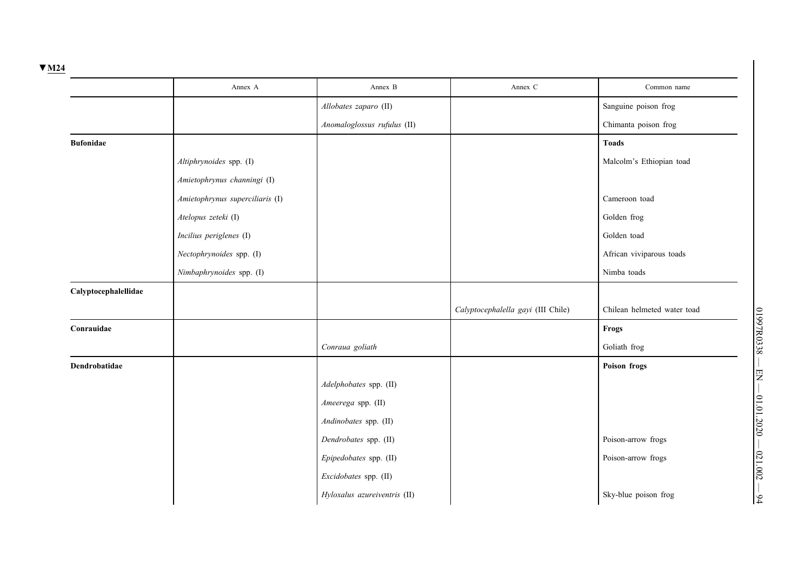| Allobates zaparo (II)<br>Anomaloglossus rufulus (II) | Sanguine poison frog<br>Chimanta poison frog |
|------------------------------------------------------|----------------------------------------------|
|                                                      |                                              |
|                                                      |                                              |
| <b>Bufonidae</b>                                     | <b>Toads</b>                                 |
| Altiphrynoides spp. (I)                              | Malcolm's Ethiopian toad                     |
| Amietophrynus channingi (I)                          |                                              |
| Amietophrynus superciliaris (I)                      | Cameroon toad                                |
| Atelopus zeteki (I)                                  | Golden frog                                  |
| Incilius periglenes (I)                              | Golden toad                                  |
| Nectophrynoides spp. (I)                             | African viviparous toads                     |
| Nimbaphrynoides spp. (I)                             | Nimba toads                                  |
| Calyptocephalellidae                                 |                                              |
| Calyptocephalella gayi (III Chile)                   | Chilean helmeted water toad                  |
| Conrauidae                                           | Frogs                                        |
| Conraua goliath                                      | Goliath frog                                 |
| Dendrobatidae                                        | Poison frogs                                 |
| Adelphobates spp. (II)                               |                                              |
| Ameerega spp. (II)                                   |                                              |
| Andinobates spp. (II)                                |                                              |
| Dendrobates spp. (II)                                | Poison-arrow frogs                           |
| Epipedobates spp. (II)                               | Poison-arrow frogs                           |
| Excidobates spp. (II)                                |                                              |
| Hyloxalus azureiventris (II)                         | Sky-blue poison frog                         |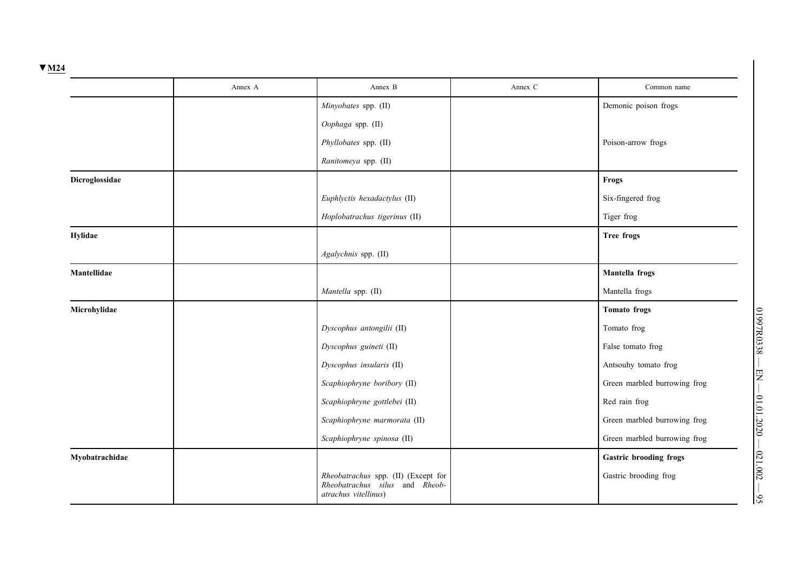|                | Annex A | Annex B                                                                                       | Annex C | Common name                   |
|----------------|---------|-----------------------------------------------------------------------------------------------|---------|-------------------------------|
|                |         | Minyobates spp. (II)                                                                          |         | Demonic poison frogs          |
|                |         | Oophaga spp. (II)                                                                             |         |                               |
|                |         | Phyllobates spp. (II)                                                                         |         | Poison-arrow frogs            |
|                |         | Ranitomeya spp. (II)                                                                          |         |                               |
| Dicroglossidae |         |                                                                                               |         | Frogs                         |
|                |         | Euphlyctis hexadactylus (II)                                                                  |         | Six-fingered frog             |
|                |         | Hoplobatrachus tigerinus (II)                                                                 |         | Tiger frog                    |
| Hylidae        |         |                                                                                               |         | Tree frogs                    |
|                |         | Agalychnis spp. (II)                                                                          |         |                               |
| Mantellidae    |         |                                                                                               |         | Mantella frogs                |
|                |         | Mantella spp. (II)                                                                            |         | Mantella frogs                |
| Microhylidae   |         |                                                                                               |         | <b>Tomato</b> frogs           |
|                |         | Dyscophus antongilii (II)                                                                     |         | Tomato frog                   |
|                |         | Dyscophus guineti (II)                                                                        |         | False tomato frog             |
|                |         | Dyscophus insularis (II)                                                                      |         | Antsouhy tomato frog          |
|                |         | Scaphiophryne boribory (II)                                                                   |         | Green marbled burrowing frog  |
|                |         | Scaphiophryne gottlebei (II)                                                                  |         | Red rain frog                 |
|                |         | Scaphiophryne marmorata (II)                                                                  |         | Green marbled burrowing frog  |
|                |         | Scaphiophryne spinosa (II)                                                                    |         | Green marbled burrowing frog  |
| Myobatrachidae |         |                                                                                               |         | <b>Gastric brooding frogs</b> |
|                |         | Rheobatrachus spp. (II) (Except for<br>Rheobatrachus silus and Rheob-<br>atrachus vitellinus) |         | Gastric brooding frog         |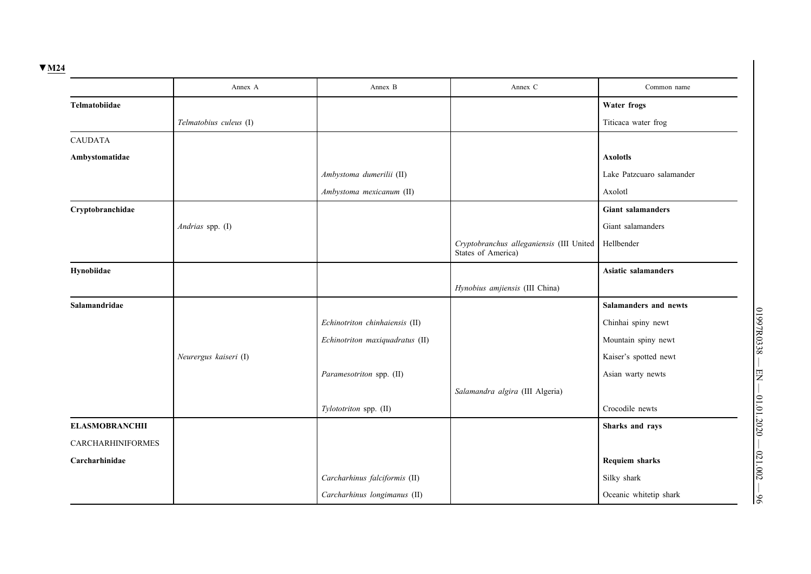|                          | Annex A                | Annex B                         | Annex C                                                        | Common name                |
|--------------------------|------------------------|---------------------------------|----------------------------------------------------------------|----------------------------|
| Telmatobiidae            |                        |                                 |                                                                | Water frogs                |
|                          | Telmatobius culeus (I) |                                 |                                                                | Titicaca water frog        |
| <b>CAUDATA</b>           |                        |                                 |                                                                |                            |
| Ambystomatidae           |                        |                                 |                                                                | <b>Axolotls</b>            |
|                          |                        | Ambystoma dumerilii (II)        |                                                                | Lake Patzcuaro salamander  |
|                          |                        | Ambystoma mexicanum (II)        |                                                                | Axolotl                    |
| Cryptobranchidae         |                        |                                 |                                                                | <b>Giant salamanders</b>   |
|                          | Andrias spp. (I)       |                                 |                                                                | Giant salamanders          |
|                          |                        |                                 | Cryptobranchus alleganiensis (III United<br>States of America) | Hellbender                 |
| Hynobiidae               |                        |                                 |                                                                | <b>Asiatic salamanders</b> |
|                          |                        |                                 | Hynobius amjiensis (III China)                                 |                            |
| Salamandridae            |                        |                                 |                                                                | Salamanders and newts      |
|                          |                        | Echinotriton chinhaiensis (II)  |                                                                | Chinhai spiny newt         |
|                          |                        | Echinotriton maxiquadratus (II) |                                                                | Mountain spiny newt        |
|                          | Neurergus kaiseri (I)  |                                 |                                                                | Kaiser's spotted newt      |
|                          |                        | Paramesotriton spp. (II)        |                                                                | Asian warty newts          |
|                          |                        |                                 | Salamandra algira (III Algeria)                                |                            |
|                          |                        | Tylototriton spp. (II)          |                                                                | Crocodile newts            |
| <b>ELASMOBRANCHII</b>    |                        |                                 |                                                                | Sharks and rays            |
| <b>CARCHARHINIFORMES</b> |                        |                                 |                                                                |                            |
| Carcharhinidae           |                        |                                 |                                                                | Requiem sharks             |
|                          |                        | Carcharhinus falciformis (II)   |                                                                | Silky shark                |
|                          |                        | Carcharhinus longimanus (II)    |                                                                | Oceanic whitetip shark     |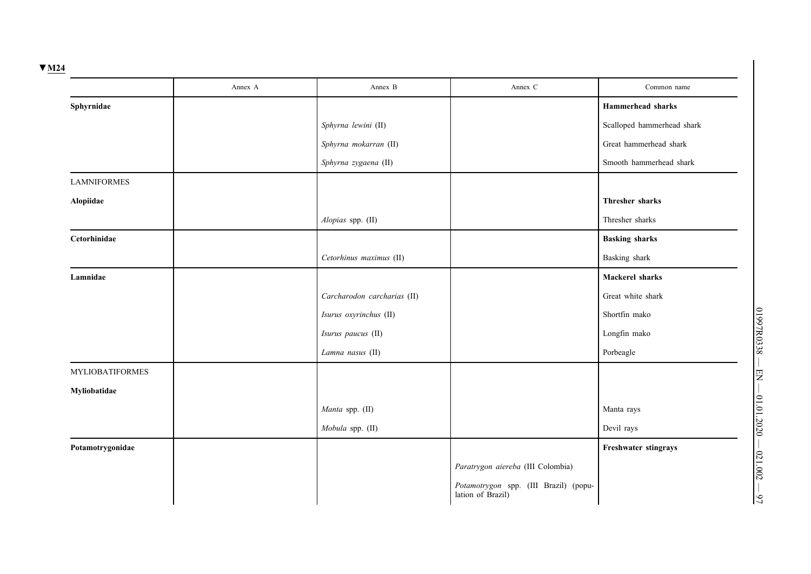|                        | Annex A | Annex B                     | Annex C                                                    | Common name                |
|------------------------|---------|-----------------------------|------------------------------------------------------------|----------------------------|
| Sphyrnidae             |         |                             |                                                            | Hammerhead sharks          |
|                        |         | Sphyrna lewini (II)         |                                                            | Scalloped hammerhead shark |
|                        |         | Sphyrna mokarran (II)       |                                                            | Great hammerhead shark     |
|                        |         | Sphyrna zygaena (II)        |                                                            | Smooth hammerhead shark    |
| <b>LAMNIFORMES</b>     |         |                             |                                                            |                            |
| Alopiidae              |         |                             |                                                            | Thresher sharks            |
|                        |         | Alopias spp. (II)           |                                                            | Thresher sharks            |
| Cetorhinidae           |         |                             |                                                            | <b>Basking sharks</b>      |
|                        |         | Cetorhinus maximus (II)     |                                                            | Basking shark              |
| Lamnidae               |         |                             |                                                            | Mackerel sharks            |
|                        |         | Carcharodon carcharias (II) |                                                            | Great white shark          |
|                        |         | Isurus oxyrinchus (II)      |                                                            | Shortfin mako              |
|                        |         | Isurus paucus (II)          |                                                            | Longfin mako               |
|                        |         | Lamna nasus (II)            |                                                            | Porbeagle                  |
| <b>MYLIOBATIFORMES</b> |         |                             |                                                            |                            |
| Myliobatidae           |         |                             |                                                            |                            |
|                        |         | Manta spp. (II)             |                                                            | Manta rays                 |
|                        |         | Mobula spp. (II)            |                                                            | Devil rays                 |
| Potamotrygonidae       |         |                             |                                                            | Freshwater stingrays       |
|                        |         |                             | Paratrygon aiereba (III Colombia)                          |                            |
|                        |         |                             | Potamotrygon spp. (III Brazil) (popu-<br>lation of Brazil) |                            |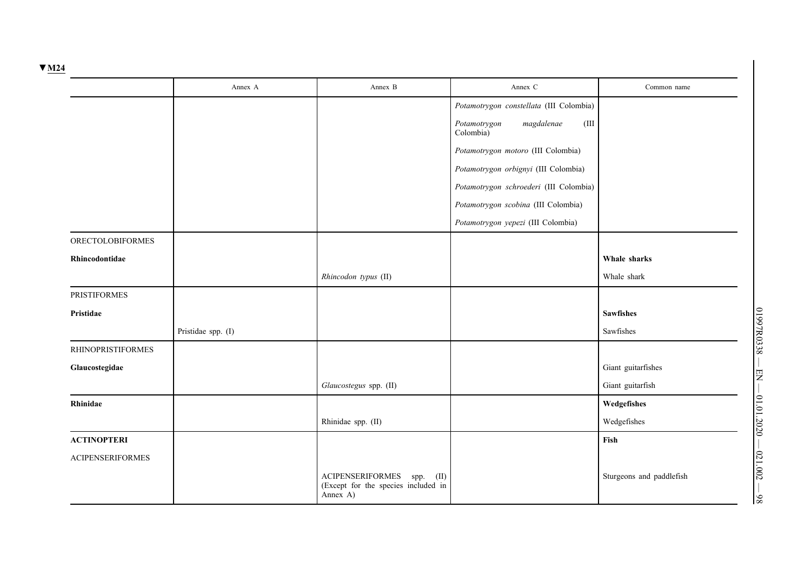|                          | Annex A            | Annex B                                                                                    | Annex C                                          | Common name              |
|--------------------------|--------------------|--------------------------------------------------------------------------------------------|--------------------------------------------------|--------------------------|
|                          |                    |                                                                                            | Potamotrygon constellata (III Colombia)          |                          |
|                          |                    |                                                                                            | magdalenae<br>Potamotrygon<br>(III)<br>Colombia) |                          |
|                          |                    |                                                                                            | Potamotrygon motoro (III Colombia)               |                          |
|                          |                    |                                                                                            | Potamotrygon orbignyi (III Colombia)             |                          |
|                          |                    |                                                                                            | Potamotrygon schroederi (III Colombia)           |                          |
|                          |                    |                                                                                            | Potamotrygon scobina (III Colombia)              |                          |
|                          |                    |                                                                                            | Potamotrygon yepezi (III Colombia)               |                          |
| <b>ORECTOLOBIFORMES</b>  |                    |                                                                                            |                                                  |                          |
| Rhincodontidae           |                    |                                                                                            |                                                  | Whale sharks             |
|                          |                    | Rhincodon typus (II)                                                                       |                                                  | Whale shark              |
| <b>PRISTIFORMES</b>      |                    |                                                                                            |                                                  |                          |
| Pristidae                |                    |                                                                                            |                                                  | <b>Sawfishes</b>         |
|                          | Pristidae spp. (I) |                                                                                            |                                                  | Sawfishes                |
| <b>RHINOPRISTIFORMES</b> |                    |                                                                                            |                                                  |                          |
| Glaucostegidae           |                    |                                                                                            |                                                  | Giant guitarfishes       |
|                          |                    | Glaucostegus spp. (II)                                                                     |                                                  | Giant guitarfish         |
| Rhinidae                 |                    |                                                                                            |                                                  | Wedgefishes              |
|                          |                    | Rhinidae spp. (II)                                                                         |                                                  | Wedgefishes              |
| <b>ACTINOPTERI</b>       |                    |                                                                                            |                                                  | Fish                     |
| <b>ACIPENSERIFORMES</b>  |                    |                                                                                            |                                                  |                          |
|                          |                    | <b>ACIPENSERIFORMES</b><br>(II)<br>spp.<br>(Except for the species included in<br>Annex A) |                                                  | Sturgeons and paddlefish |

**▼M24**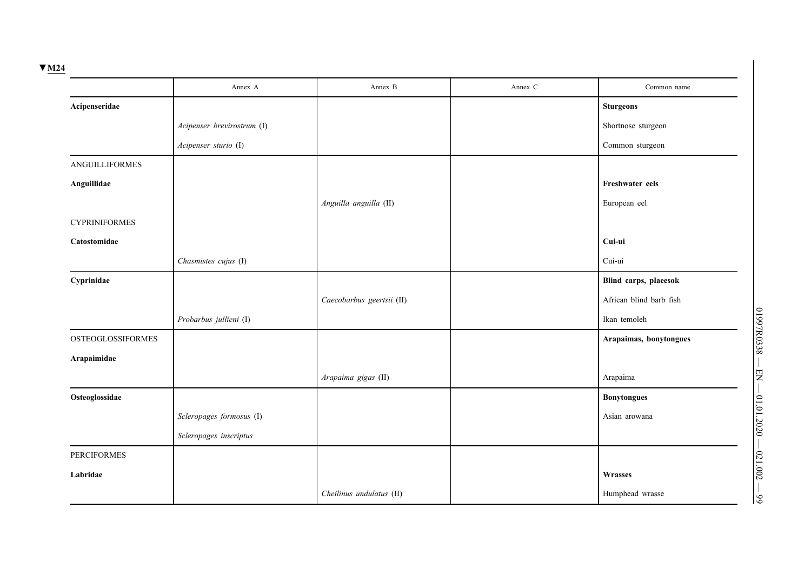| × |  |
|---|--|
|---|--|

|                          | Annex A                    | Annex B                   | Annex C | Common name             |
|--------------------------|----------------------------|---------------------------|---------|-------------------------|
| Acipenseridae            |                            |                           |         | <b>Sturgeons</b>        |
|                          | Acipenser brevirostrum (I) |                           |         | Shortnose sturgeon      |
|                          | Acipenser sturio (I)       |                           |         | Common sturgeon         |
| <b>ANGUILLIFORMES</b>    |                            |                           |         |                         |
| Anguillidae              |                            |                           |         | Freshwater eels         |
|                          |                            | Anguilla anguilla (II)    |         | European eel            |
| <b>CYPRINIFORMES</b>     |                            |                           |         |                         |
| Catostomidae             |                            |                           |         | Cui-ui                  |
|                          | Chasmistes cujus (I)       |                           |         | Cui-ui                  |
| Cyprinidae               |                            |                           |         | Blind carps, plaeesok   |
|                          |                            | Caecobarbus geertsii (II) |         | African blind barb fish |
|                          | Probarbus jullieni (I)     |                           |         | Ikan temoleh            |
| <b>OSTEOGLOSSIFORMES</b> |                            |                           |         | Arapaimas, bonytongues  |
| Arapaimidae              |                            |                           |         |                         |
|                          |                            | Arapaima gigas (II)       |         | Arapaima                |
| Osteoglossidae           |                            |                           |         | <b>Bonytongues</b>      |
|                          | Scleropages formosus (I)   |                           |         | Asian arowana           |
|                          | Scleropages inscriptus     |                           |         |                         |
| <b>PERCIFORMES</b>       |                            |                           |         |                         |
| Labridae                 |                            |                           |         | Wrasses                 |
|                          |                            | Cheilinus undulatus (II)  |         | Humphead wrasse         |

 $\frac{0199780338 - EN - 01.0112020 - 021.002 - 99}{019978037}$  $01997R0338 - EN - 01.01.202 - 021.002 - 99$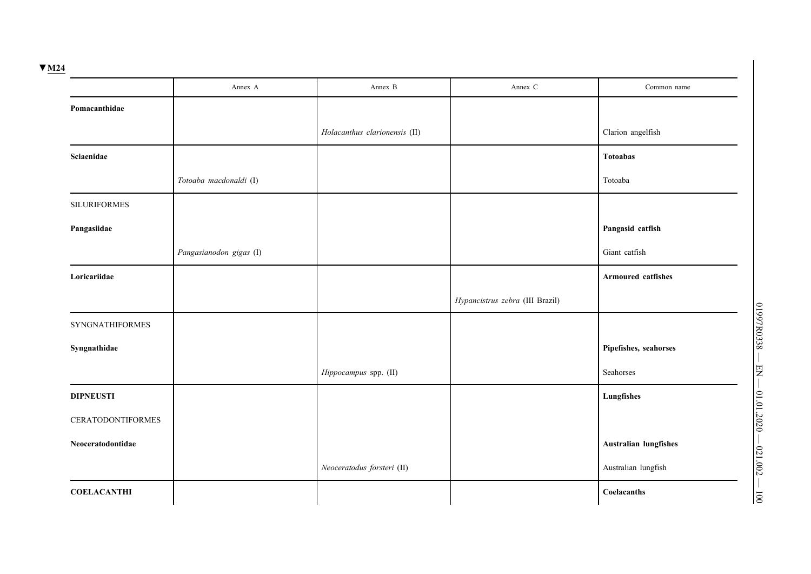|                          | Annex A                 | Annex B                       | Annex C                         | Common name                  |
|--------------------------|-------------------------|-------------------------------|---------------------------------|------------------------------|
| Pomacanthidae            |                         |                               |                                 |                              |
|                          |                         | Holacanthus clarionensis (II) |                                 | Clarion angelfish            |
| Sciaenidae               |                         |                               |                                 | <b>Totoabas</b>              |
|                          | Totoaba macdonaldi (I)  |                               |                                 | Totoaba                      |
| <b>SILURIFORMES</b>      |                         |                               |                                 |                              |
| Pangasiidae              |                         |                               |                                 | Pangasid catfish             |
|                          | Pangasianodon gigas (I) |                               |                                 | Giant catfish                |
| Loricariidae             |                         |                               |                                 | Armoured catfishes           |
|                          |                         |                               | Hypancistrus zebra (III Brazil) |                              |
| <b>SYNGNATHIFORMES</b>   |                         |                               |                                 |                              |
| Syngnathidae             |                         |                               |                                 | Pipefishes, seahorses        |
|                          |                         | Hippocampus spp. (II)         |                                 | Seahorses                    |
| <b>DIPNEUSTI</b>         |                         |                               |                                 | Lungfishes                   |
| <b>CERATODONTIFORMES</b> |                         |                               |                                 |                              |
| Neoceratodontidae        |                         |                               |                                 | <b>Australian lungfishes</b> |
|                          |                         | Neoceratodus forsteri (II)    |                                 | Australian lungfish          |
| <b>COELACANTHI</b>       |                         |                               |                                 | Coelacanths                  |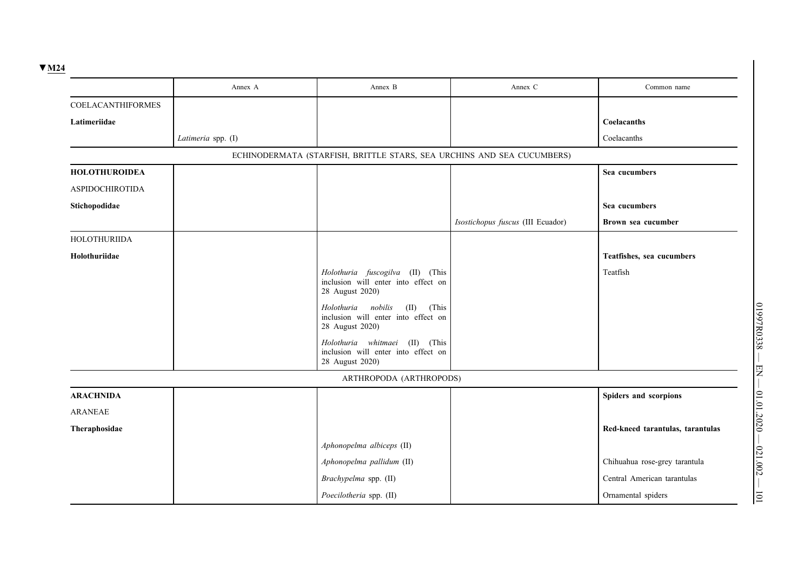|                          | Annex A            | Annex B                                                                                          | Annex C                           | Common name                      |
|--------------------------|--------------------|--------------------------------------------------------------------------------------------------|-----------------------------------|----------------------------------|
| <b>COELACANTHIFORMES</b> |                    |                                                                                                  |                                   |                                  |
| Latimeriidae             |                    |                                                                                                  |                                   | Coelacanths                      |
|                          | Latimeria spp. (I) |                                                                                                  |                                   | Coelacanths                      |
|                          |                    | ECHINODERMATA (STARFISH, BRITTLE STARS, SEA URCHINS AND SEA CUCUMBERS)                           |                                   |                                  |
| <b>HOLOTHUROIDEA</b>     |                    |                                                                                                  |                                   | Sea cucumbers                    |
| ASPIDOCHIROTIDA          |                    |                                                                                                  |                                   |                                  |
| Stichopodidae            |                    |                                                                                                  |                                   | Sea cucumbers                    |
|                          |                    |                                                                                                  | Isostichopus fuscus (III Ecuador) | Brown sea cucumber               |
| <b>HOLOTHURIIDA</b>      |                    |                                                                                                  |                                   |                                  |
| Holothuriidae            |                    |                                                                                                  |                                   | Teatfishes, sea cucumbers        |
|                          |                    | Holothuria fuscogilva (II) (This<br>inclusion will enter into effect on<br>28 August 2020)       |                                   | Teatfish                         |
|                          |                    | nobilis<br>Holothuria<br>(II)<br>(This<br>inclusion will enter into effect on<br>28 August 2020) |                                   |                                  |
|                          |                    | Holothuria whitmaei (II) (This<br>inclusion will enter into effect on<br>28 August 2020)         |                                   |                                  |
|                          |                    | ARTHROPODA (ARTHROPODS)                                                                          |                                   |                                  |
| <b>ARACHNIDA</b>         |                    |                                                                                                  |                                   | Spiders and scorpions            |
| <b>ARANEAE</b>           |                    |                                                                                                  |                                   |                                  |
| Theraphosidae            |                    |                                                                                                  |                                   | Red-kneed tarantulas, tarantulas |
|                          |                    | Aphonopelma albiceps (II)                                                                        |                                   |                                  |
|                          |                    | Aphonopelma pallidum (II)                                                                        |                                   | Chihuahua rose-grey tarantula    |
|                          |                    | Brachypelma spp. (II)                                                                            |                                   | Central American tarantulas      |
|                          |                    | Poecilotheria spp. (II)                                                                          |                                   | Ornamental spiders               |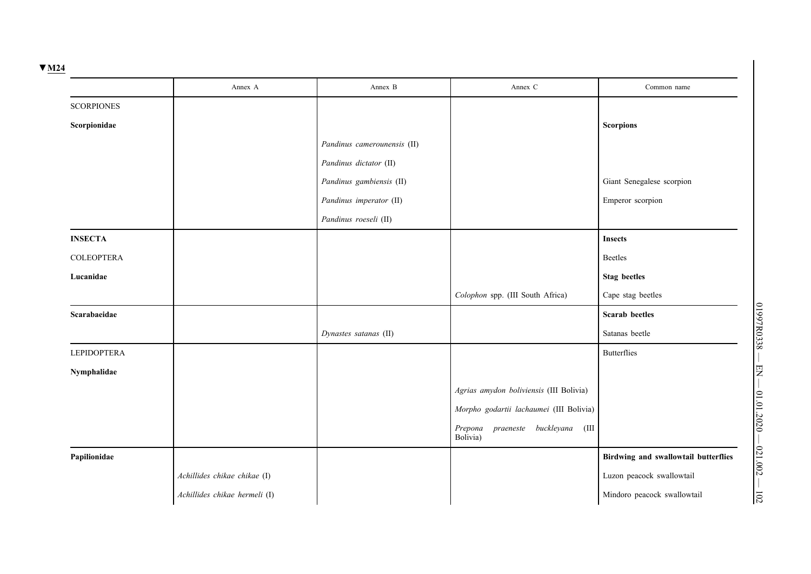|--|

|                    | Annex A                       | Annex B                     | Annex C                                          | Common name                          |
|--------------------|-------------------------------|-----------------------------|--------------------------------------------------|--------------------------------------|
| <b>SCORPIONES</b>  |                               |                             |                                                  |                                      |
| Scorpionidae       |                               |                             |                                                  | <b>Scorpions</b>                     |
|                    |                               | Pandinus camerounensis (II) |                                                  |                                      |
|                    |                               | Pandinus dictator (II)      |                                                  |                                      |
|                    |                               | Pandinus gambiensis (II)    |                                                  | Giant Senegalese scorpion            |
|                    |                               | Pandinus imperator (II)     |                                                  | Emperor scorpion                     |
|                    |                               | Pandinus roeseli (II)       |                                                  |                                      |
| <b>INSECTA</b>     |                               |                             |                                                  | <b>Insects</b>                       |
| <b>COLEOPTERA</b>  |                               |                             |                                                  | Beetles                              |
| Lucanidae          |                               |                             |                                                  | <b>Stag beetles</b>                  |
|                    |                               |                             | Colophon spp. (III South Africa)                 | Cape stag beetles                    |
| Scarabaeidae       |                               |                             |                                                  | <b>Scarab</b> beetles                |
|                    |                               | Dynastes satanas (II)       |                                                  | Satanas beetle                       |
| <b>LEPIDOPTERA</b> |                               |                             |                                                  | <b>Butterflies</b>                   |
| Nymphalidae        |                               |                             |                                                  |                                      |
|                    |                               |                             | Agrias amydon boliviensis (III Bolivia)          |                                      |
|                    |                               |                             | Morpho godartii lachaumei (III Bolivia)          |                                      |
|                    |                               |                             | praeneste buckleyana (III<br>Prepona<br>Bolivia) |                                      |
| Papilionidae       |                               |                             |                                                  | Birdwing and swallowtail butterflies |
|                    | Achillides chikae chikae (I)  |                             |                                                  | Luzon peacock swallowtail            |
|                    | Achillides chikae hermeli (I) |                             |                                                  | Mindoro peacock swallowtail          |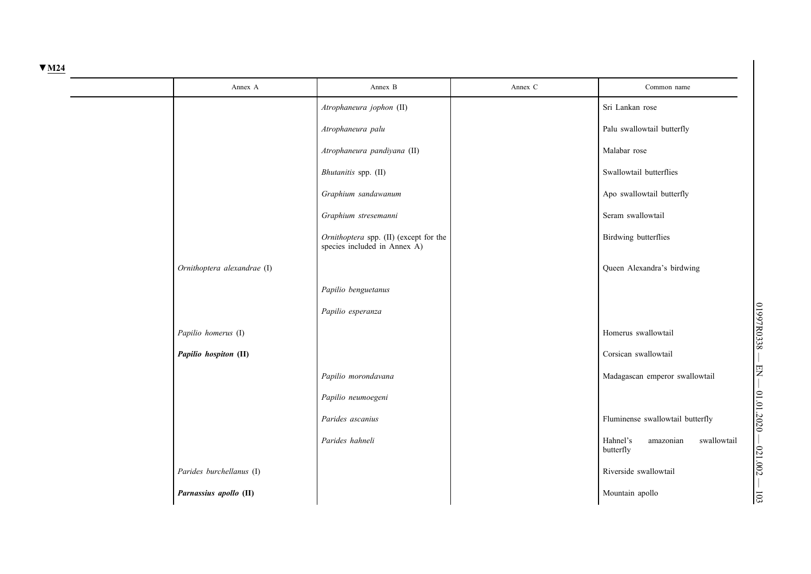| Annex A                     | Annex B                                                                | Annex C | Common name                                       |
|-----------------------------|------------------------------------------------------------------------|---------|---------------------------------------------------|
|                             | Atrophaneura jophon (II)                                               |         | Sri Lankan rose                                   |
|                             | Atrophaneura palu                                                      |         | Palu swallowtail butterfly                        |
|                             | Atrophaneura pandiyana (II)                                            |         | Malabar rose                                      |
|                             | Bhutanitis spp. (II)                                                   |         | Swallowtail butterflies                           |
|                             | Graphium sandawanum                                                    |         | Apo swallowtail butterfly                         |
|                             | Graphium stresemanni                                                   |         | Seram swallowtail                                 |
|                             | Ornithoptera spp. (II) (except for the<br>species included in Annex A) |         | Birdwing butterflies                              |
| Ornithoptera alexandrae (I) |                                                                        |         | Queen Alexandra's birdwing                        |
|                             | Papilio benguetanus                                                    |         |                                                   |
|                             | Papilio esperanza                                                      |         |                                                   |
| Papilio homerus (I)         |                                                                        |         | Homerus swallowtail                               |
| Papilio hospiton (II)       |                                                                        |         | Corsican swallowtail                              |
|                             | Papilio morondavana                                                    |         | Madagascan emperor swallowtail                    |
|                             | Papilio neumoegeni                                                     |         |                                                   |
|                             | Parides ascanius                                                       |         | Fluminense swallowtail butterfly                  |
|                             | Parides hahneli                                                        |         | Hahnel's<br>swallowtail<br>amazonian<br>butterfly |
| Parides burchellanus (I)    |                                                                        |         | Riverside swallowtail                             |
| Parnassius apollo (II)      |                                                                        |         | Mountain apollo                                   |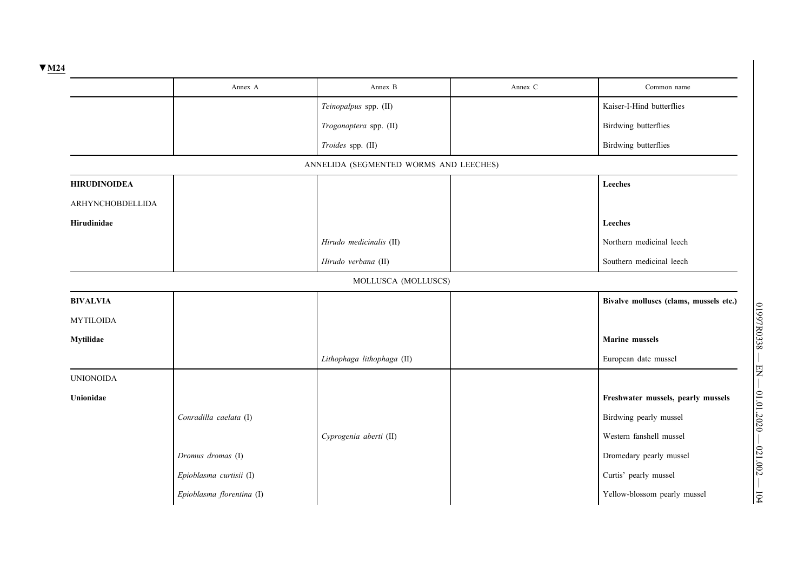|                     | Annex A                   | Annex B                                | Annex C | Common name                            |
|---------------------|---------------------------|----------------------------------------|---------|----------------------------------------|
|                     |                           | Teinopalpus spp. (II)                  |         | Kaiser-I-Hind butterflies              |
|                     |                           | Trogonoptera spp. (II)                 |         | Birdwing butterflies                   |
|                     |                           | Troides spp. (II)                      |         | Birdwing butterflies                   |
|                     |                           | ANNELIDA (SEGMENTED WORMS AND LEECHES) |         |                                        |
| <b>HIRUDINOIDEA</b> |                           |                                        |         | Leeches                                |
| ARHYNCHOBDELLIDA    |                           |                                        |         |                                        |
| Hirudinidae         |                           |                                        |         | Leeches                                |
|                     |                           | Hirudo medicinalis (II)                |         | Northern medicinal leech               |
|                     |                           | Hirudo verbana (II)                    |         | Southern medicinal leech               |
|                     |                           | MOLLUSCA (MOLLUSCS)                    |         |                                        |
| <b>BIVALVIA</b>     |                           |                                        |         | Bivalve molluscs (clams, mussels etc.) |
| <b>MYTILOIDA</b>    |                           |                                        |         |                                        |
| Mytilidae           |                           |                                        |         | Marine mussels                         |
|                     |                           | Lithophaga lithophaga (II)             |         | European date mussel                   |
| <b>UNIONOIDA</b>    |                           |                                        |         |                                        |
| Unionidae           |                           |                                        |         | Freshwater mussels, pearly mussels     |
|                     | Conradilla caelata (I)    |                                        |         | Birdwing pearly mussel                 |
|                     |                           | Cyprogenia aberti (II)                 |         | Western fanshell mussel                |
|                     | Dromus dromas (I)         |                                        |         | Dromedary pearly mussel                |
|                     | Epioblasma curtisii (I)   |                                        |         | Curtis' pearly mussel                  |
|                     | Epioblasma florentina (I) |                                        |         | Yellow-blossom pearly mussel           |
|                     |                           |                                        |         |                                        |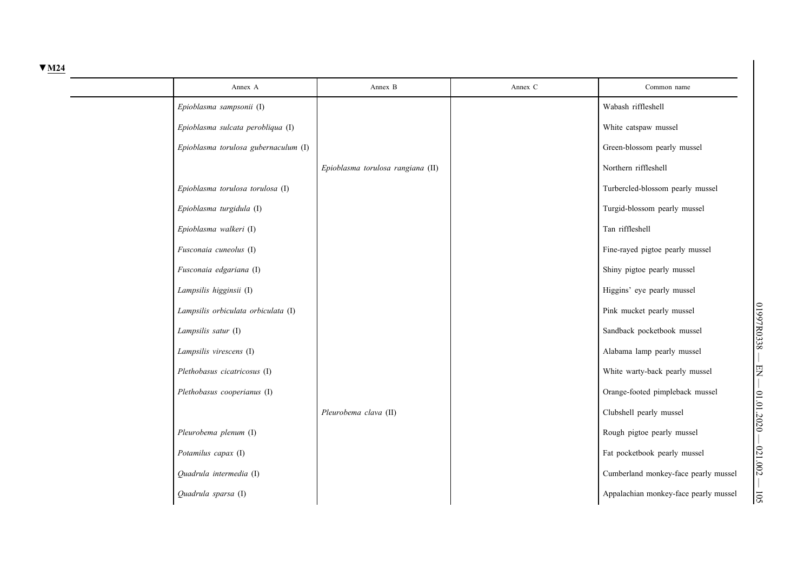|--|--|--|

| Annex A                              | Annex B                           | Annex C | Common name                           |
|--------------------------------------|-----------------------------------|---------|---------------------------------------|
| Epioblasma sampsonii (I)             |                                   |         | Wabash riffleshell                    |
| Epioblasma sulcata perobliqua (I)    |                                   |         | White catspaw mussel                  |
| Epioblasma torulosa gubernaculum (I) |                                   |         | Green-blossom pearly mussel           |
|                                      | Epioblasma torulosa rangiana (II) |         | Northern riffleshell                  |
| Epioblasma torulosa torulosa (I)     |                                   |         | Turbercled-blossom pearly mussel      |
| Epioblasma turgidula (I)             |                                   |         | Turgid-blossom pearly mussel          |
| Epioblasma walkeri (I)               |                                   |         | Tan riffleshell                       |
| Fusconaia cuneolus (I)               |                                   |         | Fine-rayed pigtoe pearly mussel       |
| Fusconaia edgariana (I)              |                                   |         | Shiny pigtoe pearly mussel            |
| Lampsilis higginsii (I)              |                                   |         | Higgins' eye pearly mussel            |
| Lampsilis orbiculata orbiculata (I)  |                                   |         | Pink mucket pearly mussel             |
| Lampsilis satur (I)                  |                                   |         | Sandback pocketbook mussel            |
| Lampsilis virescens (I)              |                                   |         | Alabama lamp pearly mussel            |
| Plethobasus cicatricosus (I)         |                                   |         | White warty-back pearly mussel        |
| Plethobasus cooperianus (I)          |                                   |         | Orange-footed pimpleback mussel       |
|                                      | Pleurobema clava (II)             |         | Clubshell pearly mussel               |
| Pleurobema plenum (I)                |                                   |         | Rough pigtoe pearly mussel            |
| Potamilus capax (I)                  |                                   |         | Fat pocketbook pearly mussel          |
| Quadrula intermedia (I)              |                                   |         | Cumberland monkey-face pearly mussel  |
| Quadrula sparsa (I)                  |                                   |         | Appalachian monkey-face pearly mussel |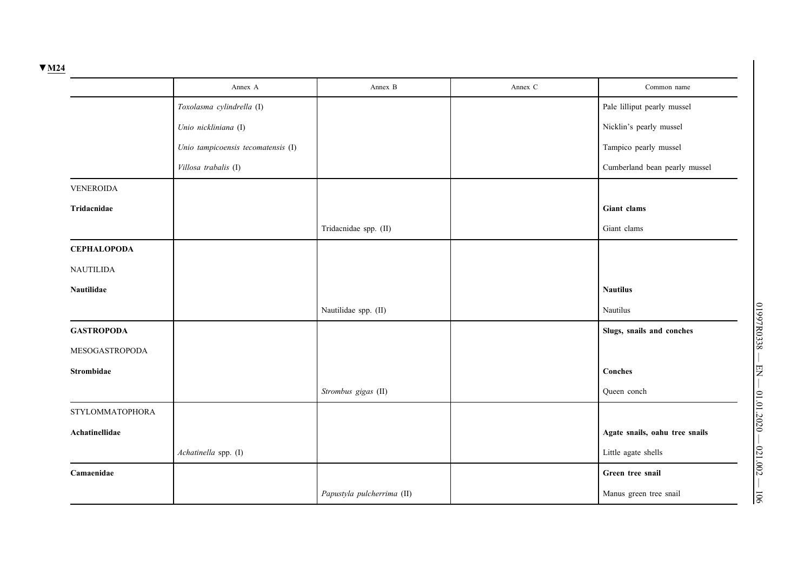| × |  |
|---|--|
|---|--|

|                        | Annex A                            | Annex B                    | Annex C | Common name                    |
|------------------------|------------------------------------|----------------------------|---------|--------------------------------|
|                        | Toxolasma cylindrella (I)          |                            |         | Pale lilliput pearly mussel    |
|                        | Unio nickliniana (I)               |                            |         | Nicklin's pearly mussel        |
|                        | Unio tampicoensis tecomatensis (I) |                            |         | Tampico pearly mussel          |
|                        | Villosa trabalis (I)               |                            |         | Cumberland bean pearly mussel  |
| <b>VENEROIDA</b>       |                                    |                            |         |                                |
| Tridacnidae            |                                    |                            |         | Giant clams                    |
|                        |                                    | Tridacnidae spp. (II)      |         | Giant clams                    |
| <b>CEPHALOPODA</b>     |                                    |                            |         |                                |
| <b>NAUTILIDA</b>       |                                    |                            |         |                                |
| <b>Nautilidae</b>      |                                    |                            |         | <b>Nautilus</b>                |
|                        |                                    | Nautilidae spp. (II)       |         | Nautilus                       |
| <b>GASTROPODA</b>      |                                    |                            |         | Slugs, snails and conches      |
| MESOGASTROPODA         |                                    |                            |         |                                |
| Strombidae             |                                    |                            |         | Conches                        |
|                        |                                    | Strombus gigas (II)        |         | Queen conch                    |
| <b>STYLOMMATOPHORA</b> |                                    |                            |         |                                |
| Achatinellidae         |                                    |                            |         | Agate snails, oahu tree snails |
|                        | Achatinella spp. (I)               |                            |         | Little agate shells            |
| Camaenidae             |                                    |                            |         | Green tree snail               |
|                        |                                    | Papustyla pulcherrima (II) |         | Manus green tree snail         |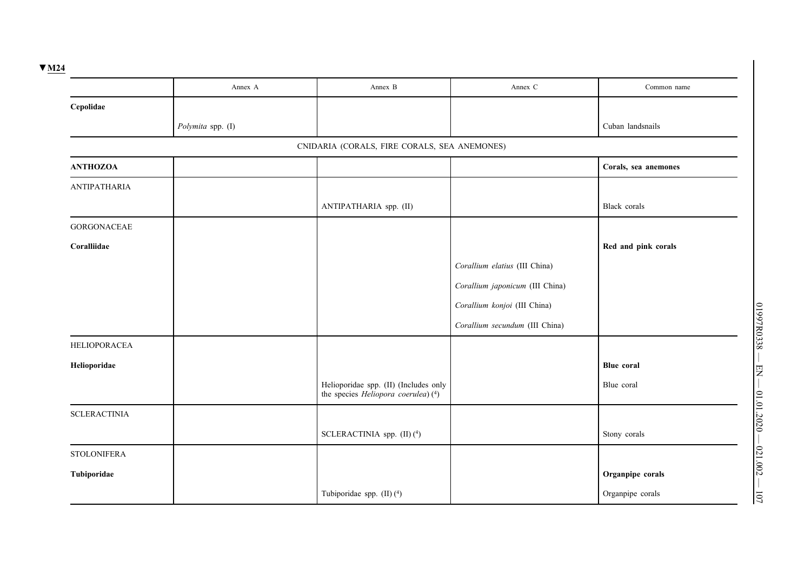|                     | Annex A           | Annex B                                                                      | Annex C                         | Common name          |
|---------------------|-------------------|------------------------------------------------------------------------------|---------------------------------|----------------------|
| Cepolidae           |                   |                                                                              |                                 |                      |
|                     | Polymita spp. (I) |                                                                              |                                 | Cuban landsnails     |
|                     |                   | CNIDARIA (CORALS, FIRE CORALS, SEA ANEMONES)                                 |                                 |                      |
| <b>ANTHOZOA</b>     |                   |                                                                              |                                 | Corals, sea anemones |
| <b>ANTIPATHARIA</b> |                   |                                                                              |                                 |                      |
|                     |                   | ANTIPATHARIA spp. (II)                                                       |                                 | Black corals         |
| <b>GORGONACEAE</b>  |                   |                                                                              |                                 |                      |
| Coralliidae         |                   |                                                                              |                                 | Red and pink corals  |
|                     |                   |                                                                              | Corallium elatius (III China)   |                      |
|                     |                   |                                                                              | Corallium japonicum (III China) |                      |
|                     |                   |                                                                              | Corallium konjoi (III China)    |                      |
|                     |                   |                                                                              | Corallium secundum (III China)  |                      |
| HELIOPORACEA        |                   |                                                                              |                                 |                      |
| Helioporidae        |                   |                                                                              |                                 | <b>Blue</b> coral    |
|                     |                   | Helioporidae spp. (II) (Includes only<br>the species Heliopora coerulea) (4) |                                 | Blue coral           |
| <b>SCLERACTINIA</b> |                   |                                                                              |                                 |                      |
|                     |                   | SCLERACTINIA spp. (II) (4)                                                   |                                 | Stony corals         |
| <b>STOLONIFERA</b>  |                   |                                                                              |                                 |                      |
| Tubiporidae         |                   |                                                                              |                                 | Organpipe corals     |
|                     |                   | Tubiporidae spp. (II) (4)                                                    |                                 | Organpipe corals     |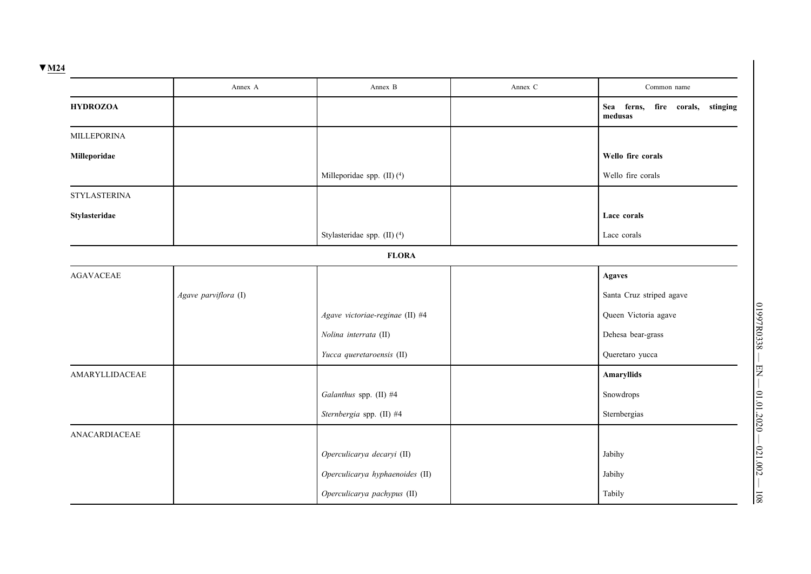|                     | Annex A              | Annex B                           | Annex C | Common name                                 |
|---------------------|----------------------|-----------------------------------|---------|---------------------------------------------|
| <b>HYDROZOA</b>     |                      |                                   |         | Sea ferns, fire corals, stinging<br>medusas |
| MILLEPORINA         |                      |                                   |         |                                             |
| Milleporidae        |                      |                                   |         | Wello fire corals                           |
|                     |                      | Milleporidae spp. $(II)$ $(4)$    |         | Wello fire corals                           |
| <b>STYLASTERINA</b> |                      |                                   |         |                                             |
| Stylasteridae       |                      |                                   |         | Lace corals                                 |
|                     |                      | Stylasteridae spp. $(II)$ ( $4$ ) |         | Lace corals                                 |
|                     |                      | <b>FLORA</b>                      |         |                                             |
| <b>AGAVACEAE</b>    |                      |                                   |         | <b>Agaves</b>                               |
|                     | Agave parviflora (I) |                                   |         | Santa Cruz striped agave                    |
|                     |                      | Agave victoriae-reginae (II) #4   |         | Queen Victoria agave                        |
|                     |                      | Nolina interrata (II)             |         | Dehesa bear-grass                           |
|                     |                      | Yucca queretaroensis (II)         |         | Queretaro yucca                             |
| AMARYLLIDACEAE      |                      |                                   |         | <b>Amaryllids</b>                           |
|                     |                      | Galanthus spp. (II) #4            |         | Snowdrops                                   |
|                     |                      | Sternbergia spp. (II) #4          |         | Sternbergias                                |
| ANACARDIACEAE       |                      |                                   |         |                                             |
|                     |                      | Operculicarya decaryi (II)        |         | Jabihy                                      |
|                     |                      | Operculicarya hyphaenoides (II)   |         | Jabihy                                      |
|                     |                      | Operculicarya pachypus (II)       |         | Tabily                                      |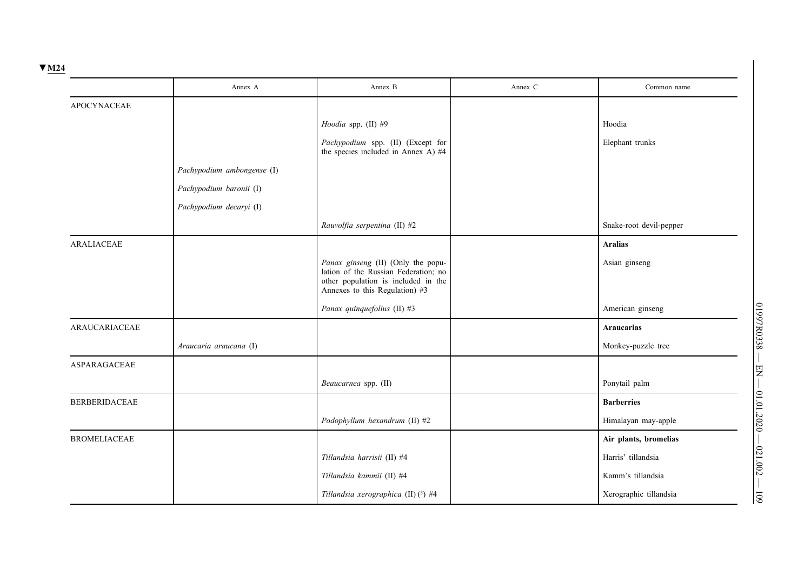| I |  |
|---|--|
|   |  |

|                      | Annex A                    | Annex B                                                                                                                                        | Annex C | Common name             |
|----------------------|----------------------------|------------------------------------------------------------------------------------------------------------------------------------------------|---------|-------------------------|
| <b>APOCYNACEAE</b>   |                            |                                                                                                                                                |         |                         |
|                      |                            | Hoodia spp. (II) #9                                                                                                                            |         | Hoodia                  |
|                      |                            | Pachypodium spp. (II) (Except for<br>the species included in Annex A) $#4$                                                                     |         | Elephant trunks         |
|                      | Pachypodium ambongense (I) |                                                                                                                                                |         |                         |
|                      | Pachypodium baronii (I)    |                                                                                                                                                |         |                         |
|                      | Pachypodium decaryi (I)    |                                                                                                                                                |         |                         |
|                      |                            | Rauvolfia serpentina (II) #2                                                                                                                   |         | Snake-root devil-pepper |
| <b>ARALIACEAE</b>    |                            |                                                                                                                                                |         | <b>Aralias</b>          |
|                      |                            | Panax ginseng (II) (Only the population of the Russian Federation; no<br>other population is included in the<br>Annexes to this Regulation) #3 |         | Asian ginseng           |
|                      |                            | Panax quinquefolius (II) #3                                                                                                                    |         | American ginseng        |
| ARAUCARIACEAE        |                            |                                                                                                                                                |         | Araucarias              |
|                      | Araucaria araucana (I)     |                                                                                                                                                |         | Monkey-puzzle tree      |
| ASPARAGACEAE         |                            |                                                                                                                                                |         |                         |
|                      |                            | Beaucarnea spp. (II)                                                                                                                           |         | Ponytail palm           |
| <b>BERBERIDACEAE</b> |                            |                                                                                                                                                |         | <b>Barberries</b>       |
|                      |                            | Podophyllum hexandrum (II) #2                                                                                                                  |         | Himalayan may-apple     |
| <b>BROMELIACEAE</b>  |                            |                                                                                                                                                |         | Air plants, bromelias   |
|                      |                            | Tillandsia harrisii (II) #4                                                                                                                    |         | Harris' tillandsia      |
|                      |                            | Tillandsia kammii (II) #4                                                                                                                      |         | Kamm's tillandsia       |
|                      |                            | Tillandsia xerographica (II) (5) #4                                                                                                            |         | Xerographic tillandsia  |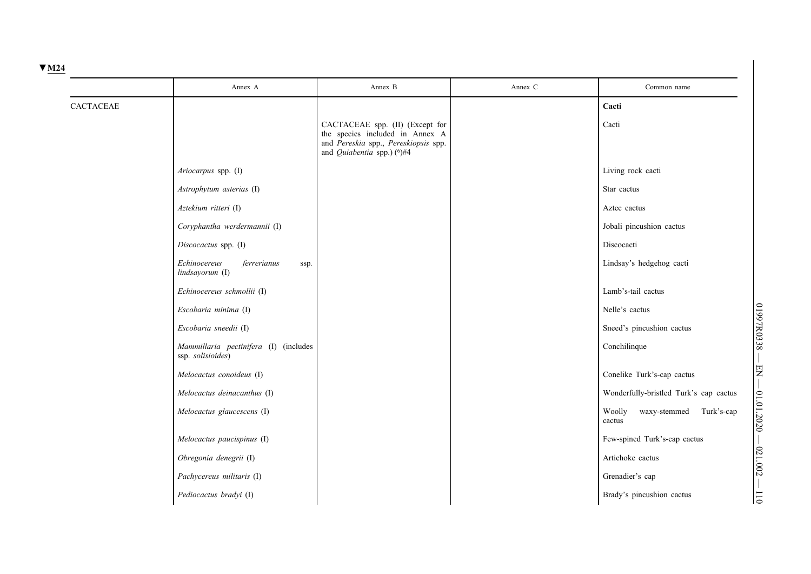| I |  |  |
|---|--|--|
|---|--|--|

|                  | Annex A                                                    | Annex B                                                                                                                                            | Annex C | Common name                                 |
|------------------|------------------------------------------------------------|----------------------------------------------------------------------------------------------------------------------------------------------------|---------|---------------------------------------------|
| <b>CACTACEAE</b> |                                                            |                                                                                                                                                    |         | Cacti                                       |
|                  |                                                            | CACTACEAE spp. (II) (Except for<br>the species included in Annex A<br>and Pereskia spp., Pereskiopsis spp.<br>and <i>Quiabentia</i> spp.) $(6)$ #4 |         | Cacti                                       |
|                  | Ariocarpus spp. (I)                                        |                                                                                                                                                    |         | Living rock cacti                           |
|                  | Astrophytum asterias (I)                                   |                                                                                                                                                    |         | Star cactus                                 |
|                  | Aztekium ritteri (I)                                       |                                                                                                                                                    |         | Aztec cactus                                |
|                  | Coryphantha werdermannii (I)                               |                                                                                                                                                    |         | Jobali pincushion cactus                    |
|                  | Discocactus spp. (I)                                       |                                                                                                                                                    |         | Discocacti                                  |
|                  | Echinocereus<br>ferrerianus<br>ssp.<br>lindsayorum (I)     |                                                                                                                                                    |         | Lindsay's hedgehog cacti                    |
|                  | Echinocereus schmollii (I)                                 |                                                                                                                                                    |         | Lamb's-tail cactus                          |
|                  | Escobaria minima (I)                                       |                                                                                                                                                    |         | Nelle's cactus                              |
|                  | Escobaria sneedii (I)                                      |                                                                                                                                                    |         | Sneed's pincushion cactus                   |
|                  | Mammillaria pectinifera (I) (includes<br>ssp. solisioides) |                                                                                                                                                    |         | Conchilinque                                |
|                  | Melocactus conoideus (I)                                   |                                                                                                                                                    |         | Conelike Turk's-cap cactus                  |
|                  | Melocactus deinacanthus (I)                                |                                                                                                                                                    |         | Wonderfully-bristled Turk's cap cactus      |
|                  | Melocactus glaucescens (I)                                 |                                                                                                                                                    |         | Woolly<br>waxy-stemmed Turk's-cap<br>cactus |
|                  | Melocactus paucispinus (I)                                 |                                                                                                                                                    |         | Few-spined Turk's-cap cactus                |
|                  | Obregonia denegrii (I)                                     |                                                                                                                                                    |         | Artichoke cactus                            |
|                  | Pachycereus militaris (I)                                  |                                                                                                                                                    |         | Grenadier's cap                             |
|                  | Pediocactus bradyi (I)                                     |                                                                                                                                                    |         | Brady's pincushion cactus                   |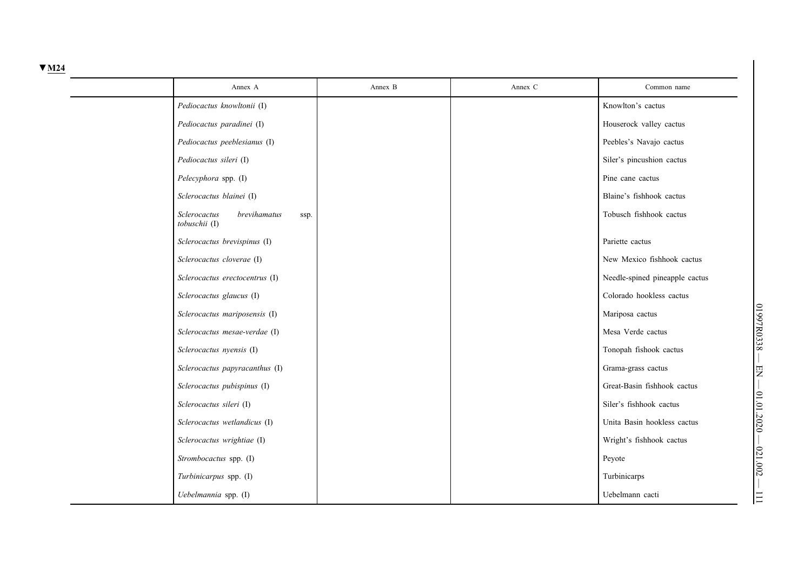| Annex A                                       | Annex B | Annex C | Common name                    |
|-----------------------------------------------|---------|---------|--------------------------------|
| Pediocactus knowltonii (I)                    |         |         | Knowlton's cactus              |
| Pediocactus paradinei (I)                     |         |         | Houserock valley cactus        |
| Pediocactus peeblesianus (I)                  |         |         | Peebles's Navajo cactus        |
| Pediocactus sileri (I)                        |         |         | Siler's pincushion cactus      |
| Pelecyphora spp. (I)                          |         |         | Pine cane cactus               |
| Sclerocactus blainei (I)                      |         |         | Blaine's fishhook cactus       |
| Sclerocactus<br>brevihamatus<br>tobuschii (I) | ssp.    |         | Tobusch fishhook cactus        |
| Sclerocactus brevispinus (I)                  |         |         | Pariette cactus                |
| Sclerocactus cloverae (I)                     |         |         | New Mexico fishhook cactus     |
| Sclerocactus erectocentrus (I)                |         |         | Needle-spined pineapple cactus |
| Sclerocactus glaucus (I)                      |         |         | Colorado hookless cactus       |
| Sclerocactus mariposensis (I)                 |         |         | Mariposa cactus                |
| Sclerocactus mesae-verdae (I)                 |         |         | Mesa Verde cactus              |
| Sclerocactus nyensis (I)                      |         |         | Tonopah fishook cactus         |
| Sclerocactus papyracanthus (I)                |         |         | Grama-grass cactus             |
| Sclerocactus pubispinus (I)                   |         |         | Great-Basin fishhook cactus    |
| Sclerocactus sileri (I)                       |         |         | Siler's fishhook cactus        |
| Sclerocactus wetlandicus (I)                  |         |         | Unita Basin hookless cactus    |
| Sclerocactus wrightiae (I)                    |         |         | Wright's fishhook cactus       |
| Strombocactus spp. (I)                        |         |         | Peyote                         |
| Turbinicarpus spp. (I)                        |         |         | Turbinicarps                   |
| Uebelmannia spp. (I)                          |         |         | Uebelmann cacti                |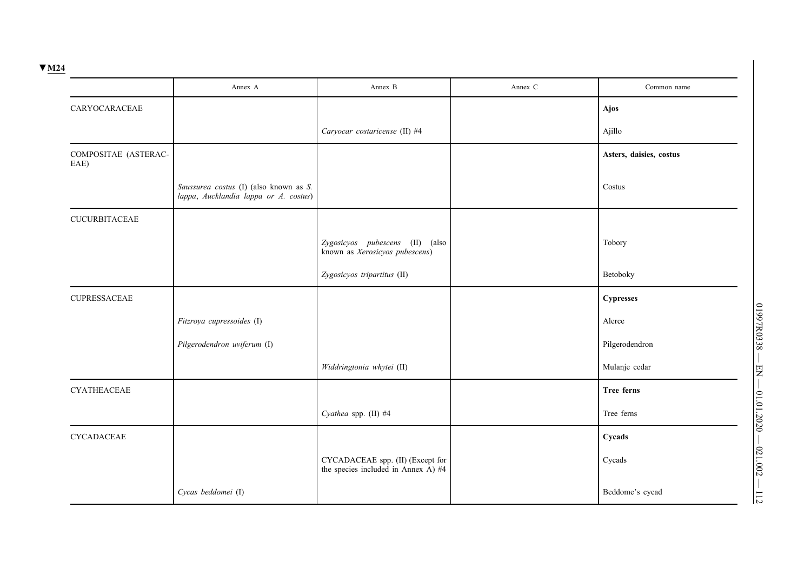|                              | Annex A                                                                         | Annex B                                                                 | Annex C | Common name             |
|------------------------------|---------------------------------------------------------------------------------|-------------------------------------------------------------------------|---------|-------------------------|
| CARYOCARACEAE                |                                                                                 |                                                                         |         | Ajos                    |
|                              |                                                                                 | Caryocar costaricense (II) #4                                           |         | Ajillo                  |
| COMPOSITAE (ASTERAC-<br>EAE) |                                                                                 |                                                                         |         | Asters, daisies, costus |
|                              | Saussurea costus (I) (also known as S.<br>lappa, Aucklandia lappa or A. costus) |                                                                         |         | Costus                  |
| <b>CUCURBITACEAE</b>         |                                                                                 |                                                                         |         |                         |
|                              |                                                                                 | Zygosicyos pubescens (II) (also<br>known as Xerosicyos pubescens)       |         | Tobory                  |
|                              |                                                                                 | Zygosicyos tripartitus (II)                                             |         | Betoboky                |
| <b>CUPRESSACEAE</b>          |                                                                                 |                                                                         |         | <b>Cypresses</b>        |
|                              | Fitzroya cupressoides (I)                                                       |                                                                         |         | Alerce                  |
|                              | Pilgerodendron uviferum (I)                                                     |                                                                         |         | Pilgerodendron          |
|                              |                                                                                 | Widdringtonia whytei (II)                                               |         | Mulanje cedar           |
| <b>CYATHEACEAE</b>           |                                                                                 |                                                                         |         | Tree ferns              |
|                              |                                                                                 | Cyathea spp. (II) #4                                                    |         | Tree ferns              |
| <b>CYCADACEAE</b>            |                                                                                 |                                                                         |         | Cycads                  |
|                              |                                                                                 | CYCADACEAE spp. (II) (Except for<br>the species included in Annex A) #4 |         | Cycads                  |
|                              | Cycas beddomei (I)                                                              |                                                                         |         | Beddome's cycad         |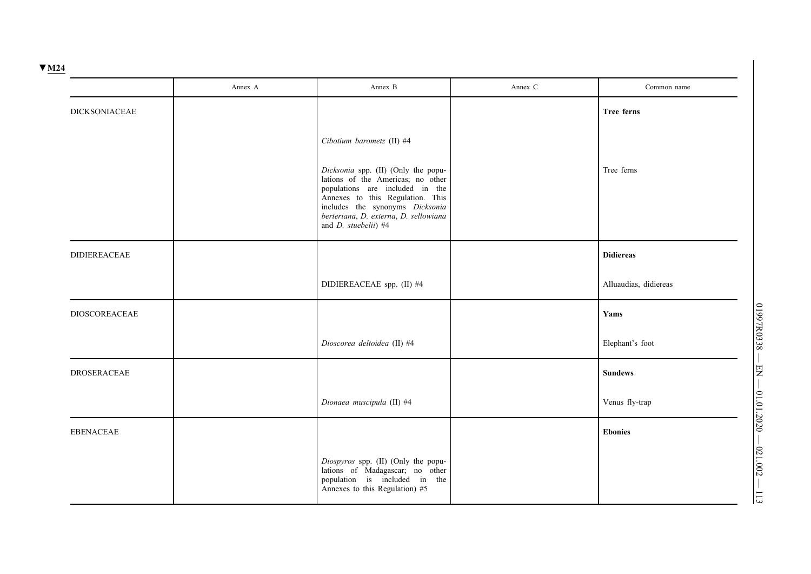| × |  |
|---|--|
|---|--|

|                      | Annex A | Annex B                                                                                                                                                                                                                                        | Annex C | Common name           |
|----------------------|---------|------------------------------------------------------------------------------------------------------------------------------------------------------------------------------------------------------------------------------------------------|---------|-----------------------|
| <b>DICKSONIACEAE</b> |         |                                                                                                                                                                                                                                                |         | Tree ferns            |
|                      |         | Cibotium barometz (II) #4                                                                                                                                                                                                                      |         |                       |
|                      |         | Dicksonia spp. (II) (Only the populations of the Americas; no other<br>populations are included in the<br>Annexes to this Regulation. This<br>includes the synonyms Dicksonia<br>berteriana, D. externa, D. sellowiana<br>and D. stuebelii) #4 |         | Tree ferns            |
| <b>DIDIEREACEAE</b>  |         |                                                                                                                                                                                                                                                |         | <b>Didiereas</b>      |
|                      |         | DIDIEREACEAE spp. (II) #4                                                                                                                                                                                                                      |         | Alluaudias, didiereas |
| DIOSCOREACEAE        |         |                                                                                                                                                                                                                                                |         | Yams                  |
|                      |         | Dioscorea deltoidea (II) #4                                                                                                                                                                                                                    |         | Elephant's foot       |
| <b>DROSERACEAE</b>   |         |                                                                                                                                                                                                                                                |         | <b>Sundews</b>        |
|                      |         | Dionaea muscipula (II) #4                                                                                                                                                                                                                      |         | Venus fly-trap        |
| <b>EBENACEAE</b>     |         |                                                                                                                                                                                                                                                |         | <b>Ebonies</b>        |
|                      |         | Diospyros spp. (II) (Only the popu-<br>lations of Madagascar; no other<br>population is included in the<br>Annexes to this Regulation) #5                                                                                                      |         |                       |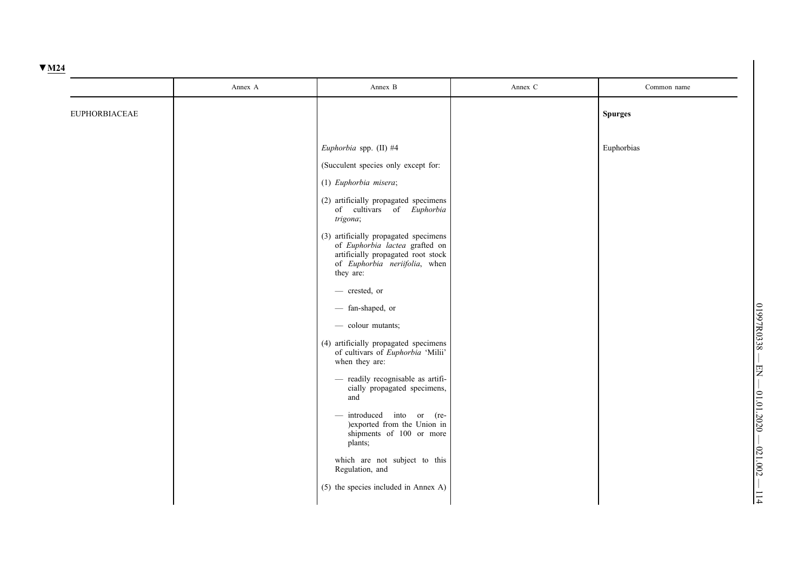|                      | Annex A | Annex B                                                                                                                                                                  | Annex C | Common name    |
|----------------------|---------|--------------------------------------------------------------------------------------------------------------------------------------------------------------------------|---------|----------------|
| <b>EUPHORBIACEAE</b> |         |                                                                                                                                                                          |         | <b>Spurges</b> |
|                      |         | Euphorbia spp. (II) #4<br>(Succulent species only except for:<br>(1) Euphorbia misera;<br>(2) artificially propagated specimens<br>of cultivars of Euphorbia<br>trigona; |         | Euphorbias     |
|                      |         | (3) artificially propagated specimens<br>of Euphorbia lactea grafted on<br>artificially propagated root stock<br>of Euphorbia neriifolia, when<br>they are:              |         |                |
|                      |         | - crested, or<br>- fan-shaped, or                                                                                                                                        |         |                |
|                      |         | - colour mutants;<br>(4) artificially propagated specimens<br>of cultivars of Euphorbia 'Milii'<br>when they are:                                                        |         |                |
|                      |         | - readily recognisable as artifi-<br>cially propagated specimens,<br>and                                                                                                 |         |                |
|                      |         | - introduced into or (re-<br>)exported from the Union in<br>shipments of 100 or more<br>plants;                                                                          |         |                |
|                      |         | which are not subject to this<br>Regulation, and                                                                                                                         |         |                |
|                      |         | (5) the species included in Annex A)                                                                                                                                     |         |                |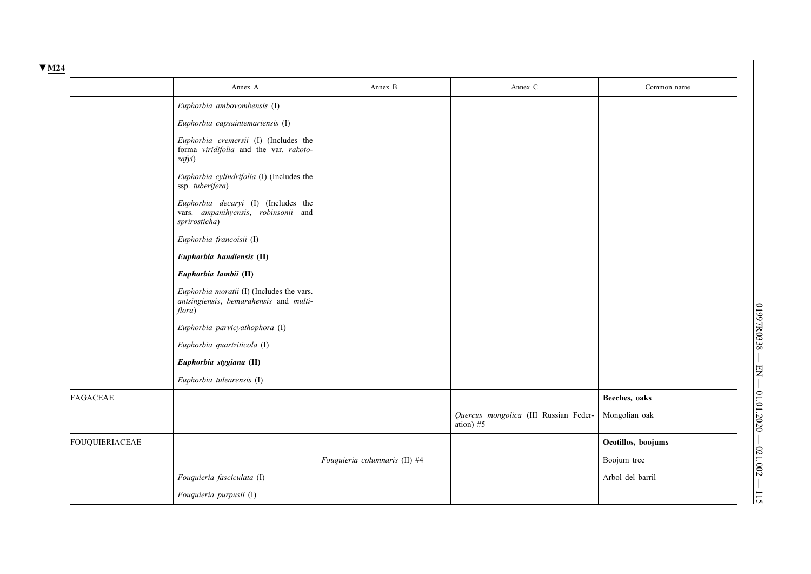|                       | Annex A                                                                                               | Annex B                       | Annex C                                            | Common name        |
|-----------------------|-------------------------------------------------------------------------------------------------------|-------------------------------|----------------------------------------------------|--------------------|
|                       | Euphorbia ambovombensis (I)                                                                           |                               |                                                    |                    |
|                       | Euphorbia capsaintemariensis (I)                                                                      |                               |                                                    |                    |
|                       | Euphorbia cremersii (I) (Includes the<br>forma viridifolia and the var. rakoto-<br>zafyi)             |                               |                                                    |                    |
|                       | Euphorbia cylindrifolia (I) (Includes the<br>ssp. tuberifera)                                         |                               |                                                    |                    |
|                       | Euphorbia decaryi (I) (Includes the<br>vars. ampanihyensis, robinsonii and<br>sprirosticha)           |                               |                                                    |                    |
|                       | Euphorbia francoisii (I)                                                                              |                               |                                                    |                    |
|                       | Euphorbia handiensis (II)                                                                             |                               |                                                    |                    |
|                       | Euphorbia lambii (II)                                                                                 |                               |                                                    |                    |
|                       | Euphorbia moratii (I) (Includes the vars.<br>antsingiensis, bemarahensis and multi-<br>$\text{f} (1)$ |                               |                                                    |                    |
|                       | Euphorbia parvicyathophora (I)                                                                        |                               |                                                    |                    |
|                       | Euphorbia quartziticola (I)                                                                           |                               |                                                    |                    |
|                       | Euphorbia stygiana (II)                                                                               |                               |                                                    |                    |
|                       | Euphorbia tulearensis (I)                                                                             |                               |                                                    |                    |
| <b>FAGACEAE</b>       |                                                                                                       |                               |                                                    | Beeches, oaks      |
|                       |                                                                                                       |                               | Quercus mongolica (III Russian Feder-<br>ation) #5 | Mongolian oak      |
| <b>FOUQUIERIACEAE</b> |                                                                                                       |                               |                                                    | Ocotillos, boojums |
|                       |                                                                                                       | Fouquieria columnaris (II) #4 |                                                    | Boojum tree        |
|                       | Fouquieria fasciculata (I)                                                                            |                               |                                                    | Arbol del barril   |
|                       | Fouquieria purpusii (I)                                                                               |                               |                                                    |                    |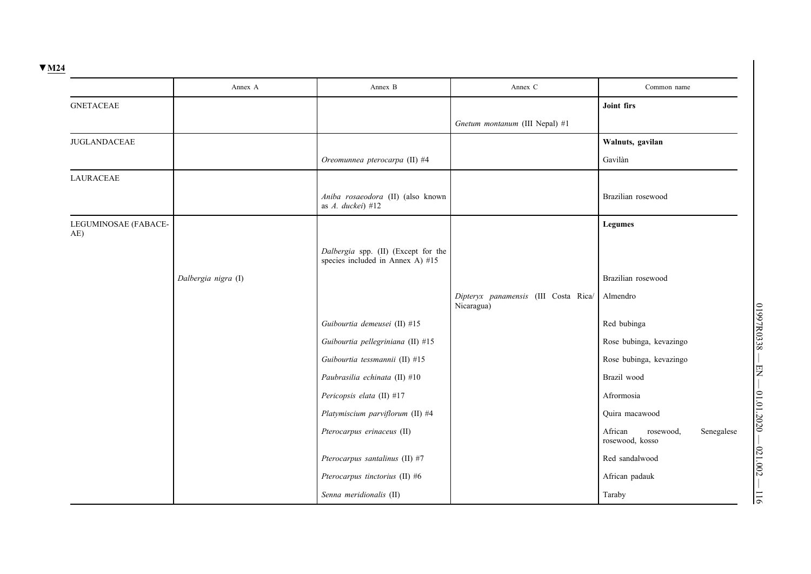|                             | Annex A             | Annex B                                                                 | Annex C                                            | Common name                                           |
|-----------------------------|---------------------|-------------------------------------------------------------------------|----------------------------------------------------|-------------------------------------------------------|
| <b>GNETACEAE</b>            |                     |                                                                         |                                                    | Joint firs                                            |
|                             |                     |                                                                         | Gnetum montanum (III Nepal) #1                     |                                                       |
| <b>JUGLANDACEAE</b>         |                     |                                                                         |                                                    | Walnuts, gavilan                                      |
|                             |                     | Oreomunnea pterocarpa (II) #4                                           |                                                    | Gavilàn                                               |
| <b>LAURACEAE</b>            |                     |                                                                         |                                                    |                                                       |
|                             |                     | Aniba rosaeodora (II) (also known<br>as $A.$ duckei) #12                |                                                    | Brazilian rosewood                                    |
| LEGUMINOSAE (FABACE-<br>AE) |                     |                                                                         |                                                    | Legumes                                               |
|                             |                     | Dalbergia spp. (II) (Except for the<br>species included in Annex A) #15 |                                                    |                                                       |
|                             | Dalbergia nigra (I) |                                                                         |                                                    | Brazilian rosewood                                    |
|                             |                     |                                                                         | Dipteryx panamensis (III Costa Rica/<br>Nicaragua) | Almendro                                              |
|                             |                     | Guibourtia demeusei (II) #15                                            |                                                    | Red bubinga                                           |
|                             |                     | Guibourtia pellegriniana (II) #15                                       |                                                    | Rose bubinga, kevazingo                               |
|                             |                     | Guibourtia tessmannii (II) #15                                          |                                                    | Rose bubinga, kevazingo                               |
|                             |                     | Paubrasilia echinata (II) #10                                           |                                                    | Brazil wood                                           |
|                             |                     | Pericopsis elata (II) #17                                               |                                                    | Afrormosia                                            |
|                             |                     | Platymiscium parviflorum (II) #4                                        |                                                    | Quira macawood                                        |
|                             |                     | Pterocarpus erinaceus (II)                                              |                                                    | African<br>Senegalese<br>rosewood,<br>rosewood, kosso |
|                             |                     | Pterocarpus santalinus (II) #7                                          |                                                    | Red sandalwood                                        |
|                             |                     | Pterocarpus tinctorius (II) #6                                          |                                                    | African padauk                                        |
|                             |                     | Senna meridionalis (II)                                                 |                                                    | Taraby                                                |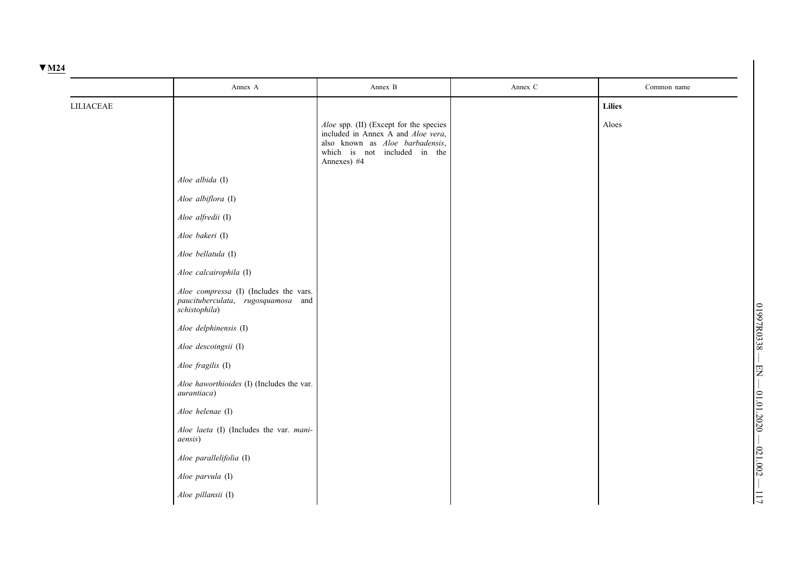|--|--|--|

|                  | Annex A                                                                                       | Annex B                                                                                                                                                        | Annex C | Common name   |
|------------------|-----------------------------------------------------------------------------------------------|----------------------------------------------------------------------------------------------------------------------------------------------------------------|---------|---------------|
| <b>LILIACEAE</b> |                                                                                               |                                                                                                                                                                |         | <b>Lilies</b> |
|                  |                                                                                               | Aloe spp. (II) (Except for the species<br>included in Annex A and Aloe vera,<br>also known as Aloe barbadensis,<br>which is not included in the<br>Annexes) #4 |         | Aloes         |
|                  | Aloe albida (I)                                                                               |                                                                                                                                                                |         |               |
|                  | Aloe albiflora (I)                                                                            |                                                                                                                                                                |         |               |
|                  | Aloe alfredii (I)                                                                             |                                                                                                                                                                |         |               |
|                  | Aloe bakeri (I)                                                                               |                                                                                                                                                                |         |               |
|                  | Aloe bellatula (I)                                                                            |                                                                                                                                                                |         |               |
|                  | Aloe calcairophila (I)                                                                        |                                                                                                                                                                |         |               |
|                  | Aloe compressa (I) (Includes the vars.<br>paucituberculata, rugosquamosa and<br>schistophila) |                                                                                                                                                                |         |               |
|                  | Aloe delphinensis (I)                                                                         |                                                                                                                                                                |         |               |
|                  | Aloe descoingsii (I)                                                                          |                                                                                                                                                                |         |               |
|                  | Aloe fragilis (I)                                                                             |                                                                                                                                                                |         |               |
|                  | Aloe haworthioides (I) (Includes the var.<br>aurantiaca)                                      |                                                                                                                                                                |         |               |
|                  | Aloe helenae (I)                                                                              |                                                                                                                                                                |         |               |
|                  | Aloe laeta (I) (Includes the var. mani-<br>aensis)                                            |                                                                                                                                                                |         |               |
|                  | Aloe parallelifolia (I)                                                                       |                                                                                                                                                                |         |               |
|                  | Aloe parvula (I)                                                                              |                                                                                                                                                                |         |               |
|                  | Aloe pillansii (I)                                                                            |                                                                                                                                                                |         |               |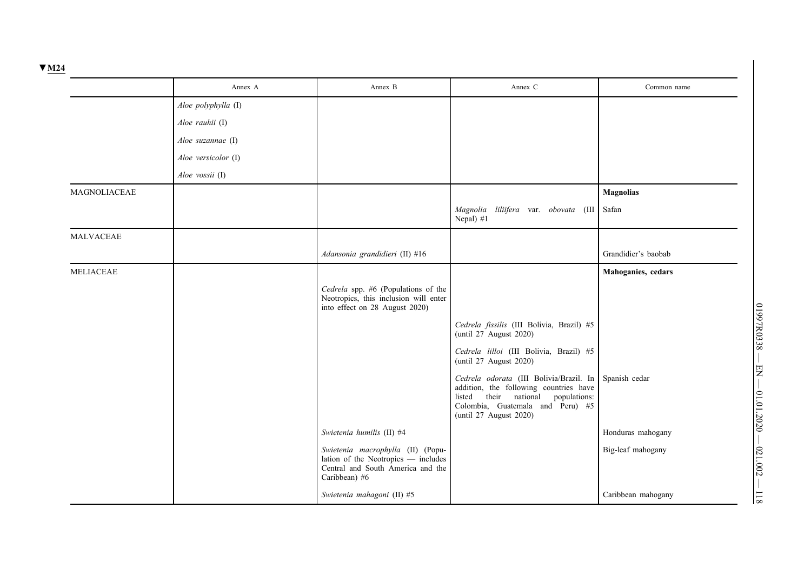| × |  |  |
|---|--|--|
|---|--|--|

|              | Annex A             | Annex B                                                                                                                        | Annex C                                                                                                                                                                                     | Common name         |
|--------------|---------------------|--------------------------------------------------------------------------------------------------------------------------------|---------------------------------------------------------------------------------------------------------------------------------------------------------------------------------------------|---------------------|
|              | Aloe polyphylla (I) |                                                                                                                                |                                                                                                                                                                                             |                     |
|              | Aloe rauhii $(I)$   |                                                                                                                                |                                                                                                                                                                                             |                     |
|              | Aloe suzannae $(I)$ |                                                                                                                                |                                                                                                                                                                                             |                     |
|              | Aloe versicolor (I) |                                                                                                                                |                                                                                                                                                                                             |                     |
|              | Aloe vossii (I)     |                                                                                                                                |                                                                                                                                                                                             |                     |
| MAGNOLIACEAE |                     |                                                                                                                                |                                                                                                                                                                                             | <b>Magnolias</b>    |
|              |                     |                                                                                                                                | Magnolia liliifera var. obovata (III<br>Nepal) #1                                                                                                                                           | Safan               |
| MALVACEAE    |                     |                                                                                                                                |                                                                                                                                                                                             |                     |
|              |                     | Adansonia grandidieri (II) #16                                                                                                 |                                                                                                                                                                                             | Grandidier's baobab |
| MELIACEAE    |                     |                                                                                                                                |                                                                                                                                                                                             | Mahoganies, cedars  |
|              |                     | Cedrela spp. #6 (Populations of the<br>Neotropics, this inclusion will enter<br>into effect on 28 August 2020)                 |                                                                                                                                                                                             |                     |
|              |                     |                                                                                                                                | Cedrela fissilis (III Bolivia, Brazil) #5<br>(until 27 August 2020)                                                                                                                         |                     |
|              |                     |                                                                                                                                | Cedrela lilloi (III Bolivia, Brazil) #5<br>(until 27 August 2020)                                                                                                                           |                     |
|              |                     |                                                                                                                                | Cedrela odorata (III Bolivia/Brazil. In<br>addition, the following countries have<br>listed their<br>national<br>populations:<br>Colombia, Guatemala and Peru) #5<br>(until 27 August 2020) | Spanish cedar       |
|              |                     | Swietenia humilis (II) #4                                                                                                      |                                                                                                                                                                                             | Honduras mahogany   |
|              |                     | Swietenia macrophylla (II) (Popu-<br>lation of the Neotropics — includes<br>Central and South America and the<br>Caribbean) #6 |                                                                                                                                                                                             | Big-leaf mahogany   |
|              |                     | Swietenia mahagoni (II) #5                                                                                                     |                                                                                                                                                                                             | Caribbean mahogany  |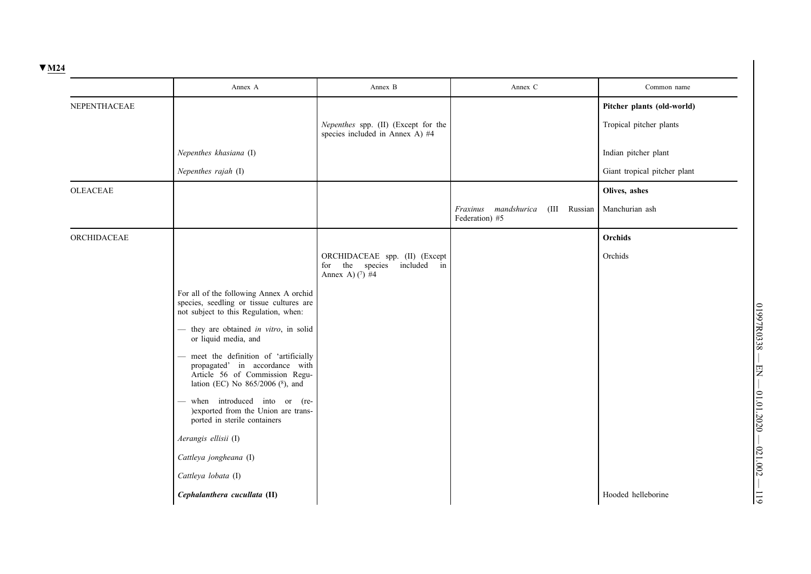|                 | Annex A                                                                                                                                                 | Annex B                                                                              | Annex C                                                | Common name                  |
|-----------------|---------------------------------------------------------------------------------------------------------------------------------------------------------|--------------------------------------------------------------------------------------|--------------------------------------------------------|------------------------------|
| NEPENTHACEAE    |                                                                                                                                                         |                                                                                      |                                                        | Pitcher plants (old-world)   |
|                 |                                                                                                                                                         | Nepenthes spp. (II) (Except for the<br>species included in Annex A) #4               |                                                        | Tropical pitcher plants      |
|                 | Nepenthes khasiana (I)                                                                                                                                  |                                                                                      |                                                        | Indian pitcher plant         |
|                 | Nepenthes rajah (I)                                                                                                                                     |                                                                                      |                                                        | Giant tropical pitcher plant |
| <b>OLEACEAE</b> |                                                                                                                                                         |                                                                                      |                                                        | Olives, ashes                |
|                 |                                                                                                                                                         |                                                                                      | Fraxinus mandshurica<br>(III Russian<br>Federation) #5 | Manchurian ash               |
| ORCHIDACEAE     |                                                                                                                                                         |                                                                                      |                                                        | <b>Orchids</b>               |
|                 |                                                                                                                                                         | ORCHIDACEAE spp. (II) (Except<br>for the species included<br>in<br>Annex A) $(7)$ #4 |                                                        | Orchids                      |
|                 | For all of the following Annex A orchid<br>species, seedling or tissue cultures are<br>not subject to this Regulation, when:                            |                                                                                      |                                                        |                              |
|                 | they are obtained in vitro, in solid<br>or liquid media, and                                                                                            |                                                                                      |                                                        |                              |
|                 | - meet the definition of 'artificially<br>propagated' in accordance with<br>Article 56 of Commission Regu-<br>lation (EC) No $865/2006$ ( $^{8}$ ), and |                                                                                      |                                                        |                              |
|                 | - when introduced into or (re-<br>)exported from the Union are trans-<br>ported in sterile containers                                                   |                                                                                      |                                                        |                              |
|                 | Aerangis ellisii (I)                                                                                                                                    |                                                                                      |                                                        |                              |
|                 | Cattleya jongheana (I)                                                                                                                                  |                                                                                      |                                                        |                              |
|                 | Cattleya lobata (I)                                                                                                                                     |                                                                                      |                                                        |                              |
|                 | Cephalanthera cucullata (II)                                                                                                                            |                                                                                      |                                                        | Hooded helleborine           |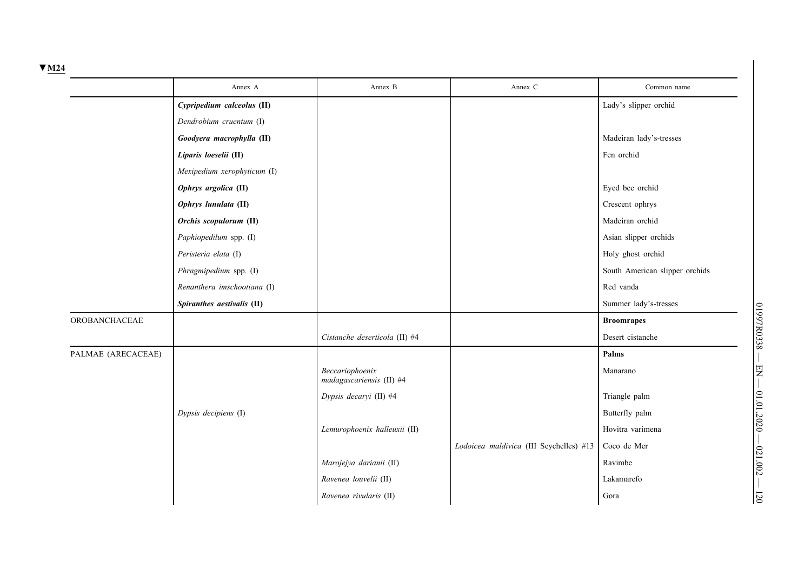|                    | Annex A                     | Annex B                                     | Annex C                                 | Common name                    |
|--------------------|-----------------------------|---------------------------------------------|-----------------------------------------|--------------------------------|
|                    | Cypripedium calceolus (II)  |                                             |                                         | Lady's slipper orchid          |
|                    | Dendrobium cruentum (I)     |                                             |                                         |                                |
|                    | Goodyera macrophylla (II)   |                                             |                                         | Madeiran lady's-tresses        |
|                    | Liparis loeselii (II)       |                                             |                                         | Fen orchid                     |
|                    | Mexipedium xerophyticum (I) |                                             |                                         |                                |
|                    | Ophrys argolica (II)        |                                             |                                         | Eyed bee orchid                |
|                    | Ophrys lunulata (II)        |                                             |                                         | Crescent ophrys                |
|                    | Orchis scopulorum (II)      |                                             |                                         | Madeiran orchid                |
|                    | Paphiopedilum spp. (I)      |                                             |                                         | Asian slipper orchids          |
|                    | Peristeria elata (I)        |                                             |                                         | Holy ghost orchid              |
|                    | Phragmipedium spp. (I)      |                                             |                                         | South American slipper orchids |
|                    | Renanthera imschootiana (I) |                                             |                                         | Red vanda                      |
|                    | Spiranthes aestivalis (II)  |                                             |                                         | Summer lady's-tresses          |
| OROBANCHACEAE      |                             |                                             |                                         | <b>Broomrapes</b>              |
|                    |                             | Cistanche deserticola (II) #4               |                                         | Desert cistanche               |
| PALMAE (ARECACEAE) |                             |                                             |                                         | Palms                          |
|                    |                             | Beccariophoenix<br>madagascariensis (II) #4 |                                         | Manarano                       |
|                    |                             | Dypsis decaryi (II) #4                      |                                         | Triangle palm                  |
|                    | Dypsis decipiens (I)        |                                             |                                         | Butterfly palm                 |
|                    |                             | Lemurophoenix halleuxii (II)                |                                         | Hovitra varimena               |
|                    |                             |                                             | Lodoicea maldivica (III Seychelles) #13 | Coco de Mer                    |
|                    |                             | Marojejya darianii (II)                     |                                         | Ravimbe                        |
|                    |                             | Ravenea louvelii (II)                       |                                         | Lakamarefo                     |
|                    |                             | Ravenea rivularis (II)                      |                                         | Gora                           |
|                    |                             |                                             |                                         |                                |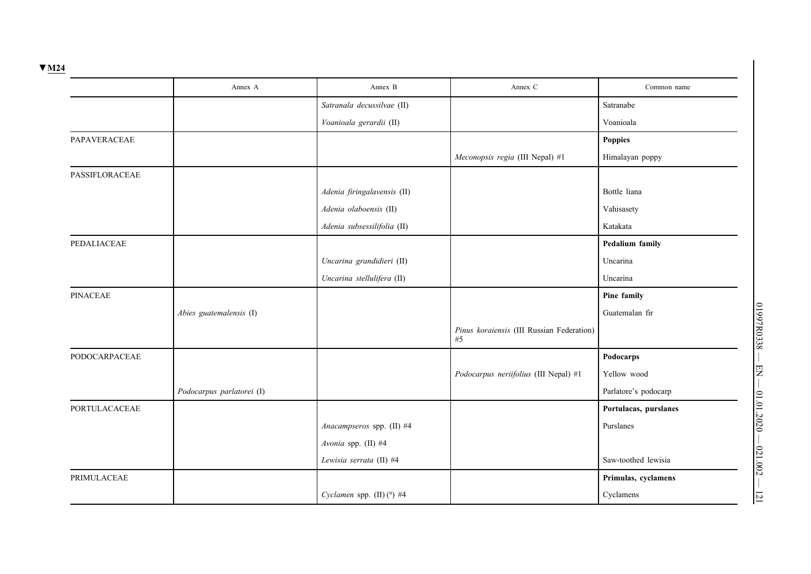|                 | Annex A                   | Annex B                         | Annex C                                         | Common name           |
|-----------------|---------------------------|---------------------------------|-------------------------------------------------|-----------------------|
|                 |                           | Satranala decussilvae (II)      |                                                 | Satranabe             |
|                 |                           | Voanioala gerardii (II)         |                                                 | Voanioala             |
| PAPAVERACEAE    |                           |                                 |                                                 | <b>Poppies</b>        |
|                 |                           |                                 | Meconopsis regia (III Nepal) #1                 | Himalayan poppy       |
| PASSIFLORACEAE  |                           |                                 |                                                 |                       |
|                 |                           | Adenia firingalavensis (II)     |                                                 | Bottle liana          |
|                 |                           | Adenia olaboensis (II)          |                                                 | Vahisasety            |
|                 |                           | Adenia subsessilifolia (II)     |                                                 | Katakata              |
| PEDALIACEAE     |                           |                                 |                                                 | Pedalium family       |
|                 |                           | Uncarina grandidieri (II)       |                                                 | Uncarina              |
|                 |                           | Uncarina stellulifera (II)      |                                                 | Uncarina              |
| <b>PINACEAE</b> |                           |                                 |                                                 | Pine family           |
|                 | Abies guatemalensis (I)   |                                 |                                                 | Guatemalan fir        |
|                 |                           |                                 | Pinus koraiensis (III Russian Federation)<br>#5 |                       |
| PODOCARPACEAE   |                           |                                 |                                                 | Podocarps             |
|                 |                           |                                 | Podocarpus neriifolius (III Nepal) #1           | Yellow wood           |
|                 | Podocarpus parlatorei (I) |                                 |                                                 | Parlatore's podocarp  |
| PORTULACACEAE   |                           |                                 |                                                 | Portulacas, purslanes |
|                 |                           | Anacampseros spp. (II) #4       |                                                 | Purslanes             |
|                 |                           | Avonia spp. (II) #4             |                                                 |                       |
|                 |                           | Lewisia serrata (II) #4         |                                                 | Saw-toothed lewisia   |
| PRIMULACEAE     |                           |                                 |                                                 | Primulas, cyclamens   |
|                 |                           | Cyclamen spp. $(II)$ ( $9$ ) #4 |                                                 | Cyclamens             |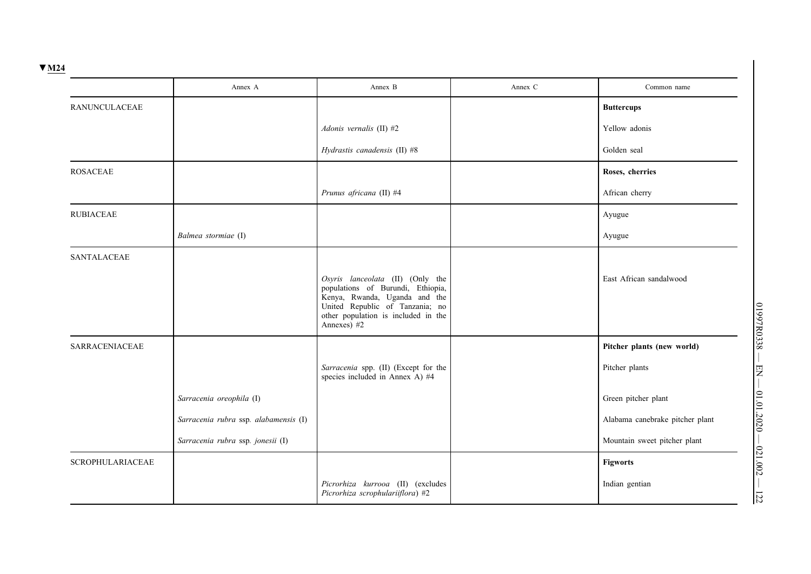|                         | Annex A                               | Annex B                                                                                                                                                                                         | Annex C | Common name                     |
|-------------------------|---------------------------------------|-------------------------------------------------------------------------------------------------------------------------------------------------------------------------------------------------|---------|---------------------------------|
| <b>RANUNCULACEAE</b>    |                                       |                                                                                                                                                                                                 |         | <b>Buttercups</b>               |
|                         |                                       | Adonis vernalis (II) #2                                                                                                                                                                         |         | Yellow adonis                   |
|                         |                                       | Hydrastis canadensis (II) #8                                                                                                                                                                    |         | Golden seal                     |
| <b>ROSACEAE</b>         |                                       |                                                                                                                                                                                                 |         | Roses, cherries                 |
|                         |                                       | Prunus africana (II) #4                                                                                                                                                                         |         | African cherry                  |
| <b>RUBIACEAE</b>        |                                       |                                                                                                                                                                                                 |         | Ayugue                          |
|                         | Balmea stormiae (I)                   |                                                                                                                                                                                                 |         | Ayugue                          |
| <b>SANTALACEAE</b>      |                                       |                                                                                                                                                                                                 |         |                                 |
|                         |                                       | Osyris lanceolata (II) (Only the<br>populations of Burundi, Ethiopia,<br>Kenya, Rwanda, Uganda and the<br>United Republic of Tanzania; no<br>other population is included in the<br>Annexes) #2 |         | East African sandalwood         |
| <b>SARRACENIACEAE</b>   |                                       |                                                                                                                                                                                                 |         | Pitcher plants (new world)      |
|                         |                                       | Sarracenia spp. (II) (Except for the<br>species included in Annex A) #4                                                                                                                         |         | Pitcher plants                  |
|                         | Sarracenia oreophila (I)              |                                                                                                                                                                                                 |         | Green pitcher plant             |
|                         | Sarracenia rubra ssp. alabamensis (I) |                                                                                                                                                                                                 |         | Alabama canebrake pitcher plant |
|                         | Sarracenia rubra ssp. jonesii (I)     |                                                                                                                                                                                                 |         | Mountain sweet pitcher plant    |
| <b>SCROPHULARIACEAE</b> |                                       |                                                                                                                                                                                                 |         | <b>Figworts</b>                 |
|                         |                                       | Picrorhiza kurrooa (II) (excludes<br>Picrorhiza scrophulariiflora) #2                                                                                                                           |         | Indian gentian                  |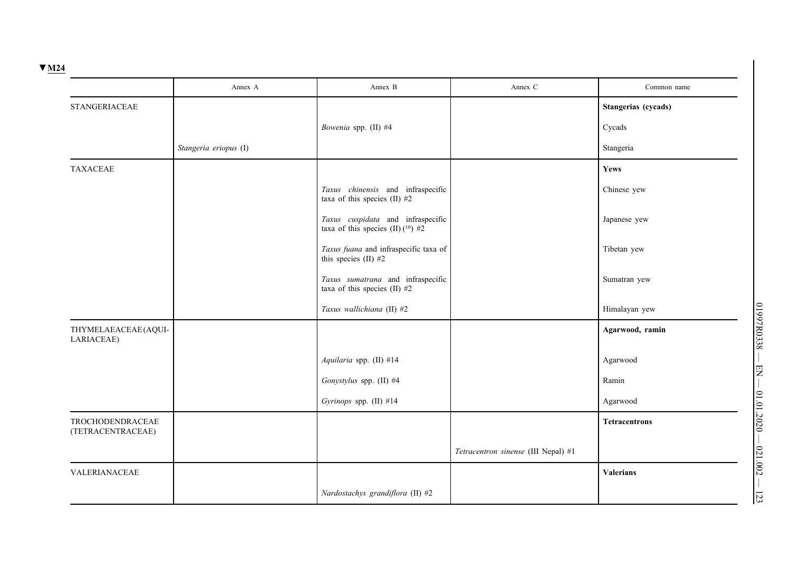|                                       | Annex A               | Annex B                                                                     | Annex C                             | Common name          |
|---------------------------------------|-----------------------|-----------------------------------------------------------------------------|-------------------------------------|----------------------|
| <b>STANGERIACEAE</b>                  |                       |                                                                             |                                     | Stangerias (cycads)  |
|                                       |                       | Bowenia spp. (II) #4                                                        |                                     | Cycads               |
|                                       | Stangeria eriopus (I) |                                                                             |                                     | Stangeria            |
| <b>TAXACEAE</b>                       |                       |                                                                             |                                     | Yews                 |
|                                       |                       | Taxus chinensis and infraspecific<br>taxa of this species (II) #2           |                                     | Chinese yew          |
|                                       |                       | Taxus cuspidata and infraspecific<br>taxa of this species (II) $(^{10})$ #2 |                                     | Japanese yew         |
|                                       |                       | Taxus fuana and infraspecific taxa of<br>this species (II) #2               |                                     | Tibetan yew          |
|                                       |                       | Taxus sumatrana and infraspecific<br>taxa of this species (II) $#2$         |                                     | Sumatran yew         |
|                                       |                       | Taxus wallichiana (II) #2                                                   |                                     | Himalayan yew        |
| THYMELAEACEAE (AQUI-<br>LARIACEAE)    |                       |                                                                             |                                     | Agarwood, ramin      |
|                                       |                       | Aquilaria spp. (II) #14                                                     |                                     | Agarwood             |
|                                       |                       | Gonystylus spp. (II) #4                                                     |                                     | Ramin                |
|                                       |                       | Gyrinops spp. (II) #14                                                      |                                     | Agarwood             |
| TROCHODENDRACEAE<br>(TETRACENTRACEAE) |                       |                                                                             |                                     | <b>Tetracentrons</b> |
|                                       |                       |                                                                             | Tetracentron sinense (III Nepal) #1 |                      |
| <b>VALERIANACEAE</b>                  |                       |                                                                             |                                     | <b>Valerians</b>     |
|                                       |                       | Nardostachys grandiflora (II) #2                                            |                                     |                      |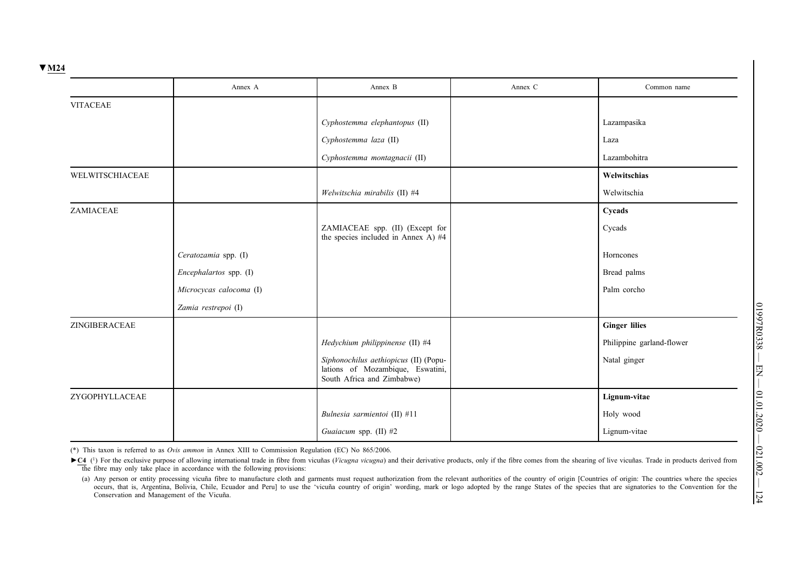|                 | Annex A                 | Annex B                                                                                                 | Annex C | Common name               |
|-----------------|-------------------------|---------------------------------------------------------------------------------------------------------|---------|---------------------------|
| <b>VITACEAE</b> |                         |                                                                                                         |         |                           |
|                 |                         | Cyphostemma elephantopus (II)                                                                           |         | Lazampasika               |
|                 |                         | Cyphostemma laza (II)                                                                                   |         | Laza                      |
|                 |                         | Cyphostemma montagnacii (II)                                                                            |         | Lazambohitra              |
| WELWITSCHIACEAE |                         |                                                                                                         |         | Welwitschias              |
|                 |                         | Welwitschia mirabilis (II) #4                                                                           |         | Welwitschia               |
| ZAMIACEAE       |                         |                                                                                                         |         | Cycads                    |
|                 |                         | ZAMIACEAE spp. (II) (Except for<br>the species included in Annex A) #4                                  |         | Cycads                    |
|                 | Ceratozamia spp. (I)    |                                                                                                         |         | Horncones                 |
|                 | Encephalartos spp. (I)  |                                                                                                         |         | Bread palms               |
|                 | Microcycas calocoma (I) |                                                                                                         |         | Palm corcho               |
|                 | Zamia restrepoi (I)     |                                                                                                         |         |                           |
| ZINGIBERACEAE   |                         |                                                                                                         |         | <b>Ginger lilies</b>      |
|                 |                         | Hedychium philippinense (II) #4                                                                         |         | Philippine garland-flower |
|                 |                         | Siphonochilus aethiopicus (II) (Popu-<br>lations of Mozambique, Eswatini,<br>South Africa and Zimbabwe) |         | Natal ginger              |
| ZYGOPHYLLACEAE  |                         |                                                                                                         |         | Lignum-vitae              |
|                 |                         | Bulnesia sarmientoi (II) #11                                                                            |         | Holy wood                 |
|                 |                         | Guaiacum spp. (II) #2                                                                                   |         | Lignum-vitae              |

(\*) This taxon is referred to as *Ovis ammon* in Annex XIII to Commission Regulation (EC) No 865/2006.

• C4 (1) For the exclusive purpose of allowing international trade in fibre from vicuñas (Vicugna vicugna) and their derivative products, only if the fibre comes from the shearing of live vicuñas. Trade in products derived  $\frac{64}{100}$  ( $\frac{64}{100}$  rot the entrality purpose of anothing international rate in note from the following provisions:

(a) Any person or entity processing vicuña fibre to manufacture cloth and garments must request authorization from the relevant authorities of the country of origin [Countries of origin: The countries where the species occurs, that is, Argentina, Bolivia, Chile, Ecuador and Peru] to use the 'vicuña country of origin' wording, mark or logo adopted by the range States of the species that are signatories to the Convention for the Conservation and Management of the Vicuña.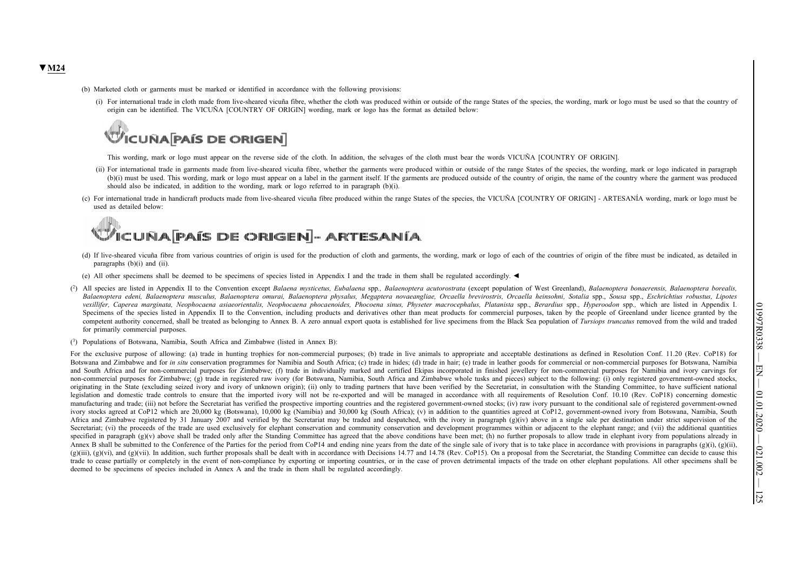- (b) Marketed cloth or garments must be marked or identified in accordance with the following provisions:
	- (i) For international trade in cloth made from live-sheared vicuña fibre, whether the cloth was produced within or outside of the range States of the species, the wording, mark or logo must be used so that the country of origin can be identified. The VICUÑA [COUNTRY OF ORIGIN] wording, mark or logo has the format as detailed below:



This wording, mark or logo must appear on the reverse side of the cloth. In addition, the selvages of the cloth must bear the words VICUÑA [COUNTRY OF ORIGIN].

- (ii) For international trade in garments made from live-sheared vicuña fibre, whether the garments were produced within or outside of the range States of the species, the wording, mark or logo indicated in paragraph (b)(i) must be used. This wording, mark or logo must appear on a label in the garment itself. If the garments are produced outside of the country of origin, the name of the country where the garment was produced should also be indicated, in addition to the wording, mark or logo referred to in paragraph (b)(i).
- (c) For international trade in handicraft products made from live-sheared vicuña fibre produced within the range States of the species, the VICUÑA [COUNTRY OF ORIGIN] ARTESANÍA wording, mark or logo must be used as detailed below:

## 1000 - A FOTBSA DA BARIS DE CHRICHEN - A FOTBSA NIÍA

(d) If live-sheared vicuña fibre from various countries of origin is used for the production of cloth and garments, the wording, mark or logo of each of the countries of origin of the fibre must be indicated, as detailed in paragraphs (b)(i) and (ii).

(e) All other specimens shall be deemed to be specimens of species listed in Appendix I and the trade in them shall be regulated accordingly. ◄

- (2) All species are listed in Appendix II to the Convention except Balaena mysticetus. Eubalaena spp., Balaenoptera acutorostrata (except population of West Greenland), Balaenoptera bonaerensis. Balaenoptera borealis. Balaenoptera edeni, Balaenoptera musculus, Balaenoptera omurai, Balaenoptera physalus, Megaptera novaeangliae, Orcaella brevirostris, Orcaella heinsohni, Sotalia spp., Sousa spp., Eschrichtius robustus, Lipotes vexillifer, Caperea marginata, Neophocaena asiaeorientalis, Neophocaena phocaenoides, Phocoena sinus, Physeter macrocephalus, Platanista spp., Berardius spp., Hyperoodon spp., which are listed in Appendix I. Specimens of the species listed in Appendix II to the Convention, including products and derivatives other than meat products for commercial purposes, taken by the people of Greenland under licence granted by the competent authority concerned, shall be treated as belonging to Annex B. A zero annual export quota is established for live specimens from the Black Sea population of Tursiops truncatus removed from the wild and traded for primarily commercial purposes.
- (3) Populations of Botswana, Namibia, South Africa and Zimbabwe (listed in Annex B):

For the exclusive purpose of allowing: (a) trade in hunting trophies for non-commercial purposes; (b) trade in live animals to appropriate and acceptable destinations as defined in Resolution Conf. 11.20 (Rev. CoP18) for Botswana and Zimbabwe and for in situ conservation programmes for Namibia and South Africa; (c) trade in hides; (d) trade in hair; (e) trade in lating eq and leather goods for commercial or non-commercial purposes for Bots and South Africa and for non-commercial purposes for Zimbabwe; (f) trade in individually marked and certified Ekipas incorporated in finished jewellery for non-commercial purposes for Namibia and ivory carvings for non-commercial purposes for Zimbabwe; (g) trade in registered raw ivory (for Botswana, Namibia, South Africa and Zimbabwe whole tusks and pieces) subject to the following: (i) only registered government-owned stocks, originating in the State (excluding seized ivory and ivory of unknown origin); (ii) only to trading partners that have been verified by the Secretariat, in consultation with the Standing Committee, to have sufficient natio legislation and domestic trade controls to ensure that the imported ivory will not be re-exported and will be managed in accordance with all requirements of Resolution Conf. 10.10 (Rev. CoP18) concerning domestic manufacturing and trade; (iii) not before the Secretariat has verified the prospective importing countries and the registered government-owned stocks; (iv) raw ivory pursuant to the conditional sale of registered governmen ivory stocks agreed at CoP12 which are 20,000 kg (Botswana), 10,000 kg (Namibia) and 30,000 kg (South Africa); (v) in addition to the quantities agreed at CoP12, government-owned ivory from Botswana, Namibia, South Africa and Zimbabwe registered by 31 January 2007 and verified by the Secretariat may be traded and despatched, with the ivory in paragraph (g)(iv) above in a single sale per destination under strict supervision of the Secretariat: (vi) the proceeds of the trade are used exclusively for elephant conservation and community conservation and development programmes within or adjacent to the elephant range; and (vii) the additional quantities specified in paragraph (g)(v) above shall be traded only after the Standing Committee has agreed that the above conditions have been met; (h) no further proposals to allow trade in elephant ivory from populations already Annex B shall be submitted to the Conference of the Parties for the period from CoP14 and ending nine years from the date of the single sale of ivory that is to take place in accordance with provisions in paragraphs (g)(i  $(g(iii), (g)(vi),$  and  $(g)(vii)$ . In addition, such further proposals shall be dealt with in accordance with Decisions 14.77 and 14.78 (Rev. CoP15). On a proposal from the Secretariat, the Standing Committee can decide to cause th trade to cease partially or completely in the event of non-compliance by exporting or importing countries, or in the case of proven detrimental impacts of the trade on other elephant populations. All other specimens shall be deemed to be specimens of species included in Annex A and the trade in them shall be regulated accordingly.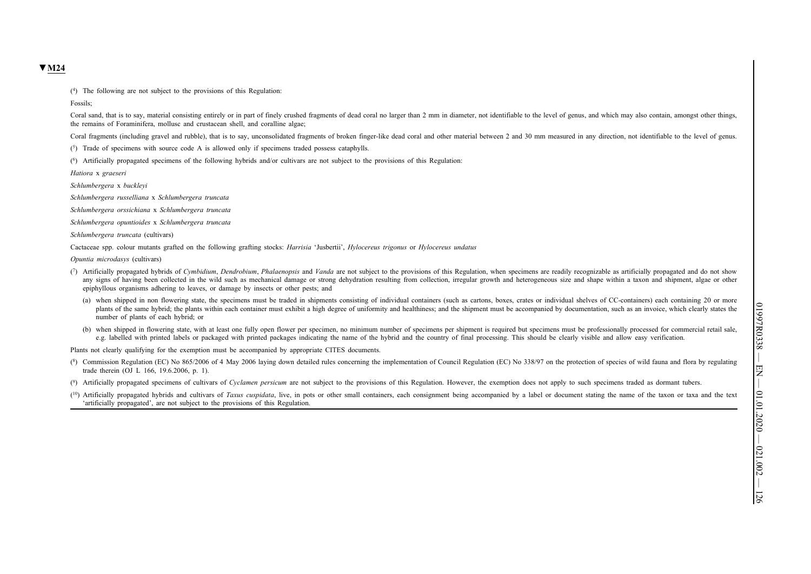(4) The following are not subject to the provisions of this Regulation:

Fossils;

Coral sand, that is to say, material consisting entirely or in part of finely crushed fragments of dead coral no larger than 2 mm in diameter, not identifiable to the level of genus, and which may also contain. amongst oth the remains of Foraminifera, mollusc and crustacean shell, and coralline algae;

Coral fragments (including gravel and rubble), that is to say, unconsolidated fragments of broken finger-like dead coral and other material between 2 and 30 mm measured in any direction, not identifiable to the level of ge

(5) Trade of specimens with source code A is allowed only if specimens traded possess cataphylls.

(6) Artificially propagated specimens of the following hybrids and/or cultivars are not subject to the provisions of this Regulation:

*Hatiora*<sup>x</sup> *graeseri* 

*Schlumbergera* x *buckleyi* 

*Schlumbergera russelliana* x *Schlumbergera truncata* 

*Schlumbergera orssichiana* x *Schlumbergera truncata* 

*Schlumbergera opuntioides* x *Schlumbergera truncata* 

*Schlumbergera truncata* (cultivars)

Cactaceae spp. colour mutants grafted on the following grafting stocks: *Harrisia* 'Jusbertii', *Hylocereus trigonus* or *Hylocereus undatus* 

*Opuntia microdasys* (cultivars)

- (2) Artificially propagated hybrids of Cynhidium Dendrobium Phalaenopsis and Vanda are not subject to the provisions of this Regulation when specimens are readily recognizable as artificially propagated and do not show any signs of having been collected in the wild such as mechanical damage or strong dehydration resulting from collection, irregular growth and heterogeneous size and shape within a taxon and shipment, algae or other epiphyllous organisms adhering to leaves, or damage by insects or other pests; and
	- (a) when shipped in non flowering state, the specimens must be traded in shipments consisting of individual containers (such as cartons, boxes, crates or individual shelves of CC-containers) each containing 20 or more plants of the same hybrid; the plants within each container must exhibit a high degree of uniformity and healthiness; and the shipment must be accompanied by documentation, such as an invoice, which clearly states the number of plants of each hybrid; or
	- (b) when shipped in flowering state, with at least one fully open flower per specimen, no minimum number of specimens per shipment is required but specimens must be professionally processed for commercial retail sale. e.g. labelled with printed labels or packaged with printed packages indicating the name of the hybrid and the country of final processing. This should be clearly visible and allow easy verification.

Plants not clearly qualifying for the exemption must be accompanied by appropriate CITES documents.

(8) Commission Regulation (EC) No 865/2006 of 4 May 2006 laying down detailed rules concerning the implementation of Council Regulation (EC) No 338/97 on the protection of species of wild fauna and flora by regulating trade therein (OJ L 166, 19.6.2006, p. 1).

(9) Artificially propagated specimens of cultivars of *Cyclamen persicum* are not subject to the provisions of this Regulation. However, the exemption does not apply to such specimens traded as dormant tubers.

(<sup>10</sup>) Artificially propagated hybrids and cultivars of Taxus cuspidata, live, in pots or other small containers, each consignment being accompanied by a label or document stating the name of the taxon or taxa and the text 'artificially propagated', are not subject to the provisions of this Regulation.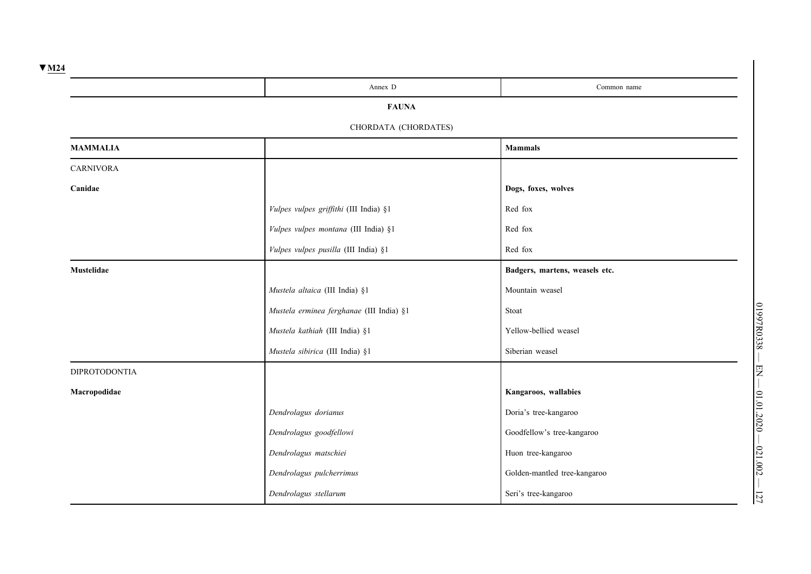|                      | Annex D                                  | Common name                    |
|----------------------|------------------------------------------|--------------------------------|
|                      | <b>FAUNA</b>                             |                                |
|                      | CHORDATA (CHORDATES)                     |                                |
| <b>MAMMALIA</b>      |                                          | <b>Mammals</b>                 |
| <b>CARNIVORA</b>     |                                          |                                |
| Canidae              |                                          | Dogs, foxes, wolves            |
|                      | Vulpes vulpes griffithi (III India) §1   | Red fox                        |
|                      | Vulpes vulpes montana (III India) §1     | Red fox                        |
|                      | Vulpes vulpes pusilla (III India) §1     | Red fox                        |
| Mustelidae           |                                          | Badgers, martens, weasels etc. |
|                      | Mustela altaica (III India) §1           | Mountain weasel                |
|                      | Mustela erminea ferghanae (III India) §1 | Stoat                          |
|                      | Mustela kathiah (III India) §1           | Yellow-bellied weasel          |
|                      | Mustela sibirica (III India) §1          | Siberian weasel                |
| <b>DIPROTODONTIA</b> |                                          |                                |
| Macropodidae         |                                          | Kangaroos, wallabies           |
|                      | Dendrolagus dorianus                     | Doria's tree-kangaroo          |
|                      | Dendrolagus goodfellowi                  | Goodfellow's tree-kangaroo     |
|                      | Dendrolagus matschiei                    | Huon tree-kangaroo             |
|                      | Dendrolagus pulcherrimus                 | Golden-mantled tree-kangaroo   |
|                      | Dendrolagus stellarum                    | Seri's tree-kangaroo           |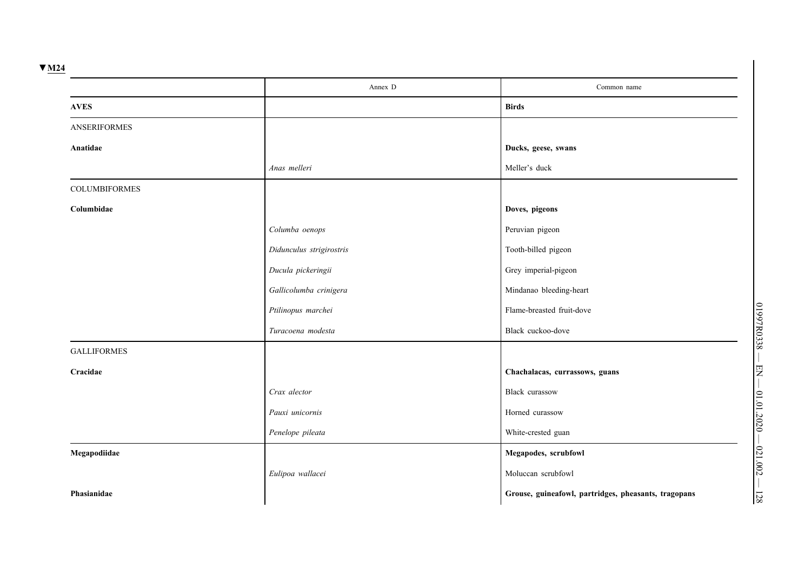|                      | Annex D                  | Common name                                          |
|----------------------|--------------------------|------------------------------------------------------|
| <b>AVES</b>          |                          | <b>Birds</b>                                         |
| <b>ANSERIFORMES</b>  |                          |                                                      |
| Anatidae             |                          | Ducks, geese, swans                                  |
|                      | Anas melleri             | Meller's duck                                        |
| <b>COLUMBIFORMES</b> |                          |                                                      |
| Columbidae           |                          | Doves, pigeons                                       |
|                      | Columba oenops           | Peruvian pigeon                                      |
|                      | Didunculus strigirostris | Tooth-billed pigeon                                  |
|                      | Ducula pickeringii       | Grey imperial-pigeon                                 |
|                      | Gallicolumba crinigera   | Mindanao bleeding-heart                              |
|                      | Ptilinopus marchei       | Flame-breasted fruit-dove                            |
|                      | Turacoena modesta        | Black cuckoo-dove                                    |
| <b>GALLIFORMES</b>   |                          |                                                      |
| Cracidae             |                          | Chachalacas, currassows, guans                       |
|                      | Crax alector             | Black curassow                                       |
|                      | Pauxi unicornis          | Horned curassow                                      |
|                      | Penelope pileata         | White-crested guan                                   |
| Megapodiidae         |                          | Megapodes, scrubfowl                                 |
|                      | Eulipoa wallacei         | Moluccan scrubfowl                                   |
| Phasianidae          |                          | Grouse, guineafowl, partridges, pheasants, tragopans |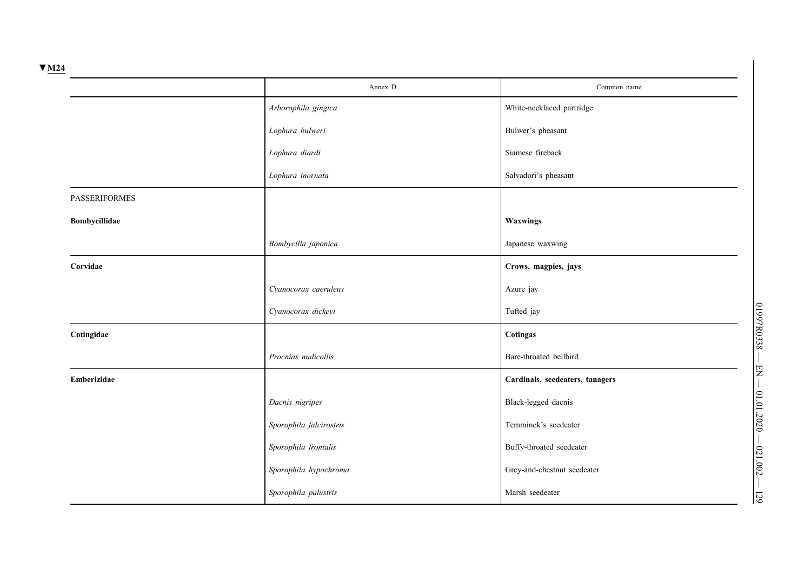|                      | Annex D                 | Common name                     |
|----------------------|-------------------------|---------------------------------|
|                      | Arborophila gingica     | White-necklaced partridge       |
|                      | Lophura bulweri         | Bulwer's pheasant               |
|                      | Lophura diardi          | Siamese fireback                |
|                      | Lophura inornata        | Salvadori's pheasant            |
| <b>PASSERIFORMES</b> |                         |                                 |
| Bombycillidae        |                         | Waxwings                        |
|                      | Bombycilla japonica     | Japanese waxwing                |
| Corvidae             |                         | Crows, magpies, jays            |
|                      | Cyanocorax caeruleus    | Azure jay                       |
|                      | Cyanocorax dickeyi      | Tufted jay                      |
| Cotingidae           |                         | Cotingas                        |
|                      | Procnias nudicollis     | Bare-throated bellbird          |
| Emberizidae          |                         | Cardinals, seedeaters, tanagers |
|                      | Dacnis nigripes         | Black-legged dacnis             |
|                      | Sporophila falcirostris | Temminck's seedeater            |
|                      | Sporophila frontalis    | Buffy-throated seedeater        |
|                      | Sporophila hypochroma   | Grey-and-chestnut seedeater     |
|                      | Sporophila palustris    | Marsh seedeater                 |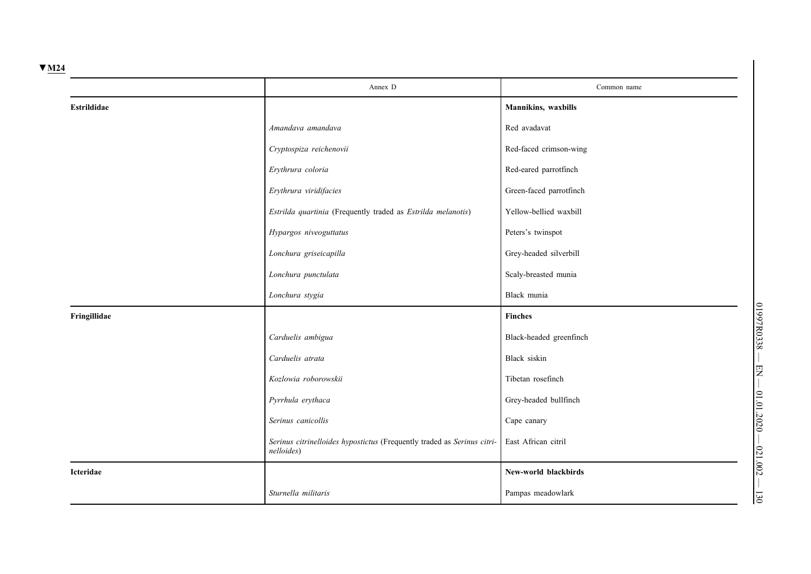|                    | Annex D                                                                               | Common name             |
|--------------------|---------------------------------------------------------------------------------------|-------------------------|
| <b>Estrildidae</b> |                                                                                       | Mannikins, waxbills     |
|                    | Amandava amandava                                                                     | Red avadavat            |
|                    | Cryptospiza reichenovii                                                               | Red-faced crimson-wing  |
|                    | Erythrura coloria                                                                     | Red-eared parrotfinch   |
|                    | Erythrura viridifacies                                                                | Green-faced parrotfinch |
|                    | Estrilda quartinia (Frequently traded as Estrilda melanotis)                          | Yellow-bellied waxbill  |
|                    | Hypargos niveoguttatus                                                                | Peters's twinspot       |
|                    | Lonchura griseicapilla                                                                | Grey-headed silverbill  |
|                    | Lonchura punctulata                                                                   | Scaly-breasted munia    |
|                    | Lonchura stygia                                                                       | Black munia             |
| Fringillidae       |                                                                                       | Finches                 |
|                    | Carduelis ambigua                                                                     | Black-headed greenfinch |
|                    | Carduelis atrata                                                                      | Black siskin            |
|                    | Kozlowia roborowskii                                                                  | Tibetan rosefinch       |
|                    | Pyrrhula erythaca                                                                     | Grey-headed bullfinch   |
|                    | Serinus canicollis                                                                    | Cape canary             |
|                    | Serinus citrinelloides hypostictus (Frequently traded as Serinus citri-<br>nelloides) | East African citril     |
| Icteridae          |                                                                                       | New-world blackbirds    |
|                    | Sturnella militaris                                                                   | Pampas meadowlark       |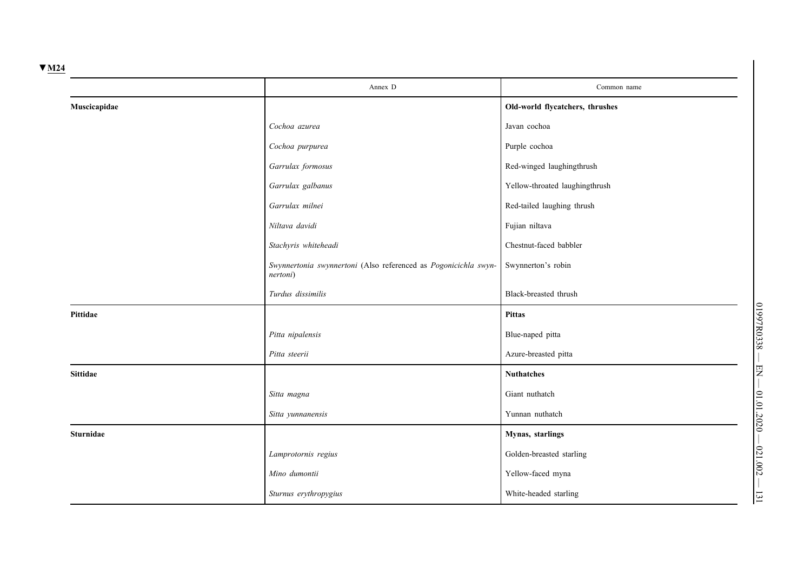|                 | Annex D                                                                     | Common name                     |
|-----------------|-----------------------------------------------------------------------------|---------------------------------|
| Muscicapidae    |                                                                             | Old-world flycatchers, thrushes |
|                 | Cochoa azurea                                                               | Javan cochoa                    |
|                 | Cochoa purpurea                                                             | Purple cochoa                   |
|                 | Garrulax formosus                                                           | Red-winged laughingthrush       |
|                 | Garrulax galbanus                                                           | Yellow-throated laughingthrush  |
|                 | Garrulax milnei                                                             | Red-tailed laughing thrush      |
|                 | Niltava davidi                                                              | Fujian niltava                  |
|                 | Stachyris whiteheadi                                                        | Chestnut-faced babbler          |
|                 | Swynnertonia swynnertoni (Also referenced as Pogonicichla swyn-<br>nertoni) | Swynnerton's robin              |
|                 | Turdus dissimilis                                                           | Black-breasted thrush           |
| Pittidae        |                                                                             | <b>Pittas</b>                   |
|                 | Pitta nipalensis                                                            | Blue-naped pitta                |
|                 | Pitta steerii                                                               | Azure-breasted pitta            |
| <b>Sittidae</b> |                                                                             | <b>Nuthatches</b>               |
|                 | Sitta magna                                                                 | Giant nuthatch                  |
|                 | Sitta yunnanensis                                                           | Yunnan nuthatch                 |
| Sturnidae       |                                                                             | Mynas, starlings                |
|                 | Lamprotornis regius                                                         | Golden-breasted starling        |
|                 | Mino dumontii                                                               | Yellow-faced myna               |
|                 | Sturnus erythropygius                                                       | White-headed starling           |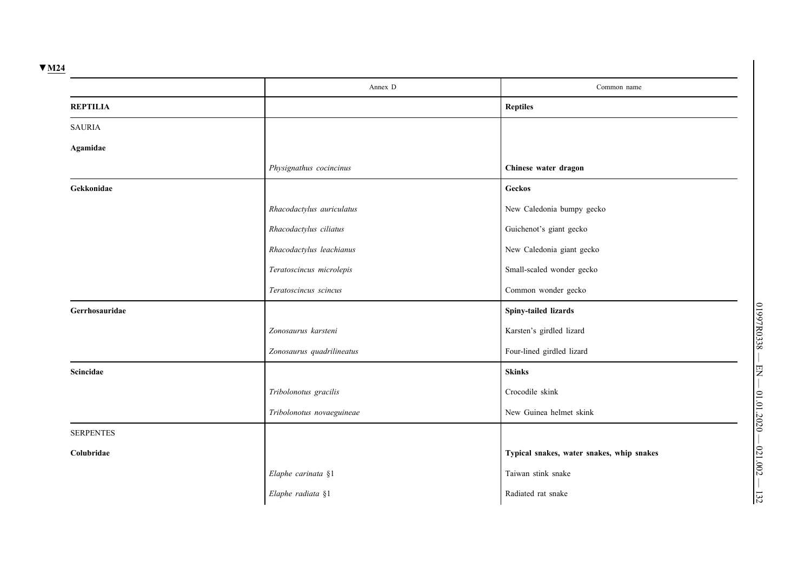|--|

|                  | Annex D                   | Common name                               |
|------------------|---------------------------|-------------------------------------------|
| <b>REPTILIA</b>  |                           | <b>Reptiles</b>                           |
| <b>SAURIA</b>    |                           |                                           |
| Agamidae         |                           |                                           |
|                  | Physignathus cocincinus   | Chinese water dragon                      |
| Gekkonidae       |                           | Geckos                                    |
|                  | Rhacodactylus auriculatus | New Caledonia bumpy gecko                 |
|                  | Rhacodactylus ciliatus    | Guichenot's giant gecko                   |
|                  | Rhacodactylus leachianus  | New Caledonia giant gecko                 |
|                  | Teratoscincus microlepis  | Small-scaled wonder gecko                 |
|                  | Teratoscincus scincus     | Common wonder gecko                       |
| Gerrhosauridae   |                           | Spiny-tailed lizards                      |
|                  | Zonosaurus karsteni       | Karsten's girdled lizard                  |
|                  | Zonosaurus quadrilineatus | Four-lined girdled lizard                 |
| Scincidae        |                           | <b>Skinks</b>                             |
|                  | Tribolonotus gracilis     | Crocodile skink                           |
|                  | Tribolonotus novaeguineae | New Guinea helmet skink                   |
| <b>SERPENTES</b> |                           |                                           |
| Colubridae       |                           | Typical snakes, water snakes, whip snakes |
|                  | Elaphe carinata §1        | Taiwan stink snake                        |
|                  | Elaphe radiata §1         | Radiated rat snake                        |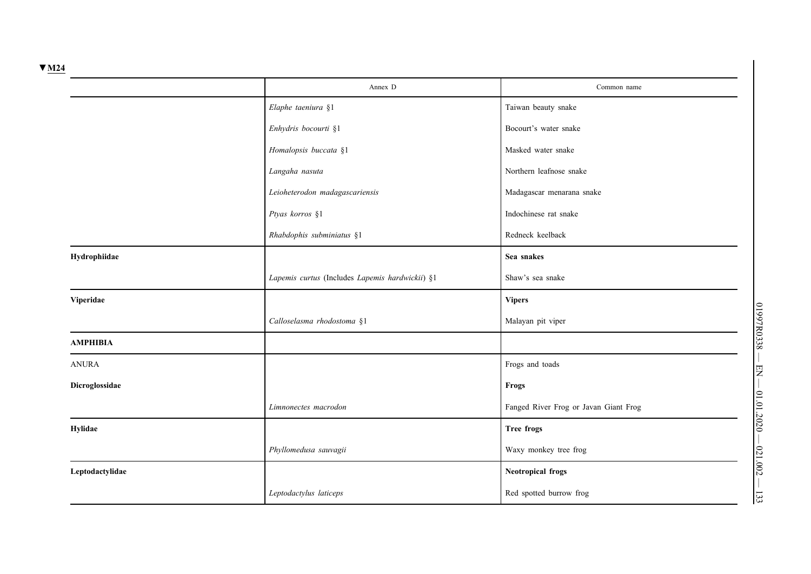|                 | Annex D                                         | Common name                           |
|-----------------|-------------------------------------------------|---------------------------------------|
|                 | Elaphe taeniura §1                              | Taiwan beauty snake                   |
|                 | Enhydris bocourti §1                            | Bocourt's water snake                 |
|                 | Homalopsis buccata §1                           | Masked water snake                    |
|                 | Langaha nasuta                                  | Northern leafnose snake               |
|                 | Leioheterodon madagascariensis                  | Madagascar menarana snake             |
|                 | Ptyas korros §1                                 | Indochinese rat snake                 |
|                 | Rhabdophis subminiatus §1                       | Redneck keelback                      |
| Hydrophiidae    |                                                 | Sea snakes                            |
|                 | Lapemis curtus (Includes Lapemis hardwickii) §1 | Shaw's sea snake                      |
| Viperidae       |                                                 | <b>Vipers</b>                         |
|                 | Calloselasma rhodostoma §1                      | Malayan pit viper                     |
| <b>AMPHIBIA</b> |                                                 |                                       |
| <b>ANURA</b>    |                                                 | Frogs and toads                       |
| Dicroglossidae  |                                                 | Frogs                                 |
|                 | Limnonectes macrodon                            | Fanged River Frog or Javan Giant Frog |
| Hylidae         |                                                 | Tree frogs                            |
|                 | Phyllomedusa sauvagii                           | Waxy monkey tree frog                 |
| Leptodactylidae |                                                 | <b>Neotropical frogs</b>              |
|                 | Leptodactylus laticeps                          | Red spotted burrow frog               |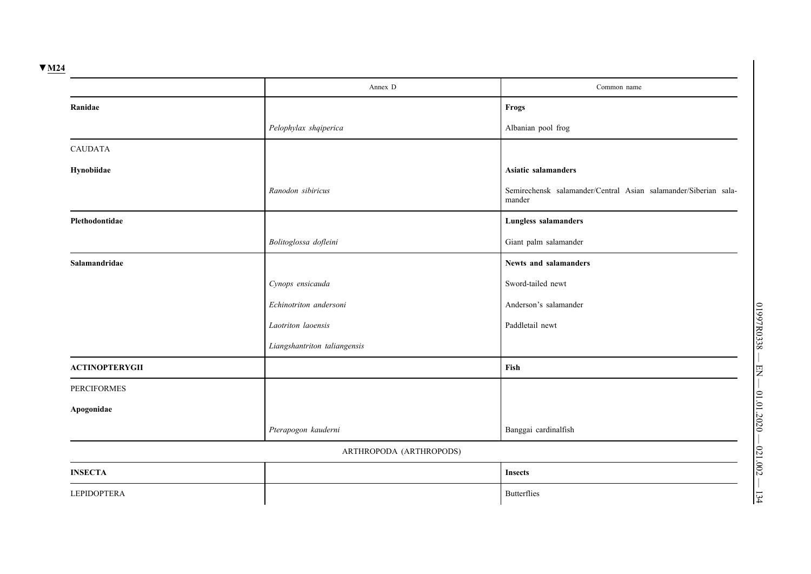|--|--|--|

|                       | Annex D                      | Common name                                                               |
|-----------------------|------------------------------|---------------------------------------------------------------------------|
| Ranidae               |                              | Frogs                                                                     |
|                       | Pelophylax shqiperica        | Albanian pool frog                                                        |
| <b>CAUDATA</b>        |                              |                                                                           |
| Hynobiidae            |                              | Asiatic salamanders                                                       |
|                       | Ranodon sibiricus            | Semirechensk salamander/Central Asian salamander/Siberian sala-<br>mander |
| Plethodontidae        |                              | <b>Lungless salamanders</b>                                               |
|                       | Bolitoglossa dofleini        | Giant palm salamander                                                     |
| Salamandridae         |                              | Newts and salamanders                                                     |
|                       | Cynops ensicauda             | Sword-tailed newt                                                         |
|                       | Echinotriton andersoni       | Anderson's salamander                                                     |
|                       | Laotriton laoensis           | Paddletail newt                                                           |
|                       | Liangshantriton taliangensis |                                                                           |
| <b>ACTINOPTERYGII</b> |                              | Fish                                                                      |
| <b>PERCIFORMES</b>    |                              |                                                                           |
| Apogonidae            |                              |                                                                           |
|                       | Pterapogon kauderni          | Banggai cardinalfish                                                      |
|                       | ARTHROPODA (ARTHROPODS)      |                                                                           |
| <b>INSECTA</b>        |                              | <b>Insects</b>                                                            |
| <b>LEPIDOPTERA</b>    |                              | <b>Butterflies</b>                                                        |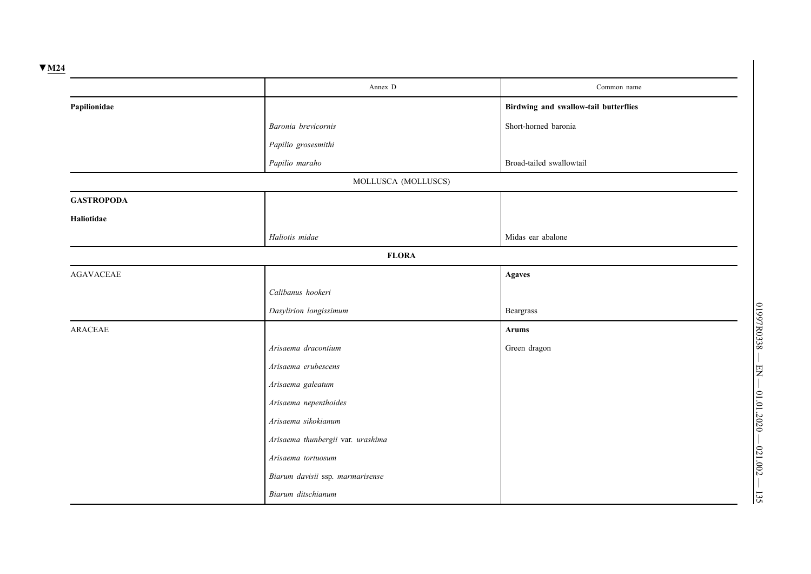| $\Psi$ M24 |
|------------|
|------------|

|                   | Annex D                           | Common name                           |
|-------------------|-----------------------------------|---------------------------------------|
| Papilionidae      |                                   | Birdwing and swallow-tail butterflies |
|                   | Baronia brevicornis               | Short-horned baronia                  |
|                   | Papilio grosesmithi               |                                       |
|                   | Papilio maraho                    | Broad-tailed swallowtail              |
|                   | MOLLUSCA (MOLLUSCS)               |                                       |
| <b>GASTROPODA</b> |                                   |                                       |
| Haliotidae        |                                   |                                       |
|                   | Haliotis midae                    | Midas ear abalone                     |
| <b>FLORA</b>      |                                   |                                       |
| <b>AGAVACEAE</b>  |                                   | <b>Agaves</b>                         |
|                   | Calibanus hookeri                 |                                       |
|                   | Dasylirion longissimum            | Beargrass                             |
| <b>ARACEAE</b>    |                                   | <b>Arums</b>                          |
|                   | Arisaema dracontium               | Green dragon                          |
|                   | Arisaema erubescens               |                                       |
|                   | Arisaema galeatum                 |                                       |
|                   | Arisaema nepenthoides             |                                       |
|                   | Arisaema sikokianum               |                                       |
|                   | Arisaema thunbergii var. urashima |                                       |
|                   | Arisaema tortuosum                |                                       |
|                   | Biarum davisii ssp. marmarisense  |                                       |
|                   | Biarum ditschianum                |                                       |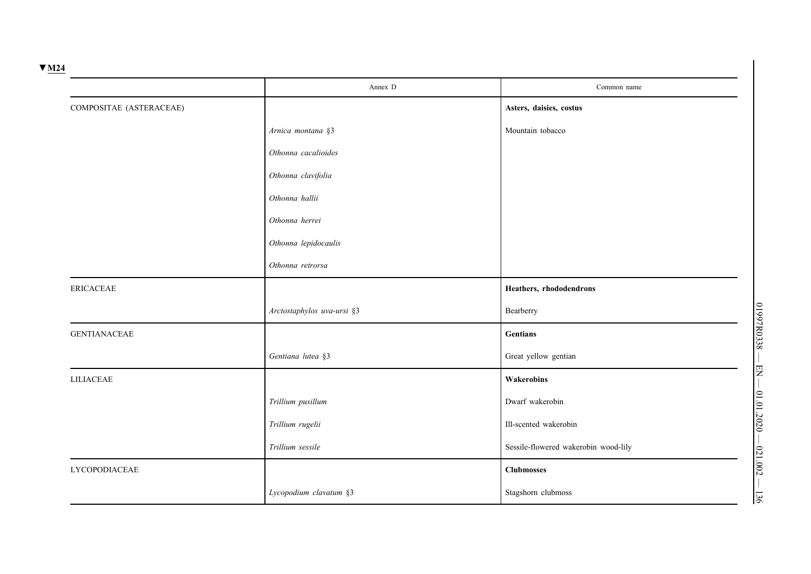|--|--|--|

|                         | Annex D                    | Common name                          |
|-------------------------|----------------------------|--------------------------------------|
| COMPOSITAE (ASTERACEAE) |                            | Asters, daisies, costus              |
|                         | Arnica montana §3          | Mountain tobacco                     |
|                         | Othonna cacalioides        |                                      |
|                         | Othonna clavifolia         |                                      |
|                         | Othonna hallii             |                                      |
|                         | Othonna herrei             |                                      |
|                         | Othonna lepidocaulis       |                                      |
|                         | Othonna retrorsa           |                                      |
| <b>ERICACEAE</b>        |                            | Heathers, rhododendrons              |
|                         | Arctostaphylos uva-ursi §3 | Bearberry                            |
| <b>GENTIANACEAE</b>     |                            | Gentians                             |
|                         | Gentiana lutea §3          | Great yellow gentian                 |
| <b>LILIACEAE</b>        |                            | Wakerobins                           |
|                         | Trillium pusillum          | Dwarf wakerobin                      |
|                         | Trillium rugelii           | Ill-scented wakerobin                |
|                         | Trillium sessile           | Sessile-flowered wakerobin wood-lily |
| <b>LYCOPODIACEAE</b>    |                            | <b>Clubmosses</b>                    |
|                         | Lycopodium clavatum §3     | Stagshorn clubmoss                   |